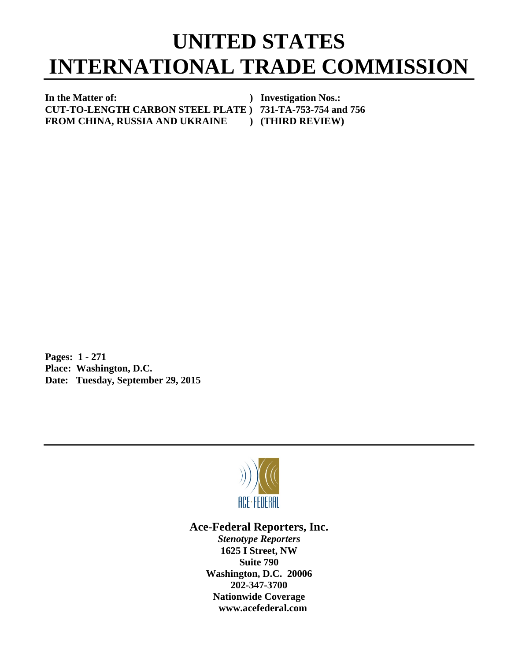## **UNITED STATES INTERNATIONAL TRADE COMMISSION**

In the Matter of: *In the Matter of: Physical physical physical physical physical physical physical physical physical physical physical physical physical physical physical physical physical physical physical physical* **CUT-TO-LENGTH CARBON STEEL PLATE ) 731-TA-753-754 and 756 FROM CHINA, RUSSIA AND UKRAINE ) (THIRD REVIEW)** 

**Pages: 1 - 271 Place: Washington, D.C. Date: Tuesday, September 29, 2015** 



## **Ace-Federal Reporters, Inc.**

*Stenotype Reporters*  **1625 I Street, NW Suite 790 Washington, D.C. 20006 202-347-3700 Nationwide Coverage www.acefederal.com**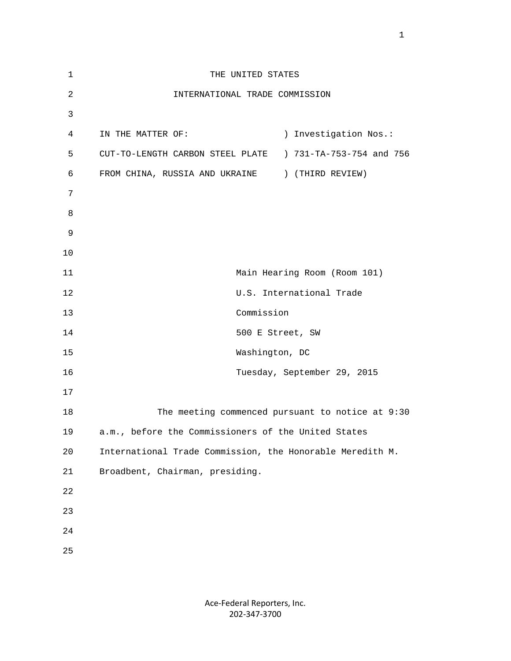| $\mathbf 1$    | THE UNITED STATES                                         |
|----------------|-----------------------------------------------------------|
| $\overline{a}$ | INTERNATIONAL TRADE COMMISSION                            |
| 3              |                                                           |
| $\overline{4}$ | ) Investigation Nos.:<br>IN THE MATTER OF:                |
| 5              | CUT-TO-LENGTH CARBON STEEL PLATE ) 731-TA-753-754 and 756 |
| 6              | FROM CHINA, RUSSIA AND UKRAINE ) (THIRD REVIEW)           |
| 7              |                                                           |
| 8              |                                                           |
| 9              |                                                           |
| 10             |                                                           |
| 11             | Main Hearing Room (Room 101)                              |
| 12             | U.S. International Trade                                  |
| 13             | Commission                                                |
| 14             | 500 E Street, SW                                          |
| 15             | Washington, DC                                            |
| 16             | Tuesday, September 29, 2015                               |
| 17             |                                                           |
| 18             | The meeting commenced pursuant to notice at 9:30          |
| 19             | a.m., before the Commissioners of the United States       |
| 20             | International Trade Commission, the Honorable Meredith M. |
| 21             | Broadbent, Chairman, presiding.                           |
| 22             |                                                           |
| 23             |                                                           |
| 24             |                                                           |
| 25             |                                                           |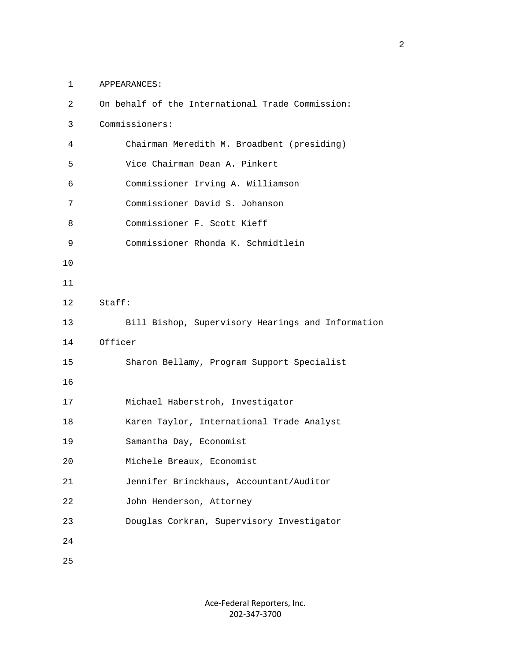1 APPEARANCES:

| 2  | On behalf of the International Trade Commission:  |
|----|---------------------------------------------------|
| 3  | Commissioners:                                    |
| 4  | Chairman Meredith M. Broadbent (presiding)        |
| 5  | Vice Chairman Dean A. Pinkert                     |
| 6  | Commissioner Irving A. Williamson                 |
| 7  | Commissioner David S. Johanson                    |
| 8  | Commissioner F. Scott Kieff                       |
| 9  | Commissioner Rhonda K. Schmidtlein                |
| 10 |                                                   |
| 11 |                                                   |
| 12 | Staff:                                            |
| 13 | Bill Bishop, Supervisory Hearings and Information |
| 14 | Officer                                           |
| 15 | Sharon Bellamy, Program Support Specialist        |
| 16 |                                                   |
| 17 | Michael Haberstroh, Investigator                  |
| 18 | Karen Taylor, International Trade Analyst         |
| 19 | Samantha Day, Economist                           |
| 20 | Michele Breaux, Economist                         |
| 21 | Jennifer Brinckhaus, Accountant/Auditor           |
| 22 | John Henderson, Attorney                          |
| 23 | Douglas Corkran, Supervisory Investigator         |
| 24 |                                                   |
| 25 |                                                   |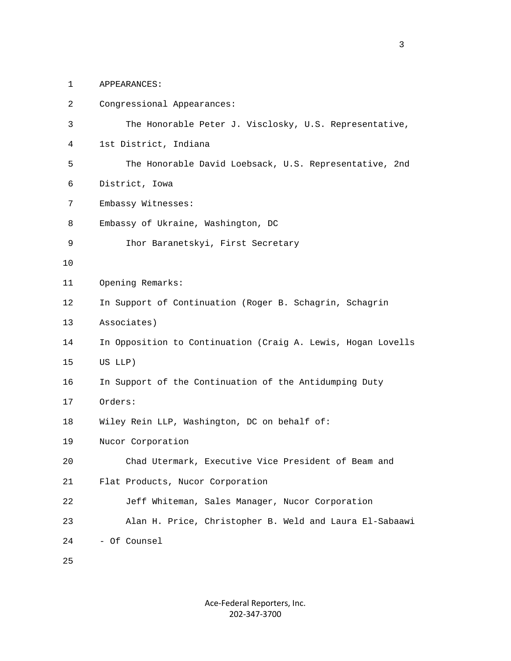1 APPEARANCES:

| 2  | Congressional Appearances:                                   |
|----|--------------------------------------------------------------|
| 3  | The Honorable Peter J. Visclosky, U.S. Representative,       |
| 4  | 1st District, Indiana                                        |
| 5  | The Honorable David Loebsack, U.S. Representative, 2nd       |
| 6  | District, Iowa                                               |
| 7  | Embassy Witnesses:                                           |
| 8  | Embassy of Ukraine, Washington, DC                           |
| 9  | Ihor Baranetskyi, First Secretary                            |
| 10 |                                                              |
| 11 | Opening Remarks:                                             |
| 12 | In Support of Continuation (Roger B. Schagrin, Schagrin      |
| 13 | Associates)                                                  |
| 14 | In Opposition to Continuation (Craig A. Lewis, Hogan Lovells |
| 15 | US LLP)                                                      |
| 16 | In Support of the Continuation of the Antidumping Duty       |
| 17 | Orders:                                                      |
| 18 | Wiley Rein LLP, Washington, DC on behalf of:                 |
| 19 | Nucor Corporation                                            |
| 20 | Chad Utermark, Executive Vice President of Beam and          |
| 21 | Flat Products, Nucor Corporation                             |
| 22 | Jeff Whiteman, Sales Manager, Nucor Corporation              |
| 23 | Alan H. Price, Christopher B. Weld and Laura El-Sabaawi      |
| 24 | - Of Counsel                                                 |
| 25 |                                                              |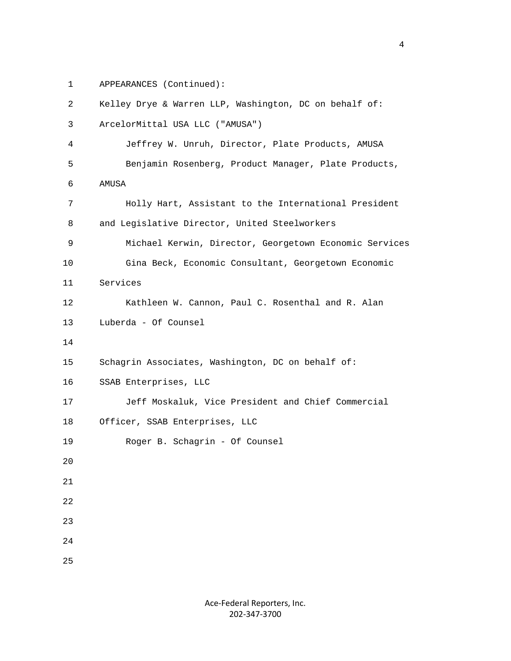1 APPEARANCES (Continued):

```
 2 Kelley Drye & Warren LLP, Washington, DC on behalf of: 
  3 ArcelorMittal USA LLC ("AMUSA") 
  4 Jeffrey W. Unruh, Director, Plate Products, AMUSA 
  5 Benjamin Rosenberg, Product Manager, Plate Products, 
  6 AMUSA 
  7 Holly Hart, Assistant to the International President 
  8 and Legislative Director, United Steelworkers 
  9 Michael Kerwin, Director, Georgetown Economic Services 
 10 Gina Beck, Economic Consultant, Georgetown Economic 
 11 Services 
 12 Kathleen W. Cannon, Paul C. Rosenthal and R. Alan 
 13 Luberda - Of Counsel 
 14 
 15 Schagrin Associates, Washington, DC on behalf of: 
 16 SSAB Enterprises, LLC 
 17 Jeff Moskaluk, Vice President and Chief Commercial 
 18 Officer, SSAB Enterprises, LLC 
 19 Roger B. Schagrin - Of Counsel 
20^{\circ} 21 
 22 
 23 
 24 
 25
```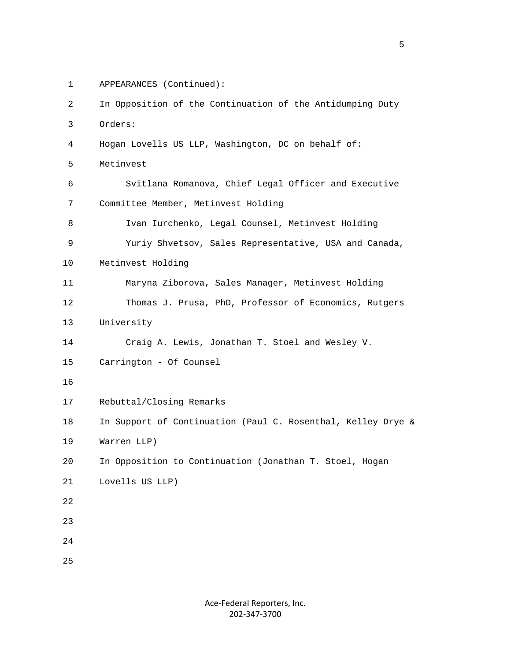1 APPEARANCES (Continued):

```
 2 In Opposition of the Continuation of the Antidumping Duty 
  3 Orders: 
  4 Hogan Lovells US LLP, Washington, DC on behalf of: 
  5 Metinvest 
  6 Svitlana Romanova, Chief Legal Officer and Executive 
  7 Committee Member, Metinvest Holding 
  8 Ivan Iurchenko, Legal Counsel, Metinvest Holding 
  9 Yuriy Shvetsov, Sales Representative, USA and Canada, 
 10 Metinvest Holding 
 11 Maryna Ziborova, Sales Manager, Metinvest Holding 
 12 Thomas J. Prusa, PhD, Professor of Economics, Rutgers 
 13 University 
 14 Craig A. Lewis, Jonathan T. Stoel and Wesley V. 
 15 Carrington - Of Counsel 
 16 
 17 Rebuttal/Closing Remarks 
 18 In Support of Continuation (Paul C. Rosenthal, Kelley Drye & 
 19 Warren LLP) 
 20 In Opposition to Continuation (Jonathan T. Stoel, Hogan 
 21 Lovells US LLP) 
 22 
 23 
 24 
 25
```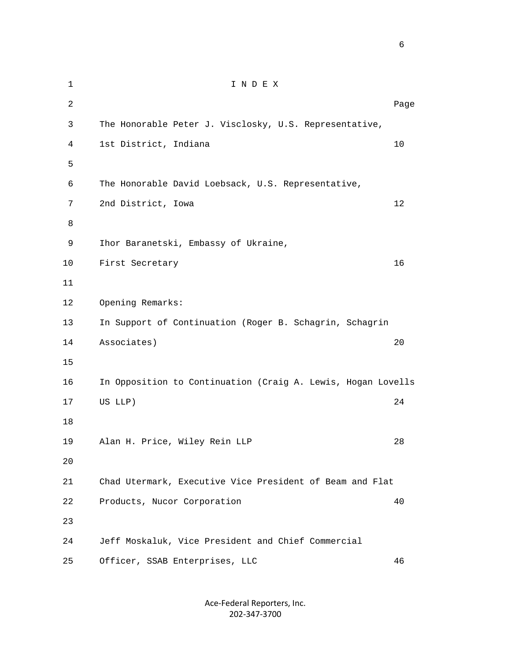1 I N D E X 2 **Page 12** Page 2 **Page 2** Page 2 Page 2 Page 2 Page 2 Page 2 Page 2 Page 2 Page 2 Page 2 Page 2 Page 2 Page 2 Page 2 Page 2 Page 2 Page 2 Page 2 Page 2 Page 2 Page 2 Page 2 Page 2 Page 2 Page 2 Page 2 Page 2 Page 2 Page 3 The Honorable Peter J. Visclosky, U.S. Representative, 4 1st District, Indiana 10  $5<sub>5</sub>$  6 The Honorable David Loebsack, U.S. Representative, 7 2nd District, Iowa 12 8 9 Ihor Baranetski, Embassy of Ukraine, 10 First Secretary 16 11 12 Opening Remarks: 13 In Support of Continuation (Roger B. Schagrin, Schagrin 14 Associates) 20 15 16 In Opposition to Continuation (Craig A. Lewis, Hogan Lovells 17 US LLP) 24 18 19 Alan H. Price, Wiley Rein LLP 28 20 21 Chad Utermark, Executive Vice President of Beam and Flat 22 Products, Nucor Corporation 40 23 24 Jeff Moskaluk, Vice President and Chief Commercial 25 Officer, SSAB Enterprises, LLC 46

> Ace‐Federal Reporters, Inc. 202‐347‐3700

 $\sim$  6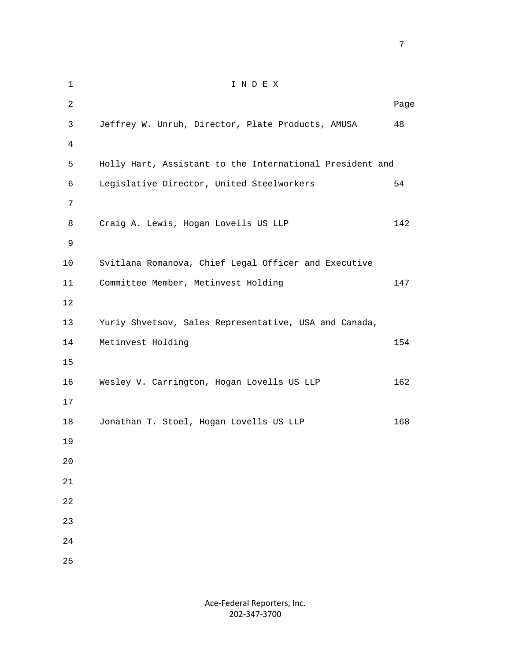1 I N D E X 2 **Page 12** Page 2 **Page 2** Page 2 Page 2 Page 2 Page 2 Page 2 Page 2 Page 2 Page 2 Page 2 Page 2 Page 2 Page 2 Page 2 Page 2 Page 2 Page 2 Page 2 Page 2 Page 2 Page 2 Page 2 Page 2 Page 2 Page 2 Page 2 Page 2 Page 2 Page 3 Jeffrey W. Unruh, Director, Plate Products, AMUSA 48 4 5 Holly Hart, Assistant to the International President and 6 Legislative Director, United Steelworkers 54 7 8 Craig A. Lewis, Hogan Lovells US LLP 142 9 10 Svitlana Romanova, Chief Legal Officer and Executive 11 Committee Member, Metinvest Holding 147 12 13 Yuriy Shvetsov, Sales Representative, USA and Canada, 14 Metinvest Holding 154 15 16 Wesley V. Carrington, Hogan Lovells US LLP 162 17 18 Jonathan T. Stoel, Hogan Lovells US LLP 168 19 20 21 22 23 24 25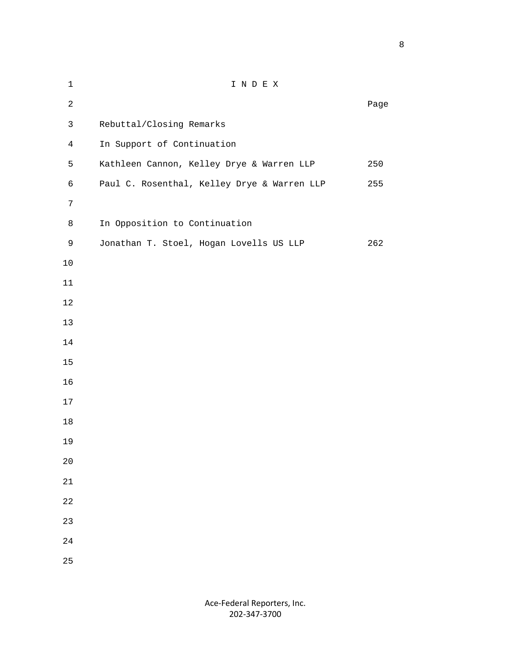1 I N D E X **Page 12 Page 12 Page 12 Page 12 Page 12 Page 12 Page 12 Page 12 Page 12 Page 12 Page 12 Page 12 Page 12 Page 12 Page 12 Page 12 Page 12 Page 12 Page 12 Page 12 Page 12 Page 12** 3 Rebuttal/Closing Remarks 4 In Support of Continuation 5 Kathleen Cannon, Kelley Drye & Warren LLP 250 6 Paul C. Rosenthal, Kelley Drye & Warren LLP 255 8 In Opposition to Continuation 9 Jonathan T. Stoel, Hogan Lovells US LLP 262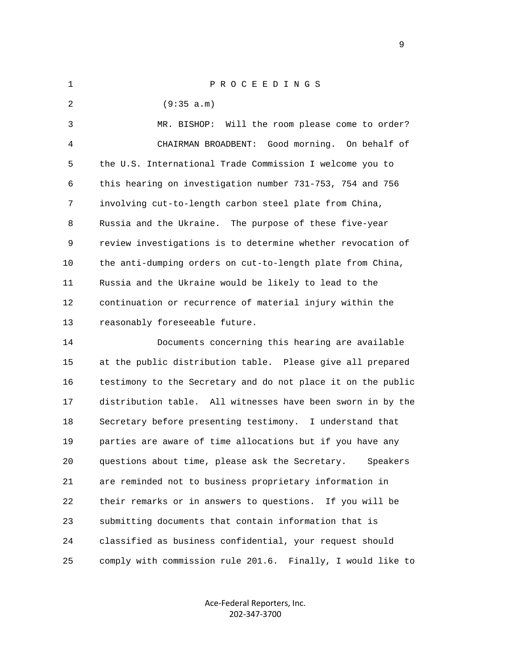| $\mathbf 1$    | PROCEEDINGS                                                  |
|----------------|--------------------------------------------------------------|
| 2              | (9:35 a.m)                                                   |
| $\mathsf{3}$   | MR. BISHOP: Will the room please come to order?              |
| $\overline{4}$ | CHAIRMAN BROADBENT: Good morning. On behalf of               |
| 5              | the U.S. International Trade Commission I welcome you to     |
| 6              | this hearing on investigation number 731-753, 754 and 756    |
| 7              | involving cut-to-length carbon steel plate from China,       |
| 8              | Russia and the Ukraine. The purpose of these five-year       |
| 9              | review investigations is to determine whether revocation of  |
| 10             | the anti-dumping orders on cut-to-length plate from China,   |
| 11             | Russia and the Ukraine would be likely to lead to the        |
| 12             | continuation or recurrence of material injury within the     |
| 13             | reasonably foreseeable future.                               |
| 14             | Documents concerning this hearing are available              |
| 15             | at the public distribution table. Please give all prepared   |
| 16             | testimony to the Secretary and do not place it on the public |
| 17             | distribution table. All witnesses have been sworn in by the  |
| 18             | Secretary before presenting testimony. I understand that     |
| 19             | parties are aware of time allocations but if you have any    |
| 20             | questions about time, please ask the Secretary.<br>Speakers  |
| 21             | are reminded not to business proprietary information in      |
| 22             | their remarks or in answers to questions.<br>If you will be  |
| 23             | submitting documents that contain information that is        |
| 24             | classified as business confidential, your request should     |
| 25             | comply with commission rule 201.6. Finally, I would like to  |

Ace‐Federal Reporters, Inc. 202‐347‐3700

en de la provincia de la provincia de la provincia de la provincia de la provincia de la provincia de la provi<br>1900 : la provincia de la provincia de la provincia de la provincia de la provincia de la provincia de la prov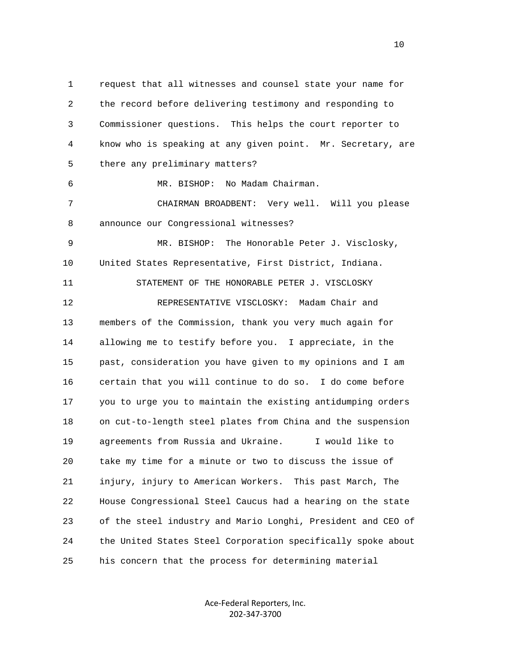1 request that all witnesses and counsel state your name for 2 the record before delivering testimony and responding to 3 Commissioner questions. This helps the court reporter to 4 know who is speaking at any given point. Mr. Secretary, are 5 there any preliminary matters?

6 MR. BISHOP: No Madam Chairman.

 7 CHAIRMAN BROADBENT: Very well. Will you please 8 announce our Congressional witnesses?

 9 MR. BISHOP: The Honorable Peter J. Visclosky, 10 United States Representative, First District, Indiana.

 11 STATEMENT OF THE HONORABLE PETER J. VISCLOSKY 12 REPRESENTATIVE VISCLOSKY: Madam Chair and 13 members of the Commission, thank you very much again for 14 allowing me to testify before you. I appreciate, in the 15 past, consideration you have given to my opinions and I am 16 certain that you will continue to do so. I do come before 17 you to urge you to maintain the existing antidumping orders 18 on cut-to-length steel plates from China and the suspension 19 agreements from Russia and Ukraine. I would like to 20 take my time for a minute or two to discuss the issue of 21 injury, injury to American Workers. This past March, The 22 House Congressional Steel Caucus had a hearing on the state 23 of the steel industry and Mario Longhi, President and CEO of 24 the United States Steel Corporation specifically spoke about 25 his concern that the process for determining material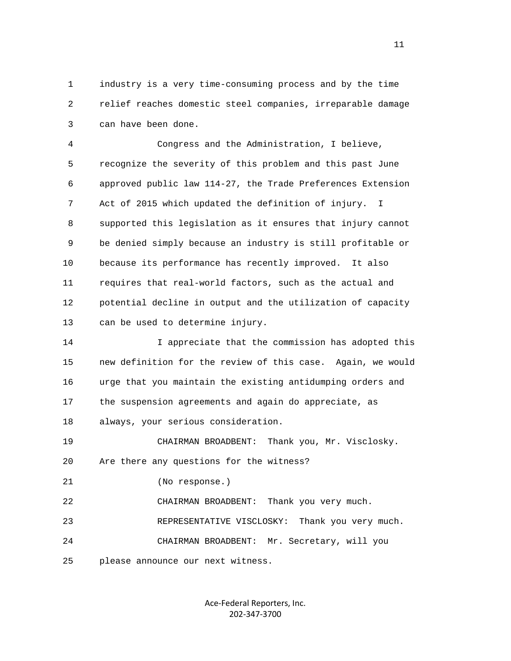1 industry is a very time-consuming process and by the time 2 relief reaches domestic steel companies, irreparable damage 3 can have been done.

 4 Congress and the Administration, I believe, 5 recognize the severity of this problem and this past June 6 approved public law 114-27, the Trade Preferences Extension 7 Act of 2015 which updated the definition of injury. I 8 supported this legislation as it ensures that injury cannot 9 be denied simply because an industry is still profitable or 10 because its performance has recently improved. It also 11 requires that real-world factors, such as the actual and 12 potential decline in output and the utilization of capacity 13 can be used to determine injury.

 14 I appreciate that the commission has adopted this 15 new definition for the review of this case. Again, we would 16 urge that you maintain the existing antidumping orders and 17 the suspension agreements and again do appreciate, as 18 always, your serious consideration.

 19 CHAIRMAN BROADBENT: Thank you, Mr. Visclosky. 20 Are there any questions for the witness?

21 (No response.)

 22 CHAIRMAN BROADBENT: Thank you very much. 23 REPRESENTATIVE VISCLOSKY: Thank you very much. 24 CHAIRMAN BROADBENT: Mr. Secretary, will you 25 please announce our next witness.

> Ace‐Federal Reporters, Inc. 202‐347‐3700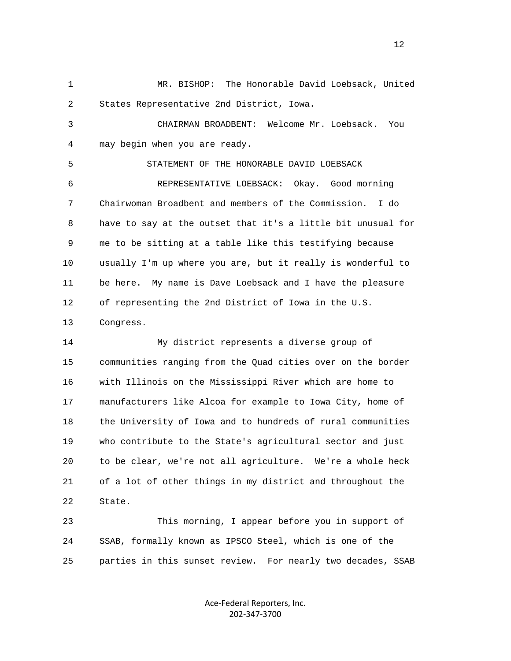1 MR. BISHOP: The Honorable David Loebsack, United 2 States Representative 2nd District, Iowa.

 3 CHAIRMAN BROADBENT: Welcome Mr. Loebsack. You 4 may begin when you are ready.

5 STATEMENT OF THE HONORABLE DAVID LOEBSACK

 6 REPRESENTATIVE LOEBSACK: Okay. Good morning 7 Chairwoman Broadbent and members of the Commission. I do 8 have to say at the outset that it's a little bit unusual for 9 me to be sitting at a table like this testifying because 10 usually I'm up where you are, but it really is wonderful to 11 be here. My name is Dave Loebsack and I have the pleasure 12 of representing the 2nd District of Iowa in the U.S. 13 Congress.

 14 My district represents a diverse group of 15 communities ranging from the Quad cities over on the border 16 with Illinois on the Mississippi River which are home to 17 manufacturers like Alcoa for example to Iowa City, home of 18 the University of Iowa and to hundreds of rural communities 19 who contribute to the State's agricultural sector and just 20 to be clear, we're not all agriculture. We're a whole heck 21 of a lot of other things in my district and throughout the 22 State.

 23 This morning, I appear before you in support of 24 SSAB, formally known as IPSCO Steel, which is one of the 25 parties in this sunset review. For nearly two decades, SSAB

> Ace‐Federal Reporters, Inc. 202‐347‐3700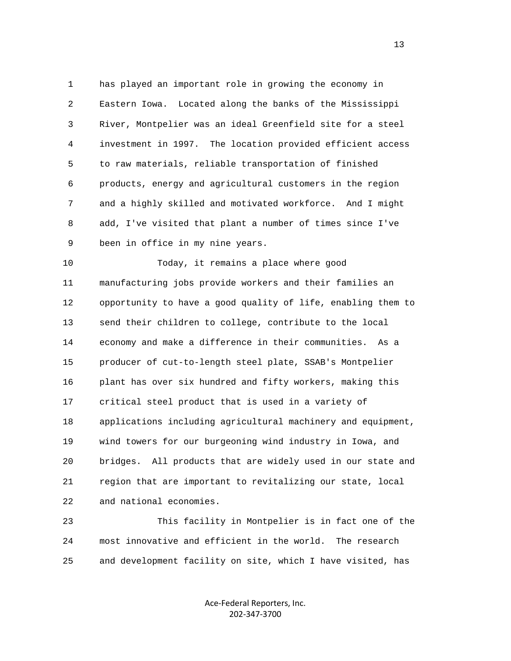1 has played an important role in growing the economy in 2 Eastern Iowa. Located along the banks of the Mississippi 3 River, Montpelier was an ideal Greenfield site for a steel 4 investment in 1997. The location provided efficient access 5 to raw materials, reliable transportation of finished 6 products, energy and agricultural customers in the region 7 and a highly skilled and motivated workforce. And I might 8 add, I've visited that plant a number of times since I've 9 been in office in my nine years.

 10 Today, it remains a place where good 11 manufacturing jobs provide workers and their families an 12 opportunity to have a good quality of life, enabling them to 13 send their children to college, contribute to the local 14 economy and make a difference in their communities. As a 15 producer of cut-to-length steel plate, SSAB's Montpelier 16 plant has over six hundred and fifty workers, making this 17 critical steel product that is used in a variety of 18 applications including agricultural machinery and equipment, 19 wind towers for our burgeoning wind industry in Iowa, and 20 bridges. All products that are widely used in our state and 21 region that are important to revitalizing our state, local 22 and national economies.

 23 This facility in Montpelier is in fact one of the 24 most innovative and efficient in the world. The research 25 and development facility on site, which I have visited, has

> Ace‐Federal Reporters, Inc. 202‐347‐3700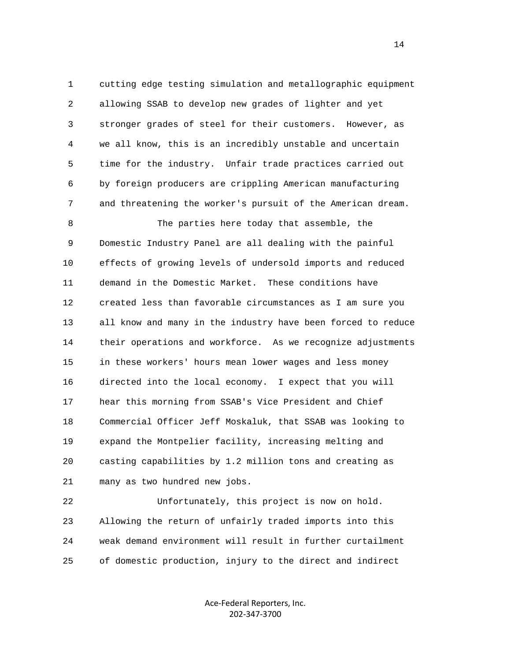1 cutting edge testing simulation and metallographic equipment 2 allowing SSAB to develop new grades of lighter and yet 3 stronger grades of steel for their customers. However, as 4 we all know, this is an incredibly unstable and uncertain 5 time for the industry. Unfair trade practices carried out 6 by foreign producers are crippling American manufacturing 7 and threatening the worker's pursuit of the American dream.

 8 The parties here today that assemble, the 9 Domestic Industry Panel are all dealing with the painful 10 effects of growing levels of undersold imports and reduced 11 demand in the Domestic Market. These conditions have 12 created less than favorable circumstances as I am sure you 13 all know and many in the industry have been forced to reduce 14 their operations and workforce. As we recognize adjustments 15 in these workers' hours mean lower wages and less money 16 directed into the local economy. I expect that you will 17 hear this morning from SSAB's Vice President and Chief 18 Commercial Officer Jeff Moskaluk, that SSAB was looking to 19 expand the Montpelier facility, increasing melting and 20 casting capabilities by 1.2 million tons and creating as 21 many as two hundred new jobs.

 22 Unfortunately, this project is now on hold. 23 Allowing the return of unfairly traded imports into this 24 weak demand environment will result in further curtailment 25 of domestic production, injury to the direct and indirect

> Ace‐Federal Reporters, Inc. 202‐347‐3700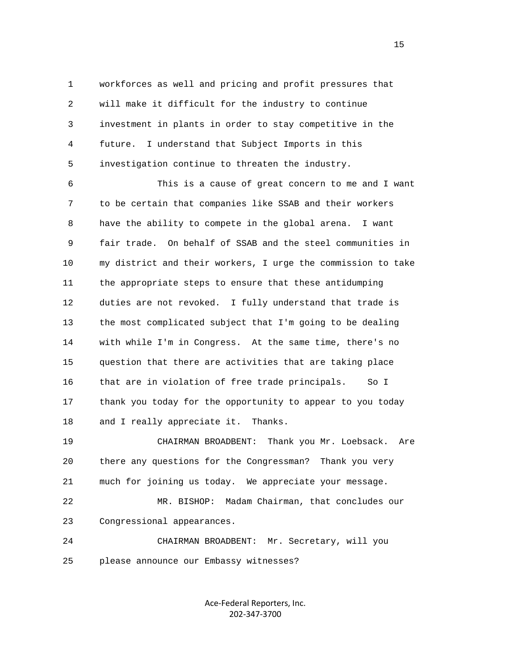1 workforces as well and pricing and profit pressures that 2 will make it difficult for the industry to continue 3 investment in plants in order to stay competitive in the 4 future. I understand that Subject Imports in this 5 investigation continue to threaten the industry.

 6 This is a cause of great concern to me and I want 7 to be certain that companies like SSAB and their workers 8 have the ability to compete in the global arena. I want 9 fair trade. On behalf of SSAB and the steel communities in 10 my district and their workers, I urge the commission to take 11 the appropriate steps to ensure that these antidumping 12 duties are not revoked. I fully understand that trade is 13 the most complicated subject that I'm going to be dealing 14 with while I'm in Congress. At the same time, there's no 15 question that there are activities that are taking place 16 that are in violation of free trade principals. So I 17 thank you today for the opportunity to appear to you today 18 and I really appreciate it. Thanks.

 19 CHAIRMAN BROADBENT: Thank you Mr. Loebsack. Are 20 there any questions for the Congressman? Thank you very 21 much for joining us today. We appreciate your message.

 22 MR. BISHOP: Madam Chairman, that concludes our 23 Congressional appearances.

 24 CHAIRMAN BROADBENT: Mr. Secretary, will you 25 please announce our Embassy witnesses?

> Ace‐Federal Reporters, Inc. 202‐347‐3700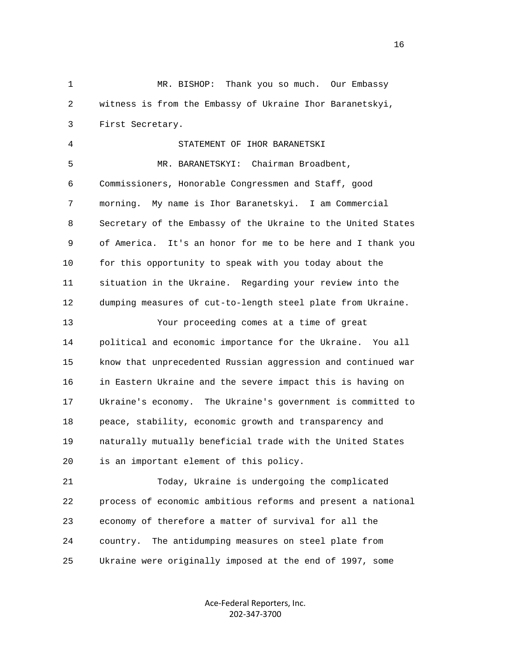1 MR. BISHOP: Thank you so much. Our Embassy 2 witness is from the Embassy of Ukraine Ihor Baranetskyi, 3 First Secretary. 4 STATEMENT OF IHOR BARANETSKI 5 MR. BARANETSKYI: Chairman Broadbent, 6 Commissioners, Honorable Congressmen and Staff, good 7 morning. My name is Ihor Baranetskyi. I am Commercial 8 Secretary of the Embassy of the Ukraine to the United States 9 of America. It's an honor for me to be here and I thank you 10 for this opportunity to speak with you today about the 11 situation in the Ukraine. Regarding your review into the 12 dumping measures of cut-to-length steel plate from Ukraine. 13 Your proceeding comes at a time of great 14 political and economic importance for the Ukraine. You all 15 know that unprecedented Russian aggression and continued war 16 in Eastern Ukraine and the severe impact this is having on 17 Ukraine's economy. The Ukraine's government is committed to 18 peace, stability, economic growth and transparency and 19 naturally mutually beneficial trade with the United States 20 is an important element of this policy.

 21 Today, Ukraine is undergoing the complicated 22 process of economic ambitious reforms and present a national 23 economy of therefore a matter of survival for all the 24 country. The antidumping measures on steel plate from 25 Ukraine were originally imposed at the end of 1997, some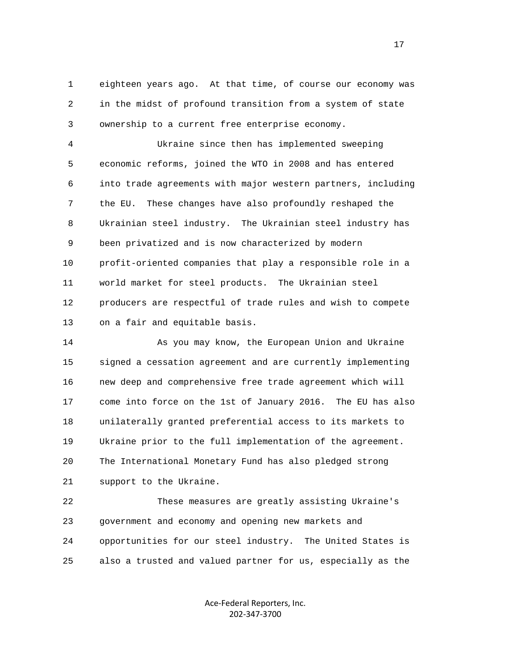1 eighteen years ago. At that time, of course our economy was 2 in the midst of profound transition from a system of state 3 ownership to a current free enterprise economy.

 4 Ukraine since then has implemented sweeping 5 economic reforms, joined the WTO in 2008 and has entered 6 into trade agreements with major western partners, including 7 the EU. These changes have also profoundly reshaped the 8 Ukrainian steel industry. The Ukrainian steel industry has 9 been privatized and is now characterized by modern 10 profit-oriented companies that play a responsible role in a 11 world market for steel products. The Ukrainian steel 12 producers are respectful of trade rules and wish to compete 13 on a fair and equitable basis.

 14 As you may know, the European Union and Ukraine 15 signed a cessation agreement and are currently implementing 16 new deep and comprehensive free trade agreement which will 17 come into force on the 1st of January 2016. The EU has also 18 unilaterally granted preferential access to its markets to 19 Ukraine prior to the full implementation of the agreement. 20 The International Monetary Fund has also pledged strong 21 support to the Ukraine.

 22 These measures are greatly assisting Ukraine's 23 government and economy and opening new markets and 24 opportunities for our steel industry. The United States is 25 also a trusted and valued partner for us, especially as the

> Ace‐Federal Reporters, Inc. 202‐347‐3700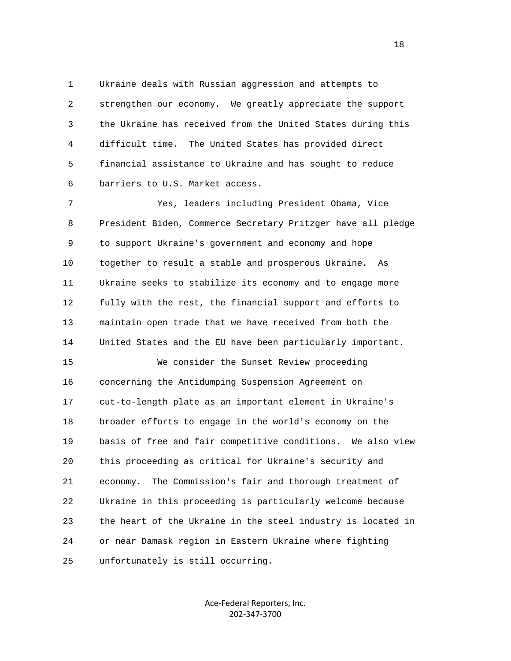1 Ukraine deals with Russian aggression and attempts to 2 strengthen our economy. We greatly appreciate the support 3 the Ukraine has received from the United States during this 4 difficult time. The United States has provided direct 5 financial assistance to Ukraine and has sought to reduce 6 barriers to U.S. Market access.

 7 Yes, leaders including President Obama, Vice 8 President Biden, Commerce Secretary Pritzger have all pledge 9 to support Ukraine's government and economy and hope 10 together to result a stable and prosperous Ukraine. As 11 Ukraine seeks to stabilize its economy and to engage more 12 fully with the rest, the financial support and efforts to 13 maintain open trade that we have received from both the 14 United States and the EU have been particularly important.

 15 We consider the Sunset Review proceeding 16 concerning the Antidumping Suspension Agreement on 17 cut-to-length plate as an important element in Ukraine's 18 broader efforts to engage in the world's economy on the 19 basis of free and fair competitive conditions. We also view 20 this proceeding as critical for Ukraine's security and 21 economy. The Commission's fair and thorough treatment of 22 Ukraine in this proceeding is particularly welcome because 23 the heart of the Ukraine in the steel industry is located in 24 or near Damask region in Eastern Ukraine where fighting 25 unfortunately is still occurring.

> Ace‐Federal Reporters, Inc. 202‐347‐3700

n 18 ann an 18 an t-Iomraid ann an 18 an t-Iomraid ann an 18 an t-Iomraid ann an 18 an t-Iomraid ann an 18 an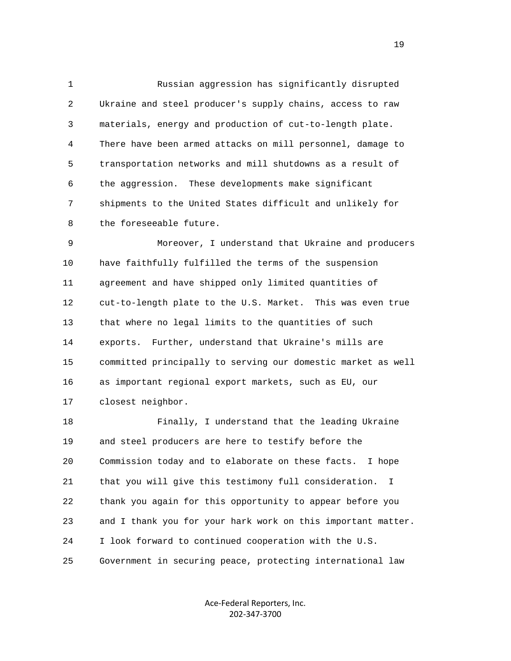1 Russian aggression has significantly disrupted 2 Ukraine and steel producer's supply chains, access to raw 3 materials, energy and production of cut-to-length plate. 4 There have been armed attacks on mill personnel, damage to 5 transportation networks and mill shutdowns as a result of 6 the aggression. These developments make significant 7 shipments to the United States difficult and unlikely for 8 the foreseeable future.

 9 Moreover, I understand that Ukraine and producers 10 have faithfully fulfilled the terms of the suspension 11 agreement and have shipped only limited quantities of 12 cut-to-length plate to the U.S. Market. This was even true 13 that where no legal limits to the quantities of such 14 exports. Further, understand that Ukraine's mills are 15 committed principally to serving our domestic market as well 16 as important regional export markets, such as EU, our 17 closest neighbor.

 18 Finally, I understand that the leading Ukraine 19 and steel producers are here to testify before the 20 Commission today and to elaborate on these facts. I hope 21 that you will give this testimony full consideration. I 22 thank you again for this opportunity to appear before you 23 and I thank you for your hark work on this important matter. 24 I look forward to continued cooperation with the U.S. 25 Government in securing peace, protecting international law

> Ace‐Federal Reporters, Inc. 202‐347‐3700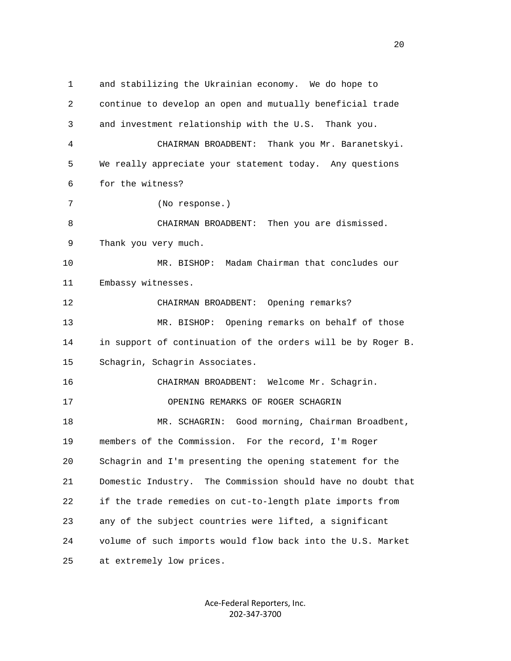1 and stabilizing the Ukrainian economy. We do hope to 2 continue to develop an open and mutually beneficial trade 3 and investment relationship with the U.S. Thank you. 4 CHAIRMAN BROADBENT: Thank you Mr. Baranetskyi. 5 We really appreciate your statement today. Any questions 6 for the witness? 7 (No response.) 8 CHAIRMAN BROADBENT: Then you are dismissed. 9 Thank you very much. 10 MR. BISHOP: Madam Chairman that concludes our 11 Embassy witnesses. 12 CHAIRMAN BROADBENT: Opening remarks? 13 MR. BISHOP: Opening remarks on behalf of those 14 in support of continuation of the orders will be by Roger B. 15 Schagrin, Schagrin Associates. 16 CHAIRMAN BROADBENT: Welcome Mr. Schagrin. 17 OPENING REMARKS OF ROGER SCHAGRIN 18 MR. SCHAGRIN: Good morning, Chairman Broadbent, 19 members of the Commission. For the record, I'm Roger 20 Schagrin and I'm presenting the opening statement for the 21 Domestic Industry. The Commission should have no doubt that 22 if the trade remedies on cut-to-length plate imports from 23 any of the subject countries were lifted, a significant 24 volume of such imports would flow back into the U.S. Market 25 at extremely low prices.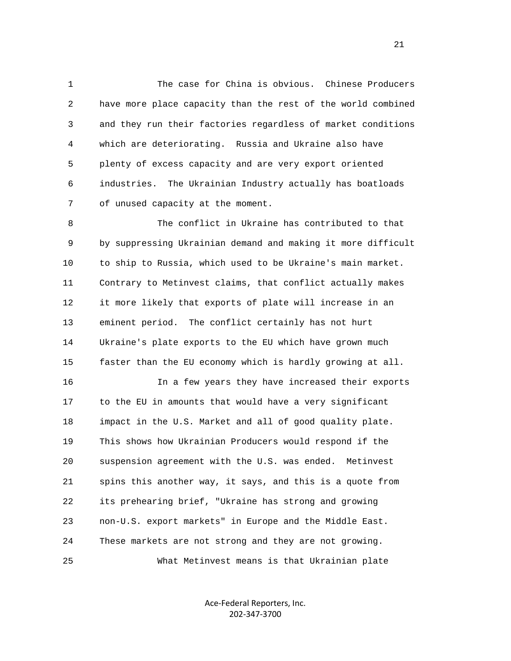1 The case for China is obvious. Chinese Producers 2 have more place capacity than the rest of the world combined 3 and they run their factories regardless of market conditions 4 which are deteriorating. Russia and Ukraine also have 5 plenty of excess capacity and are very export oriented 6 industries. The Ukrainian Industry actually has boatloads 7 of unused capacity at the moment.

 8 The conflict in Ukraine has contributed to that 9 by suppressing Ukrainian demand and making it more difficult 10 to ship to Russia, which used to be Ukraine's main market. 11 Contrary to Metinvest claims, that conflict actually makes 12 it more likely that exports of plate will increase in an 13 eminent period. The conflict certainly has not hurt 14 Ukraine's plate exports to the EU which have grown much 15 faster than the EU economy which is hardly growing at all.

 16 In a few years they have increased their exports 17 to the EU in amounts that would have a very significant 18 impact in the U.S. Market and all of good quality plate. 19 This shows how Ukrainian Producers would respond if the 20 suspension agreement with the U.S. was ended. Metinvest 21 spins this another way, it says, and this is a quote from 22 its prehearing brief, "Ukraine has strong and growing 23 non-U.S. export markets" in Europe and the Middle East. 24 These markets are not strong and they are not growing. 25 What Metinvest means is that Ukrainian plate

> Ace‐Federal Reporters, Inc. 202‐347‐3700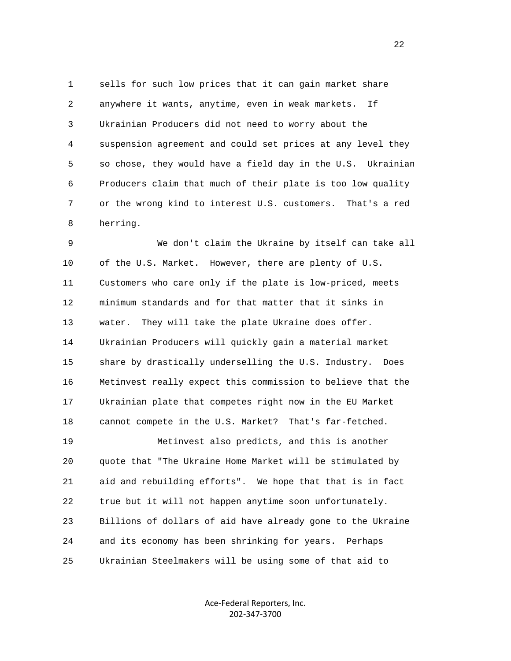1 sells for such low prices that it can gain market share 2 anywhere it wants, anytime, even in weak markets. If 3 Ukrainian Producers did not need to worry about the 4 suspension agreement and could set prices at any level they 5 so chose, they would have a field day in the U.S. Ukrainian 6 Producers claim that much of their plate is too low quality 7 or the wrong kind to interest U.S. customers. That's a red 8 herring.

 9 We don't claim the Ukraine by itself can take all 10 of the U.S. Market. However, there are plenty of U.S. 11 Customers who care only if the plate is low-priced, meets 12 minimum standards and for that matter that it sinks in 13 water. They will take the plate Ukraine does offer. 14 Ukrainian Producers will quickly gain a material market 15 share by drastically underselling the U.S. Industry. Does 16 Metinvest really expect this commission to believe that the 17 Ukrainian plate that competes right now in the EU Market 18 cannot compete in the U.S. Market? That's far-fetched. 19 Metinvest also predicts, and this is another 20 quote that "The Ukraine Home Market will be stimulated by 21 aid and rebuilding efforts". We hope that that is in fact 22 true but it will not happen anytime soon unfortunately.

 23 Billions of dollars of aid have already gone to the Ukraine 24 and its economy has been shrinking for years. Perhaps 25 Ukrainian Steelmakers will be using some of that aid to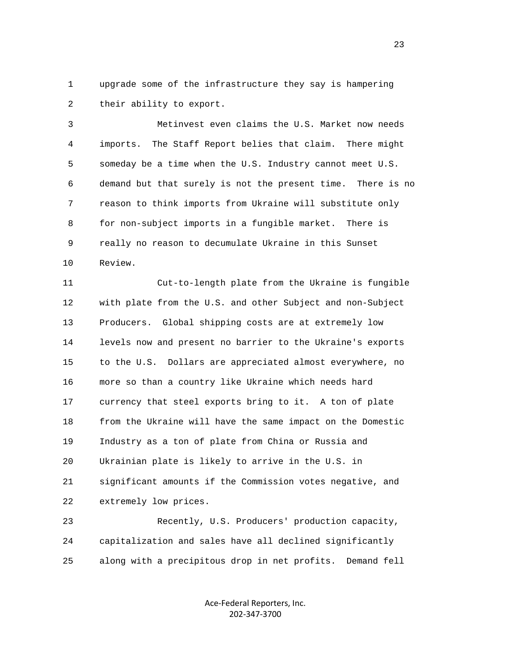1 upgrade some of the infrastructure they say is hampering 2 their ability to export.

 3 Metinvest even claims the U.S. Market now needs 4 imports. The Staff Report belies that claim. There might 5 someday be a time when the U.S. Industry cannot meet U.S. 6 demand but that surely is not the present time. There is no 7 reason to think imports from Ukraine will substitute only 8 for non-subject imports in a fungible market. There is 9 really no reason to decumulate Ukraine in this Sunset 10 Review.

 11 Cut-to-length plate from the Ukraine is fungible 12 with plate from the U.S. and other Subject and non-Subject 13 Producers. Global shipping costs are at extremely low 14 levels now and present no barrier to the Ukraine's exports 15 to the U.S. Dollars are appreciated almost everywhere, no 16 more so than a country like Ukraine which needs hard 17 currency that steel exports bring to it. A ton of plate 18 from the Ukraine will have the same impact on the Domestic 19 Industry as a ton of plate from China or Russia and 20 Ukrainian plate is likely to arrive in the U.S. in 21 significant amounts if the Commission votes negative, and 22 extremely low prices.

 23 Recently, U.S. Producers' production capacity, 24 capitalization and sales have all declined significantly 25 along with a precipitous drop in net profits. Demand fell

> Ace‐Federal Reporters, Inc. 202‐347‐3700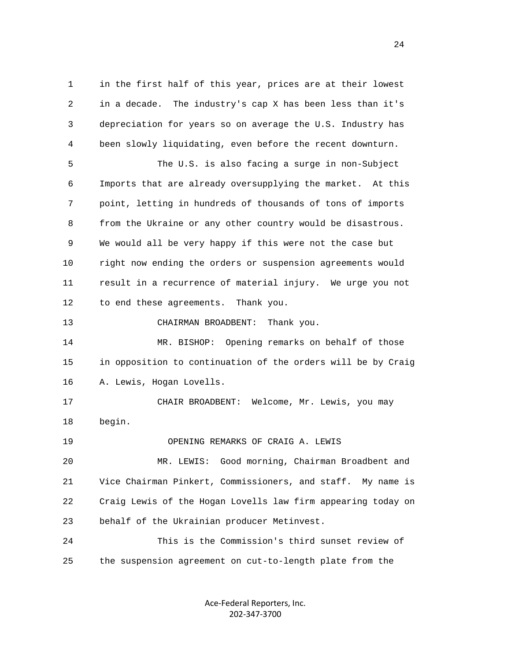1 in the first half of this year, prices are at their lowest 2 in a decade. The industry's cap X has been less than it's 3 depreciation for years so on average the U.S. Industry has 4 been slowly liquidating, even before the recent downturn. 5 The U.S. is also facing a surge in non-Subject 6 Imports that are already oversupplying the market. At this 7 point, letting in hundreds of thousands of tons of imports 8 from the Ukraine or any other country would be disastrous. 9 We would all be very happy if this were not the case but 10 right now ending the orders or suspension agreements would 11 result in a recurrence of material injury. We urge you not 12 to end these agreements. Thank you. 13 CHAIRMAN BROADBENT: Thank you. 14 MR. BISHOP: Opening remarks on behalf of those 15 in opposition to continuation of the orders will be by Craig 16 A. Lewis, Hogan Lovells. 17 CHAIR BROADBENT: Welcome, Mr. Lewis, you may 18 begin. 19 OPENING REMARKS OF CRAIG A. LEWIS 20 MR. LEWIS: Good morning, Chairman Broadbent and 21 Vice Chairman Pinkert, Commissioners, and staff. My name is 22 Craig Lewis of the Hogan Lovells law firm appearing today on 23 behalf of the Ukrainian producer Metinvest. 24 This is the Commission's third sunset review of

> Ace‐Federal Reporters, Inc. 202‐347‐3700

25 the suspension agreement on cut-to-length plate from the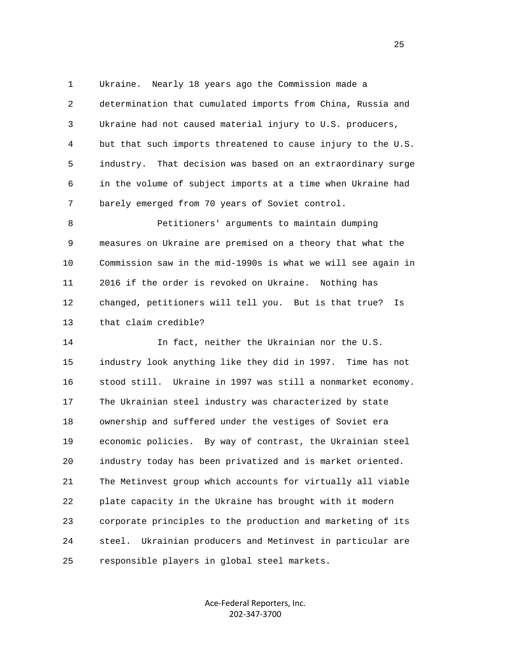1 Ukraine. Nearly 18 years ago the Commission made a 2 determination that cumulated imports from China, Russia and 3 Ukraine had not caused material injury to U.S. producers, 4 but that such imports threatened to cause injury to the U.S. 5 industry. That decision was based on an extraordinary surge 6 in the volume of subject imports at a time when Ukraine had 7 barely emerged from 70 years of Soviet control.

 8 Petitioners' arguments to maintain dumping 9 measures on Ukraine are premised on a theory that what the 10 Commission saw in the mid-1990s is what we will see again in 11 2016 if the order is revoked on Ukraine. Nothing has 12 changed, petitioners will tell you. But is that true? Is 13 that claim credible?

 14 In fact, neither the Ukrainian nor the U.S. 15 industry look anything like they did in 1997. Time has not 16 stood still. Ukraine in 1997 was still a nonmarket economy. 17 The Ukrainian steel industry was characterized by state 18 ownership and suffered under the vestiges of Soviet era 19 economic policies. By way of contrast, the Ukrainian steel 20 industry today has been privatized and is market oriented. 21 The Metinvest group which accounts for virtually all viable 22 plate capacity in the Ukraine has brought with it modern 23 corporate principles to the production and marketing of its 24 steel. Ukrainian producers and Metinvest in particular are 25 responsible players in global steel markets.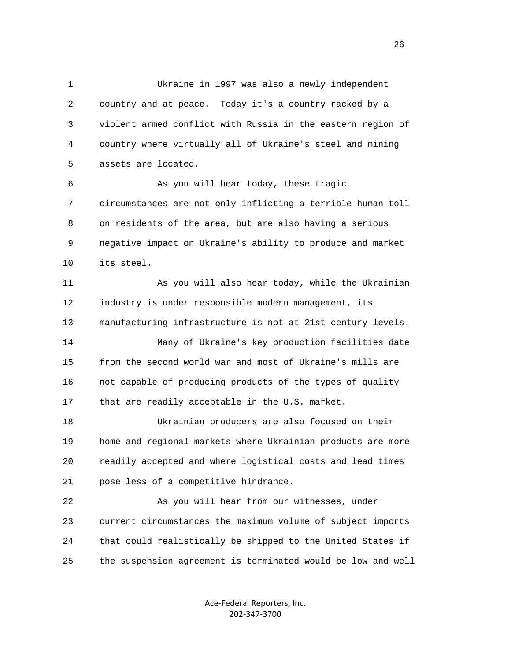1 Ukraine in 1997 was also a newly independent 2 country and at peace. Today it's a country racked by a 3 violent armed conflict with Russia in the eastern region of 4 country where virtually all of Ukraine's steel and mining 5 assets are located.

 6 As you will hear today, these tragic 7 circumstances are not only inflicting a terrible human toll 8 on residents of the area, but are also having a serious 9 negative impact on Ukraine's ability to produce and market 10 its steel.

 11 As you will also hear today, while the Ukrainian 12 industry is under responsible modern management, its 13 manufacturing infrastructure is not at 21st century levels. 14 Many of Ukraine's key production facilities date 15 from the second world war and most of Ukraine's mills are 16 not capable of producing products of the types of quality 17 that are readily acceptable in the U.S. market.

 18 Ukrainian producers are also focused on their 19 home and regional markets where Ukrainian products are more 20 readily accepted and where logistical costs and lead times 21 pose less of a competitive hindrance.

 22 As you will hear from our witnesses, under 23 current circumstances the maximum volume of subject imports 24 that could realistically be shipped to the United States if 25 the suspension agreement is terminated would be low and well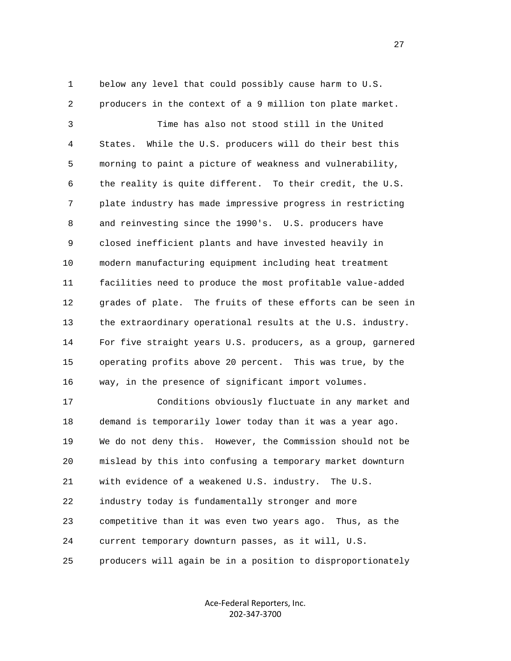1 below any level that could possibly cause harm to U.S.

2 producers in the context of a 9 million ton plate market.

 3 Time has also not stood still in the United 4 States. While the U.S. producers will do their best this 5 morning to paint a picture of weakness and vulnerability, 6 the reality is quite different. To their credit, the U.S. 7 plate industry has made impressive progress in restricting 8 and reinvesting since the 1990's. U.S. producers have 9 closed inefficient plants and have invested heavily in 10 modern manufacturing equipment including heat treatment 11 facilities need to produce the most profitable value-added 12 grades of plate. The fruits of these efforts can be seen in 13 the extraordinary operational results at the U.S. industry. 14 For five straight years U.S. producers, as a group, garnered 15 operating profits above 20 percent. This was true, by the 16 way, in the presence of significant import volumes.

 17 Conditions obviously fluctuate in any market and 18 demand is temporarily lower today than it was a year ago. 19 We do not deny this. However, the Commission should not be 20 mislead by this into confusing a temporary market downturn 21 with evidence of a weakened U.S. industry. The U.S. 22 industry today is fundamentally stronger and more 23 competitive than it was even two years ago. Thus, as the 24 current temporary downturn passes, as it will, U.S. 25 producers will again be in a position to disproportionately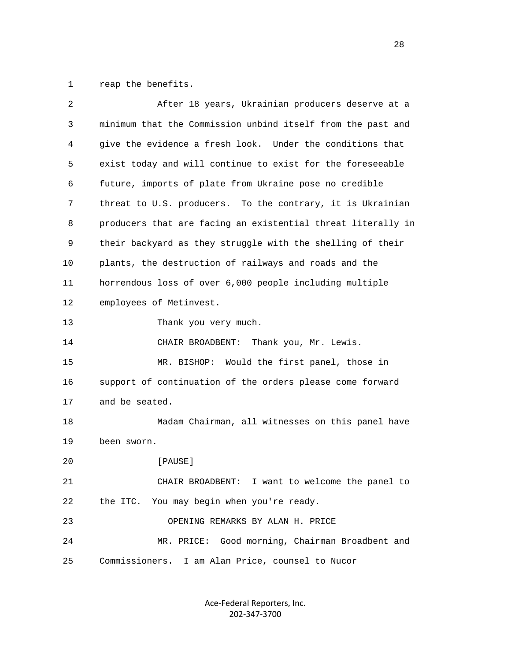1 reap the benefits.

| $\overline{2}$ | After 18 years, Ukrainian producers deserve at a             |
|----------------|--------------------------------------------------------------|
| 3              | minimum that the Commission unbind itself from the past and  |
| 4              | give the evidence a fresh look. Under the conditions that    |
| 5              | exist today and will continue to exist for the foreseeable   |
| 6              | future, imports of plate from Ukraine pose no credible       |
| 7              | threat to U.S. producers. To the contrary, it is Ukrainian   |
| 8              | producers that are facing an existential threat literally in |
| 9              | their backyard as they struggle with the shelling of their   |
| 10             | plants, the destruction of railways and roads and the        |
| 11             | horrendous loss of over 6,000 people including multiple      |
| 12             | employees of Metinvest.                                      |
| 13             | Thank you very much.                                         |
| 14             | CHAIR BROADBENT:<br>Thank you, Mr. Lewis.                    |
| 15             | MR. BISHOP: Would the first panel, those in                  |
| 16             | support of continuation of the orders please come forward    |
| 17             | and be seated.                                               |
| 18             | Madam Chairman, all witnesses on this panel have             |
| 19             | been sworn.                                                  |
| 20             | [PAUSE]                                                      |
| 21             | CHAIR BROADBENT: I want to welcome the panel to              |
| 22             | You may begin when you're ready.<br>the ITC.                 |
| 23             | OPENING REMARKS BY ALAN H. PRICE                             |
| 24             | Good morning, Chairman Broadbent and<br>MR. PRICE:           |
| 25             | Commissioners.<br>I am Alan Price, counsel to Nucor          |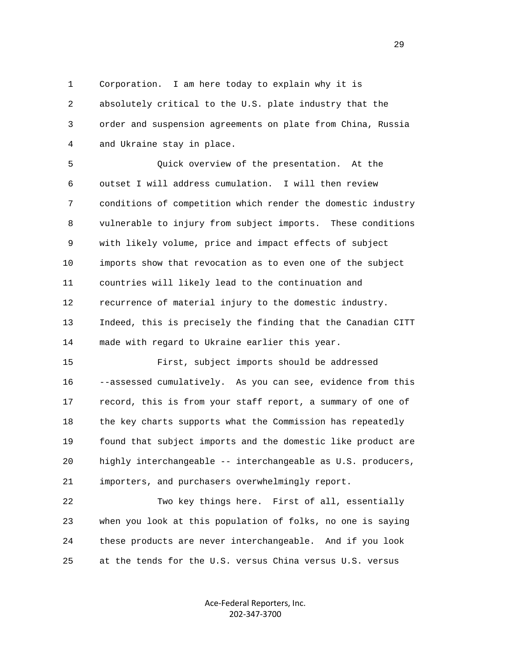1 Corporation. I am here today to explain why it is 2 absolutely critical to the U.S. plate industry that the 3 order and suspension agreements on plate from China, Russia 4 and Ukraine stay in place.

 5 Quick overview of the presentation. At the 6 outset I will address cumulation. I will then review 7 conditions of competition which render the domestic industry 8 vulnerable to injury from subject imports. These conditions 9 with likely volume, price and impact effects of subject 10 imports show that revocation as to even one of the subject 11 countries will likely lead to the continuation and 12 recurrence of material injury to the domestic industry. 13 Indeed, this is precisely the finding that the Canadian CITT 14 made with regard to Ukraine earlier this year.

 15 First, subject imports should be addressed 16 --assessed cumulatively. As you can see, evidence from this 17 record, this is from your staff report, a summary of one of 18 the key charts supports what the Commission has repeatedly 19 found that subject imports and the domestic like product are 20 highly interchangeable -- interchangeable as U.S. producers, 21 importers, and purchasers overwhelmingly report.

 22 Two key things here. First of all, essentially 23 when you look at this population of folks, no one is saying 24 these products are never interchangeable. And if you look 25 at the tends for the U.S. versus China versus U.S. versus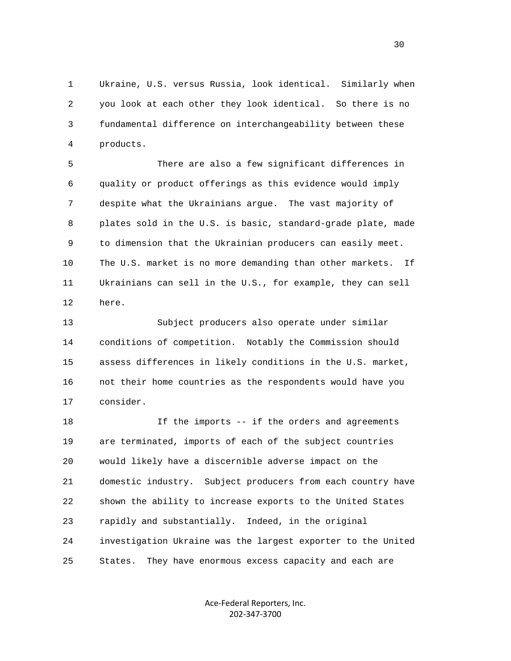1 Ukraine, U.S. versus Russia, look identical. Similarly when 2 you look at each other they look identical. So there is no 3 fundamental difference on interchangeability between these 4 products.

 5 There are also a few significant differences in 6 quality or product offerings as this evidence would imply 7 despite what the Ukrainians argue. The vast majority of 8 plates sold in the U.S. is basic, standard-grade plate, made 9 to dimension that the Ukrainian producers can easily meet. 10 The U.S. market is no more demanding than other markets. If 11 Ukrainians can sell in the U.S., for example, they can sell 12 here.

 13 Subject producers also operate under similar 14 conditions of competition. Notably the Commission should 15 assess differences in likely conditions in the U.S. market, 16 not their home countries as the respondents would have you 17 consider.

 18 If the imports -- if the orders and agreements 19 are terminated, imports of each of the subject countries 20 would likely have a discernible adverse impact on the 21 domestic industry. Subject producers from each country have 22 shown the ability to increase exports to the United States 23 rapidly and substantially. Indeed, in the original 24 investigation Ukraine was the largest exporter to the United 25 States. They have enormous excess capacity and each are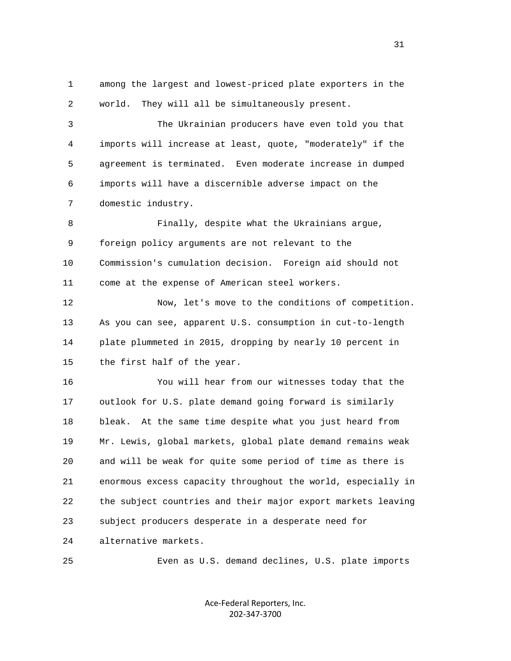1 among the largest and lowest-priced plate exporters in the 2 world. They will all be simultaneously present. 3 The Ukrainian producers have even told you that 4 imports will increase at least, quote, "moderately" if the 5 agreement is terminated. Even moderate increase in dumped 6 imports will have a discernible adverse impact on the 7 domestic industry. 8 Finally, despite what the Ukrainians argue, 9 foreign policy arguments are not relevant to the 10 Commission's cumulation decision. Foreign aid should not 11 come at the expense of American steel workers. 12 Now, let's move to the conditions of competition. 13 As you can see, apparent U.S. consumption in cut-to-length 14 plate plummeted in 2015, dropping by nearly 10 percent in 15 the first half of the year. 16 You will hear from our witnesses today that the 17 outlook for U.S. plate demand going forward is similarly 18 bleak. At the same time despite what you just heard from 19 Mr. Lewis, global markets, global plate demand remains weak 20 and will be weak for quite some period of time as there is 21 enormous excess capacity throughout the world, especially in 22 the subject countries and their major export markets leaving 23 subject producers desperate in a desperate need for 24 alternative markets. 25 Even as U.S. demand declines, U.S. plate imports

> Ace‐Federal Reporters, Inc. 202‐347‐3700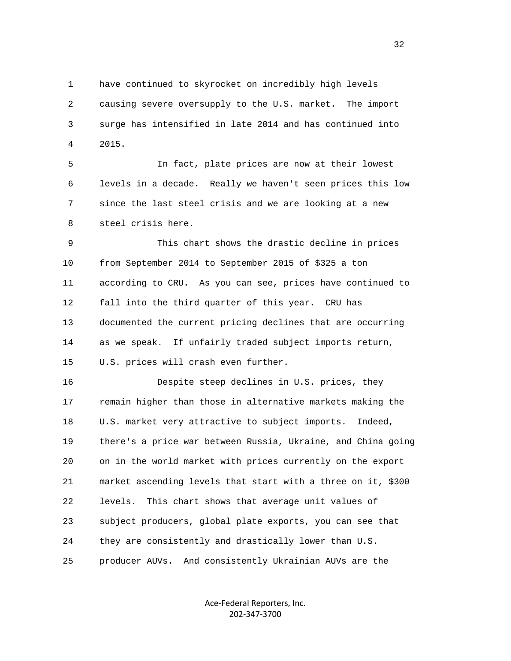1 have continued to skyrocket on incredibly high levels 2 causing severe oversupply to the U.S. market. The import 3 surge has intensified in late 2014 and has continued into 4 2015.

 5 In fact, plate prices are now at their lowest 6 levels in a decade. Really we haven't seen prices this low 7 since the last steel crisis and we are looking at a new 8 steel crisis here.

 9 This chart shows the drastic decline in prices 10 from September 2014 to September 2015 of \$325 a ton 11 according to CRU. As you can see, prices have continued to 12 fall into the third quarter of this year. CRU has 13 documented the current pricing declines that are occurring 14 as we speak. If unfairly traded subject imports return, 15 U.S. prices will crash even further.

 16 Despite steep declines in U.S. prices, they 17 remain higher than those in alternative markets making the 18 U.S. market very attractive to subject imports. Indeed, 19 there's a price war between Russia, Ukraine, and China going 20 on in the world market with prices currently on the export 21 market ascending levels that start with a three on it, \$300 22 levels. This chart shows that average unit values of 23 subject producers, global plate exports, you can see that 24 they are consistently and drastically lower than U.S. 25 producer AUVs. And consistently Ukrainian AUVs are the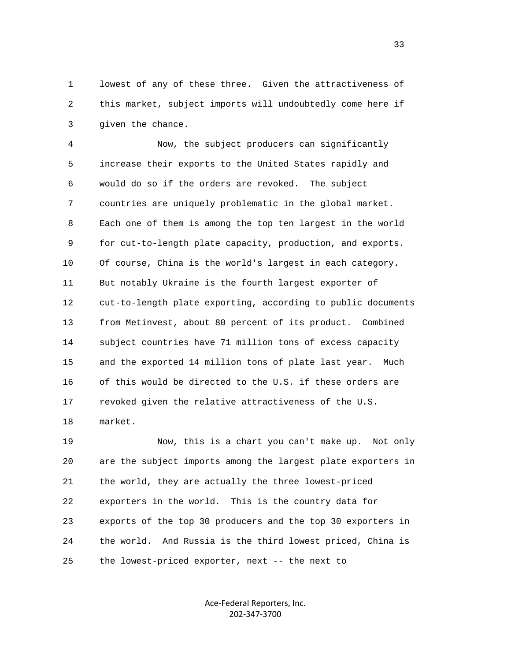1 lowest of any of these three. Given the attractiveness of 2 this market, subject imports will undoubtedly come here if 3 given the chance.

 4 Now, the subject producers can significantly 5 increase their exports to the United States rapidly and 6 would do so if the orders are revoked. The subject 7 countries are uniquely problematic in the global market. 8 Each one of them is among the top ten largest in the world 9 for cut-to-length plate capacity, production, and exports. 10 Of course, China is the world's largest in each category. 11 But notably Ukraine is the fourth largest exporter of 12 cut-to-length plate exporting, according to public documents 13 from Metinvest, about 80 percent of its product. Combined 14 subject countries have 71 million tons of excess capacity 15 and the exported 14 million tons of plate last year. Much 16 of this would be directed to the U.S. if these orders are 17 revoked given the relative attractiveness of the U.S. 18 market.

 19 Now, this is a chart you can't make up. Not only 20 are the subject imports among the largest plate exporters in 21 the world, they are actually the three lowest-priced 22 exporters in the world. This is the country data for 23 exports of the top 30 producers and the top 30 exporters in 24 the world. And Russia is the third lowest priced, China is 25 the lowest-priced exporter, next -- the next to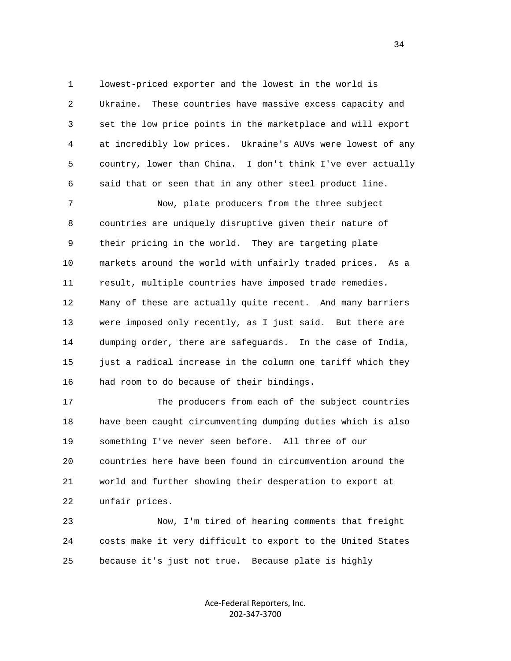1 lowest-priced exporter and the lowest in the world is 2 Ukraine. These countries have massive excess capacity and 3 set the low price points in the marketplace and will export 4 at incredibly low prices. Ukraine's AUVs were lowest of any 5 country, lower than China. I don't think I've ever actually 6 said that or seen that in any other steel product line.

 7 Now, plate producers from the three subject 8 countries are uniquely disruptive given their nature of 9 their pricing in the world. They are targeting plate 10 markets around the world with unfairly traded prices. As a 11 result, multiple countries have imposed trade remedies. 12 Many of these are actually quite recent. And many barriers 13 were imposed only recently, as I just said. But there are 14 dumping order, there are safeguards. In the case of India, 15 just a radical increase in the column one tariff which they 16 had room to do because of their bindings.

 17 The producers from each of the subject countries 18 have been caught circumventing dumping duties which is also 19 something I've never seen before. All three of our 20 countries here have been found in circumvention around the 21 world and further showing their desperation to export at 22 unfair prices.

 23 Now, I'm tired of hearing comments that freight 24 costs make it very difficult to export to the United States 25 because it's just not true. Because plate is highly

> Ace‐Federal Reporters, Inc. 202‐347‐3700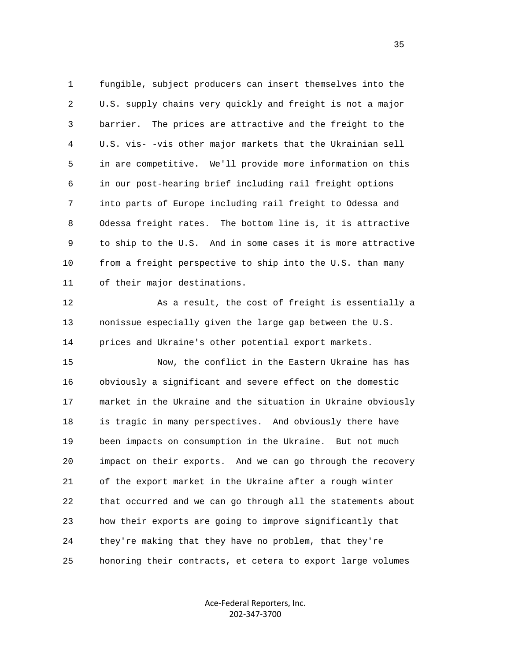1 fungible, subject producers can insert themselves into the 2 U.S. supply chains very quickly and freight is not a major 3 barrier. The prices are attractive and the freight to the 4 U.S. vis- -vis other major markets that the Ukrainian sell 5 in are competitive. We'll provide more information on this 6 in our post-hearing brief including rail freight options 7 into parts of Europe including rail freight to Odessa and 8 Odessa freight rates. The bottom line is, it is attractive 9 to ship to the U.S. And in some cases it is more attractive 10 from a freight perspective to ship into the U.S. than many 11 of their major destinations.

 12 As a result, the cost of freight is essentially a 13 nonissue especially given the large gap between the U.S. 14 prices and Ukraine's other potential export markets.

 15 Now, the conflict in the Eastern Ukraine has has 16 obviously a significant and severe effect on the domestic 17 market in the Ukraine and the situation in Ukraine obviously 18 is tragic in many perspectives. And obviously there have 19 been impacts on consumption in the Ukraine. But not much 20 impact on their exports. And we can go through the recovery 21 of the export market in the Ukraine after a rough winter 22 that occurred and we can go through all the statements about 23 how their exports are going to improve significantly that 24 they're making that they have no problem, that they're 25 honoring their contracts, et cetera to export large volumes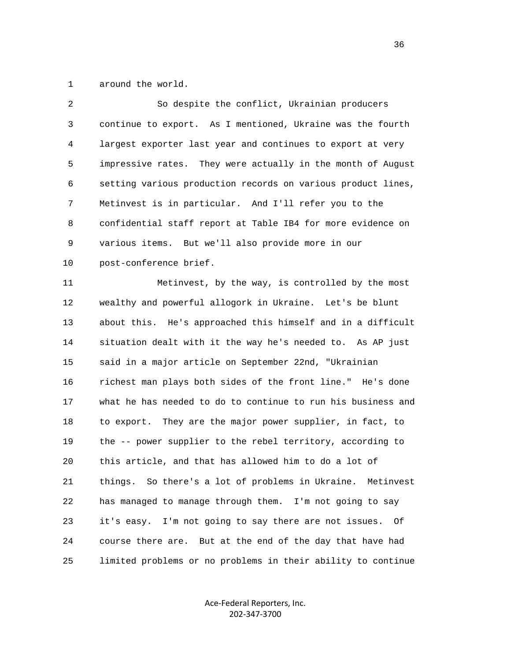1 around the world.

| 2  | So despite the conflict, Ukrainian producers                 |
|----|--------------------------------------------------------------|
| 3  | continue to export. As I mentioned, Ukraine was the fourth   |
| 4  | largest exporter last year and continues to export at very   |
| 5  | impressive rates. They were actually in the month of August  |
| 6  | setting various production records on various product lines, |
| 7  | Metinvest is in particular. And I'll refer you to the        |
| 8  | confidential staff report at Table IB4 for more evidence on  |
| 9  | various items. But we'll also provide more in our            |
| 10 | post-conference brief.                                       |
| 11 | Metinvest, by the way, is controlled by the most             |
| 12 | wealthy and powerful allogork in Ukraine. Let's be blunt     |
| 13 | about this. He's approached this himself and in a difficult  |
| 14 | situation dealt with it the way he's needed to. As AP just   |
| 15 | said in a major article on September 22nd, "Ukrainian        |
| 16 | richest man plays both sides of the front line." He's done   |
| 17 | what he has needed to do to continue to run his business and |
| 18 | to export. They are the major power supplier, in fact, to    |
| 19 | the -- power supplier to the rebel territory, according to   |
| 20 | this article, and that has allowed him to do a lot of        |
| 21 | things. So there's a lot of problems in Ukraine. Metinvest   |
| 22 | has managed to manage through them. I'm not going to say     |
| 23 | I'm not going to say there are not issues. Of<br>it's easy.  |
| 24 | course there are. But at the end of the day that have had    |
| 25 | limited problems or no problems in their ability to continue |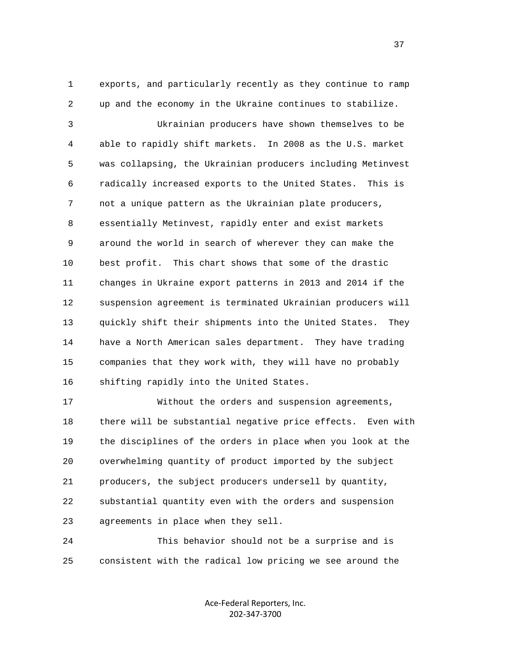1 exports, and particularly recently as they continue to ramp 2 up and the economy in the Ukraine continues to stabilize.

 3 Ukrainian producers have shown themselves to be 4 able to rapidly shift markets. In 2008 as the U.S. market 5 was collapsing, the Ukrainian producers including Metinvest 6 radically increased exports to the United States. This is 7 not a unique pattern as the Ukrainian plate producers, 8 essentially Metinvest, rapidly enter and exist markets 9 around the world in search of wherever they can make the 10 best profit. This chart shows that some of the drastic 11 changes in Ukraine export patterns in 2013 and 2014 if the 12 suspension agreement is terminated Ukrainian producers will 13 quickly shift their shipments into the United States. They 14 have a North American sales department. They have trading 15 companies that they work with, they will have no probably 16 shifting rapidly into the United States.

 17 Without the orders and suspension agreements, 18 there will be substantial negative price effects. Even with 19 the disciplines of the orders in place when you look at the 20 overwhelming quantity of product imported by the subject 21 producers, the subject producers undersell by quantity, 22 substantial quantity even with the orders and suspension 23 agreements in place when they sell.

 24 This behavior should not be a surprise and is 25 consistent with the radical low pricing we see around the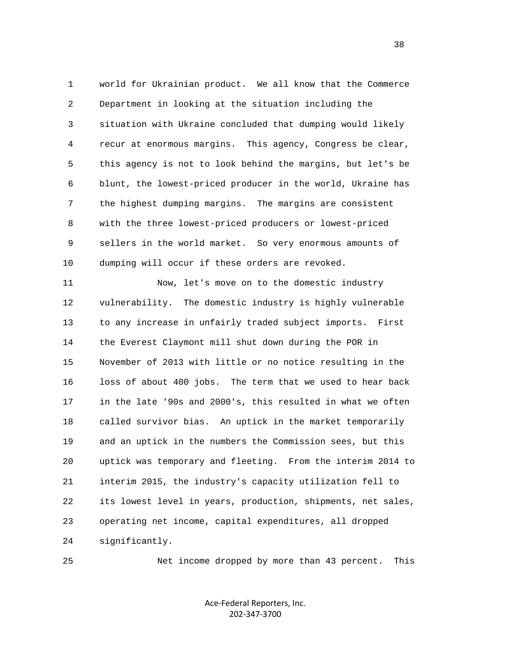1 world for Ukrainian product. We all know that the Commerce 2 Department in looking at the situation including the 3 situation with Ukraine concluded that dumping would likely 4 recur at enormous margins. This agency, Congress be clear, 5 this agency is not to look behind the margins, but let's be 6 blunt, the lowest-priced producer in the world, Ukraine has 7 the highest dumping margins. The margins are consistent 8 with the three lowest-priced producers or lowest-priced 9 sellers in the world market. So very enormous amounts of 10 dumping will occur if these orders are revoked.

 11 Now, let's move on to the domestic industry 12 vulnerability. The domestic industry is highly vulnerable 13 to any increase in unfairly traded subject imports. First 14 the Everest Claymont mill shut down during the POR in 15 November of 2013 with little or no notice resulting in the 16 loss of about 400 jobs. The term that we used to hear back 17 in the late '90s and 2000's, this resulted in what we often 18 called survivor bias. An uptick in the market temporarily 19 and an uptick in the numbers the Commission sees, but this 20 uptick was temporary and fleeting. From the interim 2014 to 21 interim 2015, the industry's capacity utilization fell to 22 its lowest level in years, production, shipments, net sales, 23 operating net income, capital expenditures, all dropped 24 significantly.

25 Net income dropped by more than 43 percent. This

Ace‐Federal Reporters, Inc. 202‐347‐3700

and the state of the state of the state of the state of the state of the state of the state of the state of the state of the state of the state of the state of the state of the state of the state of the state of the state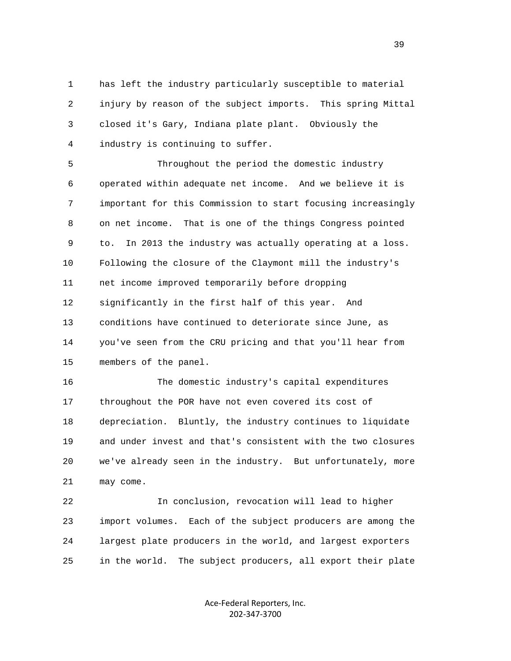1 has left the industry particularly susceptible to material 2 injury by reason of the subject imports. This spring Mittal 3 closed it's Gary, Indiana plate plant. Obviously the 4 industry is continuing to suffer.

 5 Throughout the period the domestic industry 6 operated within adequate net income. And we believe it is 7 important for this Commission to start focusing increasingly 8 on net income. That is one of the things Congress pointed 9 to. In 2013 the industry was actually operating at a loss. 10 Following the closure of the Claymont mill the industry's 11 net income improved temporarily before dropping 12 significantly in the first half of this year. And 13 conditions have continued to deteriorate since June, as 14 you've seen from the CRU pricing and that you'll hear from 15 members of the panel.

 16 The domestic industry's capital expenditures 17 throughout the POR have not even covered its cost of 18 depreciation. Bluntly, the industry continues to liquidate 19 and under invest and that's consistent with the two closures 20 we've already seen in the industry. But unfortunately, more 21 may come.

 22 In conclusion, revocation will lead to higher 23 import volumes. Each of the subject producers are among the 24 largest plate producers in the world, and largest exporters 25 in the world. The subject producers, all export their plate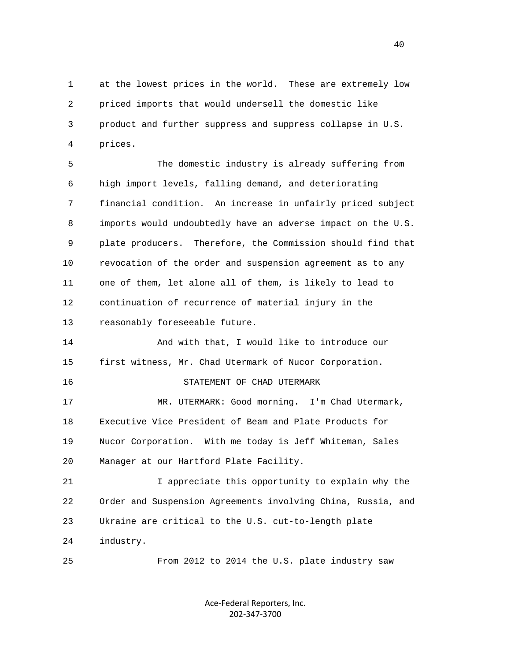1 at the lowest prices in the world. These are extremely low 2 priced imports that would undersell the domestic like 3 product and further suppress and suppress collapse in U.S. 4 prices.

 5 The domestic industry is already suffering from 6 high import levels, falling demand, and deteriorating 7 financial condition. An increase in unfairly priced subject 8 imports would undoubtedly have an adverse impact on the U.S. 9 plate producers. Therefore, the Commission should find that 10 revocation of the order and suspension agreement as to any 11 one of them, let alone all of them, is likely to lead to 12 continuation of recurrence of material injury in the 13 reasonably foreseeable future.

 14 And with that, I would like to introduce our 15 first witness, Mr. Chad Utermark of Nucor Corporation.

16 STATEMENT OF CHAD UTERMARK

 17 MR. UTERMARK: Good morning. I'm Chad Utermark, 18 Executive Vice President of Beam and Plate Products for 19 Nucor Corporation. With me today is Jeff Whiteman, Sales 20 Manager at our Hartford Plate Facility.

 21 I appreciate this opportunity to explain why the 22 Order and Suspension Agreements involving China, Russia, and 23 Ukraine are critical to the U.S. cut-to-length plate 24 industry.

25 From 2012 to 2014 the U.S. plate industry saw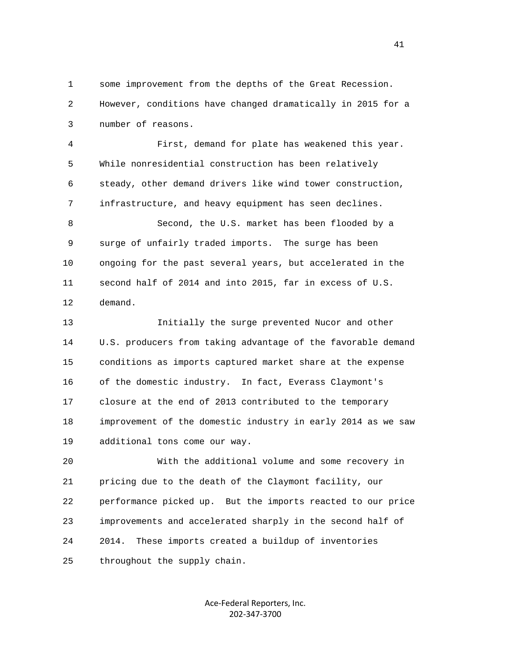1 some improvement from the depths of the Great Recession. 2 However, conditions have changed dramatically in 2015 for a 3 number of reasons.

 4 First, demand for plate has weakened this year. 5 While nonresidential construction has been relatively 6 steady, other demand drivers like wind tower construction, 7 infrastructure, and heavy equipment has seen declines.

 8 Second, the U.S. market has been flooded by a 9 surge of unfairly traded imports. The surge has been 10 ongoing for the past several years, but accelerated in the 11 second half of 2014 and into 2015, far in excess of U.S. 12 demand.

 13 Initially the surge prevented Nucor and other 14 U.S. producers from taking advantage of the favorable demand 15 conditions as imports captured market share at the expense 16 of the domestic industry. In fact, Everass Claymont's 17 closure at the end of 2013 contributed to the temporary 18 improvement of the domestic industry in early 2014 as we saw 19 additional tons come our way.

 20 With the additional volume and some recovery in 21 pricing due to the death of the Claymont facility, our 22 performance picked up. But the imports reacted to our price 23 improvements and accelerated sharply in the second half of 24 2014. These imports created a buildup of inventories 25 throughout the supply chain.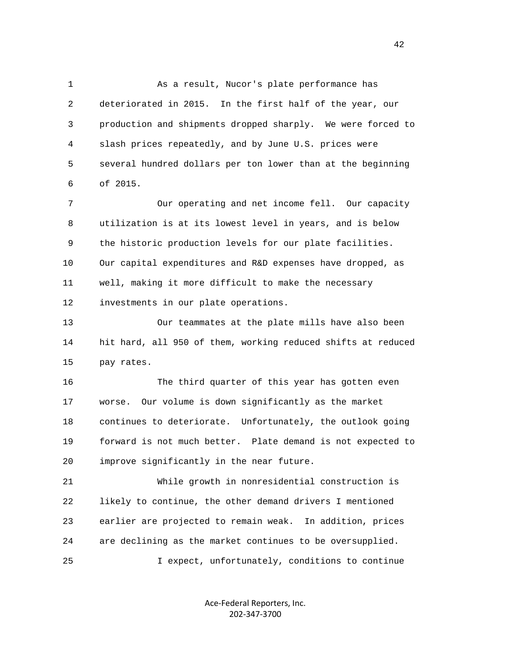1 As a result, Nucor's plate performance has 2 deteriorated in 2015. In the first half of the year, our 3 production and shipments dropped sharply. We were forced to 4 slash prices repeatedly, and by June U.S. prices were 5 several hundred dollars per ton lower than at the beginning 6 of 2015.

 7 Our operating and net income fell. Our capacity 8 utilization is at its lowest level in years, and is below 9 the historic production levels for our plate facilities. 10 Our capital expenditures and R&D expenses have dropped, as 11 well, making it more difficult to make the necessary 12 investments in our plate operations.

 13 Our teammates at the plate mills have also been 14 hit hard, all 950 of them, working reduced shifts at reduced 15 pay rates.

 16 The third quarter of this year has gotten even 17 worse. Our volume is down significantly as the market 18 continues to deteriorate. Unfortunately, the outlook going 19 forward is not much better. Plate demand is not expected to 20 improve significantly in the near future.

 21 While growth in nonresidential construction is 22 likely to continue, the other demand drivers I mentioned 23 earlier are projected to remain weak. In addition, prices 24 are declining as the market continues to be oversupplied. 25 I expect, unfortunately, conditions to continue

> Ace‐Federal Reporters, Inc. 202‐347‐3700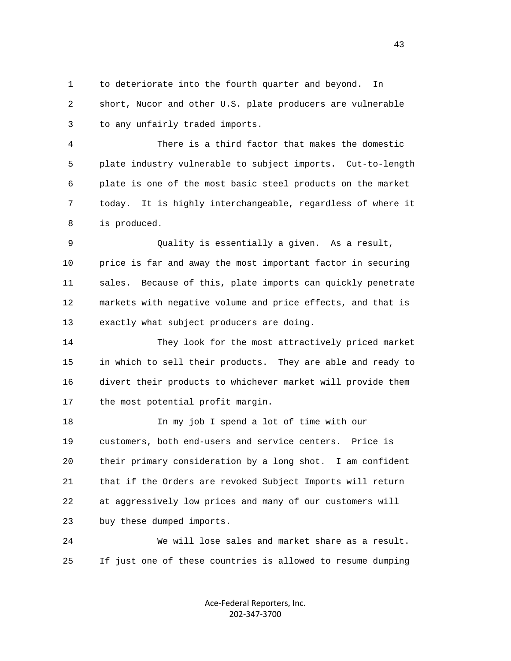1 to deteriorate into the fourth quarter and beyond. In 2 short, Nucor and other U.S. plate producers are vulnerable 3 to any unfairly traded imports.

 4 There is a third factor that makes the domestic 5 plate industry vulnerable to subject imports. Cut-to-length 6 plate is one of the most basic steel products on the market 7 today. It is highly interchangeable, regardless of where it 8 is produced.

 9 Quality is essentially a given. As a result, 10 price is far and away the most important factor in securing 11 sales. Because of this, plate imports can quickly penetrate 12 markets with negative volume and price effects, and that is 13 exactly what subject producers are doing.

 14 They look for the most attractively priced market 15 in which to sell their products. They are able and ready to 16 divert their products to whichever market will provide them 17 the most potential profit margin.

 18 In my job I spend a lot of time with our 19 customers, both end-users and service centers. Price is 20 their primary consideration by a long shot. I am confident 21 that if the Orders are revoked Subject Imports will return 22 at aggressively low prices and many of our customers will 23 buy these dumped imports.

 24 We will lose sales and market share as a result. 25 If just one of these countries is allowed to resume dumping

> Ace‐Federal Reporters, Inc. 202‐347‐3700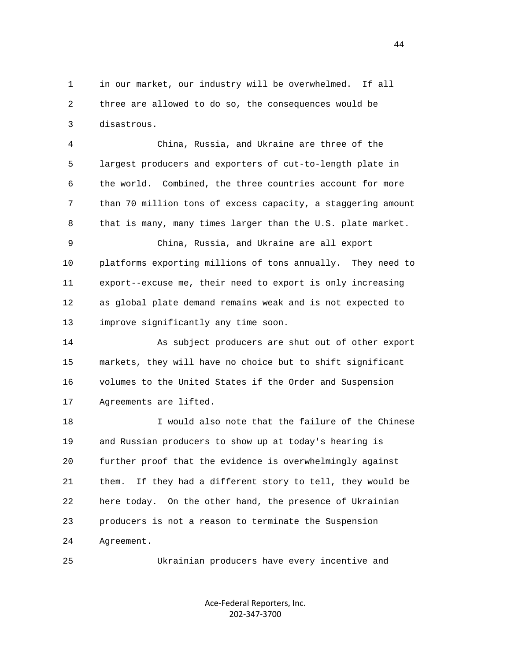1 in our market, our industry will be overwhelmed. If all 2 three are allowed to do so, the consequences would be 3 disastrous.

 4 China, Russia, and Ukraine are three of the 5 largest producers and exporters of cut-to-length plate in 6 the world. Combined, the three countries account for more 7 than 70 million tons of excess capacity, a staggering amount 8 that is many, many times larger than the U.S. plate market.

 9 China, Russia, and Ukraine are all export 10 platforms exporting millions of tons annually. They need to 11 export--excuse me, their need to export is only increasing 12 as global plate demand remains weak and is not expected to 13 improve significantly any time soon.

 14 As subject producers are shut out of other export 15 markets, they will have no choice but to shift significant 16 volumes to the United States if the Order and Suspension 17 Agreements are lifted.

 18 I would also note that the failure of the Chinese 19 and Russian producers to show up at today's hearing is 20 further proof that the evidence is overwhelmingly against 21 them. If they had a different story to tell, they would be 22 here today. On the other hand, the presence of Ukrainian 23 producers is not a reason to terminate the Suspension 24 Agreement.

25 Ukrainian producers have every incentive and

Ace‐Federal Reporters, Inc. 202‐347‐3700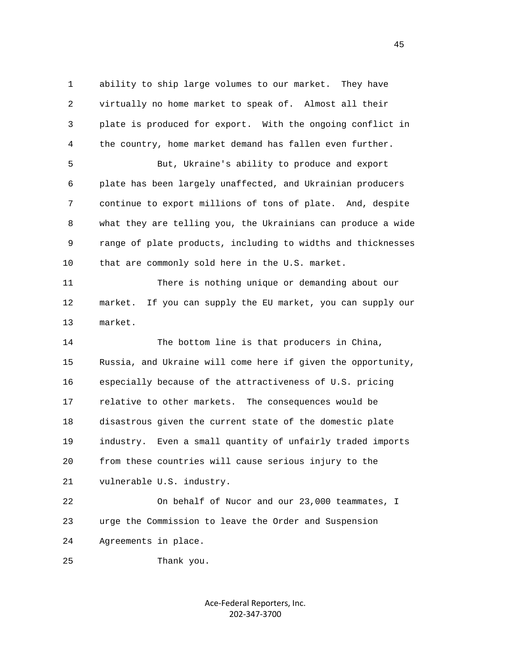1 ability to ship large volumes to our market. They have 2 virtually no home market to speak of. Almost all their 3 plate is produced for export. With the ongoing conflict in 4 the country, home market demand has fallen even further. 5 But, Ukraine's ability to produce and export 6 plate has been largely unaffected, and Ukrainian producers 7 continue to export millions of tons of plate. And, despite 8 what they are telling you, the Ukrainians can produce a wide 9 range of plate products, including to widths and thicknesses 10 that are commonly sold here in the U.S. market. 11 There is nothing unique or demanding about our 12 market. If you can supply the EU market, you can supply our 13 market. 14 The bottom line is that producers in China, 15 Russia, and Ukraine will come here if given the opportunity, 16 especially because of the attractiveness of U.S. pricing 17 relative to other markets. The consequences would be 18 disastrous given the current state of the domestic plate 19 industry. Even a small quantity of unfairly traded imports 20 from these countries will cause serious injury to the 21 vulnerable U.S. industry. 22 On behalf of Nucor and our 23,000 teammates, I 23 urge the Commission to leave the Order and Suspension

24 Agreements in place.

25 Thank you.

Ace‐Federal Reporters, Inc. 202‐347‐3700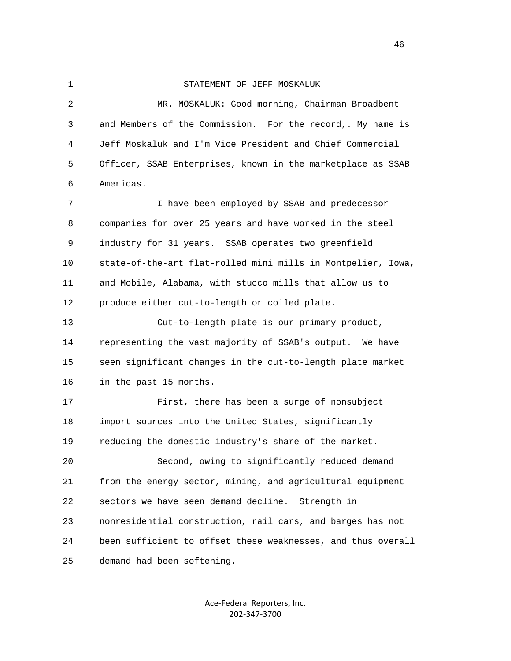## 1 STATEMENT OF JEFF MOSKALUK

 2 MR. MOSKALUK: Good morning, Chairman Broadbent 3 and Members of the Commission. For the record,. My name is 4 Jeff Moskaluk and I'm Vice President and Chief Commercial 5 Officer, SSAB Enterprises, known in the marketplace as SSAB 6 Americas. 7 I have been employed by SSAB and predecessor 8 companies for over 25 years and have worked in the steel 9 industry for 31 years. SSAB operates two greenfield 10 state-of-the-art flat-rolled mini mills in Montpelier, Iowa, 11 and Mobile, Alabama, with stucco mills that allow us to 12 produce either cut-to-length or coiled plate. 13 Cut-to-length plate is our primary product, 14 representing the vast majority of SSAB's output. We have 15 seen significant changes in the cut-to-length plate market 16 in the past 15 months. 17 First, there has been a surge of nonsubject 18 import sources into the United States, significantly 19 reducing the domestic industry's share of the market.

 20 Second, owing to significantly reduced demand 21 from the energy sector, mining, and agricultural equipment 22 sectors we have seen demand decline. Strength in 23 nonresidential construction, rail cars, and barges has not 24 been sufficient to offset these weaknesses, and thus overall 25 demand had been softening.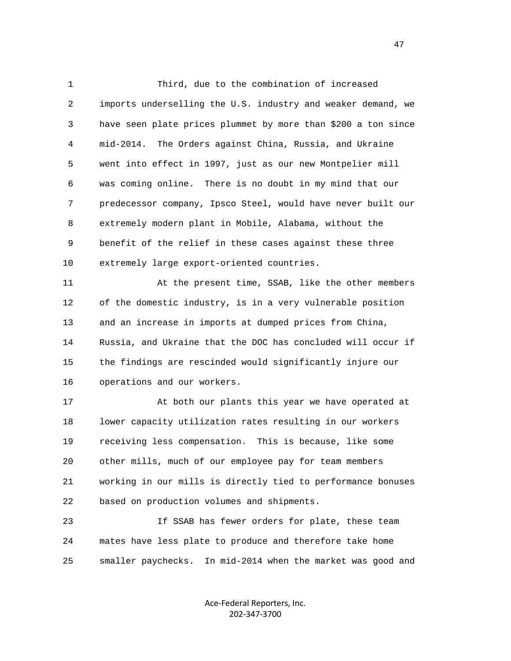1 Third, due to the combination of increased 2 imports underselling the U.S. industry and weaker demand, we 3 have seen plate prices plummet by more than \$200 a ton since 4 mid-2014. The Orders against China, Russia, and Ukraine 5 went into effect in 1997, just as our new Montpelier mill 6 was coming online. There is no doubt in my mind that our 7 predecessor company, Ipsco Steel, would have never built our 8 extremely modern plant in Mobile, Alabama, without the 9 benefit of the relief in these cases against these three 10 extremely large export-oriented countries.

 11 At the present time, SSAB, like the other members 12 of the domestic industry, is in a very vulnerable position 13 and an increase in imports at dumped prices from China, 14 Russia, and Ukraine that the DOC has concluded will occur if 15 the findings are rescinded would significantly injure our 16 operations and our workers.

 17 At both our plants this year we have operated at 18 lower capacity utilization rates resulting in our workers 19 receiving less compensation. This is because, like some 20 other mills, much of our employee pay for team members 21 working in our mills is directly tied to performance bonuses 22 based on production volumes and shipments.

 23 If SSAB has fewer orders for plate, these team 24 mates have less plate to produce and therefore take home 25 smaller paychecks. In mid-2014 when the market was good and

> Ace‐Federal Reporters, Inc. 202‐347‐3700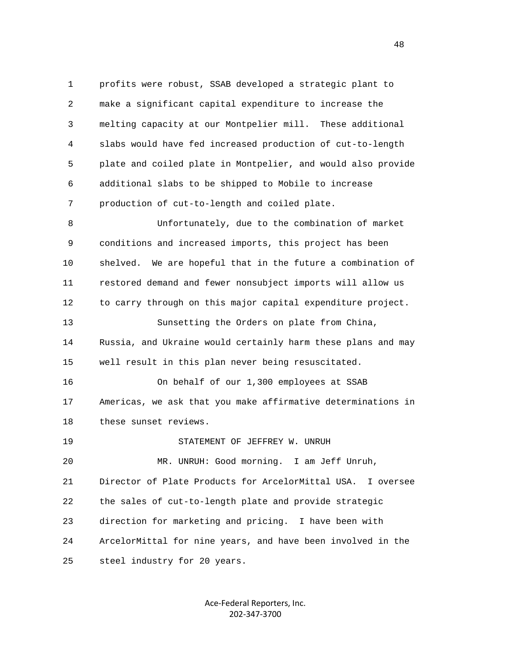1 profits were robust, SSAB developed a strategic plant to 2 make a significant capital expenditure to increase the 3 melting capacity at our Montpelier mill. These additional 4 slabs would have fed increased production of cut-to-length 5 plate and coiled plate in Montpelier, and would also provide 6 additional slabs to be shipped to Mobile to increase 7 production of cut-to-length and coiled plate. 8 Unfortunately, due to the combination of market 9 conditions and increased imports, this project has been 10 shelved. We are hopeful that in the future a combination of 11 restored demand and fewer nonsubject imports will allow us 12 to carry through on this major capital expenditure project. 13 Sunsetting the Orders on plate from China, 14 Russia, and Ukraine would certainly harm these plans and may 15 well result in this plan never being resuscitated. 16 On behalf of our 1,300 employees at SSAB 17 Americas, we ask that you make affirmative determinations in 18 these sunset reviews. 19 STATEMENT OF JEFFREY W. UNRUH 20 MR. UNRUH: Good morning. I am Jeff Unruh, 21 Director of Plate Products for ArcelorMittal USA. I oversee 22 the sales of cut-to-length plate and provide strategic 23 direction for marketing and pricing. I have been with 24 ArcelorMittal for nine years, and have been involved in the 25 steel industry for 20 years.

> Ace‐Federal Reporters, Inc. 202‐347‐3700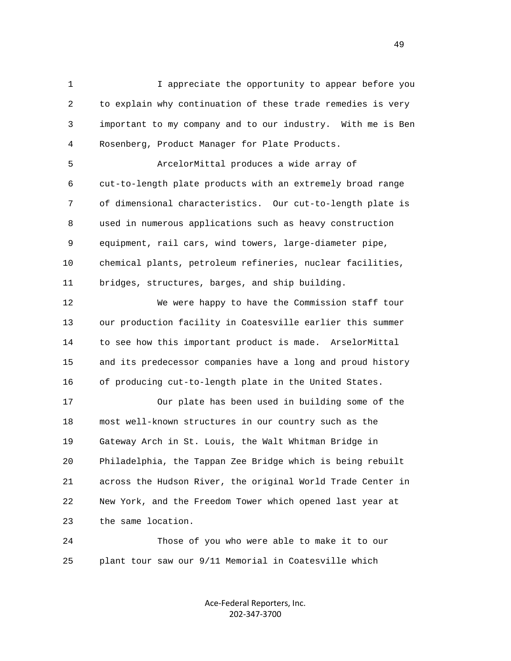1 I appreciate the opportunity to appear before you 2 to explain why continuation of these trade remedies is very 3 important to my company and to our industry. With me is Ben 4 Rosenberg, Product Manager for Plate Products.

 5 ArcelorMittal produces a wide array of 6 cut-to-length plate products with an extremely broad range 7 of dimensional characteristics. Our cut-to-length plate is 8 used in numerous applications such as heavy construction 9 equipment, rail cars, wind towers, large-diameter pipe, 10 chemical plants, petroleum refineries, nuclear facilities, 11 bridges, structures, barges, and ship building.

 12 We were happy to have the Commission staff tour 13 our production facility in Coatesville earlier this summer 14 to see how this important product is made. ArselorMittal 15 and its predecessor companies have a long and proud history 16 of producing cut-to-length plate in the United States.

 17 Our plate has been used in building some of the 18 most well-known structures in our country such as the 19 Gateway Arch in St. Louis, the Walt Whitman Bridge in 20 Philadelphia, the Tappan Zee Bridge which is being rebuilt 21 across the Hudson River, the original World Trade Center in 22 New York, and the Freedom Tower which opened last year at 23 the same location.

 24 Those of you who were able to make it to our 25 plant tour saw our 9/11 Memorial in Coatesville which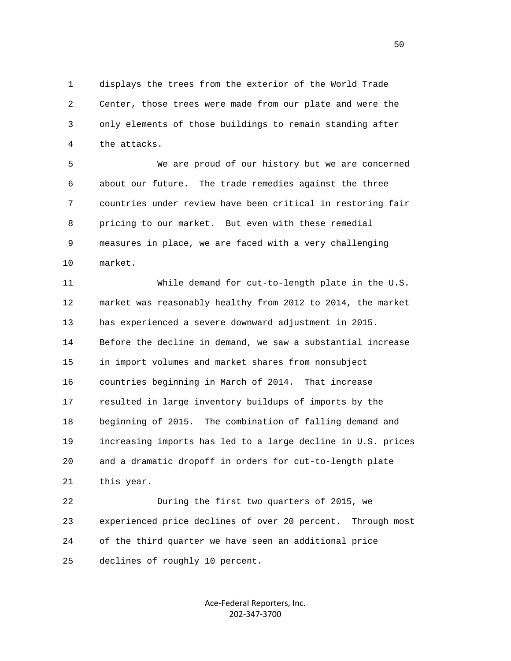1 displays the trees from the exterior of the World Trade 2 Center, those trees were made from our plate and were the 3 only elements of those buildings to remain standing after 4 the attacks.

 5 We are proud of our history but we are concerned 6 about our future. The trade remedies against the three 7 countries under review have been critical in restoring fair 8 pricing to our market. But even with these remedial 9 measures in place, we are faced with a very challenging 10 market.

 11 While demand for cut-to-length plate in the U.S. 12 market was reasonably healthy from 2012 to 2014, the market 13 has experienced a severe downward adjustment in 2015. 14 Before the decline in demand, we saw a substantial increase 15 in import volumes and market shares from nonsubject 16 countries beginning in March of 2014. That increase 17 resulted in large inventory buildups of imports by the 18 beginning of 2015. The combination of falling demand and 19 increasing imports has led to a large decline in U.S. prices 20 and a dramatic dropoff in orders for cut-to-length plate 21 this year.

 22 During the first two quarters of 2015, we 23 experienced price declines of over 20 percent. Through most 24 of the third quarter we have seen an additional price 25 declines of roughly 10 percent.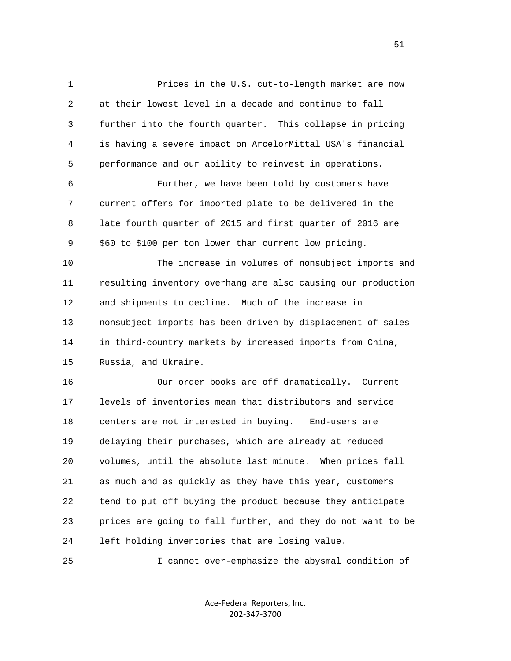1 Prices in the U.S. cut-to-length market are now 2 at their lowest level in a decade and continue to fall 3 further into the fourth quarter. This collapse in pricing 4 is having a severe impact on ArcelorMittal USA's financial 5 performance and our ability to reinvest in operations. 6 Further, we have been told by customers have 7 current offers for imported plate to be delivered in the 8 late fourth quarter of 2015 and first quarter of 2016 are 9 \$60 to \$100 per ton lower than current low pricing. 10 The increase in volumes of nonsubject imports and 11 resulting inventory overhang are also causing our production 12 and shipments to decline. Much of the increase in 13 nonsubject imports has been driven by displacement of sales 14 in third-country markets by increased imports from China, 15 Russia, and Ukraine. 16 Our order books are off dramatically. Current 17 levels of inventories mean that distributors and service 18 centers are not interested in buying. End-users are 19 delaying their purchases, which are already at reduced 20 volumes, until the absolute last minute. When prices fall 21 as much and as quickly as they have this year, customers 22 tend to put off buying the product because they anticipate 23 prices are going to fall further, and they do not want to be 24 left holding inventories that are losing value.

25 I cannot over-emphasize the abysmal condition of

Ace‐Federal Reporters, Inc. 202‐347‐3700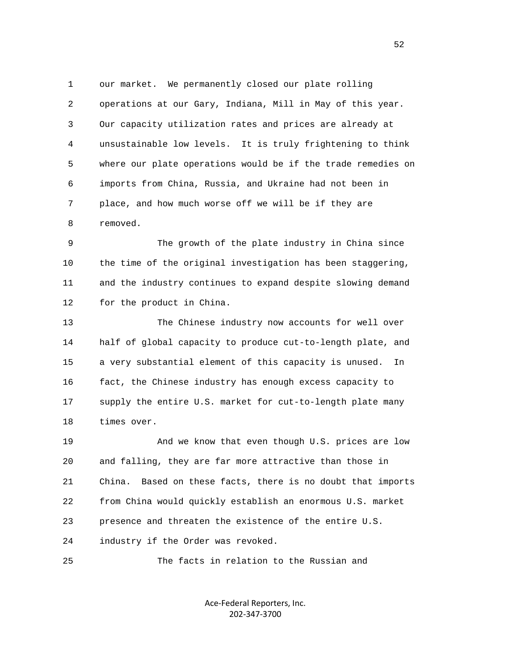1 our market. We permanently closed our plate rolling 2 operations at our Gary, Indiana, Mill in May of this year. 3 Our capacity utilization rates and prices are already at 4 unsustainable low levels. It is truly frightening to think 5 where our plate operations would be if the trade remedies on 6 imports from China, Russia, and Ukraine had not been in 7 place, and how much worse off we will be if they are 8 removed.

 9 The growth of the plate industry in China since 10 the time of the original investigation has been staggering, 11 and the industry continues to expand despite slowing demand 12 for the product in China.

 13 The Chinese industry now accounts for well over 14 half of global capacity to produce cut-to-length plate, and 15 a very substantial element of this capacity is unused. In 16 fact, the Chinese industry has enough excess capacity to 17 supply the entire U.S. market for cut-to-length plate many 18 times over.

 19 And we know that even though U.S. prices are low 20 and falling, they are far more attractive than those in 21 China. Based on these facts, there is no doubt that imports 22 from China would quickly establish an enormous U.S. market 23 presence and threaten the existence of the entire U.S. 24 industry if the Order was revoked.

25 The facts in relation to the Russian and

Ace‐Federal Reporters, Inc. 202‐347‐3700

 $\sim$  52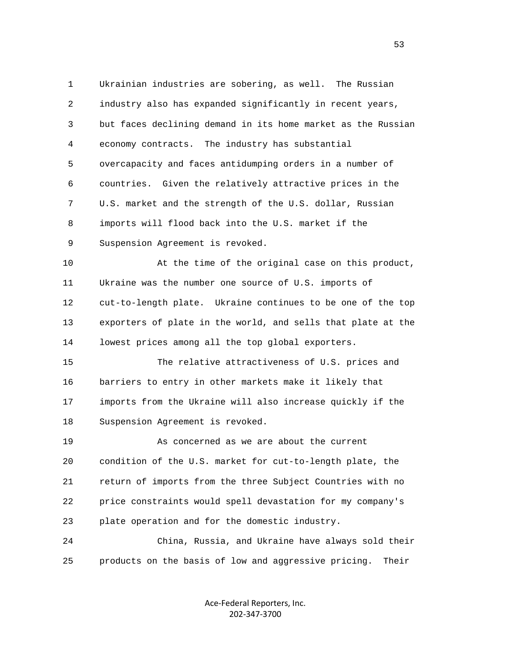1 Ukrainian industries are sobering, as well. The Russian 2 industry also has expanded significantly in recent years, 3 but faces declining demand in its home market as the Russian 4 economy contracts. The industry has substantial 5 overcapacity and faces antidumping orders in a number of 6 countries. Given the relatively attractive prices in the 7 U.S. market and the strength of the U.S. dollar, Russian 8 imports will flood back into the U.S. market if the 9 Suspension Agreement is revoked. 10 At the time of the original case on this product, 11 Ukraine was the number one source of U.S. imports of 12 cut-to-length plate. Ukraine continues to be one of the top 13 exporters of plate in the world, and sells that plate at the 14 lowest prices among all the top global exporters. 15 The relative attractiveness of U.S. prices and 16 barriers to entry in other markets make it likely that 17 imports from the Ukraine will also increase quickly if the 18 Suspension Agreement is revoked. 19 As concerned as we are about the current 20 condition of the U.S. market for cut-to-length plate, the 21 return of imports from the three Subject Countries with no 22 price constraints would spell devastation for my company's 23 plate operation and for the domestic industry. 24 China, Russia, and Ukraine have always sold their 25 products on the basis of low and aggressive pricing. Their

> Ace‐Federal Reporters, Inc. 202‐347‐3700

 $\sim$  53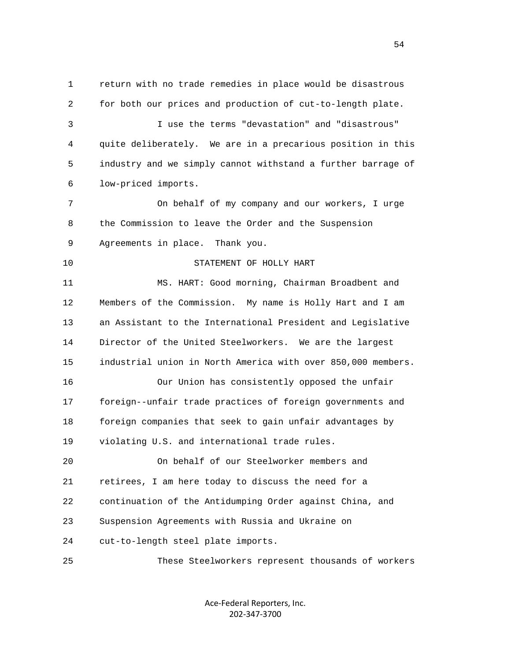1 return with no trade remedies in place would be disastrous 2 for both our prices and production of cut-to-length plate. 3 I use the terms "devastation" and "disastrous" 4 quite deliberately. We are in a precarious position in this 5 industry and we simply cannot withstand a further barrage of 6 low-priced imports. 7 On behalf of my company and our workers, I urge 8 the Commission to leave the Order and the Suspension 9 Agreements in place. Thank you. 10 STATEMENT OF HOLLY HART 11 MS. HART: Good morning, Chairman Broadbent and 12 Members of the Commission. My name is Holly Hart and I am 13 an Assistant to the International President and Legislative 14 Director of the United Steelworkers. We are the largest 15 industrial union in North America with over 850,000 members. 16 Our Union has consistently opposed the unfair 17 foreign--unfair trade practices of foreign governments and 18 foreign companies that seek to gain unfair advantages by 19 violating U.S. and international trade rules. 20 On behalf of our Steelworker members and 21 retirees, I am here today to discuss the need for a 22 continuation of the Antidumping Order against China, and 23 Suspension Agreements with Russia and Ukraine on 24 cut-to-length steel plate imports. 25 These Steelworkers represent thousands of workers

> Ace‐Federal Reporters, Inc. 202‐347‐3700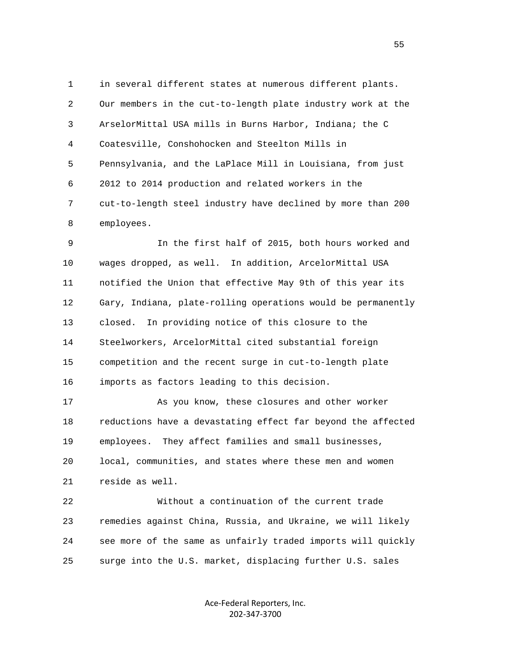1 in several different states at numerous different plants. 2 Our members in the cut-to-length plate industry work at the 3 ArselorMittal USA mills in Burns Harbor, Indiana; the C 4 Coatesville, Conshohocken and Steelton Mills in 5 Pennsylvania, and the LaPlace Mill in Louisiana, from just 6 2012 to 2014 production and related workers in the 7 cut-to-length steel industry have declined by more than 200 8 employees.

 9 In the first half of 2015, both hours worked and 10 wages dropped, as well. In addition, ArcelorMittal USA 11 notified the Union that effective May 9th of this year its 12 Gary, Indiana, plate-rolling operations would be permanently 13 closed. In providing notice of this closure to the 14 Steelworkers, ArcelorMittal cited substantial foreign 15 competition and the recent surge in cut-to-length plate 16 imports as factors leading to this decision.

 17 As you know, these closures and other worker 18 reductions have a devastating effect far beyond the affected 19 employees. They affect families and small businesses, 20 local, communities, and states where these men and women 21 reside as well.

 22 Without a continuation of the current trade 23 remedies against China, Russia, and Ukraine, we will likely 24 see more of the same as unfairly traded imports will quickly 25 surge into the U.S. market, displacing further U.S. sales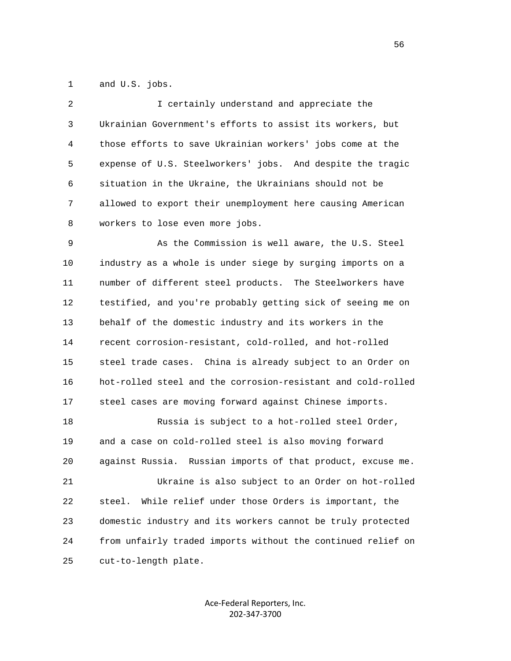1 and U.S. jobs.

| 2 | I certainly understand and appreciate the                  |
|---|------------------------------------------------------------|
| 3 | Ukrainian Government's efforts to assist its workers, but  |
| 4 | those efforts to save Ukrainian workers' jobs come at the  |
| 5 | expense of U.S. Steelworkers' jobs. And despite the tragic |
| 6 | situation in the Ukraine, the Ukrainians should not be     |
| 7 | allowed to export their unemployment here causing American |
| 8 | workers to lose even more jobs.                            |

 9 As the Commission is well aware, the U.S. Steel 10 industry as a whole is under siege by surging imports on a 11 number of different steel products. The Steelworkers have 12 testified, and you're probably getting sick of seeing me on 13 behalf of the domestic industry and its workers in the 14 recent corrosion-resistant, cold-rolled, and hot-rolled 15 steel trade cases. China is already subject to an Order on 16 hot-rolled steel and the corrosion-resistant and cold-rolled 17 steel cases are moving forward against Chinese imports.

 18 Russia is subject to a hot-rolled steel Order, 19 and a case on cold-rolled steel is also moving forward 20 against Russia. Russian imports of that product, excuse me. 21 Ukraine is also subject to an Order on hot-rolled 22 steel. While relief under those Orders is important, the 23 domestic industry and its workers cannot be truly protected 24 from unfairly traded imports without the continued relief on 25 cut-to-length plate.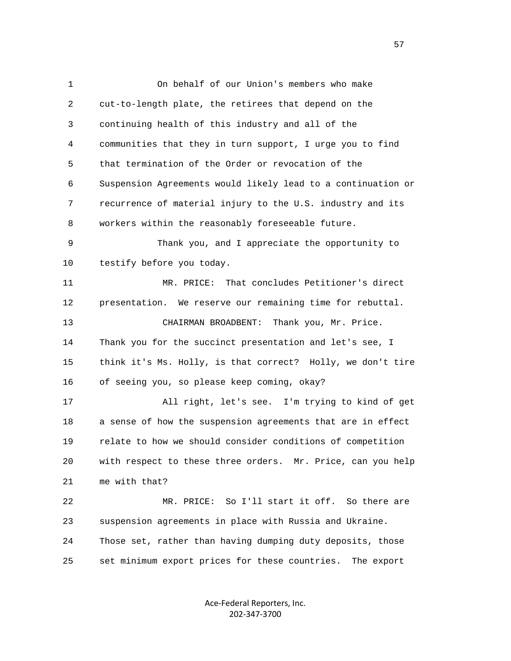1 On behalf of our Union's members who make 2 cut-to-length plate, the retirees that depend on the 3 continuing health of this industry and all of the 4 communities that they in turn support, I urge you to find 5 that termination of the Order or revocation of the 6 Suspension Agreements would likely lead to a continuation or 7 recurrence of material injury to the U.S. industry and its 8 workers within the reasonably foreseeable future. 9 Thank you, and I appreciate the opportunity to 10 testify before you today. 11 MR. PRICE: That concludes Petitioner's direct 12 presentation. We reserve our remaining time for rebuttal. 13 CHAIRMAN BROADBENT: Thank you, Mr. Price. 14 Thank you for the succinct presentation and let's see, I 15 think it's Ms. Holly, is that correct? Holly, we don't tire 16 of seeing you, so please keep coming, okay? 17 All right, let's see. I'm trying to kind of get 18 a sense of how the suspension agreements that are in effect 19 relate to how we should consider conditions of competition 20 with respect to these three orders. Mr. Price, can you help 21 me with that? 22 MR. PRICE: So I'll start it off. So there are 23 suspension agreements in place with Russia and Ukraine. 24 Those set, rather than having dumping duty deposits, those 25 set minimum export prices for these countries. The export

> Ace‐Federal Reporters, Inc. 202‐347‐3700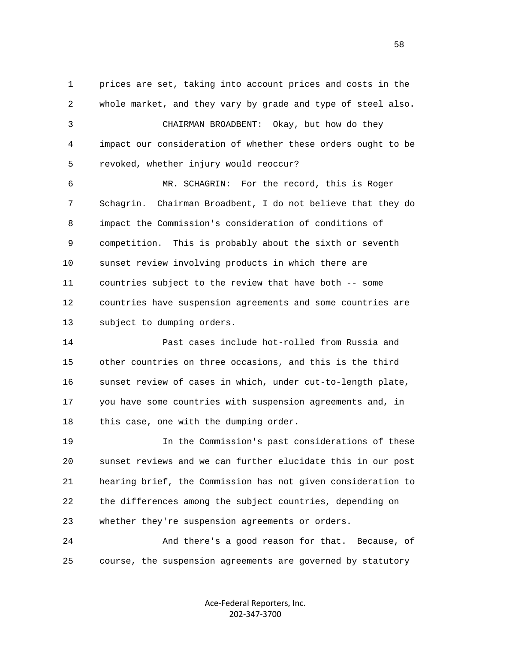1 prices are set, taking into account prices and costs in the 2 whole market, and they vary by grade and type of steel also. 3 CHAIRMAN BROADBENT: Okay, but how do they 4 impact our consideration of whether these orders ought to be 5 revoked, whether injury would reoccur? 6 MR. SCHAGRIN: For the record, this is Roger 7 Schagrin. Chairman Broadbent, I do not believe that they do 8 impact the Commission's consideration of conditions of 9 competition. This is probably about the sixth or seventh 10 sunset review involving products in which there are 11 countries subject to the review that have both -- some

 12 countries have suspension agreements and some countries are 13 subject to dumping orders.

 14 Past cases include hot-rolled from Russia and 15 other countries on three occasions, and this is the third 16 sunset review of cases in which, under cut-to-length plate, 17 you have some countries with suspension agreements and, in 18 this case, one with the dumping order.

 19 In the Commission's past considerations of these 20 sunset reviews and we can further elucidate this in our post 21 hearing brief, the Commission has not given consideration to 22 the differences among the subject countries, depending on 23 whether they're suspension agreements or orders.

 24 And there's a good reason for that. Because, of 25 course, the suspension agreements are governed by statutory

> Ace‐Federal Reporters, Inc. 202‐347‐3700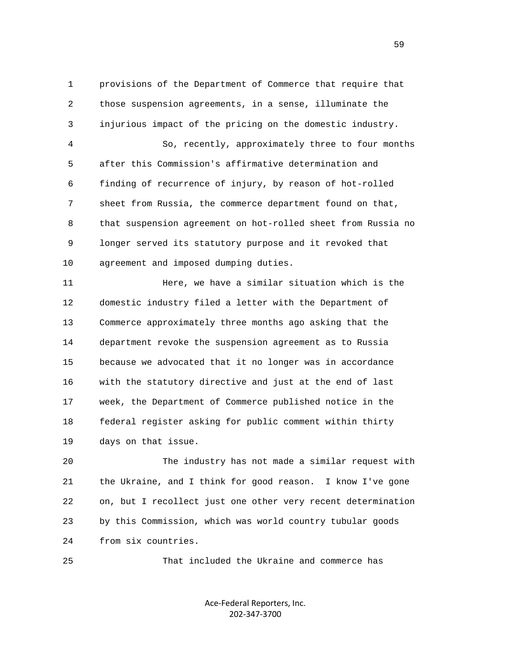1 provisions of the Department of Commerce that require that 2 those suspension agreements, in a sense, illuminate the 3 injurious impact of the pricing on the domestic industry. 4 So, recently, approximately three to four months 5 after this Commission's affirmative determination and 6 finding of recurrence of injury, by reason of hot-rolled 7 sheet from Russia, the commerce department found on that, 8 that suspension agreement on hot-rolled sheet from Russia no 9 longer served its statutory purpose and it revoked that 10 agreement and imposed dumping duties.

 11 Here, we have a similar situation which is the 12 domestic industry filed a letter with the Department of 13 Commerce approximately three months ago asking that the 14 department revoke the suspension agreement as to Russia 15 because we advocated that it no longer was in accordance 16 with the statutory directive and just at the end of last 17 week, the Department of Commerce published notice in the 18 federal register asking for public comment within thirty 19 days on that issue.

 20 The industry has not made a similar request with 21 the Ukraine, and I think for good reason. I know I've gone 22 on, but I recollect just one other very recent determination 23 by this Commission, which was world country tubular goods 24 from six countries.

25 That included the Ukraine and commerce has

Ace‐Federal Reporters, Inc. 202‐347‐3700

 $\sim$  59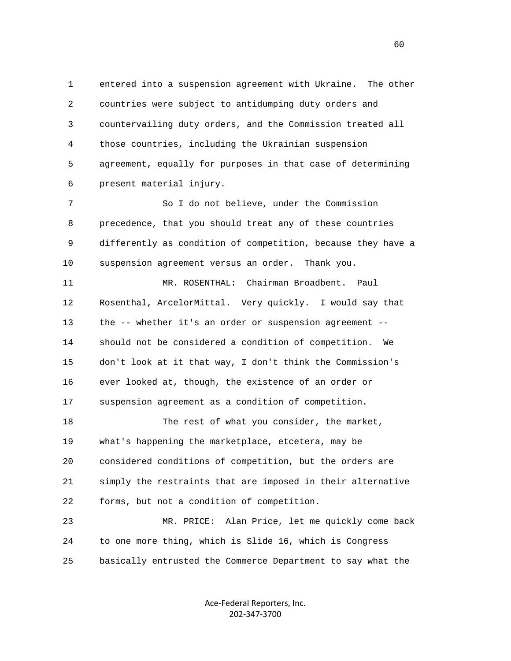1 entered into a suspension agreement with Ukraine. The other 2 countries were subject to antidumping duty orders and 3 countervailing duty orders, and the Commission treated all 4 those countries, including the Ukrainian suspension 5 agreement, equally for purposes in that case of determining 6 present material injury.

 7 So I do not believe, under the Commission 8 precedence, that you should treat any of these countries 9 differently as condition of competition, because they have a 10 suspension agreement versus an order. Thank you.

 11 MR. ROSENTHAL: Chairman Broadbent. Paul 12 Rosenthal, ArcelorMittal. Very quickly. I would say that 13 the -- whether it's an order or suspension agreement -- 14 should not be considered a condition of competition. We 15 don't look at it that way, I don't think the Commission's 16 ever looked at, though, the existence of an order or 17 suspension agreement as a condition of competition.

18 The rest of what you consider, the market, 19 what's happening the marketplace, etcetera, may be 20 considered conditions of competition, but the orders are 21 simply the restraints that are imposed in their alternative 22 forms, but not a condition of competition.

 23 MR. PRICE: Alan Price, let me quickly come back 24 to one more thing, which is Slide 16, which is Congress 25 basically entrusted the Commerce Department to say what the

> Ace‐Federal Reporters, Inc. 202‐347‐3700

 $\sim$  60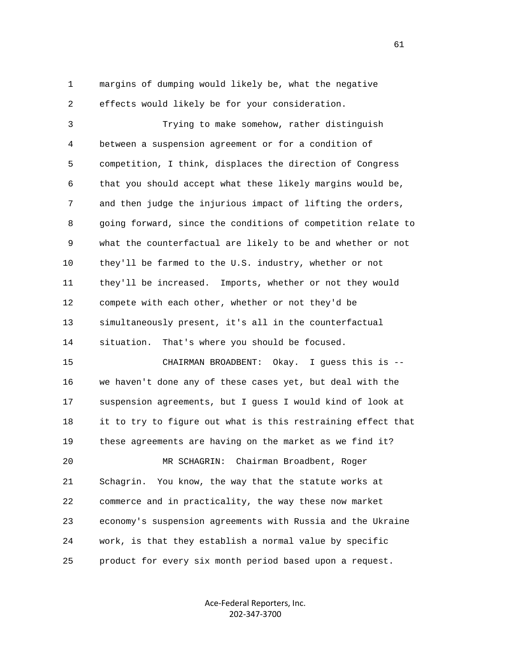1 margins of dumping would likely be, what the negative 2 effects would likely be for your consideration.

 3 Trying to make somehow, rather distinguish 4 between a suspension agreement or for a condition of 5 competition, I think, displaces the direction of Congress 6 that you should accept what these likely margins would be, 7 and then judge the injurious impact of lifting the orders, 8 going forward, since the conditions of competition relate to 9 what the counterfactual are likely to be and whether or not 10 they'll be farmed to the U.S. industry, whether or not 11 they'll be increased. Imports, whether or not they would 12 compete with each other, whether or not they'd be 13 simultaneously present, it's all in the counterfactual 14 situation. That's where you should be focused.

 15 CHAIRMAN BROADBENT: Okay. I guess this is -- 16 we haven't done any of these cases yet, but deal with the 17 suspension agreements, but I guess I would kind of look at 18 it to try to figure out what is this restraining effect that 19 these agreements are having on the market as we find it?

 21 Schagrin. You know, the way that the statute works at 22 commerce and in practicality, the way these now market 23 economy's suspension agreements with Russia and the Ukraine 24 work, is that they establish a normal value by specific 25 product for every six month period based upon a request.

20 MR SCHAGRIN: Chairman Broadbent, Roger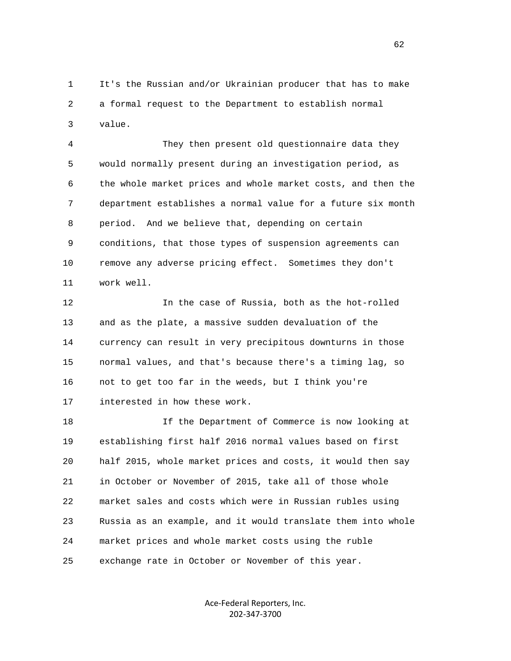1 It's the Russian and/or Ukrainian producer that has to make 2 a formal request to the Department to establish normal 3 value.

 4 They then present old questionnaire data they 5 would normally present during an investigation period, as 6 the whole market prices and whole market costs, and then the 7 department establishes a normal value for a future six month 8 period. And we believe that, depending on certain 9 conditions, that those types of suspension agreements can 10 remove any adverse pricing effect. Sometimes they don't 11 work well.

 12 In the case of Russia, both as the hot-rolled 13 and as the plate, a massive sudden devaluation of the 14 currency can result in very precipitous downturns in those 15 normal values, and that's because there's a timing lag, so 16 not to get too far in the weeds, but I think you're 17 interested in how these work.

 18 If the Department of Commerce is now looking at 19 establishing first half 2016 normal values based on first 20 half 2015, whole market prices and costs, it would then say 21 in October or November of 2015, take all of those whole 22 market sales and costs which were in Russian rubles using 23 Russia as an example, and it would translate them into whole 24 market prices and whole market costs using the ruble 25 exchange rate in October or November of this year.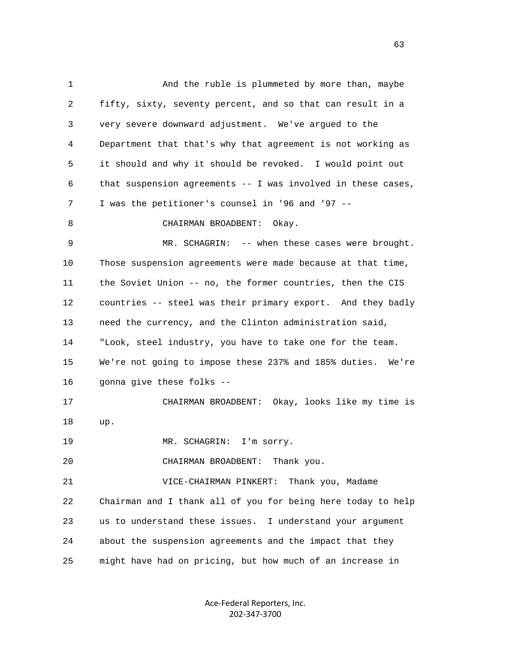1 And the ruble is plummeted by more than, maybe 2 fifty, sixty, seventy percent, and so that can result in a 3 very severe downward adjustment. We've argued to the 4 Department that that's why that agreement is not working as 5 it should and why it should be revoked. I would point out 6 that suspension agreements -- I was involved in these cases, 7 I was the petitioner's counsel in '96 and '97 -- 8 CHAIRMAN BROADBENT: Okay. 9 MR. SCHAGRIN: -- when these cases were brought. 10 Those suspension agreements were made because at that time, 11 the Soviet Union -- no, the former countries, then the CIS 12 countries -- steel was their primary export. And they badly 13 need the currency, and the Clinton administration said, 14 "Look, steel industry, you have to take one for the team. 15 We're not going to impose these 237% and 185% duties. We're 16 gonna give these folks -- 17 CHAIRMAN BROADBENT: Okay, looks like my time is 18 up. 19 MR. SCHAGRIN: I'm sorry. 20 CHAIRMAN BROADBENT: Thank you. 21 VICE-CHAIRMAN PINKERT: Thank you, Madame 22 Chairman and I thank all of you for being here today to help 23 us to understand these issues. I understand your argument 24 about the suspension agreements and the impact that they 25 might have had on pricing, but how much of an increase in

> Ace‐Federal Reporters, Inc. 202‐347‐3700

 $\sim$  63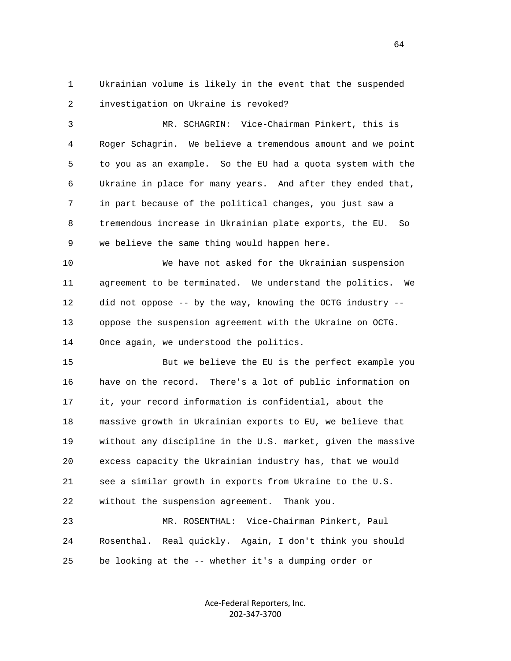1 Ukrainian volume is likely in the event that the suspended 2 investigation on Ukraine is revoked?

 3 MR. SCHAGRIN: Vice-Chairman Pinkert, this is 4 Roger Schagrin. We believe a tremendous amount and we point 5 to you as an example. So the EU had a quota system with the 6 Ukraine in place for many years. And after they ended that, 7 in part because of the political changes, you just saw a 8 tremendous increase in Ukrainian plate exports, the EU. So 9 we believe the same thing would happen here.

 10 We have not asked for the Ukrainian suspension 11 agreement to be terminated. We understand the politics. We 12 did not oppose -- by the way, knowing the OCTG industry -- 13 oppose the suspension agreement with the Ukraine on OCTG. 14 Once again, we understood the politics.

 15 But we believe the EU is the perfect example you 16 have on the record. There's a lot of public information on 17 it, your record information is confidential, about the 18 massive growth in Ukrainian exports to EU, we believe that 19 without any discipline in the U.S. market, given the massive 20 excess capacity the Ukrainian industry has, that we would 21 see a similar growth in exports from Ukraine to the U.S. 22 without the suspension agreement. Thank you.

 23 MR. ROSENTHAL: Vice-Chairman Pinkert, Paul 24 Rosenthal. Real quickly. Again, I don't think you should 25 be looking at the -- whether it's a dumping order or

> Ace‐Federal Reporters, Inc. 202‐347‐3700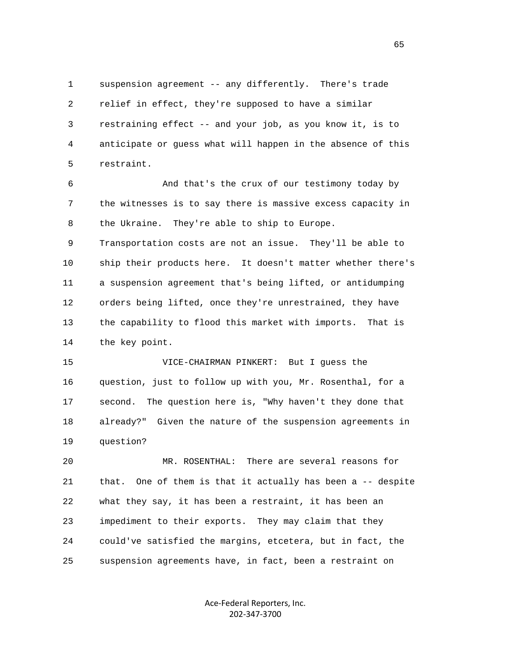1 suspension agreement -- any differently. There's trade 2 relief in effect, they're supposed to have a similar 3 restraining effect -- and your job, as you know it, is to 4 anticipate or guess what will happen in the absence of this 5 restraint.

 6 And that's the crux of our testimony today by 7 the witnesses is to say there is massive excess capacity in 8 the Ukraine. They're able to ship to Europe.

 9 Transportation costs are not an issue. They'll be able to 10 ship their products here. It doesn't matter whether there's 11 a suspension agreement that's being lifted, or antidumping 12 orders being lifted, once they're unrestrained, they have 13 the capability to flood this market with imports. That is 14 the key point.

 15 VICE-CHAIRMAN PINKERT: But I guess the 16 question, just to follow up with you, Mr. Rosenthal, for a 17 second. The question here is, "Why haven't they done that 18 already?" Given the nature of the suspension agreements in 19 question?

 20 MR. ROSENTHAL: There are several reasons for 21 that. One of them is that it actually has been a -- despite 22 what they say, it has been a restraint, it has been an 23 impediment to their exports. They may claim that they 24 could've satisfied the margins, etcetera, but in fact, the 25 suspension agreements have, in fact, been a restraint on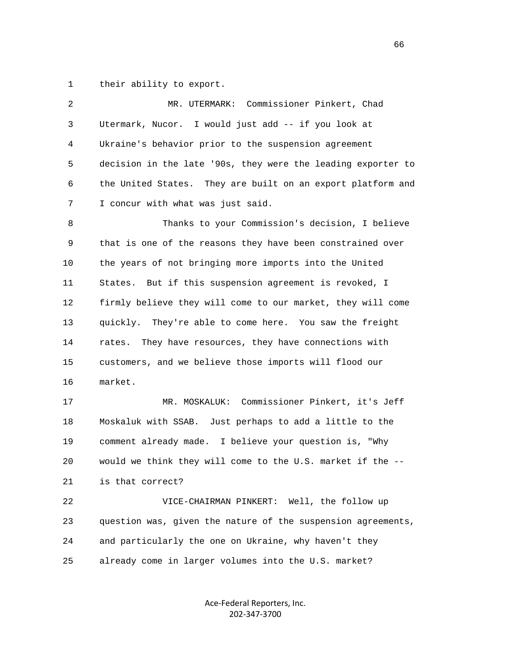1 their ability to export.

| 2  | Commissioner Pinkert, Chad<br>MR. UTERMARK:                  |
|----|--------------------------------------------------------------|
| 3  | Utermark, Nucor. I would just add -- if you look at          |
| 4  | Ukraine's behavior prior to the suspension agreement         |
| 5  | decision in the late '90s, they were the leading exporter to |
| 6  | the United States. They are built on an export platform and  |
| 7  | I concur with what was just said.                            |
| 8  | Thanks to your Commission's decision, I believe              |
| 9  | that is one of the reasons they have been constrained over   |
| 10 | the years of not bringing more imports into the United       |
| 11 | But if this suspension agreement is revoked, I<br>States.    |
| 12 | firmly believe they will come to our market, they will come  |
| 13 | They're able to come here. You saw the freight<br>quickly.   |
| 14 | They have resources, they have connections with<br>rates.    |
| 15 | customers, and we believe those imports will flood our       |
| 16 | market.                                                      |
| 17 | MR. MOSKALUK: Commissioner Pinkert, it's Jeff                |
| 18 | Moskaluk with SSAB. Just perhaps to add a little to the      |
| 19 | comment already made. I believe your question is, "Why       |
| 20 | would we think they will come to the U.S. market if the --   |
| 21 | is that correct?                                             |
| 22 | VICE-CHAIRMAN PINKERT: Well, the follow up                   |
| 23 | question was, given the nature of the suspension agreements, |
| 24 | and particularly the one on Ukraine, why haven't they        |
| 25 | already come in larger volumes into the U.S. market?         |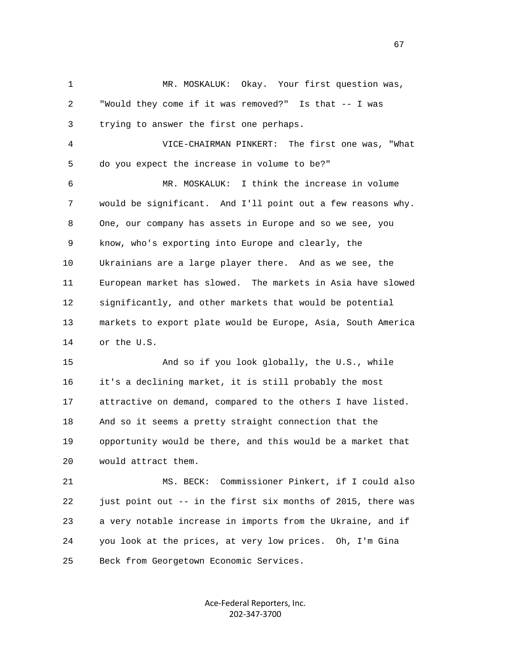1 MR. MOSKALUK: Okay. Your first question was, 2 "Would they come if it was removed?" Is that -- I was 3 trying to answer the first one perhaps. 4 VICE-CHAIRMAN PINKERT: The first one was, "What 5 do you expect the increase in volume to be?" 6 MR. MOSKALUK: I think the increase in volume 7 would be significant. And I'll point out a few reasons why. 8 One, our company has assets in Europe and so we see, you 9 know, who's exporting into Europe and clearly, the 10 Ukrainians are a large player there. And as we see, the 11 European market has slowed. The markets in Asia have slowed 12 significantly, and other markets that would be potential 13 markets to export plate would be Europe, Asia, South America 14 or the U.S. 15 And so if you look globally, the U.S., while 16 it's a declining market, it is still probably the most 17 attractive on demand, compared to the others I have listed. 18 And so it seems a pretty straight connection that the 19 opportunity would be there, and this would be a market that 20 would attract them. 21 MS. BECK: Commissioner Pinkert, if I could also 22 just point out -- in the first six months of 2015, there was 23 a very notable increase in imports from the Ukraine, and if 24 you look at the prices, at very low prices. Oh, I'm Gina 25 Beck from Georgetown Economic Services.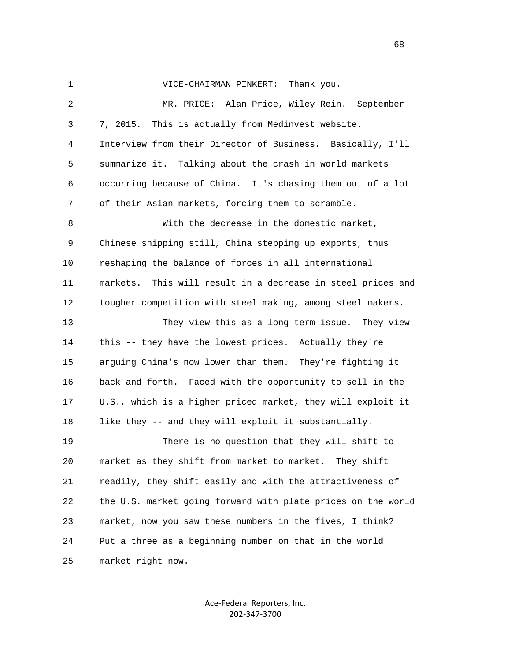| $\mathbf{1}$ | VICE-CHAIRMAN PINKERT:<br>Thank you.                           |
|--------------|----------------------------------------------------------------|
| 2            | MR. PRICE: Alan Price, Wiley Rein. September                   |
| 3            | 7, 2015.<br>This is actually from Medinvest website.           |
| 4            | Interview from their Director of Business. Basically, I'll     |
| 5            | summarize it. Talking about the crash in world markets         |
| 6            | occurring because of China. It's chasing them out of a lot     |
| 7            | of their Asian markets, forcing them to scramble.              |
| 8            | With the decrease in the domestic market,                      |
| 9            | Chinese shipping still, China stepping up exports, thus        |
| 10           | reshaping the balance of forces in all international           |
| 11           | markets.<br>This will result in a decrease in steel prices and |
| 12           | tougher competition with steel making, among steel makers.     |
| 13           | They view this as a long term issue. They view                 |
| 14           | this -- they have the lowest prices. Actually they're          |
| 15           | arguing China's now lower than them. They're fighting it       |
| 16           | back and forth. Faced with the opportunity to sell in the      |
| 17           | U.S., which is a higher priced market, they will exploit it    |
| 18           | like they -- and they will exploit it substantially.           |
| 19           | There is no question that they will shift to                   |
| 20           | market as they shift from market to market. They shift         |
| 21           | readily, they shift easily and with the attractiveness of      |
| 22           | the U.S. market going forward with plate prices on the world   |
| 23           | market, now you saw these numbers in the fives, I think?       |
| 24           | Put a three as a beginning number on that in the world         |
| 25           | market right now.                                              |

Ace‐Federal Reporters, Inc. 202‐347‐3700

 $\sim$  68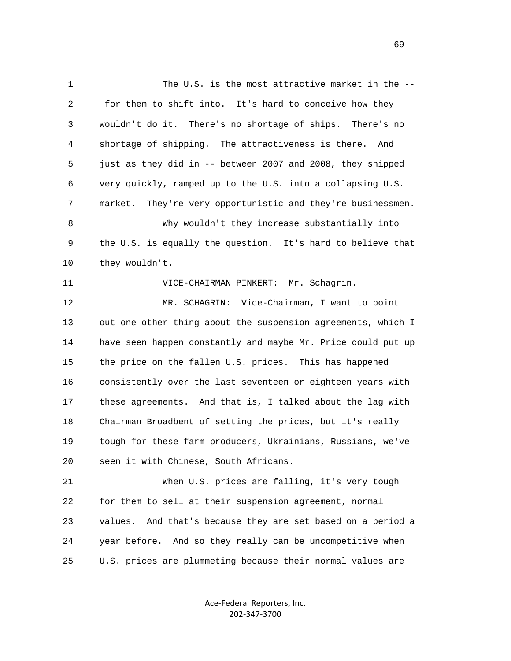1 The U.S. is the most attractive market in the -- 2 for them to shift into. It's hard to conceive how they 3 wouldn't do it. There's no shortage of ships. There's no 4 shortage of shipping. The attractiveness is there. And 5 just as they did in -- between 2007 and 2008, they shipped 6 very quickly, ramped up to the U.S. into a collapsing U.S. 7 market. They're very opportunistic and they're businessmen. 8 Why wouldn't they increase substantially into 9 the U.S. is equally the question. It's hard to believe that 10 they wouldn't. 11 VICE-CHAIRMAN PINKERT: Mr. Schagrin. 12 MR. SCHAGRIN: Vice-Chairman, I want to point 13 out one other thing about the suspension agreements, which I 14 have seen happen constantly and maybe Mr. Price could put up 15 the price on the fallen U.S. prices. This has happened 16 consistently over the last seventeen or eighteen years with 17 these agreements. And that is, I talked about the lag with 18 Chairman Broadbent of setting the prices, but it's really 19 tough for these farm producers, Ukrainians, Russians, we've 20 seen it with Chinese, South Africans. 21 When U.S. prices are falling, it's very tough 22 for them to sell at their suspension agreement, normal 23 values. And that's because they are set based on a period a 24 year before. And so they really can be uncompetitive when 25 U.S. prices are plummeting because their normal values are

> Ace‐Federal Reporters, Inc. 202‐347‐3700

 $\sim$  69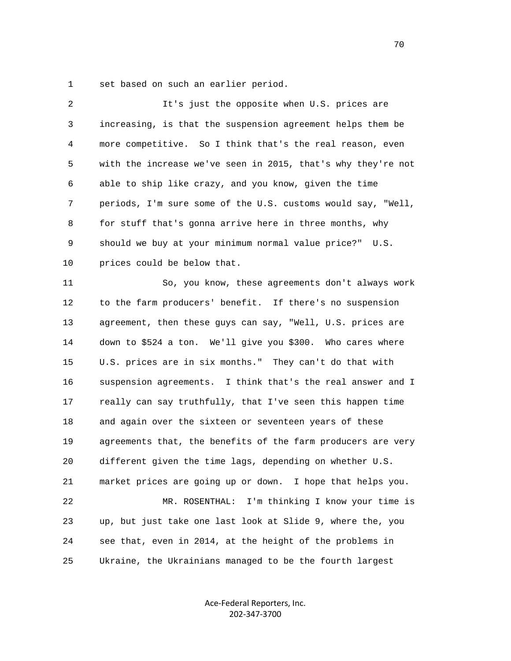1 set based on such an earlier period.

| 2  | It's just the opposite when U.S. prices are                  |
|----|--------------------------------------------------------------|
| 3  | increasing, is that the suspension agreement helps them be   |
| 4  | more competitive. So I think that's the real reason, even    |
| 5  | with the increase we've seen in 2015, that's why they're not |
| 6  | able to ship like crazy, and you know, given the time        |
| 7  | periods, I'm sure some of the U.S. customs would say, "Well, |
| 8  | for stuff that's gonna arrive here in three months, why      |
| 9  | should we buy at your minimum normal value price?" U.S.      |
| 10 | prices could be below that.                                  |
| 11 | So, you know, these agreements don't always work             |
| 12 | to the farm producers' benefit. If there's no suspension     |
| 13 | agreement, then these guys can say, "Well, U.S. prices are   |
| 14 | down to \$524 a ton. We'll give you \$300. Who cares where   |
| 15 | U.S. prices are in six months." They can't do that with      |
| 16 | suspension agreements. I think that's the real answer and I  |
| 17 | really can say truthfully, that I've seen this happen time   |
| 18 | and again over the sixteen or seventeen years of these       |
| 19 | agreements that, the benefits of the farm producers are very |
| 20 | different given the time lags, depending on whether U.S.     |
| 21 | market prices are going up or down. I hope that helps you.   |
| 22 | MR. ROSENTHAL: I'm thinking I know your time is              |
| 23 | up, but just take one last look at Slide 9, where the, you   |
| 24 | see that, even in 2014, at the height of the problems in     |
| 25 | Ukraine, the Ukrainians managed to be the fourth largest     |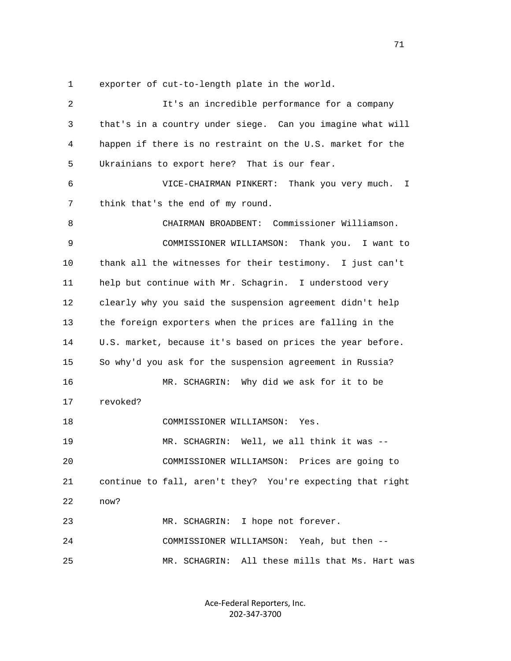1 exporter of cut-to-length plate in the world.

| 2  | It's an incredible performance for a company               |
|----|------------------------------------------------------------|
| 3  | that's in a country under siege. Can you imagine what will |
| 4  | happen if there is no restraint on the U.S. market for the |
| 5  | Ukrainians to export here? That is our fear.               |
| 6  | VICE-CHAIRMAN PINKERT: Thank you very much. I              |
| 7  | think that's the end of my round.                          |
| 8  | CHAIRMAN BROADBENT: Commissioner Williamson.               |
| 9  | COMMISSIONER WILLIAMSON: Thank you. I want to              |
| 10 | thank all the witnesses for their testimony. I just can't  |
| 11 | help but continue with Mr. Schagrin. I understood very     |
| 12 | clearly why you said the suspension agreement didn't help  |
| 13 | the foreign exporters when the prices are falling in the   |
| 14 | U.S. market, because it's based on prices the year before. |
| 15 | So why'd you ask for the suspension agreement in Russia?   |
| 16 | MR. SCHAGRIN: Why did we ask for it to be                  |
| 17 | revoked?                                                   |
| 18 | COMMISSIONER WILLIAMSON:<br>Yes.                           |
| 19 | MR. SCHAGRIN: Well, we all think it was --                 |
| 20 | COMMISSIONER WILLIAMSON: Prices are going to               |
| 21 | continue to fall, aren't they? You're expecting that right |
| 22 | now?                                                       |
| 23 | I hope not forever.<br>MR. SCHAGRIN:                       |
| 24 | COMMISSIONER WILLIAMSON: Yeah, but then --                 |
| 25 | All these mills that Ms. Hart was<br>MR. SCHAGRIN:         |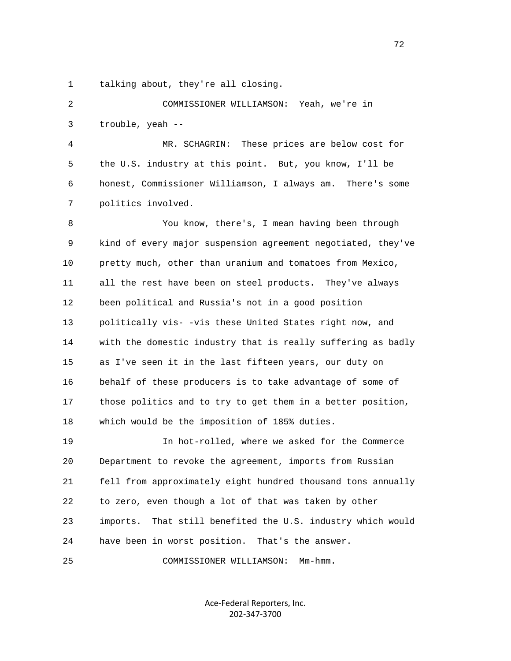1 talking about, they're all closing.

 2 COMMISSIONER WILLIAMSON: Yeah, we're in 3 trouble, yeah --

 4 MR. SCHAGRIN: These prices are below cost for 5 the U.S. industry at this point. But, you know, I'll be 6 honest, Commissioner Williamson, I always am. There's some 7 politics involved.

 8 You know, there's, I mean having been through 9 kind of every major suspension agreement negotiated, they've 10 pretty much, other than uranium and tomatoes from Mexico, 11 all the rest have been on steel products. They've always 12 been political and Russia's not in a good position 13 politically vis- -vis these United States right now, and 14 with the domestic industry that is really suffering as badly 15 as I've seen it in the last fifteen years, our duty on 16 behalf of these producers is to take advantage of some of 17 those politics and to try to get them in a better position, 18 which would be the imposition of 185% duties.

 19 In hot-rolled, where we asked for the Commerce 20 Department to revoke the agreement, imports from Russian 21 fell from approximately eight hundred thousand tons annually 22 to zero, even though a lot of that was taken by other 23 imports. That still benefited the U.S. industry which would 24 have been in worst position. That's the answer.

25 COMMISSIONER WILLIAMSON: Mm-hmm.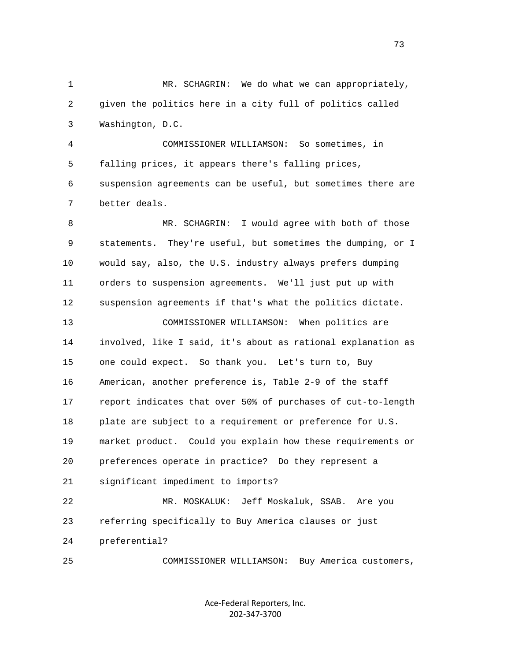1 MR. SCHAGRIN: We do what we can appropriately, 2 given the politics here in a city full of politics called 3 Washington, D.C.

 4 COMMISSIONER WILLIAMSON: So sometimes, in 5 falling prices, it appears there's falling prices, 6 suspension agreements can be useful, but sometimes there are 7 better deals.

 8 MR. SCHAGRIN: I would agree with both of those 9 statements. They're useful, but sometimes the dumping, or I 10 would say, also, the U.S. industry always prefers dumping 11 orders to suspension agreements. We'll just put up with 12 suspension agreements if that's what the politics dictate. 13 COMMISSIONER WILLIAMSON: When politics are 14 involved, like I said, it's about as rational explanation as 15 one could expect. So thank you. Let's turn to, Buy 16 American, another preference is, Table 2-9 of the staff 17 report indicates that over 50% of purchases of cut-to-length 18 plate are subject to a requirement or preference for U.S. 19 market product. Could you explain how these requirements or 20 preferences operate in practice? Do they represent a 21 significant impediment to imports? 22 MR. MOSKALUK: Jeff Moskaluk, SSAB. Are you 23 referring specifically to Buy America clauses or just 24 preferential?

25 COMMISSIONER WILLIAMSON: Buy America customers,

Ace‐Federal Reporters, Inc. 202‐347‐3700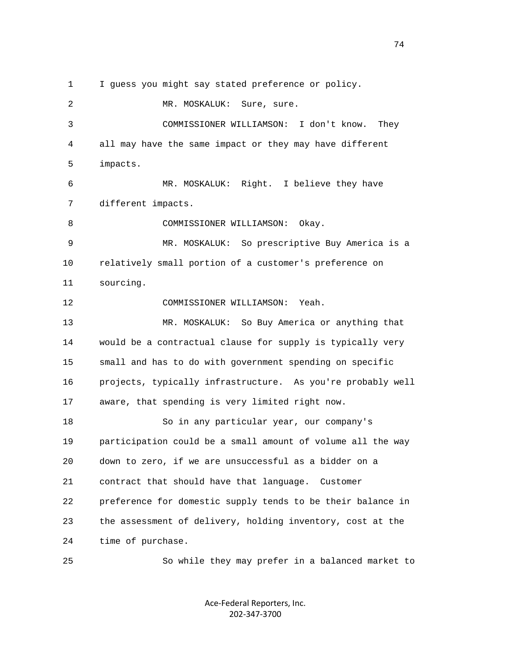1 I guess you might say stated preference or policy.

 2 MR. MOSKALUK: Sure, sure. 3 COMMISSIONER WILLIAMSON: I don't know. They 4 all may have the same impact or they may have different 5 impacts. 6 MR. MOSKALUK: Right. I believe they have 7 different impacts. 8 COMMISSIONER WILLIAMSON: Okay. 9 MR. MOSKALUK: So prescriptive Buy America is a 10 relatively small portion of a customer's preference on 11 sourcing. 12 COMMISSIONER WILLIAMSON: Yeah. 13 MR. MOSKALUK: So Buy America or anything that 14 would be a contractual clause for supply is typically very 15 small and has to do with government spending on specific 16 projects, typically infrastructure. As you're probably well 17 aware, that spending is very limited right now. 18 So in any particular year, our company's 19 participation could be a small amount of volume all the way 20 down to zero, if we are unsuccessful as a bidder on a 21 contract that should have that language. Customer 22 preference for domestic supply tends to be their balance in 23 the assessment of delivery, holding inventory, cost at the 24 time of purchase.

> Ace‐Federal Reporters, Inc. 202‐347‐3700

25 So while they may prefer in a balanced market to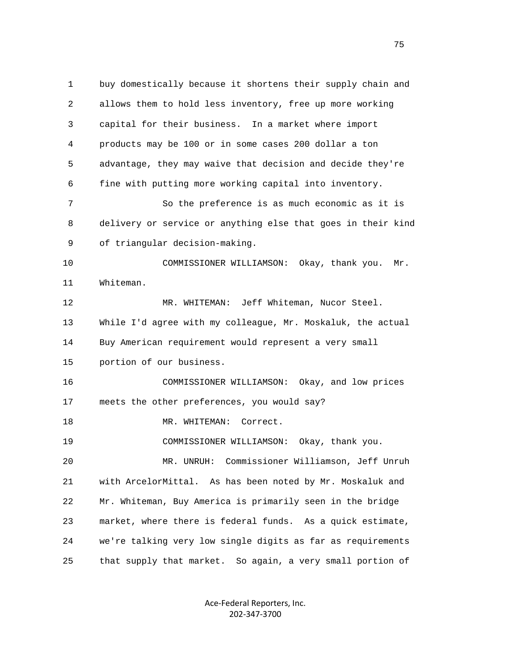1 buy domestically because it shortens their supply chain and 2 allows them to hold less inventory, free up more working 3 capital for their business. In a market where import 4 products may be 100 or in some cases 200 dollar a ton 5 advantage, they may waive that decision and decide they're 6 fine with putting more working capital into inventory. 7 So the preference is as much economic as it is 8 delivery or service or anything else that goes in their kind 9 of triangular decision-making. 10 COMMISSIONER WILLIAMSON: Okay, thank you. Mr. 11 Whiteman. 12 MR. WHITEMAN: Jeff Whiteman, Nucor Steel. 13 While I'd agree with my colleague, Mr. Moskaluk, the actual 14 Buy American requirement would represent a very small 15 portion of our business. 16 COMMISSIONER WILLIAMSON: Okay, and low prices 17 meets the other preferences, you would say? 18 MR. WHITEMAN: Correct. 19 COMMISSIONER WILLIAMSON: Okay, thank you. 20 MR. UNRUH: Commissioner Williamson, Jeff Unruh 21 with ArcelorMittal. As has been noted by Mr. Moskaluk and 22 Mr. Whiteman, Buy America is primarily seen in the bridge 23 market, where there is federal funds. As a quick estimate, 24 we're talking very low single digits as far as requirements 25 that supply that market. So again, a very small portion of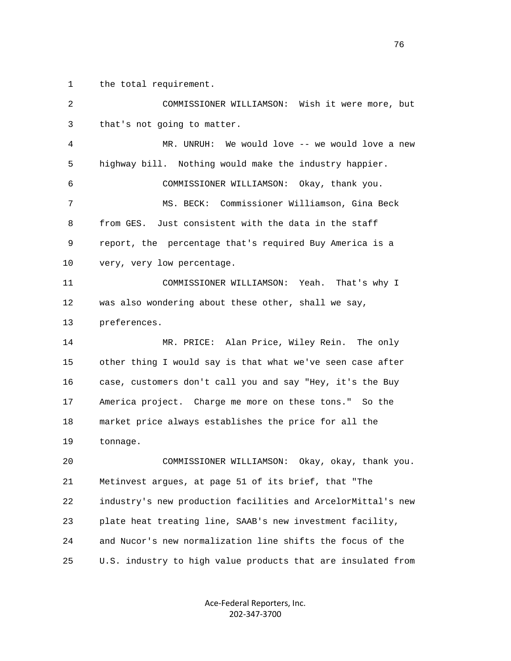1 the total requirement.

| 2  | COMMISSIONER WILLIAMSON: Wish it were more, but              |
|----|--------------------------------------------------------------|
| 3  | that's not going to matter.                                  |
| 4  | MR. UNRUH: We would love -- we would love a new              |
| 5  | highway bill. Nothing would make the industry happier.       |
| 6  | COMMISSIONER WILLIAMSON: Okay, thank you.                    |
| 7  | MS. BECK: Commissioner Williamson, Gina Beck                 |
| 8  | from GES. Just consistent with the data in the staff         |
| 9  | report, the percentage that's required Buy America is a      |
| 10 | very, very low percentage.                                   |
| 11 | COMMISSIONER WILLIAMSON: Yeah.<br>That's why I               |
| 12 | was also wondering about these other, shall we say,          |
| 13 | preferences.                                                 |
| 14 | MR. PRICE: Alan Price, Wiley Rein. The only                  |
| 15 | other thing I would say is that what we've seen case after   |
| 16 | case, customers don't call you and say "Hey, it's the Buy    |
| 17 | America project. Charge me more on these tons." So the       |
| 18 | market price always establishes the price for all the        |
| 19 | tonnage.                                                     |
| 20 | COMMISSIONER WILLIAMSON:<br>Okay, okay, thank you.           |
| 21 | Metinvest argues, at page 51 of its brief, that "The         |
| 22 | industry's new production facilities and ArcelorMittal's new |
| 23 | plate heat treating line, SAAB's new investment facility,    |
| 24 | and Nucor's new normalization line shifts the focus of the   |
| 25 | U.S. industry to high value products that are insulated from |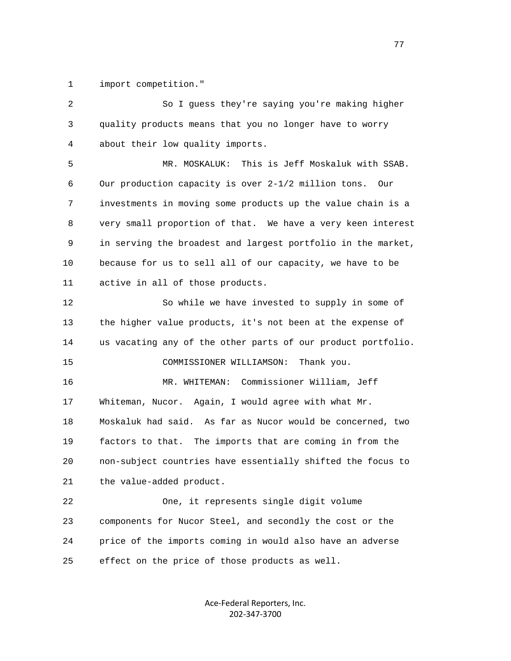1 import competition."

 2 So I guess they're saying you're making higher 3 quality products means that you no longer have to worry 4 about their low quality imports. 5 MR. MOSKALUK: This is Jeff Moskaluk with SSAB. 6 Our production capacity is over 2-1/2 million tons. Our 7 investments in moving some products up the value chain is a 8 very small proportion of that. We have a very keen interest 9 in serving the broadest and largest portfolio in the market, 10 because for us to sell all of our capacity, we have to be 11 active in all of those products. 12 So while we have invested to supply in some of 13 the higher value products, it's not been at the expense of 14 us vacating any of the other parts of our product portfolio. 15 COMMISSIONER WILLIAMSON: Thank you. 16 MR. WHITEMAN: Commissioner William, Jeff 17 Whiteman, Nucor. Again, I would agree with what Mr. 18 Moskaluk had said. As far as Nucor would be concerned, two 19 factors to that. The imports that are coming in from the 20 non-subject countries have essentially shifted the focus to 21 the value-added product. 22 One, it represents single digit volume 23 components for Nucor Steel, and secondly the cost or the 24 price of the imports coming in would also have an adverse 25 effect on the price of those products as well.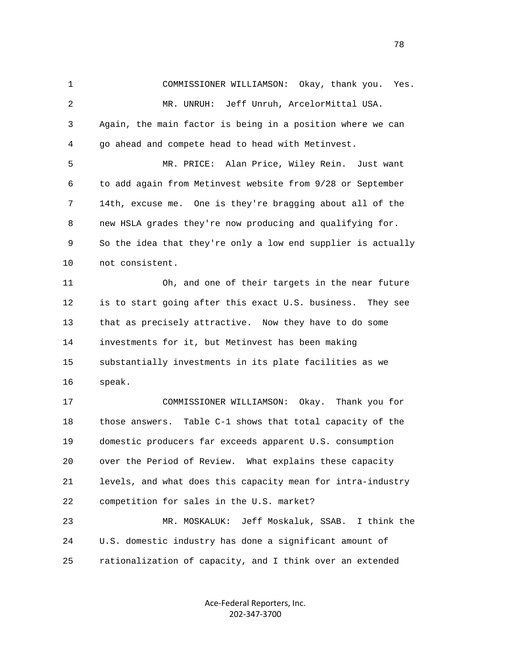1 COMMISSIONER WILLIAMSON: Okay, thank you. Yes. 2 MR. UNRUH: Jeff Unruh, ArcelorMittal USA. 3 Again, the main factor is being in a position where we can 4 go ahead and compete head to head with Metinvest. 5 MR. PRICE: Alan Price, Wiley Rein. Just want 6 to add again from Metinvest website from 9/28 or September 7 14th, excuse me. One is they're bragging about all of the 8 new HSLA grades they're now producing and qualifying for. 9 So the idea that they're only a low end supplier is actually 10 not consistent. 11 Oh, and one of their targets in the near future 12 is to start going after this exact U.S. business. They see 13 that as precisely attractive. Now they have to do some 14 investments for it, but Metinvest has been making 15 substantially investments in its plate facilities as we 16 speak. 17 COMMISSIONER WILLIAMSON: Okay. Thank you for 18 those answers. Table C-1 shows that total capacity of the 19 domestic producers far exceeds apparent U.S. consumption 20 over the Period of Review. What explains these capacity 21 levels, and what does this capacity mean for intra-industry 22 competition for sales in the U.S. market? 23 MR. MOSKALUK: Jeff Moskaluk, SSAB. I think the 24 U.S. domestic industry has done a significant amount of 25 rationalization of capacity, and I think over an extended

> Ace‐Federal Reporters, Inc. 202‐347‐3700

n and the state of the state of the state of the state of the state of the state of the state of the state of the state of the state of the state of the state of the state of the state of the state of the state of the stat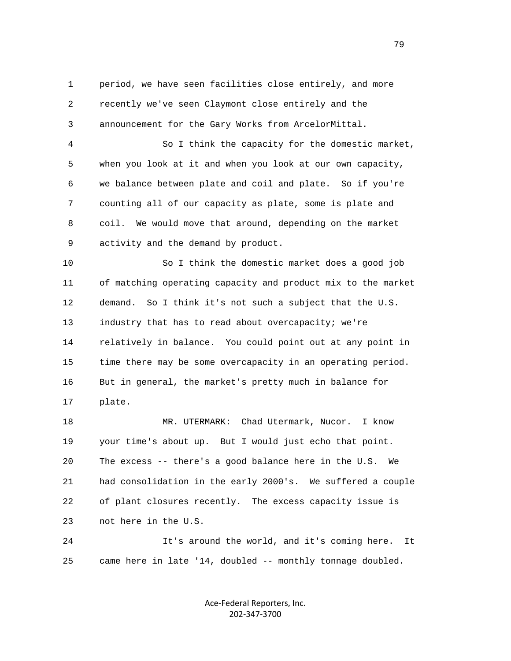1 period, we have seen facilities close entirely, and more 2 recently we've seen Claymont close entirely and the 3 announcement for the Gary Works from ArcelorMittal.

 4 So I think the capacity for the domestic market, 5 when you look at it and when you look at our own capacity, 6 we balance between plate and coil and plate. So if you're 7 counting all of our capacity as plate, some is plate and 8 coil. We would move that around, depending on the market 9 activity and the demand by product.

 10 So I think the domestic market does a good job 11 of matching operating capacity and product mix to the market 12 demand. So I think it's not such a subject that the U.S. 13 industry that has to read about overcapacity; we're 14 relatively in balance. You could point out at any point in 15 time there may be some overcapacity in an operating period. 16 But in general, the market's pretty much in balance for 17 plate.

 18 MR. UTERMARK: Chad Utermark, Nucor. I know 19 your time's about up. But I would just echo that point. 20 The excess -- there's a good balance here in the U.S. We 21 had consolidation in the early 2000's. We suffered a couple 22 of plant closures recently. The excess capacity issue is 23 not here in the U.S.

 24 It's around the world, and it's coming here. It 25 came here in late '14, doubled -- monthly tonnage doubled.

> Ace‐Federal Reporters, Inc. 202‐347‐3700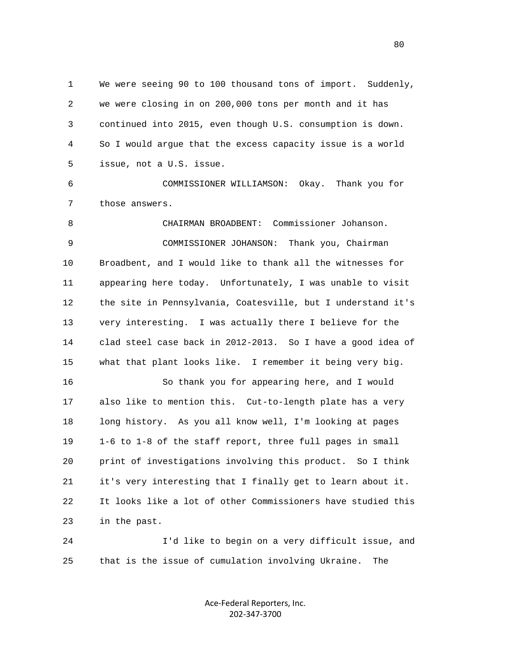1 We were seeing 90 to 100 thousand tons of import. Suddenly, 2 we were closing in on 200,000 tons per month and it has 3 continued into 2015, even though U.S. consumption is down. 4 So I would argue that the excess capacity issue is a world 5 issue, not a U.S. issue.

 6 COMMISSIONER WILLIAMSON: Okay. Thank you for 7 those answers.

 8 CHAIRMAN BROADBENT: Commissioner Johanson. 9 COMMISSIONER JOHANSON: Thank you, Chairman 10 Broadbent, and I would like to thank all the witnesses for 11 appearing here today. Unfortunately, I was unable to visit 12 the site in Pennsylvania, Coatesville, but I understand it's 13 very interesting. I was actually there I believe for the 14 clad steel case back in 2012-2013. So I have a good idea of 15 what that plant looks like. I remember it being very big.

 16 So thank you for appearing here, and I would 17 also like to mention this. Cut-to-length plate has a very 18 long history. As you all know well, I'm looking at pages 19 1-6 to 1-8 of the staff report, three full pages in small 20 print of investigations involving this product. So I think 21 it's very interesting that I finally get to learn about it. 22 It looks like a lot of other Commissioners have studied this 23 in the past.

 24 I'd like to begin on a very difficult issue, and 25 that is the issue of cumulation involving Ukraine. The

> Ace‐Federal Reporters, Inc. 202‐347‐3700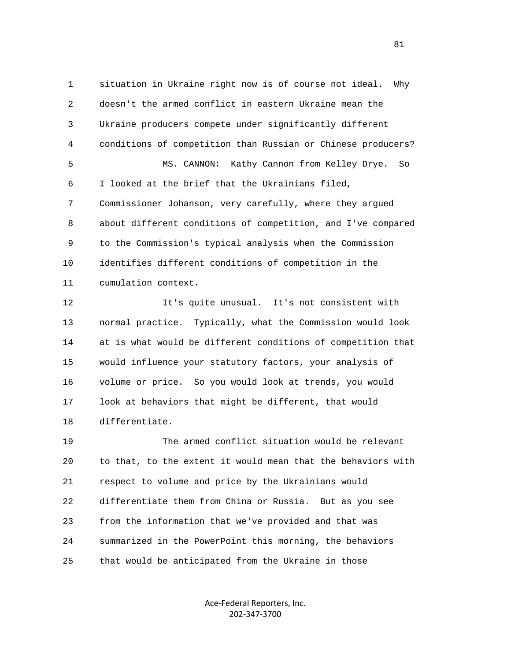1 situation in Ukraine right now is of course not ideal. Why 2 doesn't the armed conflict in eastern Ukraine mean the 3 Ukraine producers compete under significantly different 4 conditions of competition than Russian or Chinese producers? 5 MS. CANNON: Kathy Cannon from Kelley Drye. So 6 I looked at the brief that the Ukrainians filed, 7 Commissioner Johanson, very carefully, where they argued 8 about different conditions of competition, and I've compared 9 to the Commission's typical analysis when the Commission 10 identifies different conditions of competition in the 11 cumulation context.

 12 It's quite unusual. It's not consistent with 13 normal practice. Typically, what the Commission would look 14 at is what would be different conditions of competition that 15 would influence your statutory factors, your analysis of 16 volume or price. So you would look at trends, you would 17 look at behaviors that might be different, that would 18 differentiate.

 19 The armed conflict situation would be relevant 20 to that, to the extent it would mean that the behaviors with 21 respect to volume and price by the Ukrainians would 22 differentiate them from China or Russia. But as you see 23 from the information that we've provided and that was 24 summarized in the PowerPoint this morning, the behaviors 25 that would be anticipated from the Ukraine in those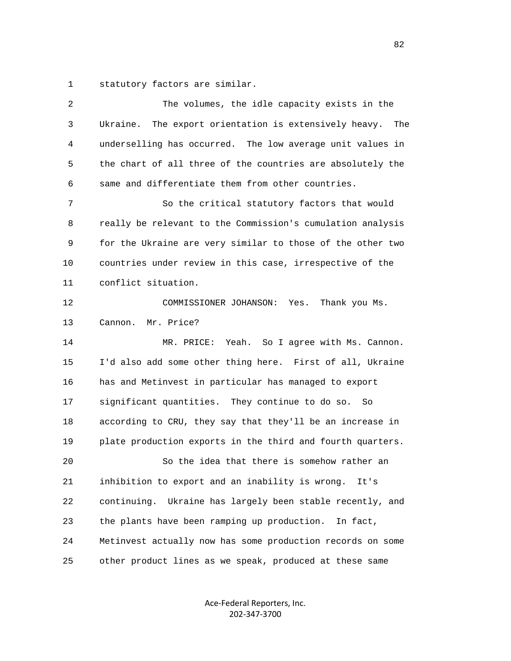1 statutory factors are similar.

| 2  | The volumes, the idle capacity exists in the                    |
|----|-----------------------------------------------------------------|
| 3  | The export orientation is extensively heavy.<br>Ukraine.<br>The |
| 4  | underselling has occurred. The low average unit values in       |
| 5  | the chart of all three of the countries are absolutely the      |
| 6  | same and differentiate them from other countries.               |
| 7  | So the critical statutory factors that would                    |
| 8  | really be relevant to the Commission's cumulation analysis      |
| 9  | for the Ukraine are very similar to those of the other two      |
| 10 | countries under review in this case, irrespective of the        |
| 11 | conflict situation.                                             |
| 12 | COMMISSIONER JOHANSON: Yes.<br>Thank you Ms.                    |
| 13 | Mr. Price?<br>Cannon.                                           |
| 14 | Yeah. So I agree with Ms. Cannon.<br>MR. PRICE:                 |
| 15 | I'd also add some other thing here. First of all, Ukraine       |
| 16 | has and Metinvest in particular has managed to export           |
| 17 | significant quantities. They continue to do so. So              |
| 18 | according to CRU, they say that they'll be an increase in       |
| 19 | plate production exports in the third and fourth quarters.      |
| 20 | So the idea that there is somehow rather an                     |
| 21 | inhibition to export and an inability is wrong.<br>It's         |
| 22 | continuing. Ukraine has largely been stable recently, and       |
| 23 | the plants have been ramping up production.<br>In fact,         |
| 24 | Metinvest actually now has some production records on some      |
| 25 | other product lines as we speak, produced at these same         |
|    |                                                                 |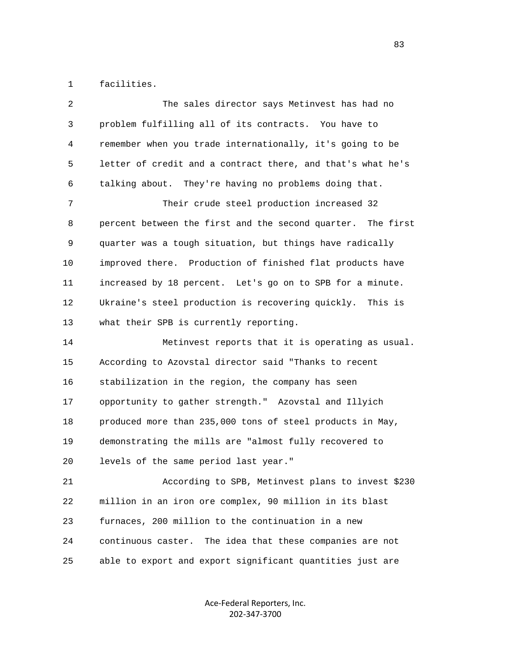1 facilities.

| 2  | The sales director says Metinvest has had no                |
|----|-------------------------------------------------------------|
| 3  | problem fulfilling all of its contracts. You have to        |
| 4  | remember when you trade internationally, it's going to be   |
| 5  | letter of credit and a contract there, and that's what he's |
| 6  | talking about. They're having no problems doing that.       |
| 7  | Their crude steel production increased 32                   |
| 8  | percent between the first and the second quarter. The first |
| 9  | quarter was a tough situation, but things have radically    |
| 10 | improved there. Production of finished flat products have   |
| 11 | increased by 18 percent. Let's go on to SPB for a minute.   |
| 12 | Ukraine's steel production is recovering quickly. This is   |
| 13 | what their SPB is currently reporting.                      |
| 14 | Metinvest reports that it is operating as usual.            |
| 15 | According to Azovstal director said "Thanks to recent       |
| 16 | stabilization in the region, the company has seen           |
| 17 | opportunity to gather strength." Azovstal and Illyich       |
| 18 | produced more than 235,000 tons of steel products in May,   |
| 19 | demonstrating the mills are "almost fully recovered to      |
| 20 | levels of the same period last year."                       |
| 21 | According to SPB, Metinvest plans to invest \$230           |
| 22 | million in an iron ore complex, 90 million in its blast     |
| 23 | furnaces, 200 million to the continuation in a new          |
| 24 | continuous caster. The idea that these companies are not    |
| 25 | able to export and export significant quantities just are   |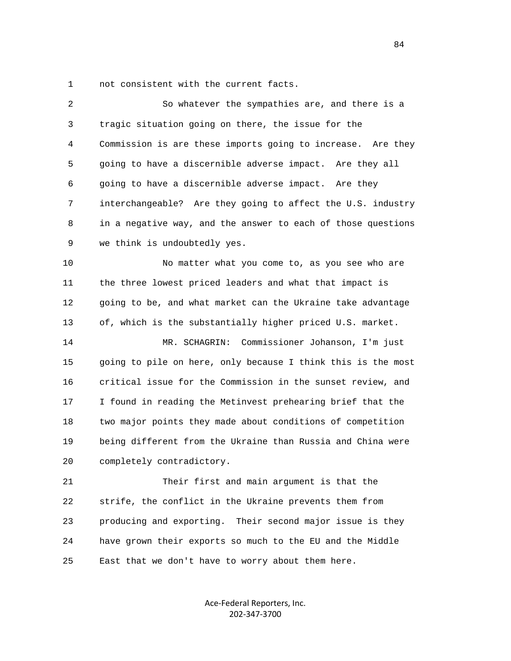1 not consistent with the current facts.

| 2  | So whatever the sympathies are, and there is a               |
|----|--------------------------------------------------------------|
| 3  | tragic situation going on there, the issue for the           |
| 4  | Commission is are these imports going to increase. Are they  |
| 5  | going to have a discernible adverse impact. Are they all     |
| 6  | going to have a discernible adverse impact. Are they         |
| 7  | interchangeable? Are they going to affect the U.S. industry  |
| 8  | in a negative way, and the answer to each of those questions |
| 9  | we think is undoubtedly yes.                                 |
| 10 | No matter what you come to, as you see who are               |
| 11 | the three lowest priced leaders and what that impact is      |
| 12 | going to be, and what market can the Ukraine take advantage  |
| 13 | of, which is the substantially higher priced U.S. market.    |
| 14 | Commissioner Johanson, I'm just<br>MR. SCHAGRIN:             |
| 15 | going to pile on here, only because I think this is the most |
| 16 | critical issue for the Commission in the sunset review, and  |
| 17 | I found in reading the Metinvest prehearing brief that the   |
| 18 | two major points they made about conditions of competition   |
| 19 | being different from the Ukraine than Russia and China were  |
| 20 | completely contradictory.                                    |
| 21 | Their first and main argument is that the                    |
| 22 | strife, the conflict in the Ukraine prevents them from       |
| 23 | producing and exporting. Their second major issue is they    |
| 24 | have grown their exports so much to the EU and the Middle    |
| 25 | East that we don't have to worry about them here.            |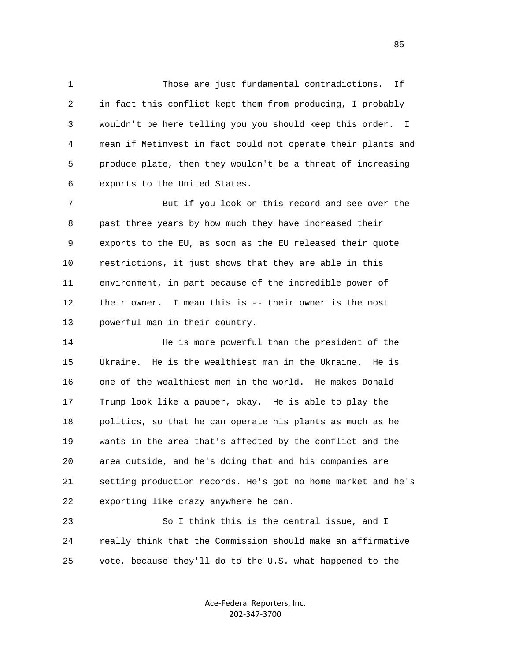1 Those are just fundamental contradictions. If 2 in fact this conflict kept them from producing, I probably 3 wouldn't be here telling you you should keep this order. I 4 mean if Metinvest in fact could not operate their plants and 5 produce plate, then they wouldn't be a threat of increasing 6 exports to the United States.

 7 But if you look on this record and see over the 8 past three years by how much they have increased their 9 exports to the EU, as soon as the EU released their quote 10 restrictions, it just shows that they are able in this 11 environment, in part because of the incredible power of 12 their owner. I mean this is -- their owner is the most 13 powerful man in their country.

14 **He is more powerful than the president of the**  15 Ukraine. He is the wealthiest man in the Ukraine. He is 16 one of the wealthiest men in the world. He makes Donald 17 Trump look like a pauper, okay. He is able to play the 18 politics, so that he can operate his plants as much as he 19 wants in the area that's affected by the conflict and the 20 area outside, and he's doing that and his companies are 21 setting production records. He's got no home market and he's 22 exporting like crazy anywhere he can.

 23 So I think this is the central issue, and I 24 really think that the Commission should make an affirmative 25 vote, because they'll do to the U.S. what happened to the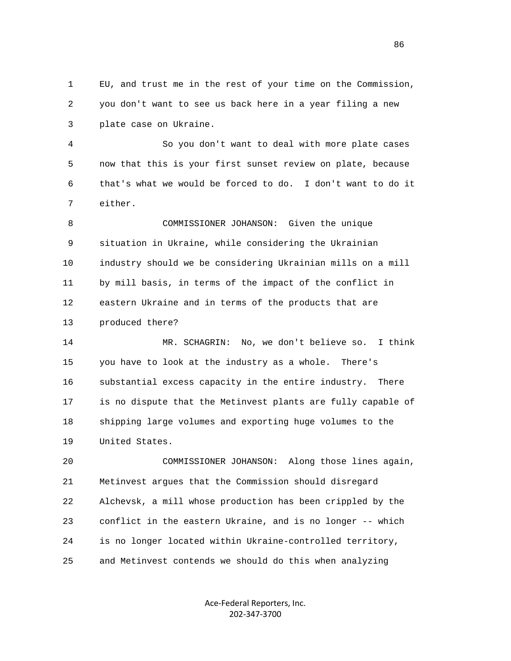1 EU, and trust me in the rest of your time on the Commission, 2 you don't want to see us back here in a year filing a new 3 plate case on Ukraine.

 4 So you don't want to deal with more plate cases 5 now that this is your first sunset review on plate, because 6 that's what we would be forced to do. I don't want to do it 7 either.

 8 COMMISSIONER JOHANSON: Given the unique 9 situation in Ukraine, while considering the Ukrainian 10 industry should we be considering Ukrainian mills on a mill 11 by mill basis, in terms of the impact of the conflict in 12 eastern Ukraine and in terms of the products that are 13 produced there?

 14 MR. SCHAGRIN: No, we don't believe so. I think 15 you have to look at the industry as a whole. There's 16 substantial excess capacity in the entire industry. There 17 is no dispute that the Metinvest plants are fully capable of 18 shipping large volumes and exporting huge volumes to the 19 United States.

 20 COMMISSIONER JOHANSON: Along those lines again, 21 Metinvest argues that the Commission should disregard 22 Alchevsk, a mill whose production has been crippled by the 23 conflict in the eastern Ukraine, and is no longer -- which 24 is no longer located within Ukraine-controlled territory, 25 and Metinvest contends we should do this when analyzing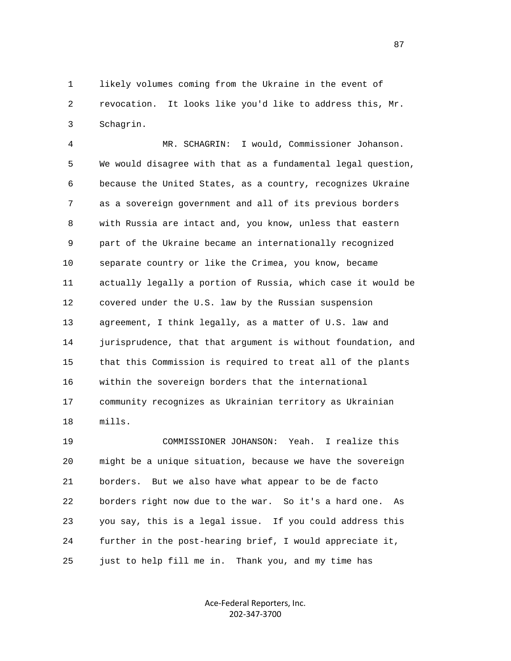1 likely volumes coming from the Ukraine in the event of 2 revocation. It looks like you'd like to address this, Mr. 3 Schagrin.

 4 MR. SCHAGRIN: I would, Commissioner Johanson. 5 We would disagree with that as a fundamental legal question, 6 because the United States, as a country, recognizes Ukraine 7 as a sovereign government and all of its previous borders 8 with Russia are intact and, you know, unless that eastern 9 part of the Ukraine became an internationally recognized 10 separate country or like the Crimea, you know, became 11 actually legally a portion of Russia, which case it would be 12 covered under the U.S. law by the Russian suspension 13 agreement, I think legally, as a matter of U.S. law and 14 jurisprudence, that that argument is without foundation, and 15 that this Commission is required to treat all of the plants 16 within the sovereign borders that the international 17 community recognizes as Ukrainian territory as Ukrainian 18 mills.

 19 COMMISSIONER JOHANSON: Yeah. I realize this 20 might be a unique situation, because we have the sovereign 21 borders. But we also have what appear to be de facto 22 borders right now due to the war. So it's a hard one. As 23 you say, this is a legal issue. If you could address this 24 further in the post-hearing brief, I would appreciate it, 25 just to help fill me in. Thank you, and my time has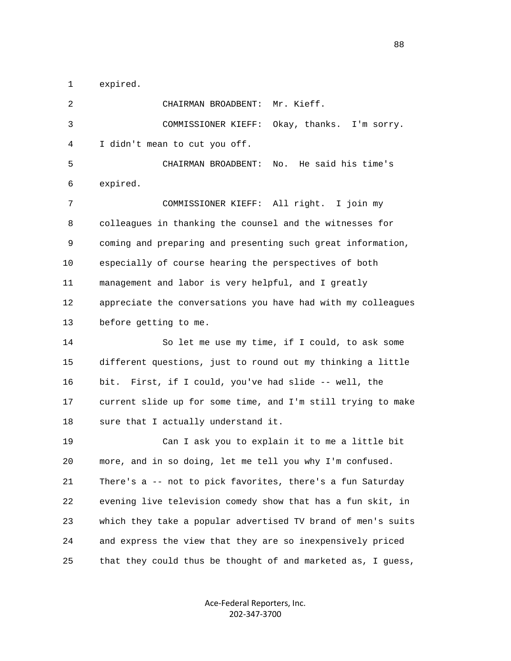1 expired.

 2 CHAIRMAN BROADBENT: Mr. Kieff. 3 COMMISSIONER KIEFF: Okay, thanks. I'm sorry. 4 I didn't mean to cut you off. 5 CHAIRMAN BROADBENT: No. He said his time's 6 expired. 7 COMMISSIONER KIEFF: All right. I join my 8 colleagues in thanking the counsel and the witnesses for 9 coming and preparing and presenting such great information, 10 especially of course hearing the perspectives of both 11 management and labor is very helpful, and I greatly 12 appreciate the conversations you have had with my colleagues 13 before getting to me. 14 So let me use my time, if I could, to ask some 15 different questions, just to round out my thinking a little 16 bit. First, if I could, you've had slide -- well, the 17 current slide up for some time, and I'm still trying to make 18 sure that I actually understand it. 19 Can I ask you to explain it to me a little bit 20 more, and in so doing, let me tell you why I'm confused. 21 There's a -- not to pick favorites, there's a fun Saturday 22 evening live television comedy show that has a fun skit, in 23 which they take a popular advertised TV brand of men's suits 24 and express the view that they are so inexpensively priced 25 that they could thus be thought of and marketed as, I guess,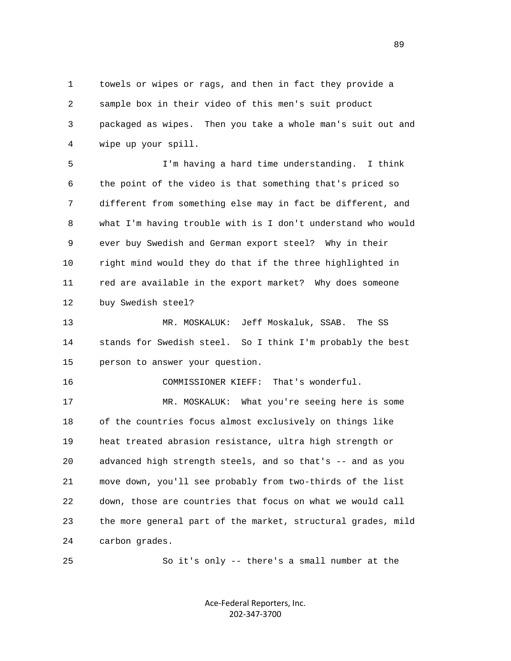1 towels or wipes or rags, and then in fact they provide a 2 sample box in their video of this men's suit product 3 packaged as wipes. Then you take a whole man's suit out and 4 wipe up your spill.

 5 I'm having a hard time understanding. I think 6 the point of the video is that something that's priced so 7 different from something else may in fact be different, and 8 what I'm having trouble with is I don't understand who would 9 ever buy Swedish and German export steel? Why in their 10 right mind would they do that if the three highlighted in 11 red are available in the export market? Why does someone 12 buy Swedish steel?

 13 MR. MOSKALUK: Jeff Moskaluk, SSAB. The SS 14 stands for Swedish steel. So I think I'm probably the best 15 person to answer your question.

16 COMMISSIONER KIEFF: That's wonderful.

 17 MR. MOSKALUK: What you're seeing here is some 18 of the countries focus almost exclusively on things like 19 heat treated abrasion resistance, ultra high strength or 20 advanced high strength steels, and so that's -- and as you 21 move down, you'll see probably from two-thirds of the list 22 down, those are countries that focus on what we would call 23 the more general part of the market, structural grades, mild 24 carbon grades.

25 So it's only -- there's a small number at the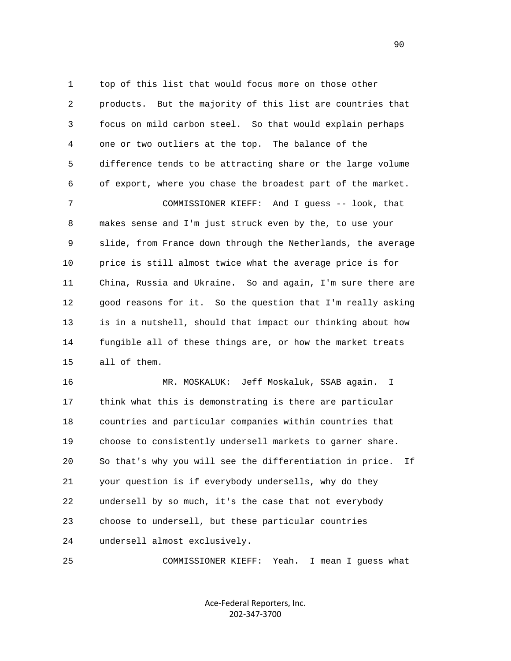1 top of this list that would focus more on those other 2 products. But the majority of this list are countries that 3 focus on mild carbon steel. So that would explain perhaps 4 one or two outliers at the top. The balance of the 5 difference tends to be attracting share or the large volume 6 of export, where you chase the broadest part of the market. 7 COMMISSIONER KIEFF: And I guess -- look, that 8 makes sense and I'm just struck even by the, to use your 9 slide, from France down through the Netherlands, the average 10 price is still almost twice what the average price is for 11 China, Russia and Ukraine. So and again, I'm sure there are 12 good reasons for it. So the question that I'm really asking 13 is in a nutshell, should that impact our thinking about how 14 fungible all of these things are, or how the market treats 15 all of them.

 16 MR. MOSKALUK: Jeff Moskaluk, SSAB again. I 17 think what this is demonstrating is there are particular 18 countries and particular companies within countries that 19 choose to consistently undersell markets to garner share. 20 So that's why you will see the differentiation in price. If 21 your question is if everybody undersells, why do they 22 undersell by so much, it's the case that not everybody 23 choose to undersell, but these particular countries 24 undersell almost exclusively.

25 COMMISSIONER KIEFF: Yeah. I mean I guess what

Ace‐Federal Reporters, Inc. 202‐347‐3700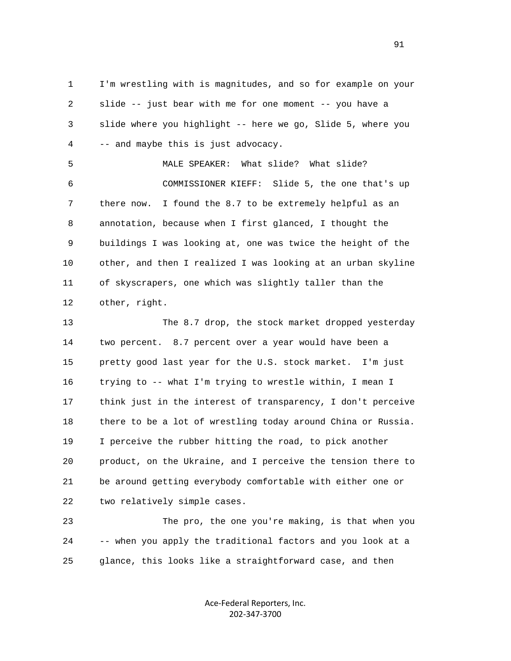1 I'm wrestling with is magnitudes, and so for example on your 2 slide -- just bear with me for one moment -- you have a 3 slide where you highlight -- here we go, Slide 5, where you 4 -- and maybe this is just advocacy.

 5 MALE SPEAKER: What slide? What slide? 6 COMMISSIONER KIEFF: Slide 5, the one that's up 7 there now. I found the 8.7 to be extremely helpful as an 8 annotation, because when I first glanced, I thought the 9 buildings I was looking at, one was twice the height of the 10 other, and then I realized I was looking at an urban skyline 11 of skyscrapers, one which was slightly taller than the 12 other, right.

 13 The 8.7 drop, the stock market dropped yesterday 14 two percent. 8.7 percent over a year would have been a 15 pretty good last year for the U.S. stock market. I'm just 16 trying to -- what I'm trying to wrestle within, I mean I 17 think just in the interest of transparency, I don't perceive 18 there to be a lot of wrestling today around China or Russia. 19 I perceive the rubber hitting the road, to pick another 20 product, on the Ukraine, and I perceive the tension there to 21 be around getting everybody comfortable with either one or 22 two relatively simple cases.

 23 The pro, the one you're making, is that when you 24 -- when you apply the traditional factors and you look at a 25 glance, this looks like a straightforward case, and then

> Ace‐Federal Reporters, Inc. 202‐347‐3700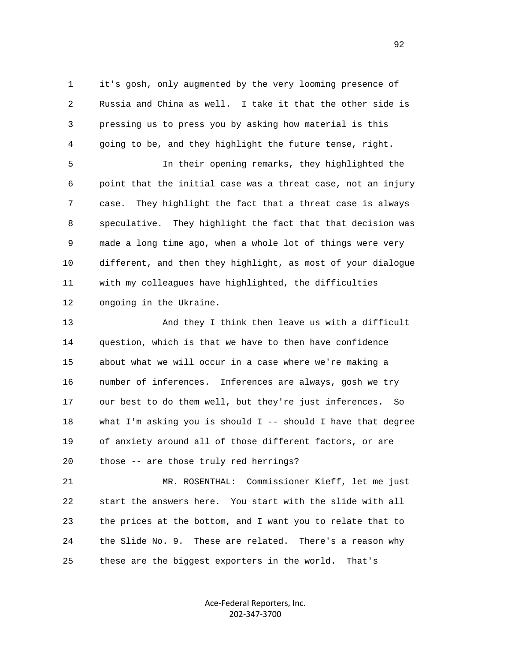1 it's gosh, only augmented by the very looming presence of 2 Russia and China as well. I take it that the other side is 3 pressing us to press you by asking how material is this 4 going to be, and they highlight the future tense, right.

 5 In their opening remarks, they highlighted the 6 point that the initial case was a threat case, not an injury 7 case. They highlight the fact that a threat case is always 8 speculative. They highlight the fact that that decision was 9 made a long time ago, when a whole lot of things were very 10 different, and then they highlight, as most of your dialogue 11 with my colleagues have highlighted, the difficulties 12 ongoing in the Ukraine.

 13 And they I think then leave us with a difficult 14 question, which is that we have to then have confidence 15 about what we will occur in a case where we're making a 16 number of inferences. Inferences are always, gosh we try 17 our best to do them well, but they're just inferences. So 18 what I'm asking you is should I -- should I have that degree 19 of anxiety around all of those different factors, or are 20 those -- are those truly red herrings?

 21 MR. ROSENTHAL: Commissioner Kieff, let me just 22 start the answers here. You start with the slide with all 23 the prices at the bottom, and I want you to relate that to 24 the Slide No. 9. These are related. There's a reason why 25 these are the biggest exporters in the world. That's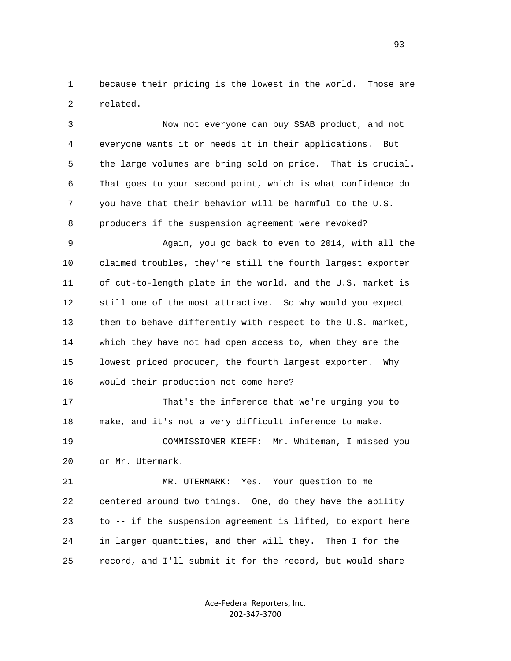1 because their pricing is the lowest in the world. Those are 2 related.

 3 Now not everyone can buy SSAB product, and not 4 everyone wants it or needs it in their applications. But 5 the large volumes are bring sold on price. That is crucial. 6 That goes to your second point, which is what confidence do 7 you have that their behavior will be harmful to the U.S. 8 producers if the suspension agreement were revoked?

 9 Again, you go back to even to 2014, with all the 10 claimed troubles, they're still the fourth largest exporter 11 of cut-to-length plate in the world, and the U.S. market is 12 still one of the most attractive. So why would you expect 13 them to behave differently with respect to the U.S. market, 14 which they have not had open access to, when they are the 15 lowest priced producer, the fourth largest exporter. Why 16 would their production not come here?

 17 That's the inference that we're urging you to 18 make, and it's not a very difficult inference to make.

 19 COMMISSIONER KIEFF: Mr. Whiteman, I missed you 20 or Mr. Utermark.

 21 MR. UTERMARK: Yes. Your question to me 22 centered around two things. One, do they have the ability 23 to -- if the suspension agreement is lifted, to export here 24 in larger quantities, and then will they. Then I for the 25 record, and I'll submit it for the record, but would share

> Ace‐Federal Reporters, Inc. 202‐347‐3700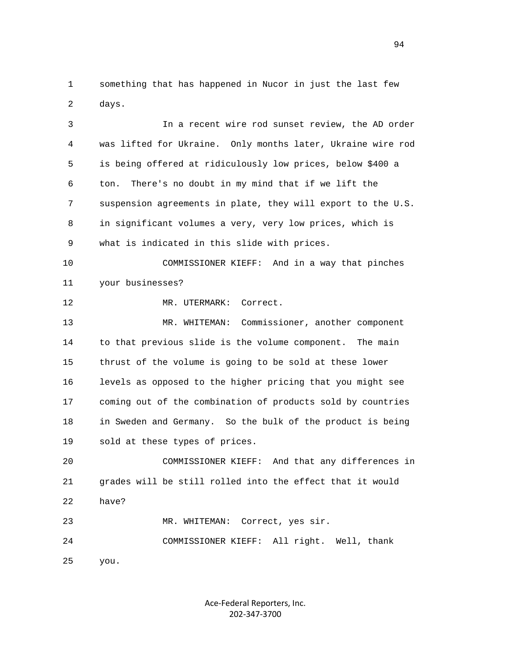1 something that has happened in Nucor in just the last few 2 days.

 3 In a recent wire rod sunset review, the AD order 4 was lifted for Ukraine. Only months later, Ukraine wire rod 5 is being offered at ridiculously low prices, below \$400 a 6 ton. There's no doubt in my mind that if we lift the 7 suspension agreements in plate, they will export to the U.S. 8 in significant volumes a very, very low prices, which is 9 what is indicated in this slide with prices. 10 COMMISSIONER KIEFF: And in a way that pinches 11 your businesses? 12 MR. UTERMARK: Correct. 13 MR. WHITEMAN: Commissioner, another component 14 to that previous slide is the volume component. The main 15 thrust of the volume is going to be sold at these lower 16 levels as opposed to the higher pricing that you might see 17 coming out of the combination of products sold by countries 18 in Sweden and Germany. So the bulk of the product is being 19 sold at these types of prices. 20 COMMISSIONER KIEFF: And that any differences in 21 grades will be still rolled into the effect that it would 22 have? 23 MR. WHITEMAN: Correct, yes sir.

24 COMMISSIONER KIEFF: All right. Well, thank

25 you.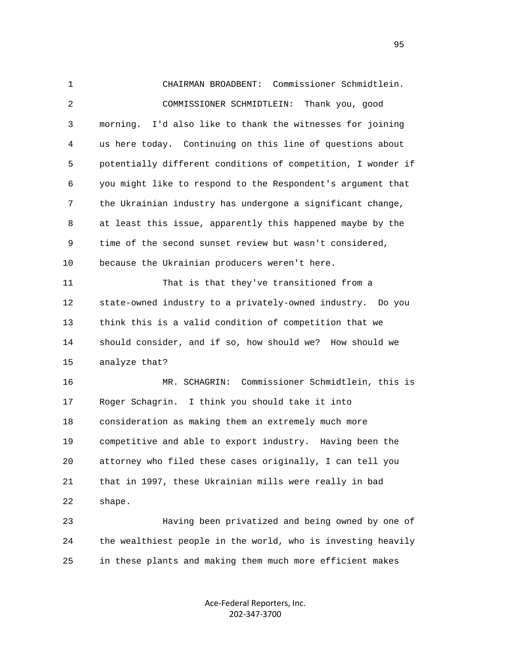1 CHAIRMAN BROADBENT: Commissioner Schmidtlein. 2 COMMISSIONER SCHMIDTLEIN: Thank you, good 3 morning. I'd also like to thank the witnesses for joining 4 us here today. Continuing on this line of questions about 5 potentially different conditions of competition, I wonder if 6 you might like to respond to the Respondent's argument that 7 the Ukrainian industry has undergone a significant change, 8 at least this issue, apparently this happened maybe by the 9 time of the second sunset review but wasn't considered, 10 because the Ukrainian producers weren't here. 11 That is that they've transitioned from a 12 state-owned industry to a privately-owned industry. Do you 13 think this is a valid condition of competition that we 14 should consider, and if so, how should we? How should we 15 analyze that? 16 MR. SCHAGRIN: Commissioner Schmidtlein, this is 17 Roger Schagrin. I think you should take it into 18 consideration as making them an extremely much more 19 competitive and able to export industry. Having been the 20 attorney who filed these cases originally, I can tell you 21 that in 1997, these Ukrainian mills were really in bad 22 shape. 23 Having been privatized and being owned by one of 24 the wealthiest people in the world, who is investing heavily

25 in these plants and making them much more efficient makes

Ace‐Federal Reporters, Inc. 202‐347‐3700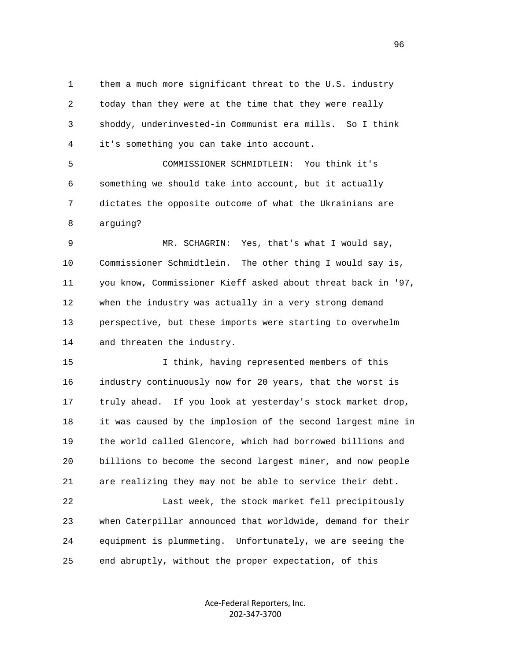1 them a much more significant threat to the U.S. industry 2 today than they were at the time that they were really 3 shoddy, underinvested-in Communist era mills. So I think 4 it's something you can take into account.

 5 COMMISSIONER SCHMIDTLEIN: You think it's 6 something we should take into account, but it actually 7 dictates the opposite outcome of what the Ukrainians are 8 arguing?

 9 MR. SCHAGRIN: Yes, that's what I would say, 10 Commissioner Schmidtlein. The other thing I would say is, 11 you know, Commissioner Kieff asked about threat back in '97, 12 when the industry was actually in a very strong demand 13 perspective, but these imports were starting to overwhelm 14 and threaten the industry.

 15 I think, having represented members of this 16 industry continuously now for 20 years, that the worst is 17 truly ahead. If you look at yesterday's stock market drop, 18 it was caused by the implosion of the second largest mine in 19 the world called Glencore, which had borrowed billions and 20 billions to become the second largest miner, and now people 21 are realizing they may not be able to service their debt.

 22 Last week, the stock market fell precipitously 23 when Caterpillar announced that worldwide, demand for their 24 equipment is plummeting. Unfortunately, we are seeing the 25 end abruptly, without the proper expectation, of this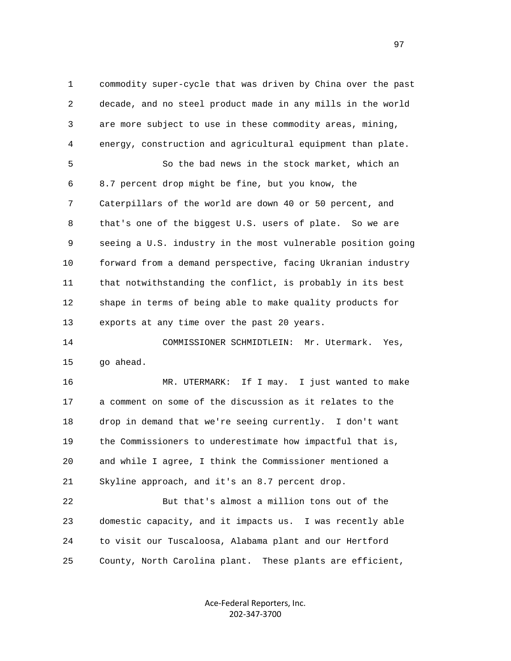1 commodity super-cycle that was driven by China over the past 2 decade, and no steel product made in any mills in the world 3 are more subject to use in these commodity areas, mining, 4 energy, construction and agricultural equipment than plate. 5 So the bad news in the stock market, which an 6 8.7 percent drop might be fine, but you know, the 7 Caterpillars of the world are down 40 or 50 percent, and 8 that's one of the biggest U.S. users of plate. So we are 9 seeing a U.S. industry in the most vulnerable position going 10 forward from a demand perspective, facing Ukranian industry 11 that notwithstanding the conflict, is probably in its best 12 shape in terms of being able to make quality products for 13 exports at any time over the past 20 years. 14 COMMISSIONER SCHMIDTLEIN: Mr. Utermark. Yes, 15 go ahead. 16 MR. UTERMARK: If I may. I just wanted to make 17 a comment on some of the discussion as it relates to the 18 drop in demand that we're seeing currently. I don't want 19 the Commissioners to underestimate how impactful that is,

 20 and while I agree, I think the Commissioner mentioned a 21 Skyline approach, and it's an 8.7 percent drop.

 22 But that's almost a million tons out of the 23 domestic capacity, and it impacts us. I was recently able 24 to visit our Tuscaloosa, Alabama plant and our Hertford 25 County, North Carolina plant. These plants are efficient,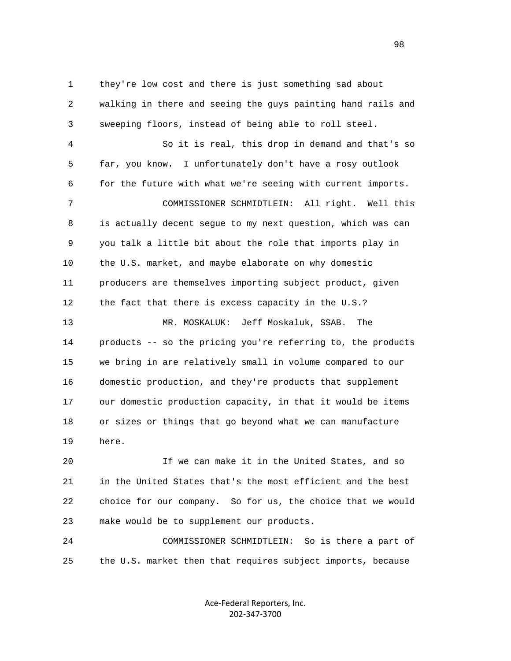1 they're low cost and there is just something sad about 2 walking in there and seeing the guys painting hand rails and 3 sweeping floors, instead of being able to roll steel.

 4 So it is real, this drop in demand and that's so 5 far, you know. I unfortunately don't have a rosy outlook 6 for the future with what we're seeing with current imports. 7 COMMISSIONER SCHMIDTLEIN: All right. Well this 8 is actually decent segue to my next question, which was can 9 you talk a little bit about the role that imports play in 10 the U.S. market, and maybe elaborate on why domestic 11 producers are themselves importing subject product, given 12 the fact that there is excess capacity in the U.S.? 13 MR. MOSKALUK: Jeff Moskaluk, SSAB. The 14 products -- so the pricing you're referring to, the products 15 we bring in are relatively small in volume compared to our 16 domestic production, and they're products that supplement 17 our domestic production capacity, in that it would be items 18 or sizes or things that go beyond what we can manufacture 19 here.

 20 If we can make it in the United States, and so 21 in the United States that's the most efficient and the best 22 choice for our company. So for us, the choice that we would 23 make would be to supplement our products.

 24 COMMISSIONER SCHMIDTLEIN: So is there a part of 25 the U.S. market then that requires subject imports, because

> Ace‐Federal Reporters, Inc. 202‐347‐3700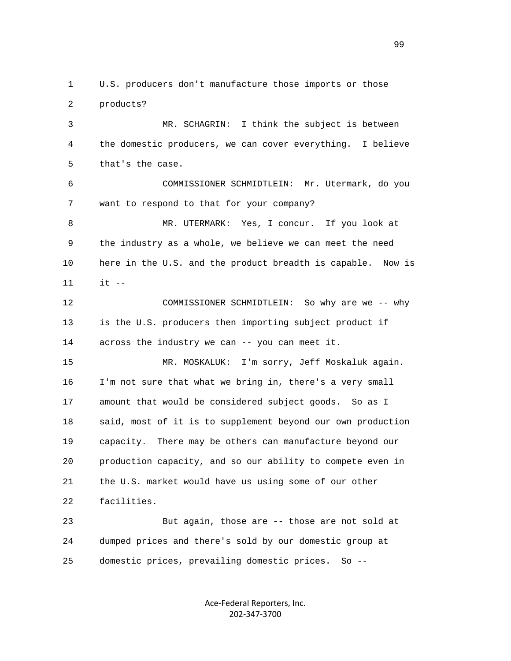3 MR. SCHAGRIN: I think the subject is between 4 the domestic producers, we can cover everything. I believe 5 that's the case. 6 COMMISSIONER SCHMIDTLEIN: Mr. Utermark, do you 7 want to respond to that for your company? 8 MR. UTERMARK: Yes, I concur. If you look at 9 the industry as a whole, we believe we can meet the need 10 here in the U.S. and the product breadth is capable. Now is 11 it -- 12 COMMISSIONER SCHMIDTLEIN: So why are we -- why 13 is the U.S. producers then importing subject product if 14 across the industry we can -- you can meet it. 15 MR. MOSKALUK: I'm sorry, Jeff Moskaluk again. 16 I'm not sure that what we bring in, there's a very small 17 amount that would be considered subject goods. So as I 18 said, most of it is to supplement beyond our own production 19 capacity. There may be others can manufacture beyond our 20 production capacity, and so our ability to compete even in 21 the U.S. market would have us using some of our other 22 facilities. 23 But again, those are -- those are not sold at 24 dumped prices and there's sold by our domestic group at 25 domestic prices, prevailing domestic prices. So --

1 U.S. producers don't manufacture those imports or those

2 products?

Ace‐Federal Reporters, Inc. 202‐347‐3700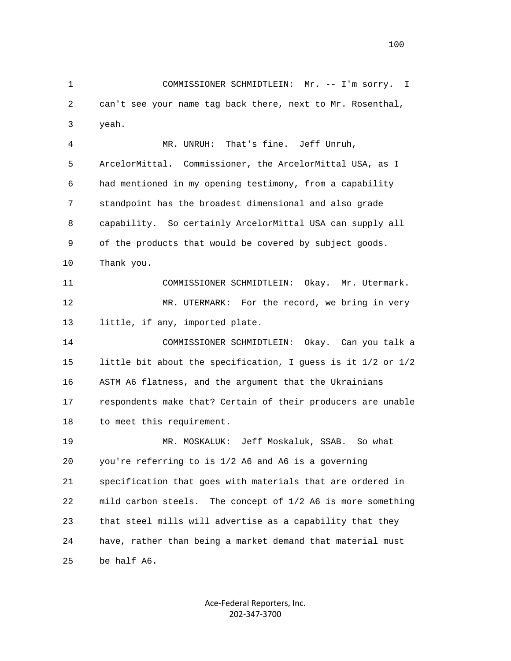1 COMMISSIONER SCHMIDTLEIN: Mr. -- I'm sorry. I 2 can't see your name tag back there, next to Mr. Rosenthal, 3 yeah. 4 MR. UNRUH: That's fine. Jeff Unruh, 5 ArcelorMittal. Commissioner, the ArcelorMittal USA, as I 6 had mentioned in my opening testimony, from a capability 7 standpoint has the broadest dimensional and also grade 8 capability. So certainly ArcelorMittal USA can supply all 9 of the products that would be covered by subject goods. 10 Thank you. 11 COMMISSIONER SCHMIDTLEIN: Okay. Mr. Utermark. 12 MR. UTERMARK: For the record, we bring in very 13 little, if any, imported plate. 14 COMMISSIONER SCHMIDTLEIN: Okay. Can you talk a 15 little bit about the specification, I guess is it 1/2 or 1/2 16 ASTM A6 flatness, and the argument that the Ukrainians 17 respondents make that? Certain of their producers are unable 18 to meet this requirement. 19 MR. MOSKALUK: Jeff Moskaluk, SSAB. So what 20 you're referring to is 1/2 A6 and A6 is a governing 21 specification that goes with materials that are ordered in 22 mild carbon steels. The concept of 1/2 A6 is more something 23 that steel mills will advertise as a capability that they 24 have, rather than being a market demand that material must 25 be half A6.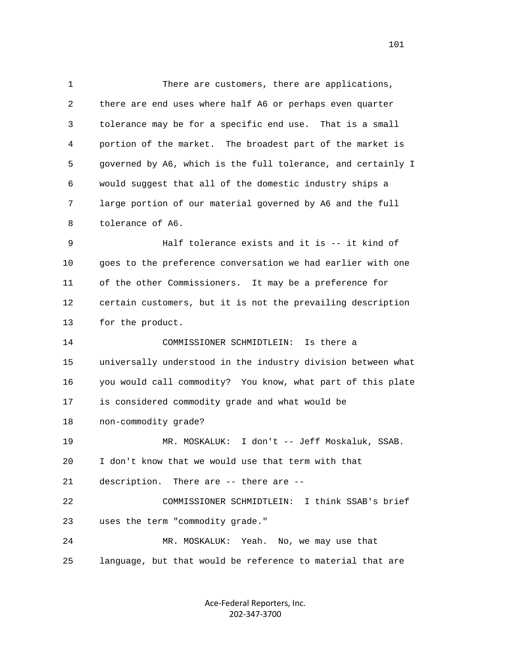1 There are customers, there are applications, 2 there are end uses where half A6 or perhaps even quarter 3 tolerance may be for a specific end use. That is a small 4 portion of the market. The broadest part of the market is 5 governed by A6, which is the full tolerance, and certainly I 6 would suggest that all of the domestic industry ships a 7 large portion of our material governed by A6 and the full 8 tolerance of A6. 9 Half tolerance exists and it is -- it kind of 10 goes to the preference conversation we had earlier with one

 11 of the other Commissioners. It may be a preference for 12 certain customers, but it is not the prevailing description 13 for the product.

 14 COMMISSIONER SCHMIDTLEIN: Is there a 15 universally understood in the industry division between what 16 you would call commodity? You know, what part of this plate 17 is considered commodity grade and what would be 18 non-commodity grade? 19 MR. MOSKALUK: I don't -- Jeff Moskaluk, SSAB. 20 I don't know that we would use that term with that 21 description. There are -- there are -- 22 COMMISSIONER SCHMIDTLEIN: I think SSAB's brief 23 uses the term "commodity grade." 24 MR. MOSKALUK: Yeah. No, we may use that 25 language, but that would be reference to material that are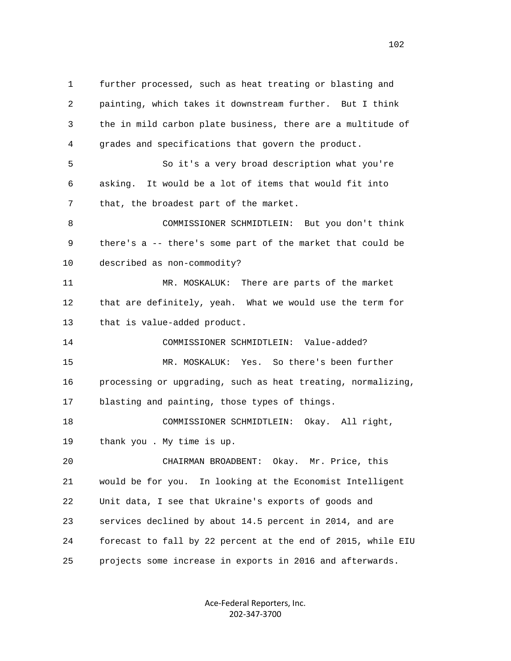1 further processed, such as heat treating or blasting and 2 painting, which takes it downstream further. But I think 3 the in mild carbon plate business, there are a multitude of 4 grades and specifications that govern the product. 5 So it's a very broad description what you're 6 asking. It would be a lot of items that would fit into 7 that, the broadest part of the market. 8 COMMISSIONER SCHMIDTLEIN: But you don't think 9 there's a -- there's some part of the market that could be 10 described as non-commodity? 11 MR. MOSKALUK: There are parts of the market 12 that are definitely, yeah. What we would use the term for 13 that is value-added product. 14 COMMISSIONER SCHMIDTLEIN: Value-added? 15 MR. MOSKALUK: Yes. So there's been further 16 processing or upgrading, such as heat treating, normalizing, 17 blasting and painting, those types of things. 18 COMMISSIONER SCHMIDTLEIN: Okay. All right, 19 thank you . My time is up. 20 CHAIRMAN BROADBENT: Okay. Mr. Price, this 21 would be for you. In looking at the Economist Intelligent 22 Unit data, I see that Ukraine's exports of goods and 23 services declined by about 14.5 percent in 2014, and are 24 forecast to fall by 22 percent at the end of 2015, while EIU 25 projects some increase in exports in 2016 and afterwards.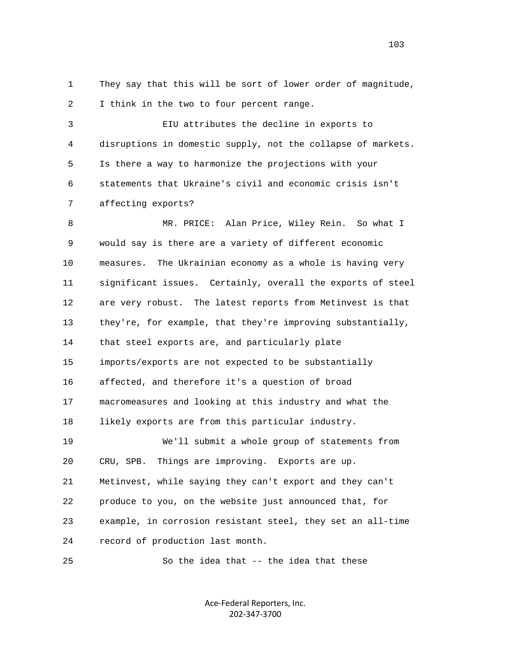1 They say that this will be sort of lower order of magnitude, 2 I think in the two to four percent range.

 3 EIU attributes the decline in exports to 4 disruptions in domestic supply, not the collapse of markets. 5 Is there a way to harmonize the projections with your 6 statements that Ukraine's civil and economic crisis isn't 7 affecting exports?

 8 MR. PRICE: Alan Price, Wiley Rein. So what I 9 would say is there are a variety of different economic 10 measures. The Ukrainian economy as a whole is having very 11 significant issues. Certainly, overall the exports of steel 12 are very robust. The latest reports from Metinvest is that 13 they're, for example, that they're improving substantially, 14 that steel exports are, and particularly plate 15 imports/exports are not expected to be substantially 16 affected, and therefore it's a question of broad 17 macromeasures and looking at this industry and what the 18 likely exports are from this particular industry. 19 We'll submit a whole group of statements from 20 CRU, SPB. Things are improving. Exports are up. 21 Metinvest, while saying they can't export and they can't 22 produce to you, on the website just announced that, for 23 example, in corrosion resistant steel, they set an all-time 24 record of production last month.

25 So the idea that -- the idea that these

Ace‐Federal Reporters, Inc. 202‐347‐3700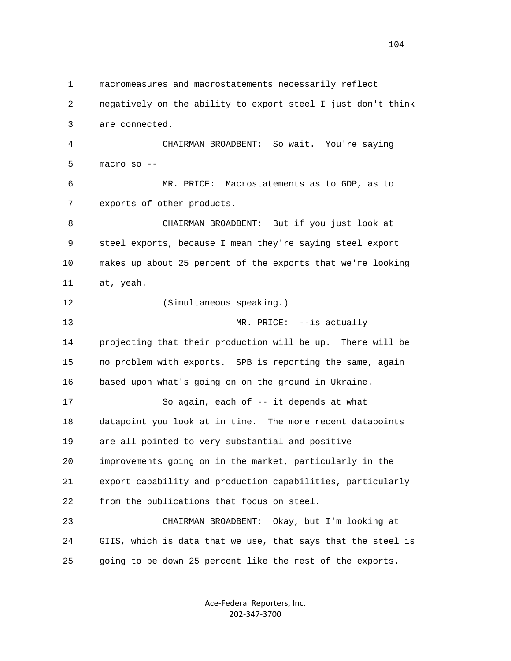1 macromeasures and macrostatements necessarily reflect 2 negatively on the ability to export steel I just don't think 3 are connected. 4 CHAIRMAN BROADBENT: So wait. You're saying 5 macro so -- 6 MR. PRICE: Macrostatements as to GDP, as to 7 exports of other products. 8 CHAIRMAN BROADBENT: But if you just look at 9 steel exports, because I mean they're saying steel export 10 makes up about 25 percent of the exports that we're looking 11 at, yeah. 12 (Simultaneous speaking.) 13 MR. PRICE:  $-$ is actually 14 projecting that their production will be up. There will be 15 no problem with exports. SPB is reporting the same, again 16 based upon what's going on on the ground in Ukraine. 17 So again, each of -- it depends at what 18 datapoint you look at in time. The more recent datapoints 19 are all pointed to very substantial and positive 20 improvements going on in the market, particularly in the 21 export capability and production capabilities, particularly 22 from the publications that focus on steel. 23 CHAIRMAN BROADBENT: Okay, but I'm looking at 24 GIIS, which is data that we use, that says that the steel is 25 going to be down 25 percent like the rest of the exports.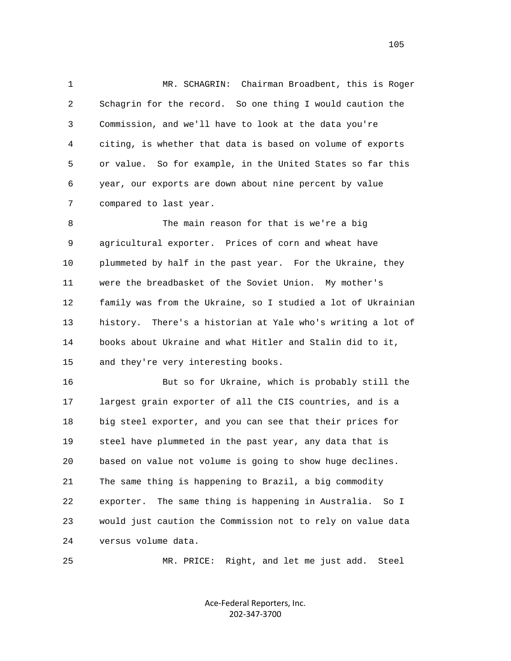1 MR. SCHAGRIN: Chairman Broadbent, this is Roger 2 Schagrin for the record. So one thing I would caution the 3 Commission, and we'll have to look at the data you're 4 citing, is whether that data is based on volume of exports 5 or value. So for example, in the United States so far this 6 year, our exports are down about nine percent by value 7 compared to last year.

 8 The main reason for that is we're a big 9 agricultural exporter. Prices of corn and wheat have 10 plummeted by half in the past year. For the Ukraine, they 11 were the breadbasket of the Soviet Union. My mother's 12 family was from the Ukraine, so I studied a lot of Ukrainian 13 history. There's a historian at Yale who's writing a lot of 14 books about Ukraine and what Hitler and Stalin did to it, 15 and they're very interesting books.

 16 But so for Ukraine, which is probably still the 17 largest grain exporter of all the CIS countries, and is a 18 big steel exporter, and you can see that their prices for 19 steel have plummeted in the past year, any data that is 20 based on value not volume is going to show huge declines. 21 The same thing is happening to Brazil, a big commodity 22 exporter. The same thing is happening in Australia. So I 23 would just caution the Commission not to rely on value data 24 versus volume data.

25 MR. PRICE: Right, and let me just add. Steel

Ace‐Federal Reporters, Inc. 202‐347‐3700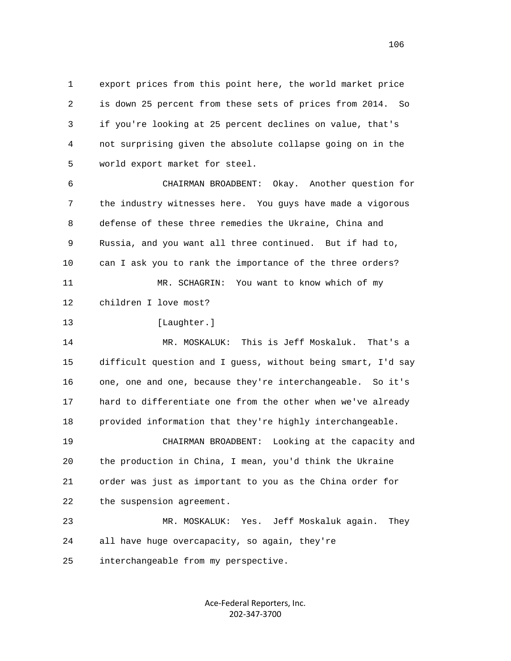1 export prices from this point here, the world market price 2 is down 25 percent from these sets of prices from 2014. So 3 if you're looking at 25 percent declines on value, that's 4 not surprising given the absolute collapse going on in the 5 world export market for steel.

 6 CHAIRMAN BROADBENT: Okay. Another question for 7 the industry witnesses here. You guys have made a vigorous 8 defense of these three remedies the Ukraine, China and 9 Russia, and you want all three continued. But if had to, 10 can I ask you to rank the importance of the three orders? 11 MR. SCHAGRIN: You want to know which of my 12 children I love most?

13 [Laughter.]

 14 MR. MOSKALUK: This is Jeff Moskaluk. That's a 15 difficult question and I guess, without being smart, I'd say 16 one, one and one, because they're interchangeable. So it's 17 hard to differentiate one from the other when we've already 18 provided information that they're highly interchangeable. 19 CHAIRMAN BROADBENT: Looking at the capacity and 20 the production in China, I mean, you'd think the Ukraine 21 order was just as important to you as the China order for

22 the suspension agreement.

 23 MR. MOSKALUK: Yes. Jeff Moskaluk again. They 24 all have huge overcapacity, so again, they're

25 interchangeable from my perspective.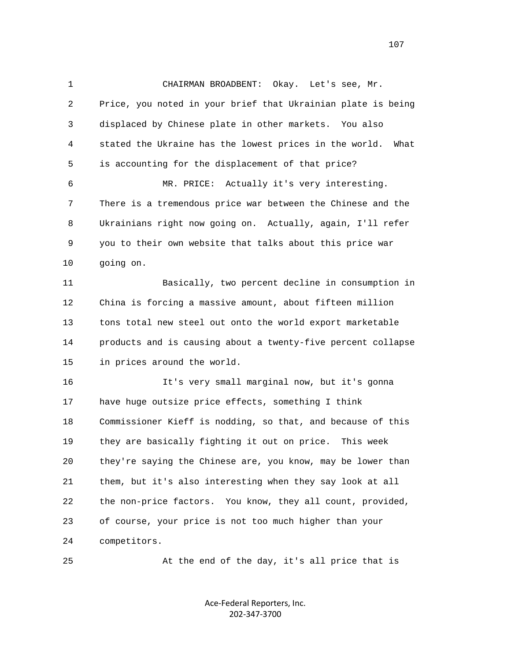1 CHAIRMAN BROADBENT: Okay. Let's see, Mr. 2 Price, you noted in your brief that Ukrainian plate is being 3 displaced by Chinese plate in other markets. You also 4 stated the Ukraine has the lowest prices in the world. What 5 is accounting for the displacement of that price? 6 MR. PRICE: Actually it's very interesting. 7 There is a tremendous price war between the Chinese and the 8 Ukrainians right now going on. Actually, again, I'll refer 9 you to their own website that talks about this price war 10 going on. 11 Basically, two percent decline in consumption in 12 China is forcing a massive amount, about fifteen million 13 tons total new steel out onto the world export marketable 14 products and is causing about a twenty-five percent collapse 15 in prices around the world. 16 It's very small marginal now, but it's gonna 17 have huge outsize price effects, something I think 18 Commissioner Kieff is nodding, so that, and because of this 19 they are basically fighting it out on price. This week 20 they're saying the Chinese are, you know, may be lower than 21 them, but it's also interesting when they say look at all 22 the non-price factors. You know, they all count, provided, 23 of course, your price is not too much higher than your 24 competitors.

25 At the end of the day, it's all price that is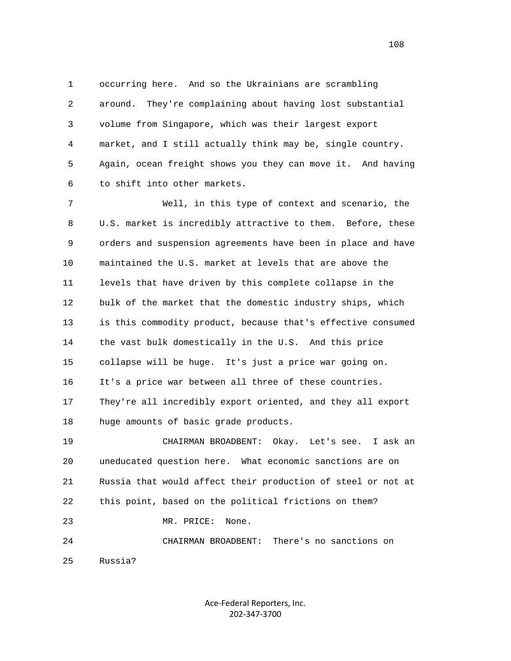1 occurring here. And so the Ukrainians are scrambling 2 around. They're complaining about having lost substantial 3 volume from Singapore, which was their largest export 4 market, and I still actually think may be, single country. 5 Again, ocean freight shows you they can move it. And having 6 to shift into other markets.

 7 Well, in this type of context and scenario, the 8 U.S. market is incredibly attractive to them. Before, these 9 orders and suspension agreements have been in place and have 10 maintained the U.S. market at levels that are above the 11 levels that have driven by this complete collapse in the 12 bulk of the market that the domestic industry ships, which 13 is this commodity product, because that's effective consumed 14 the vast bulk domestically in the U.S. And this price 15 collapse will be huge. It's just a price war going on. 16 It's a price war between all three of these countries. 17 They're all incredibly export oriented, and they all export 18 huge amounts of basic grade products.

 19 CHAIRMAN BROADBENT: Okay. Let's see. I ask an 20 uneducated question here. What economic sanctions are on 21 Russia that would affect their production of steel or not at 22 this point, based on the political frictions on them? 23 MR. PRICE: None.

 24 CHAIRMAN BROADBENT: There's no sanctions on 25 Russia?

> Ace‐Federal Reporters, Inc. 202‐347‐3700

108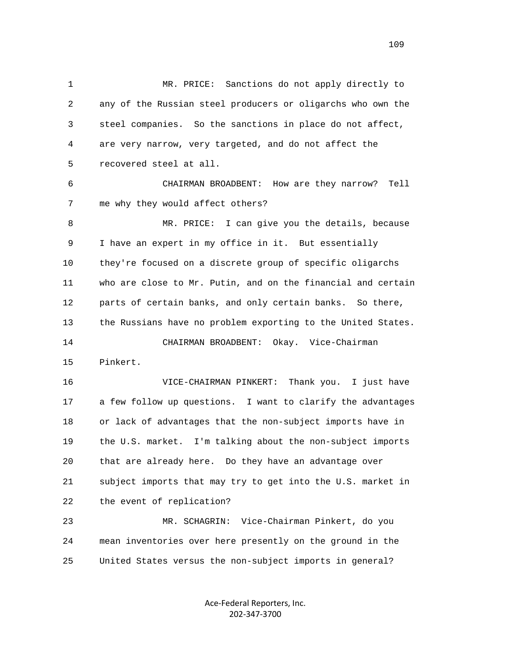1 MR. PRICE: Sanctions do not apply directly to 2 any of the Russian steel producers or oligarchs who own the 3 steel companies. So the sanctions in place do not affect, 4 are very narrow, very targeted, and do not affect the 5 recovered steel at all. 6 CHAIRMAN BROADBENT: How are they narrow? Tell 7 me why they would affect others? 8 MR. PRICE: I can give you the details, because 9 I have an expert in my office in it. But essentially 10 they're focused on a discrete group of specific oligarchs 11 who are close to Mr. Putin, and on the financial and certain 12 parts of certain banks, and only certain banks. So there, 13 the Russians have no problem exporting to the United States. 14 CHAIRMAN BROADBENT: Okay. Vice-Chairman 15 Pinkert. 16 VICE-CHAIRMAN PINKERT: Thank you. I just have 17 a few follow up questions. I want to clarify the advantages 18 or lack of advantages that the non-subject imports have in 19 the U.S. market. I'm talking about the non-subject imports 20 that are already here. Do they have an advantage over 21 subject imports that may try to get into the U.S. market in 22 the event of replication? 23 MR. SCHAGRIN: Vice-Chairman Pinkert, do you 24 mean inventories over here presently on the ground in the

> Ace‐Federal Reporters, Inc. 202‐347‐3700

25 United States versus the non-subject imports in general?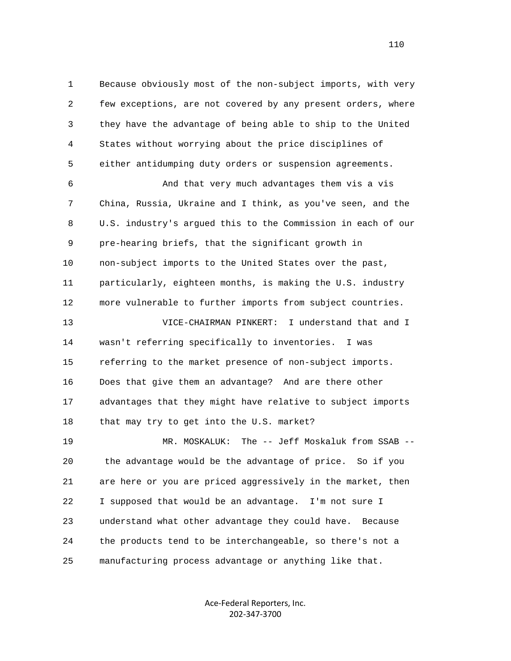1 Because obviously most of the non-subject imports, with very 2 few exceptions, are not covered by any present orders, where 3 they have the advantage of being able to ship to the United 4 States without worrying about the price disciplines of 5 either antidumping duty orders or suspension agreements.

 6 And that very much advantages them vis a vis 7 China, Russia, Ukraine and I think, as you've seen, and the 8 U.S. industry's argued this to the Commission in each of our 9 pre-hearing briefs, that the significant growth in 10 non-subject imports to the United States over the past, 11 particularly, eighteen months, is making the U.S. industry 12 more vulnerable to further imports from subject countries.

 13 VICE-CHAIRMAN PINKERT: I understand that and I 14 wasn't referring specifically to inventories. I was 15 referring to the market presence of non-subject imports. 16 Does that give them an advantage? And are there other 17 advantages that they might have relative to subject imports 18 that may try to get into the U.S. market?

 19 MR. MOSKALUK: The -- Jeff Moskaluk from SSAB -- 20 the advantage would be the advantage of price. So if you 21 are here or you are priced aggressively in the market, then 22 I supposed that would be an advantage. I'm not sure I 23 understand what other advantage they could have. Because 24 the products tend to be interchangeable, so there's not a 25 manufacturing process advantage or anything like that.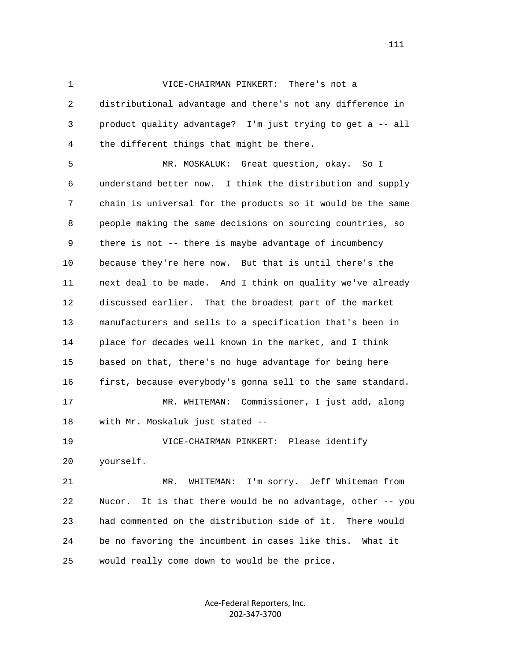1 VICE-CHAIRMAN PINKERT: There's not a 2 distributional advantage and there's not any difference in 3 product quality advantage? I'm just trying to get a -- all 4 the different things that might be there.

 5 MR. MOSKALUK: Great question, okay. So I 6 understand better now. I think the distribution and supply 7 chain is universal for the products so it would be the same 8 people making the same decisions on sourcing countries, so 9 there is not -- there is maybe advantage of incumbency 10 because they're here now. But that is until there's the 11 next deal to be made. And I think on quality we've already 12 discussed earlier. That the broadest part of the market 13 manufacturers and sells to a specification that's been in 14 place for decades well known in the market, and I think 15 based on that, there's no huge advantage for being here 16 first, because everybody's gonna sell to the same standard. 17 MR. WHITEMAN: Commissioner, I just add, along 18 with Mr. Moskaluk just stated -- 19 VICE-CHAIRMAN PINKERT: Please identify 20 yourself. 21 MR. WHITEMAN: I'm sorry. Jeff Whiteman from

 22 Nucor. It is that there would be no advantage, other -- you 23 had commented on the distribution side of it. There would 24 be no favoring the incumbent in cases like this. What it 25 would really come down to would be the price.

> Ace‐Federal Reporters, Inc. 202‐347‐3700

111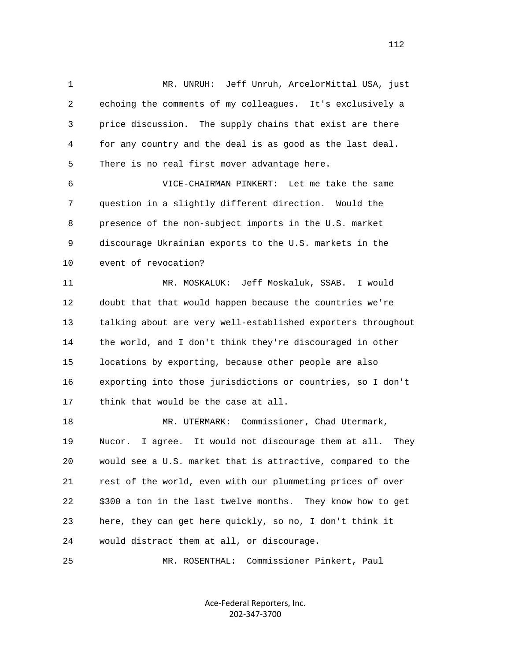1 MR. UNRUH: Jeff Unruh, ArcelorMittal USA, just 2 echoing the comments of my colleagues. It's exclusively a 3 price discussion. The supply chains that exist are there 4 for any country and the deal is as good as the last deal. 5 There is no real first mover advantage here. 6 VICE-CHAIRMAN PINKERT: Let me take the same 7 question in a slightly different direction. Would the

 8 presence of the non-subject imports in the U.S. market 9 discourage Ukrainian exports to the U.S. markets in the 10 event of revocation?

 11 MR. MOSKALUK: Jeff Moskaluk, SSAB. I would 12 doubt that that would happen because the countries we're 13 talking about are very well-established exporters throughout 14 the world, and I don't think they're discouraged in other 15 locations by exporting, because other people are also 16 exporting into those jurisdictions or countries, so I don't 17 think that would be the case at all.

 18 MR. UTERMARK: Commissioner, Chad Utermark, 19 Nucor. I agree. It would not discourage them at all. They 20 would see a U.S. market that is attractive, compared to the 21 rest of the world, even with our plummeting prices of over 22 \$300 a ton in the last twelve months. They know how to get 23 here, they can get here quickly, so no, I don't think it 24 would distract them at all, or discourage.

25 MR. ROSENTHAL: Commissioner Pinkert, Paul

Ace‐Federal Reporters, Inc. 202‐347‐3700

112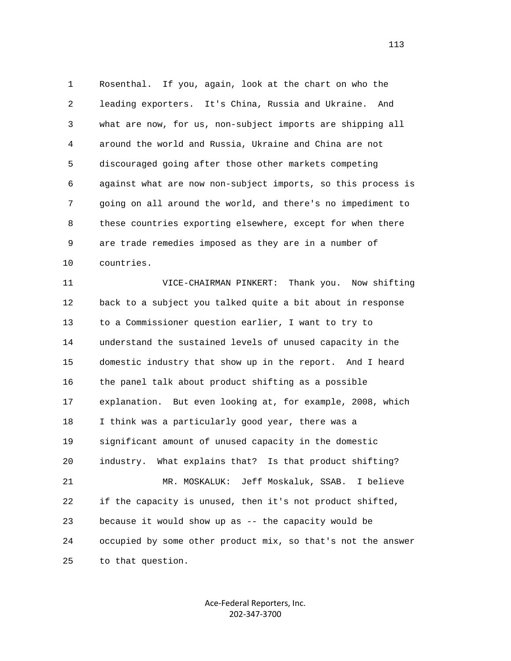1 Rosenthal. If you, again, look at the chart on who the 2 leading exporters. It's China, Russia and Ukraine. And 3 what are now, for us, non-subject imports are shipping all 4 around the world and Russia, Ukraine and China are not 5 discouraged going after those other markets competing 6 against what are now non-subject imports, so this process is 7 going on all around the world, and there's no impediment to 8 these countries exporting elsewhere, except for when there 9 are trade remedies imposed as they are in a number of 10 countries.

 11 VICE-CHAIRMAN PINKERT: Thank you. Now shifting 12 back to a subject you talked quite a bit about in response 13 to a Commissioner question earlier, I want to try to 14 understand the sustained levels of unused capacity in the 15 domestic industry that show up in the report. And I heard 16 the panel talk about product shifting as a possible 17 explanation. But even looking at, for example, 2008, which 18 I think was a particularly good year, there was a 19 significant amount of unused capacity in the domestic 20 industry. What explains that? Is that product shifting? 21 MR. MOSKALUK: Jeff Moskaluk, SSAB. I believe 22 if the capacity is unused, then it's not product shifted, 23 because it would show up as -- the capacity would be 24 occupied by some other product mix, so that's not the answer 25 to that question.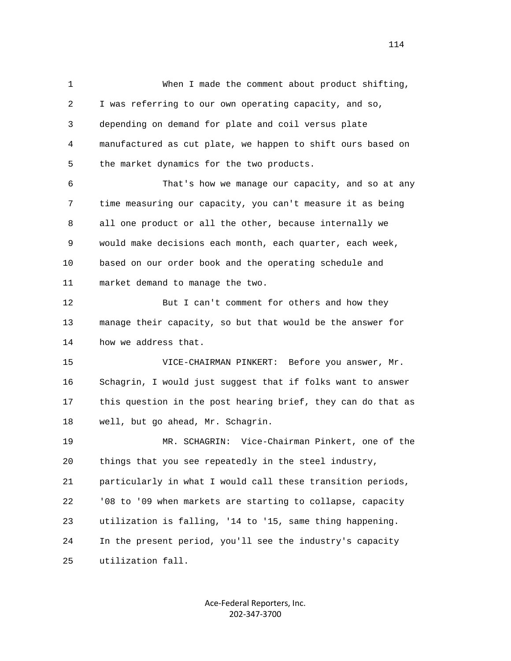1 When I made the comment about product shifting, 2 I was referring to our own operating capacity, and so, 3 depending on demand for plate and coil versus plate 4 manufactured as cut plate, we happen to shift ours based on 5 the market dynamics for the two products.

 6 That's how we manage our capacity, and so at any 7 time measuring our capacity, you can't measure it as being 8 all one product or all the other, because internally we 9 would make decisions each month, each quarter, each week, 10 based on our order book and the operating schedule and 11 market demand to manage the two.

12 But I can't comment for others and how they 13 manage their capacity, so but that would be the answer for 14 how we address that.

 15 VICE-CHAIRMAN PINKERT: Before you answer, Mr. 16 Schagrin, I would just suggest that if folks want to answer 17 this question in the post hearing brief, they can do that as 18 well, but go ahead, Mr. Schagrin.

 19 MR. SCHAGRIN: Vice-Chairman Pinkert, one of the 20 things that you see repeatedly in the steel industry, 21 particularly in what I would call these transition periods, 22 '08 to '09 when markets are starting to collapse, capacity 23 utilization is falling, '14 to '15, same thing happening. 24 In the present period, you'll see the industry's capacity 25 utilization fall.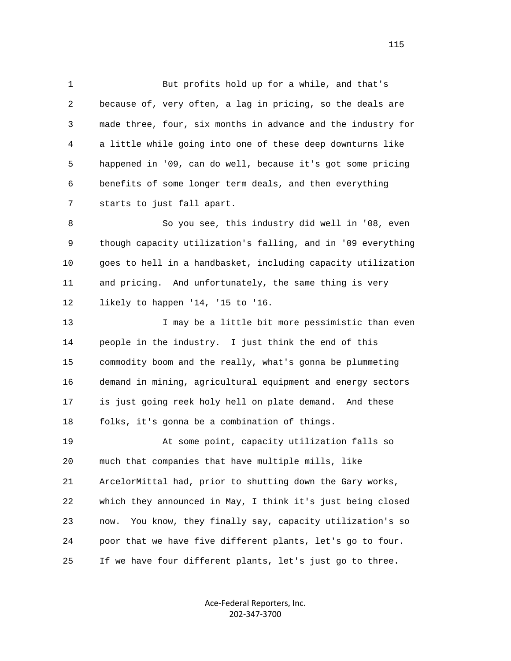1 But profits hold up for a while, and that's 2 because of, very often, a lag in pricing, so the deals are 3 made three, four, six months in advance and the industry for 4 a little while going into one of these deep downturns like 5 happened in '09, can do well, because it's got some pricing 6 benefits of some longer term deals, and then everything 7 starts to just fall apart.

 8 So you see, this industry did well in '08, even 9 though capacity utilization's falling, and in '09 everything 10 goes to hell in a handbasket, including capacity utilization 11 and pricing. And unfortunately, the same thing is very 12 likely to happen '14, '15 to '16.

13 I may be a little bit more pessimistic than even 14 people in the industry. I just think the end of this 15 commodity boom and the really, what's gonna be plummeting 16 demand in mining, agricultural equipment and energy sectors 17 is just going reek holy hell on plate demand. And these 18 folks, it's gonna be a combination of things.

 19 At some point, capacity utilization falls so 20 much that companies that have multiple mills, like 21 ArcelorMittal had, prior to shutting down the Gary works, 22 which they announced in May, I think it's just being closed 23 now. You know, they finally say, capacity utilization's so 24 poor that we have five different plants, let's go to four. 25 If we have four different plants, let's just go to three.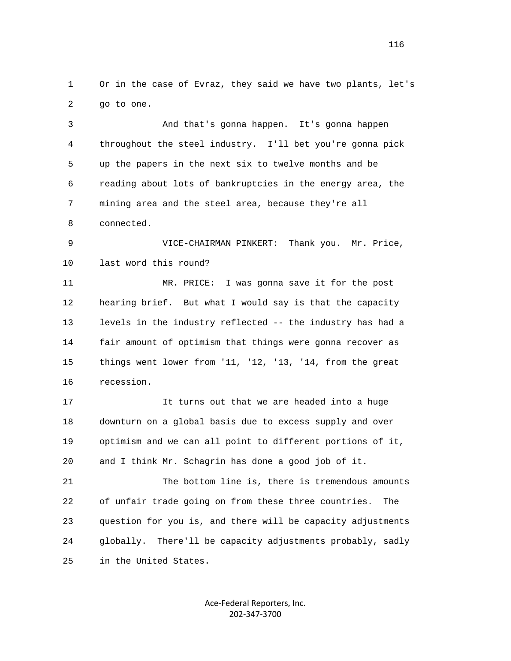1 Or in the case of Evraz, they said we have two plants, let's 2 go to one.

 3 And that's gonna happen. It's gonna happen 4 throughout the steel industry. I'll bet you're gonna pick 5 up the papers in the next six to twelve months and be 6 reading about lots of bankruptcies in the energy area, the 7 mining area and the steel area, because they're all 8 connected.

 9 VICE-CHAIRMAN PINKERT: Thank you. Mr. Price, 10 last word this round?

 11 MR. PRICE: I was gonna save it for the post 12 hearing brief. But what I would say is that the capacity 13 levels in the industry reflected -- the industry has had a 14 fair amount of optimism that things were gonna recover as 15 things went lower from '11, '12, '13, '14, from the great 16 recession.

 17 It turns out that we are headed into a huge 18 downturn on a global basis due to excess supply and over 19 optimism and we can all point to different portions of it, 20 and I think Mr. Schagrin has done a good job of it.

 21 The bottom line is, there is tremendous amounts 22 of unfair trade going on from these three countries. The 23 question for you is, and there will be capacity adjustments 24 globally. There'll be capacity adjustments probably, sadly 25 in the United States.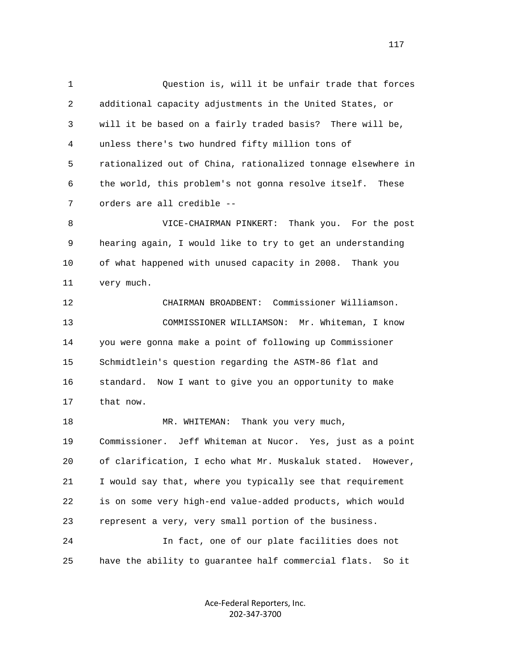1 Question is, will it be unfair trade that forces 2 additional capacity adjustments in the United States, or 3 will it be based on a fairly traded basis? There will be, 4 unless there's two hundred fifty million tons of 5 rationalized out of China, rationalized tonnage elsewhere in 6 the world, this problem's not gonna resolve itself. These 7 orders are all credible -- 8 VICE-CHAIRMAN PINKERT: Thank you. For the post 9 hearing again, I would like to try to get an understanding 10 of what happened with unused capacity in 2008. Thank you

11 very much.

 12 CHAIRMAN BROADBENT: Commissioner Williamson. 13 COMMISSIONER WILLIAMSON: Mr. Whiteman, I know 14 you were gonna make a point of following up Commissioner 15 Schmidtlein's question regarding the ASTM-86 flat and 16 standard. Now I want to give you an opportunity to make 17 that now.

18 MR. WHITEMAN: Thank you very much, 19 Commissioner. Jeff Whiteman at Nucor. Yes, just as a point 20 of clarification, I echo what Mr. Muskaluk stated. However, 21 I would say that, where you typically see that requirement 22 is on some very high-end value-added products, which would 23 represent a very, very small portion of the business. 24 In fact, one of our plate facilities does not 25 have the ability to guarantee half commercial flats. So it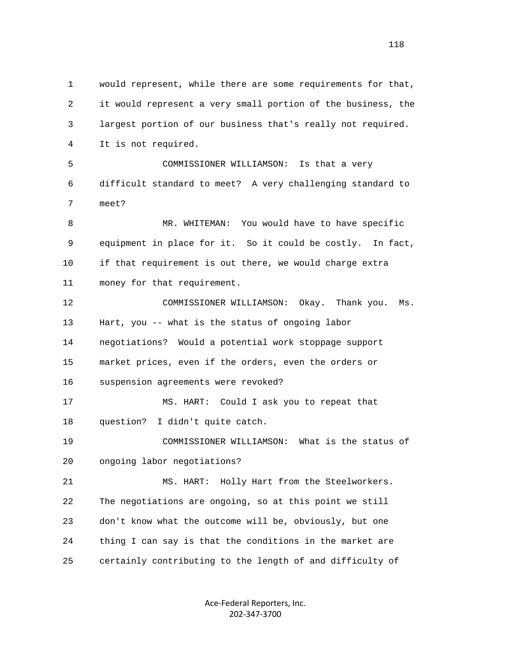1 would represent, while there are some requirements for that, 2 it would represent a very small portion of the business, the 3 largest portion of our business that's really not required. 4 It is not required. 5 COMMISSIONER WILLIAMSON: Is that a very 6 difficult standard to meet? A very challenging standard to 7 meet? 8 MR. WHITEMAN: You would have to have specific 9 equipment in place for it. So it could be costly. In fact, 10 if that requirement is out there, we would charge extra 11 money for that requirement. 12 COMMISSIONER WILLIAMSON: Okay. Thank you. Ms. 13 Hart, you -- what is the status of ongoing labor 14 negotiations? Would a potential work stoppage support 15 market prices, even if the orders, even the orders or 16 suspension agreements were revoked? 17 MS. HART: Could I ask you to repeat that 18 question? I didn't quite catch. 19 COMMISSIONER WILLIAMSON: What is the status of 20 ongoing labor negotiations? 21 MS. HART: Holly Hart from the Steelworkers. 22 The negotiations are ongoing, so at this point we still 23 don't know what the outcome will be, obviously, but one 24 thing I can say is that the conditions in the market are 25 certainly contributing to the length of and difficulty of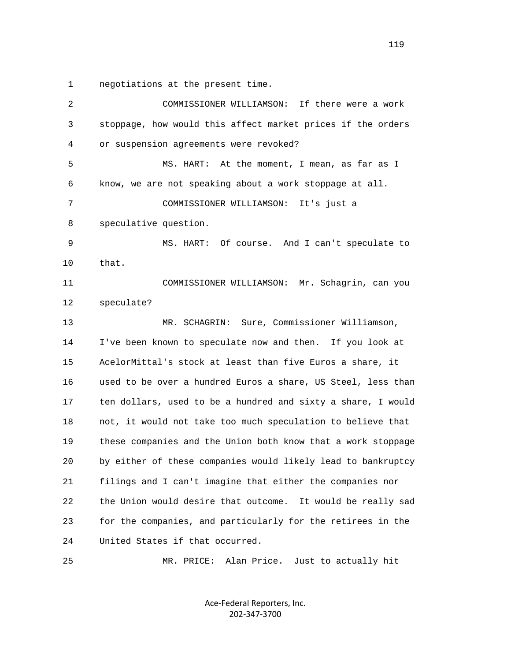1 negotiations at the present time.

| 2  | If there were a work<br>COMMISSIONER WILLIAMSON:               |  |  |  |  |
|----|----------------------------------------------------------------|--|--|--|--|
| 3  | stoppage, how would this affect market prices if the orders    |  |  |  |  |
| 4  | or suspension agreements were revoked?                         |  |  |  |  |
| 5  | MS. HART: At the moment, I mean, as far as I                   |  |  |  |  |
| 6  | know, we are not speaking about a work stoppage at all.        |  |  |  |  |
| 7  | COMMISSIONER WILLIAMSON:<br>It's just a                        |  |  |  |  |
| 8  | speculative question.                                          |  |  |  |  |
| 9  | MS. HART: Of course. And I can't speculate to                  |  |  |  |  |
| 10 | that.                                                          |  |  |  |  |
| 11 | COMMISSIONER WILLIAMSON: Mr. Schagrin, can you                 |  |  |  |  |
| 12 | speculate?                                                     |  |  |  |  |
| 13 | MR. SCHAGRIN: Sure, Commissioner Williamson,                   |  |  |  |  |
| 14 | I've been known to speculate now and then. If you look at      |  |  |  |  |
| 15 | AcelorMittal's stock at least than five Euros a share, it      |  |  |  |  |
| 16 | used to be over a hundred Euros a share, US Steel, less than   |  |  |  |  |
| 17 | ten dollars, used to be a hundred and sixty a share, I would   |  |  |  |  |
| 18 | not, it would not take too much speculation to believe that    |  |  |  |  |
| 19 | these companies and the Union both know that a work stoppage   |  |  |  |  |
| 20 | by either of these companies would likely lead to bankruptcy   |  |  |  |  |
| 21 | filings and I can't imagine that either the companies nor      |  |  |  |  |
| 22 | the Union would desire that outcome.<br>It would be really sad |  |  |  |  |
| 23 | for the companies, and particularly for the retirees in the    |  |  |  |  |
| 24 | United States if that occurred.                                |  |  |  |  |
|    |                                                                |  |  |  |  |

25 MR. PRICE: Alan Price. Just to actually hit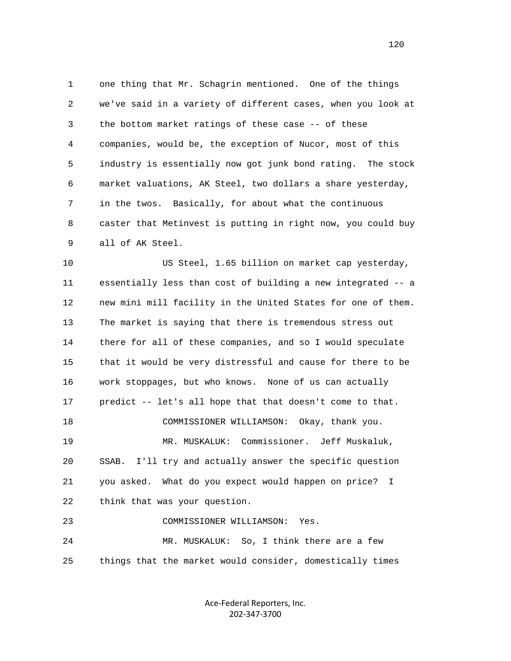1 one thing that Mr. Schagrin mentioned. One of the things 2 we've said in a variety of different cases, when you look at 3 the bottom market ratings of these case -- of these 4 companies, would be, the exception of Nucor, most of this 5 industry is essentially now got junk bond rating. The stock 6 market valuations, AK Steel, two dollars a share yesterday, 7 in the twos. Basically, for about what the continuous 8 caster that Metinvest is putting in right now, you could buy 9 all of AK Steel.

 10 US Steel, 1.65 billion on market cap yesterday, 11 essentially less than cost of building a new integrated -- a 12 new mini mill facility in the United States for one of them. 13 The market is saying that there is tremendous stress out 14 there for all of these companies, and so I would speculate 15 that it would be very distressful and cause for there to be 16 work stoppages, but who knows. None of us can actually 17 predict -- let's all hope that that doesn't come to that. 18 COMMISSIONER WILLIAMSON: Okay, thank you. 19 MR. MUSKALUK: Commissioner. Jeff Muskaluk, 20 SSAB. I'll try and actually answer the specific question 21 you asked. What do you expect would happen on price? I 22 think that was your question. 23 COMMISSIONER WILLIAMSON: Yes. 24 MR. MUSKALUK: So, I think there are a few 25 things that the market would consider, domestically times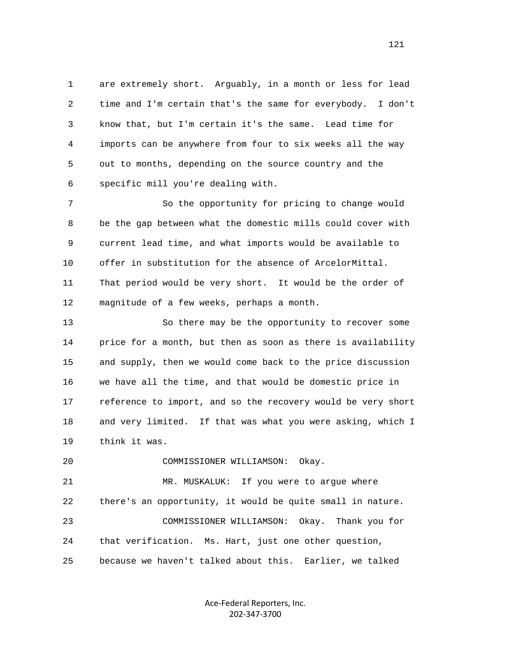1 are extremely short. Arguably, in a month or less for lead 2 time and I'm certain that's the same for everybody. I don't 3 know that, but I'm certain it's the same. Lead time for 4 imports can be anywhere from four to six weeks all the way 5 out to months, depending on the source country and the 6 specific mill you're dealing with.

 7 So the opportunity for pricing to change would 8 be the gap between what the domestic mills could cover with 9 current lead time, and what imports would be available to 10 offer in substitution for the absence of ArcelorMittal. 11 That period would be very short. It would be the order of 12 magnitude of a few weeks, perhaps a month.

 13 So there may be the opportunity to recover some 14 price for a month, but then as soon as there is availability 15 and supply, then we would come back to the price discussion 16 we have all the time, and that would be domestic price in 17 reference to import, and so the recovery would be very short 18 and very limited. If that was what you were asking, which I 19 think it was.

20 COMMISSIONER WILLIAMSON: Okay.

 21 MR. MUSKALUK: If you were to argue where 22 there's an opportunity, it would be quite small in nature. 23 COMMISSIONER WILLIAMSON: Okay. Thank you for 24 that verification. Ms. Hart, just one other question, 25 because we haven't talked about this. Earlier, we talked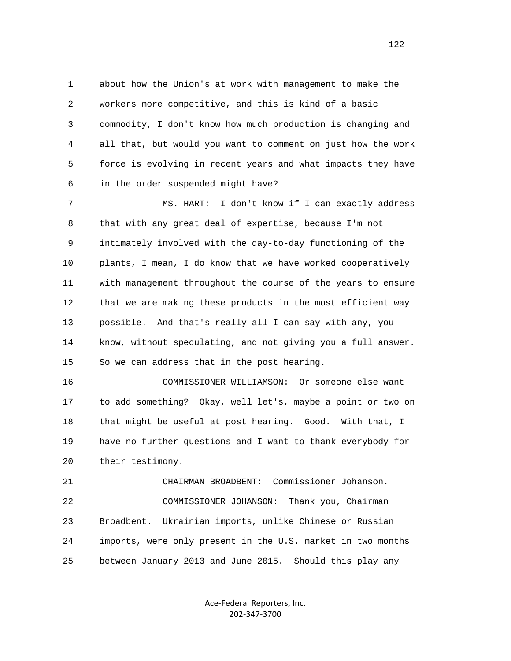1 about how the Union's at work with management to make the 2 workers more competitive, and this is kind of a basic 3 commodity, I don't know how much production is changing and 4 all that, but would you want to comment on just how the work 5 force is evolving in recent years and what impacts they have 6 in the order suspended might have?

 7 MS. HART: I don't know if I can exactly address 8 that with any great deal of expertise, because I'm not 9 intimately involved with the day-to-day functioning of the 10 plants, I mean, I do know that we have worked cooperatively 11 with management throughout the course of the years to ensure 12 that we are making these products in the most efficient way 13 possible. And that's really all I can say with any, you 14 know, without speculating, and not giving you a full answer. 15 So we can address that in the post hearing.

 16 COMMISSIONER WILLIAMSON: Or someone else want 17 to add something? Okay, well let's, maybe a point or two on 18 that might be useful at post hearing. Good. With that, I 19 have no further questions and I want to thank everybody for 20 their testimony.

 21 CHAIRMAN BROADBENT: Commissioner Johanson. 22 COMMISSIONER JOHANSON: Thank you, Chairman 23 Broadbent. Ukrainian imports, unlike Chinese or Russian 24 imports, were only present in the U.S. market in two months 25 between January 2013 and June 2015. Should this play any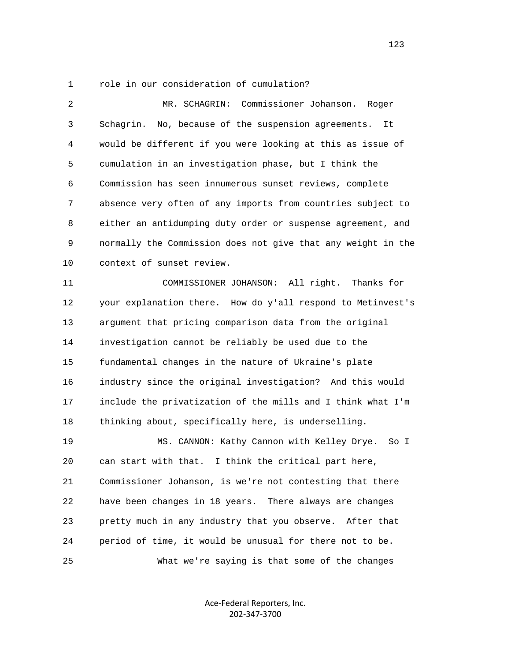## 1 role in our consideration of cumulation?

 2 MR. SCHAGRIN: Commissioner Johanson. Roger 3 Schagrin. No, because of the suspension agreements. It 4 would be different if you were looking at this as issue of 5 cumulation in an investigation phase, but I think the 6 Commission has seen innumerous sunset reviews, complete 7 absence very often of any imports from countries subject to 8 either an antidumping duty order or suspense agreement, and 9 normally the Commission does not give that any weight in the 10 context of sunset review. 11 COMMISSIONER JOHANSON: All right. Thanks for 12 your explanation there. How do y'all respond to Metinvest's 13 argument that pricing comparison data from the original 14 investigation cannot be reliably be used due to the 15 fundamental changes in the nature of Ukraine's plate 16 industry since the original investigation? And this would 17 include the privatization of the mills and I think what I'm 18 thinking about, specifically here, is underselling. 19 MS. CANNON: Kathy Cannon with Kelley Drye. So I 20 can start with that. I think the critical part here, 21 Commissioner Johanson, is we're not contesting that there 22 have been changes in 18 years. There always are changes 23 pretty much in any industry that you observe. After that 24 period of time, it would be unusual for there not to be. 25 What we're saying is that some of the changes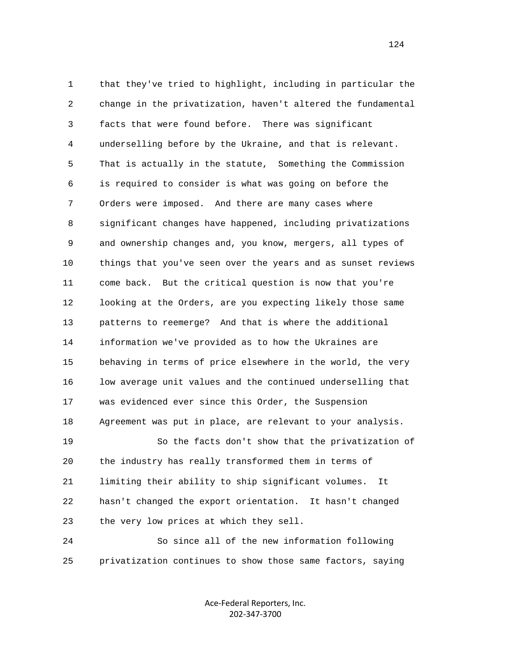1 that they've tried to highlight, including in particular the 2 change in the privatization, haven't altered the fundamental 3 facts that were found before. There was significant 4 underselling before by the Ukraine, and that is relevant. 5 That is actually in the statute, Something the Commission 6 is required to consider is what was going on before the 7 Orders were imposed. And there are many cases where 8 significant changes have happened, including privatizations 9 and ownership changes and, you know, mergers, all types of 10 things that you've seen over the years and as sunset reviews 11 come back. But the critical question is now that you're 12 looking at the Orders, are you expecting likely those same 13 patterns to reemerge? And that is where the additional 14 information we've provided as to how the Ukraines are 15 behaving in terms of price elsewhere in the world, the very 16 low average unit values and the continued underselling that 17 was evidenced ever since this Order, the Suspension 18 Agreement was put in place, are relevant to your analysis. 19 So the facts don't show that the privatization of 20 the industry has really transformed them in terms of 21 limiting their ability to ship significant volumes. It 22 hasn't changed the export orientation. It hasn't changed 23 the very low prices at which they sell. 24 So since all of the new information following

> Ace‐Federal Reporters, Inc. 202‐347‐3700

25 privatization continues to show those same factors, saying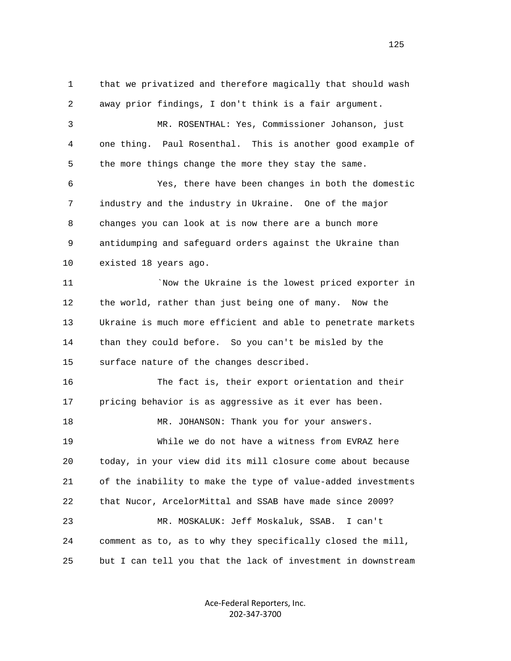1 that we privatized and therefore magically that should wash 2 away prior findings, I don't think is a fair argument. 3 MR. ROSENTHAL: Yes, Commissioner Johanson, just 4 one thing. Paul Rosenthal. This is another good example of 5 the more things change the more they stay the same. 6 Yes, there have been changes in both the domestic 7 industry and the industry in Ukraine. One of the major 8 changes you can look at is now there are a bunch more 9 antidumping and safeguard orders against the Ukraine than 10 existed 18 years ago. 11 **Example 20** YNow the Ukraine is the lowest priced exporter in 12 the world, rather than just being one of many. Now the 13 Ukraine is much more efficient and able to penetrate markets 14 than they could before. So you can't be misled by the 15 surface nature of the changes described. 16 The fact is, their export orientation and their 17 pricing behavior is as aggressive as it ever has been. 18 MR. JOHANSON: Thank you for your answers. 19 While we do not have a witness from EVRAZ here 20 today, in your view did its mill closure come about because 21 of the inability to make the type of value-added investments 22 that Nucor, ArcelorMittal and SSAB have made since 2009? 23 MR. MOSKALUK: Jeff Moskaluk, SSAB. I can't 24 comment as to, as to why they specifically closed the mill, 25 but I can tell you that the lack of investment in downstream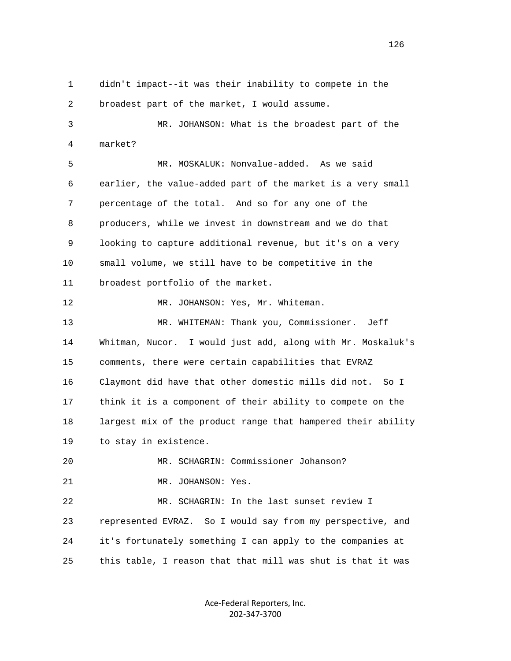1 didn't impact--it was their inability to compete in the 2 broadest part of the market, I would assume. 3 MR. JOHANSON: What is the broadest part of the 4 market? 5 MR. MOSKALUK: Nonvalue-added. As we said 6 earlier, the value-added part of the market is a very small 7 percentage of the total. And so for any one of the 8 producers, while we invest in downstream and we do that 9 looking to capture additional revenue, but it's on a very 10 small volume, we still have to be competitive in the 11 broadest portfolio of the market. 12 MR. JOHANSON: Yes, Mr. Whiteman. 13 MR. WHITEMAN: Thank you, Commissioner. Jeff 14 Whitman, Nucor. I would just add, along with Mr. Moskaluk's 15 comments, there were certain capabilities that EVRAZ 16 Claymont did have that other domestic mills did not. So I 17 think it is a component of their ability to compete on the 18 largest mix of the product range that hampered their ability 19 to stay in existence. 20 MR. SCHAGRIN: Commissioner Johanson? 21 MR. JOHANSON: Yes. 22 MR. SCHAGRIN: In the last sunset review I 23 represented EVRAZ. So I would say from my perspective, and 24 it's fortunately something I can apply to the companies at

> Ace‐Federal Reporters, Inc. 202‐347‐3700

25 this table, I reason that that mill was shut is that it was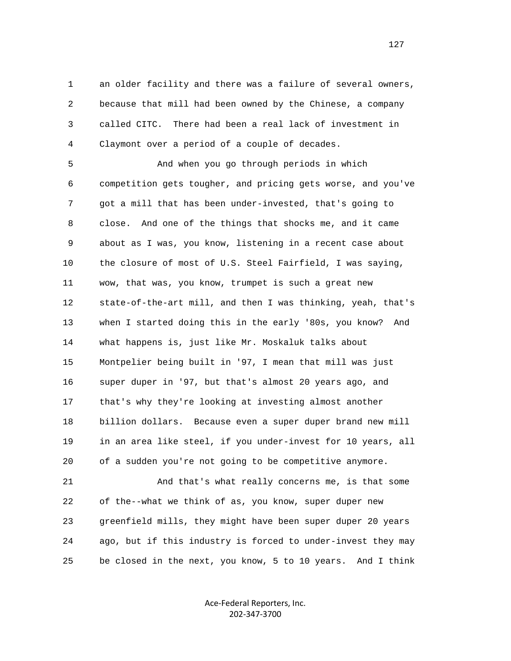1 an older facility and there was a failure of several owners, 2 because that mill had been owned by the Chinese, a company 3 called CITC. There had been a real lack of investment in 4 Claymont over a period of a couple of decades.

 5 And when you go through periods in which 6 competition gets tougher, and pricing gets worse, and you've 7 got a mill that has been under-invested, that's going to 8 close. And one of the things that shocks me, and it came 9 about as I was, you know, listening in a recent case about 10 the closure of most of U.S. Steel Fairfield, I was saying, 11 wow, that was, you know, trumpet is such a great new 12 state-of-the-art mill, and then I was thinking, yeah, that's 13 when I started doing this in the early '80s, you know? And 14 what happens is, just like Mr. Moskaluk talks about 15 Montpelier being built in '97, I mean that mill was just 16 super duper in '97, but that's almost 20 years ago, and 17 that's why they're looking at investing almost another 18 billion dollars. Because even a super duper brand new mill 19 in an area like steel, if you under-invest for 10 years, all 20 of a sudden you're not going to be competitive anymore.

 21 And that's what really concerns me, is that some 22 of the--what we think of as, you know, super duper new 23 greenfield mills, they might have been super duper 20 years 24 ago, but if this industry is forced to under-invest they may 25 be closed in the next, you know, 5 to 10 years. And I think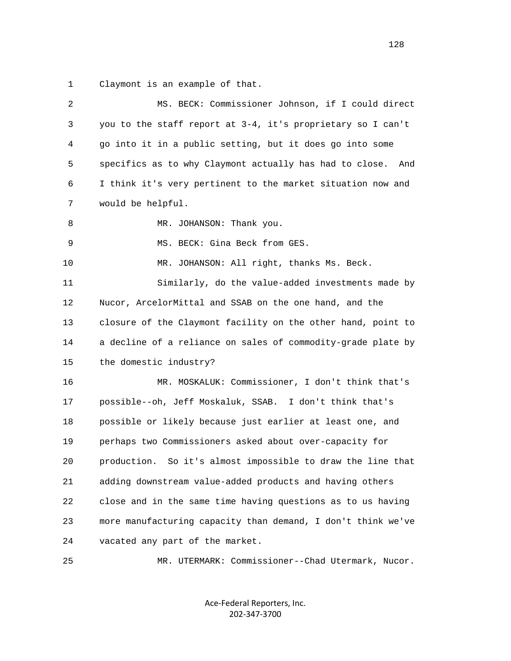1 Claymont is an example of that.

| $\sqrt{2}$ | MS. BECK: Commissioner Johnson, if I could direct              |  |  |  |  |
|------------|----------------------------------------------------------------|--|--|--|--|
| 3          | you to the staff report at 3-4, it's proprietary so I can't    |  |  |  |  |
| 4          | go into it in a public setting, but it does go into some       |  |  |  |  |
| 5          | specifics as to why Claymont actually has had to close.<br>And |  |  |  |  |
| 6          | I think it's very pertinent to the market situation now and    |  |  |  |  |
| 7          | would be helpful.                                              |  |  |  |  |
| 8          | MR. JOHANSON: Thank you.                                       |  |  |  |  |
| 9          | MS. BECK: Gina Beck from GES.                                  |  |  |  |  |
| 10         | MR. JOHANSON: All right, thanks Ms. Beck.                      |  |  |  |  |
| 11         | Similarly, do the value-added investments made by              |  |  |  |  |
| 12         | Nucor, ArcelorMittal and SSAB on the one hand, and the         |  |  |  |  |
| 13         | closure of the Claymont facility on the other hand, point to   |  |  |  |  |
| 14         | a decline of a reliance on sales of commodity-grade plate by   |  |  |  |  |
| 15         | the domestic industry?                                         |  |  |  |  |
| 16         | MR. MOSKALUK: Commissioner, I don't think that's               |  |  |  |  |
| 17         | possible--oh, Jeff Moskaluk, SSAB. I don't think that's        |  |  |  |  |
| 18         | possible or likely because just earlier at least one, and      |  |  |  |  |
| 19         | perhaps two Commissioners asked about over-capacity for        |  |  |  |  |
| 20         | production. So it's almost impossible to draw the line that    |  |  |  |  |
| 21         | adding downstream value-added products and having others       |  |  |  |  |
| 22         | close and in the same time having questions as to us having    |  |  |  |  |
| 23         | more manufacturing capacity than demand, I don't think we've   |  |  |  |  |
| 24         | vacated any part of the market.                                |  |  |  |  |
| 25         | MR. UTERMARK: Commissioner--Chad Utermark, Nucor.              |  |  |  |  |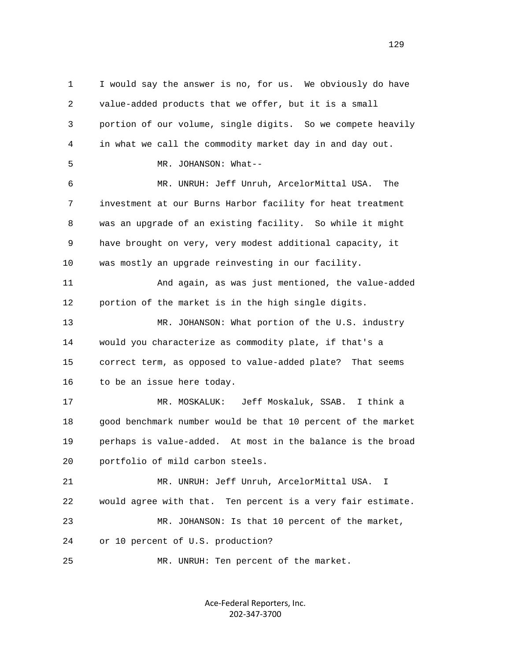1 I would say the answer is no, for us. We obviously do have 2 value-added products that we offer, but it is a small 3 portion of our volume, single digits. So we compete heavily 4 in what we call the commodity market day in and day out. 5 MR. JOHANSON: What-- 6 MR. UNRUH: Jeff Unruh, ArcelorMittal USA. The 7 investment at our Burns Harbor facility for heat treatment 8 was an upgrade of an existing facility. So while it might 9 have brought on very, very modest additional capacity, it 10 was mostly an upgrade reinvesting in our facility. 11 And again, as was just mentioned, the value-added 12 portion of the market is in the high single digits. 13 MR. JOHANSON: What portion of the U.S. industry 14 would you characterize as commodity plate, if that's a 15 correct term, as opposed to value-added plate? That seems 16 to be an issue here today. 17 MR. MOSKALUK: Jeff Moskaluk, SSAB. I think a 18 good benchmark number would be that 10 percent of the market 19 perhaps is value-added. At most in the balance is the broad 20 portfolio of mild carbon steels. 21 MR. UNRUH: Jeff Unruh, ArcelorMittal USA. I 22 would agree with that. Ten percent is a very fair estimate. 23 MR. JOHANSON: Is that 10 percent of the market, 24 or 10 percent of U.S. production? 25 MR. UNRUH: Ten percent of the market.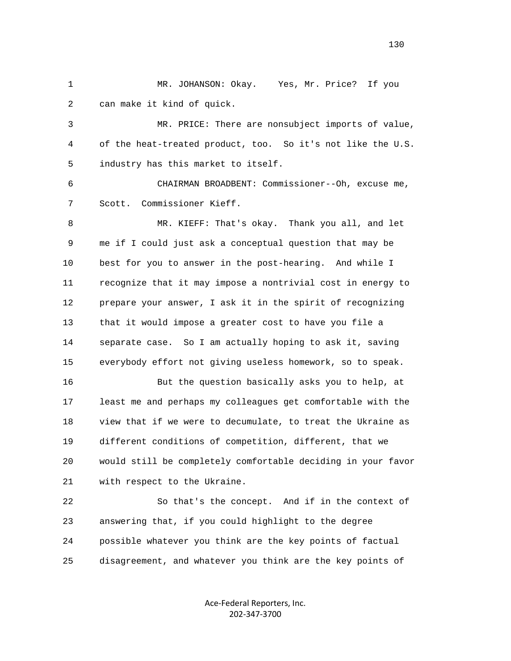1 MR. JOHANSON: Okay. Yes, Mr. Price? If you 2 can make it kind of quick.

 3 MR. PRICE: There are nonsubject imports of value, 4 of the heat-treated product, too. So it's not like the U.S. 5 industry has this market to itself.

 6 CHAIRMAN BROADBENT: Commissioner--Oh, excuse me, 7 Scott. Commissioner Kieff.

 8 MR. KIEFF: That's okay. Thank you all, and let 9 me if I could just ask a conceptual question that may be 10 best for you to answer in the post-hearing. And while I 11 recognize that it may impose a nontrivial cost in energy to 12 prepare your answer, I ask it in the spirit of recognizing 13 that it would impose a greater cost to have you file a 14 separate case. So I am actually hoping to ask it, saving 15 everybody effort not giving useless homework, so to speak.

 16 But the question basically asks you to help, at 17 least me and perhaps my colleagues get comfortable with the 18 view that if we were to decumulate, to treat the Ukraine as 19 different conditions of competition, different, that we 20 would still be completely comfortable deciding in your favor 21 with respect to the Ukraine.

 22 So that's the concept. And if in the context of 23 answering that, if you could highlight to the degree 24 possible whatever you think are the key points of factual 25 disagreement, and whatever you think are the key points of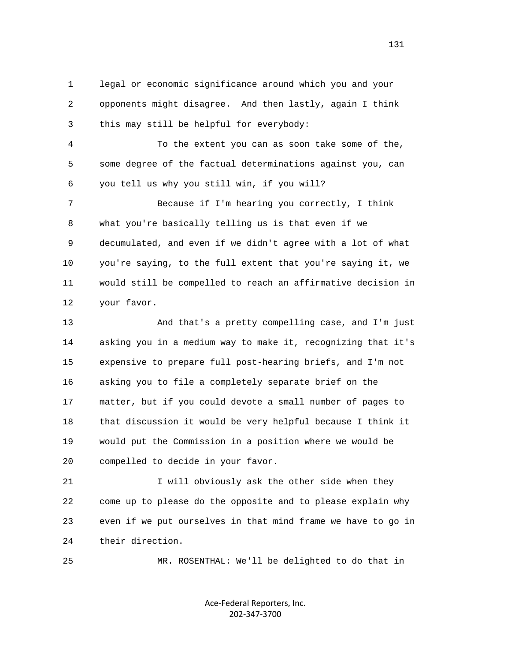1 legal or economic significance around which you and your 2 opponents might disagree. And then lastly, again I think 3 this may still be helpful for everybody:

 4 To the extent you can as soon take some of the, 5 some degree of the factual determinations against you, can 6 you tell us why you still win, if you will?

 7 Because if I'm hearing you correctly, I think 8 what you're basically telling us is that even if we 9 decumulated, and even if we didn't agree with a lot of what 10 you're saying, to the full extent that you're saying it, we 11 would still be compelled to reach an affirmative decision in 12 your favor.

 13 And that's a pretty compelling case, and I'm just 14 asking you in a medium way to make it, recognizing that it's 15 expensive to prepare full post-hearing briefs, and I'm not 16 asking you to file a completely separate brief on the 17 matter, but if you could devote a small number of pages to 18 that discussion it would be very helpful because I think it 19 would put the Commission in a position where we would be 20 compelled to decide in your favor.

21 I will obviously ask the other side when they 22 come up to please do the opposite and to please explain why 23 even if we put ourselves in that mind frame we have to go in 24 their direction.

25 MR. ROSENTHAL: We'll be delighted to do that in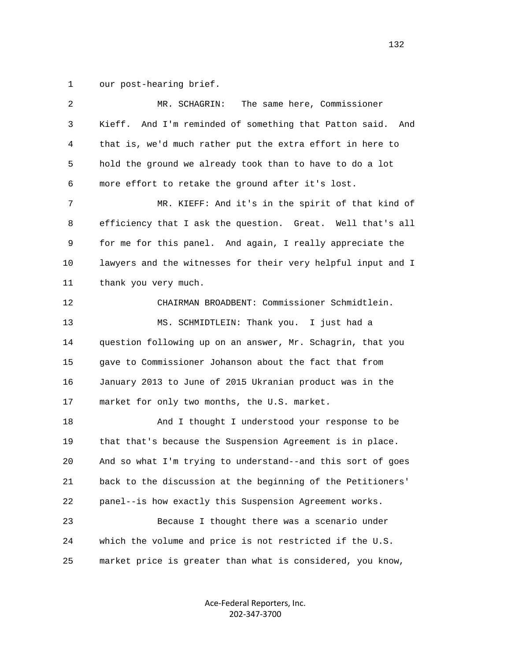1 our post-hearing brief.

| 2  | The same here, Commissioner<br>MR. SCHAGRIN:                  |  |  |  |  |  |
|----|---------------------------------------------------------------|--|--|--|--|--|
| 3  | Kieff.<br>And I'm reminded of something that Patton said. And |  |  |  |  |  |
| 4  | that is, we'd much rather put the extra effort in here to     |  |  |  |  |  |
| 5  | hold the ground we already took than to have to do a lot      |  |  |  |  |  |
| 6  | more effort to retake the ground after it's lost.             |  |  |  |  |  |
| 7  | MR. KIEFF: And it's in the spirit of that kind of             |  |  |  |  |  |
| 8  | efficiency that I ask the question. Great. Well that's all    |  |  |  |  |  |
| 9  | for me for this panel. And again, I really appreciate the     |  |  |  |  |  |
| 10 | lawyers and the witnesses for their very helpful input and I  |  |  |  |  |  |
| 11 | thank you very much.                                          |  |  |  |  |  |
| 12 | CHAIRMAN BROADBENT: Commissioner Schmidtlein.                 |  |  |  |  |  |
| 13 | MS. SCHMIDTLEIN: Thank you. I just had a                      |  |  |  |  |  |
| 14 | question following up on an answer, Mr. Schagrin, that you    |  |  |  |  |  |
| 15 | gave to Commissioner Johanson about the fact that from        |  |  |  |  |  |
| 16 | January 2013 to June of 2015 Ukranian product was in the      |  |  |  |  |  |
| 17 | market for only two months, the U.S. market.                  |  |  |  |  |  |
| 18 | And I thought I understood your response to be                |  |  |  |  |  |
| 19 | that that's because the Suspension Agreement is in place.     |  |  |  |  |  |
| 20 | And so what I'm trying to understand--and this sort of goes   |  |  |  |  |  |
| 21 | back to the discussion at the beginning of the Petitioners'   |  |  |  |  |  |
| 22 | panel--is how exactly this Suspension Agreement works.        |  |  |  |  |  |
| 23 | Because I thought there was a scenario under                  |  |  |  |  |  |
| 24 | which the volume and price is not restricted if the U.S.      |  |  |  |  |  |
| 25 | market price is greater than what is considered, you know,    |  |  |  |  |  |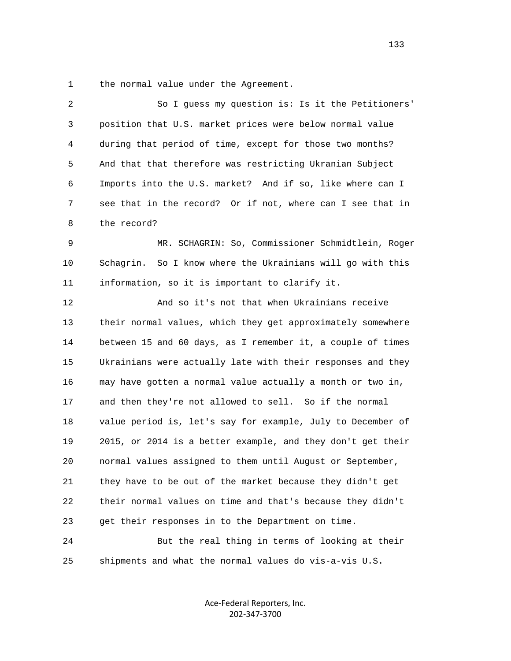1 the normal value under the Agreement.

| 2  | So I guess my question is: Is it the Petitioners'           |
|----|-------------------------------------------------------------|
| 3  | position that U.S. market prices were below normal value    |
| 4  | during that period of time, except for those two months?    |
| 5  | And that that therefore was restricting Ukranian Subject    |
| 6  | Imports into the U.S. market? And if so, like where can I   |
| 7  | see that in the record? Or if not, where can I see that in  |
| 8  | the record?                                                 |
| 9  | MR. SCHAGRIN: So, Commissioner Schmidtlein, Roger           |
| 10 | Schagrin. So I know where the Ukrainians will go with this  |
| 11 | information, so it is important to clarify it.              |
| 12 | And so it's not that when Ukrainians receive                |
| 13 | their normal values, which they get approximately somewhere |
| 14 | between 15 and 60 days, as I remember it, a couple of times |
| 15 | Ukrainians were actually late with their responses and they |
| 16 | may have gotten a normal value actually a month or two in,  |
| 17 | and then they're not allowed to sell. So if the normal      |
| 18 | value period is, let's say for example, July to December of |
| 19 | 2015, or 2014 is a better example, and they don't get their |
| 20 | normal values assigned to them until August or September,   |
| 21 | they have to be out of the market because they didn't get   |
| 22 | their normal values on time and that's because they didn't  |
| 23 | get their responses in to the Department on time.           |
| 24 | But the real thing in terms of looking at their             |
| 25 | shipments and what the normal values do vis-a-vis U.S.      |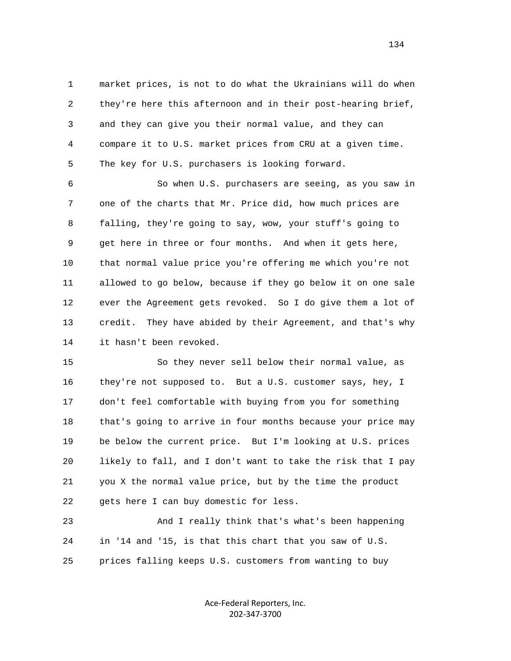1 market prices, is not to do what the Ukrainians will do when 2 they're here this afternoon and in their post-hearing brief, 3 and they can give you their normal value, and they can 4 compare it to U.S. market prices from CRU at a given time. 5 The key for U.S. purchasers is looking forward.

 6 So when U.S. purchasers are seeing, as you saw in 7 one of the charts that Mr. Price did, how much prices are 8 falling, they're going to say, wow, your stuff's going to 9 get here in three or four months. And when it gets here, 10 that normal value price you're offering me which you're not 11 allowed to go below, because if they go below it on one sale 12 ever the Agreement gets revoked. So I do give them a lot of 13 credit. They have abided by their Agreement, and that's why 14 it hasn't been revoked.

 15 So they never sell below their normal value, as 16 they're not supposed to. But a U.S. customer says, hey, I 17 don't feel comfortable with buying from you for something 18 that's going to arrive in four months because your price may 19 be below the current price. But I'm looking at U.S. prices 20 likely to fall, and I don't want to take the risk that I pay 21 you X the normal value price, but by the time the product 22 gets here I can buy domestic for less.

 23 And I really think that's what's been happening 24 in '14 and '15, is that this chart that you saw of U.S. 25 prices falling keeps U.S. customers from wanting to buy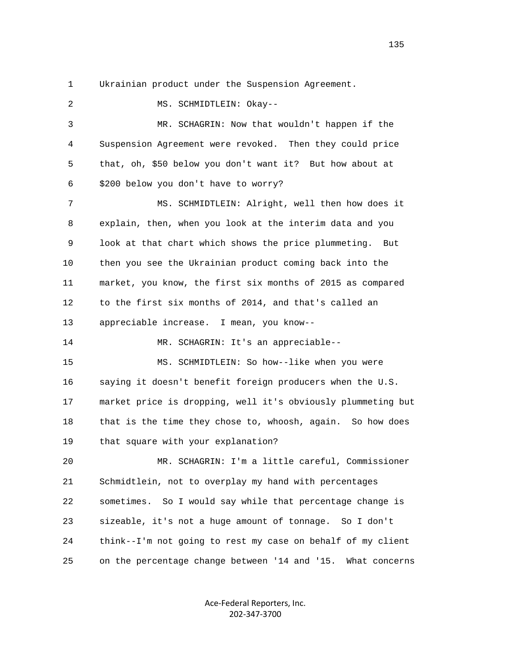1 Ukrainian product under the Suspension Agreement.

 2 MS. SCHMIDTLEIN: Okay-- 3 MR. SCHAGRIN: Now that wouldn't happen if the 4 Suspension Agreement were revoked. Then they could price 5 that, oh, \$50 below you don't want it? But how about at 6 \$200 below you don't have to worry? 7 MS. SCHMIDTLEIN: Alright, well then how does it 8 explain, then, when you look at the interim data and you 9 look at that chart which shows the price plummeting. But 10 then you see the Ukrainian product coming back into the 11 market, you know, the first six months of 2015 as compared 12 to the first six months of 2014, and that's called an 13 appreciable increase. I mean, you know-- 14 MR. SCHAGRIN: It's an appreciable-- 15 MS. SCHMIDTLEIN: So how--like when you were 16 saying it doesn't benefit foreign producers when the U.S. 17 market price is dropping, well it's obviously plummeting but 18 that is the time they chose to, whoosh, again. So how does 19 that square with your explanation? 20 MR. SCHAGRIN: I'm a little careful, Commissioner 21 Schmidtlein, not to overplay my hand with percentages 22 sometimes. So I would say while that percentage change is 23 sizeable, it's not a huge amount of tonnage. So I don't 24 think--I'm not going to rest my case on behalf of my client 25 on the percentage change between '14 and '15. What concerns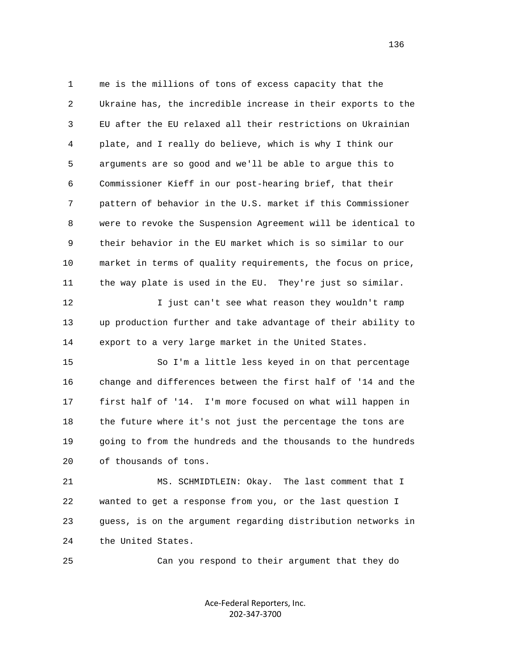1 me is the millions of tons of excess capacity that the 2 Ukraine has, the incredible increase in their exports to the 3 EU after the EU relaxed all their restrictions on Ukrainian 4 plate, and I really do believe, which is why I think our 5 arguments are so good and we'll be able to argue this to 6 Commissioner Kieff in our post-hearing brief, that their 7 pattern of behavior in the U.S. market if this Commissioner 8 were to revoke the Suspension Agreement will be identical to 9 their behavior in the EU market which is so similar to our 10 market in terms of quality requirements, the focus on price, 11 the way plate is used in the EU. They're just so similar. 12 I just can't see what reason they wouldn't ramp 13 up production further and take advantage of their ability to 14 export to a very large market in the United States.

 15 So I'm a little less keyed in on that percentage 16 change and differences between the first half of '14 and the 17 first half of '14. I'm more focused on what will happen in 18 the future where it's not just the percentage the tons are 19 going to from the hundreds and the thousands to the hundreds 20 of thousands of tons.

 21 MS. SCHMIDTLEIN: Okay. The last comment that I 22 wanted to get a response from you, or the last question I 23 guess, is on the argument regarding distribution networks in 24 the United States.

25 Can you respond to their argument that they do

Ace‐Federal Reporters, Inc. 202‐347‐3700

136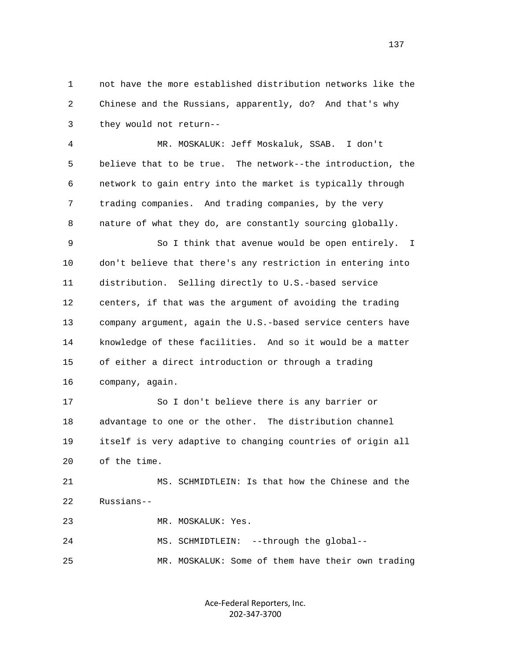1 not have the more established distribution networks like the 2 Chinese and the Russians, apparently, do? And that's why 3 they would not return--

 4 MR. MOSKALUK: Jeff Moskaluk, SSAB. I don't 5 believe that to be true. The network--the introduction, the 6 network to gain entry into the market is typically through 7 trading companies. And trading companies, by the very 8 nature of what they do, are constantly sourcing globally.

 9 So I think that avenue would be open entirely. I 10 don't believe that there's any restriction in entering into 11 distribution. Selling directly to U.S.-based service 12 centers, if that was the argument of avoiding the trading 13 company argument, again the U.S.-based service centers have 14 knowledge of these facilities. And so it would be a matter 15 of either a direct introduction or through a trading 16 company, again.

 17 So I don't believe there is any barrier or 18 advantage to one or the other. The distribution channel 19 itself is very adaptive to changing countries of origin all 20 of the time.

 21 MS. SCHMIDTLEIN: Is that how the Chinese and the 22 Russians--

23 MR. MOSKALUK: Yes.

 24 MS. SCHMIDTLEIN: --through the global-- 25 MR. MOSKALUK: Some of them have their own trading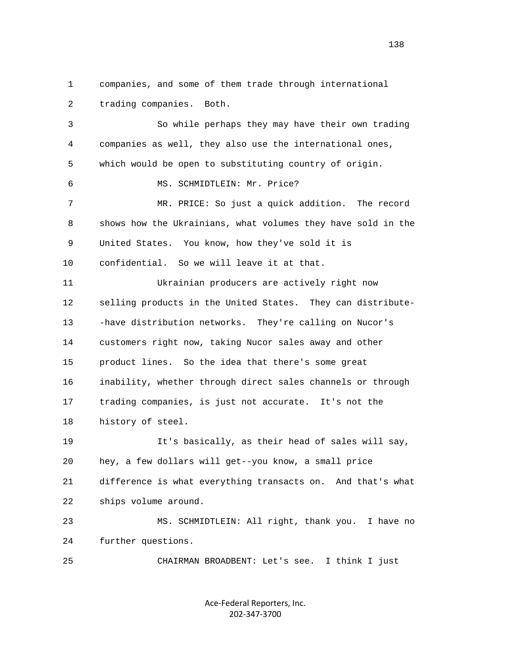1 companies, and some of them trade through international 2 trading companies. Both. 3 So while perhaps they may have their own trading 4 companies as well, they also use the international ones, 5 which would be open to substituting country of origin. 6 MS. SCHMIDTLEIN: Mr. Price? 7 MR. PRICE: So just a quick addition. The record 8 shows how the Ukrainians, what volumes they have sold in the 9 United States. You know, how they've sold it is 10 confidential. So we will leave it at that. 11 Ukrainian producers are actively right now 12 selling products in the United States. They can distribute- 13 -have distribution networks. They're calling on Nucor's 14 customers right now, taking Nucor sales away and other 15 product lines. So the idea that there's some great 16 inability, whether through direct sales channels or through 17 trading companies, is just not accurate. It's not the 18 history of steel. 19 It's basically, as their head of sales will say, 20 hey, a few dollars will get--you know, a small price 21 difference is what everything transacts on. And that's what 22 ships volume around. 23 MS. SCHMIDTLEIN: All right, thank you. I have no 24 further questions. 25 CHAIRMAN BROADBENT: Let's see. I think I just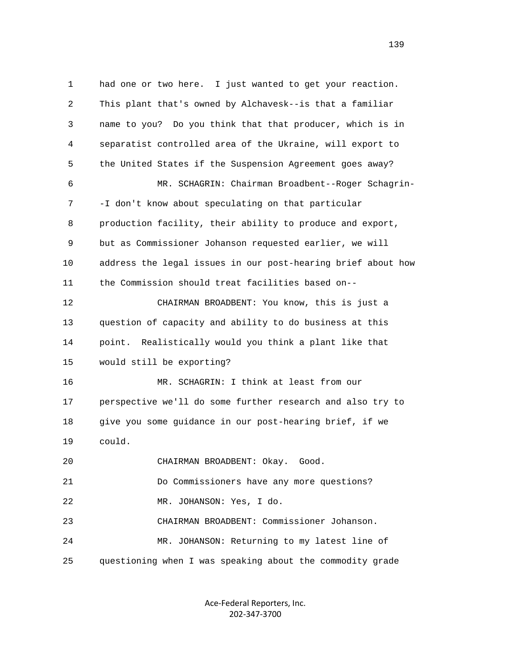1 had one or two here. I just wanted to get your reaction. 2 This plant that's owned by Alchavesk--is that a familiar 3 name to you? Do you think that that producer, which is in 4 separatist controlled area of the Ukraine, will export to 5 the United States if the Suspension Agreement goes away? 6 MR. SCHAGRIN: Chairman Broadbent--Roger Schagrin- 7 -I don't know about speculating on that particular 8 production facility, their ability to produce and export, 9 but as Commissioner Johanson requested earlier, we will 10 address the legal issues in our post-hearing brief about how 11 the Commission should treat facilities based on-- 12 CHAIRMAN BROADBENT: You know, this is just a 13 question of capacity and ability to do business at this 14 point. Realistically would you think a plant like that 15 would still be exporting? 16 MR. SCHAGRIN: I think at least from our 17 perspective we'll do some further research and also try to 18 give you some guidance in our post-hearing brief, if we 19 could. 20 CHAIRMAN BROADBENT: Okay. Good. 21 Do Commissioners have any more questions? 22 MR. JOHANSON: Yes, I do. 23 CHAIRMAN BROADBENT: Commissioner Johanson. 24 MR. JOHANSON: Returning to my latest line of 25 questioning when I was speaking about the commodity grade

> Ace‐Federal Reporters, Inc. 202‐347‐3700

139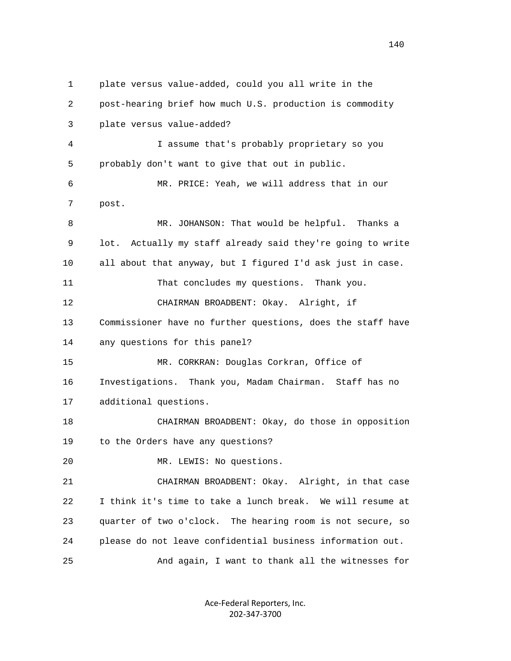1 plate versus value-added, could you all write in the 2 post-hearing brief how much U.S. production is commodity 3 plate versus value-added? 4 I assume that's probably proprietary so you 5 probably don't want to give that out in public. 6 MR. PRICE: Yeah, we will address that in our 7 post. 8 MR. JOHANSON: That would be helpful. Thanks a 9 lot. Actually my staff already said they're going to write 10 all about that anyway, but I figured I'd ask just in case. 11 That concludes my questions. Thank you. 12 CHAIRMAN BROADBENT: Okay. Alright, if 13 Commissioner have no further questions, does the staff have 14 any questions for this panel? 15 MR. CORKRAN: Douglas Corkran, Office of 16 Investigations. Thank you, Madam Chairman. Staff has no 17 additional questions. 18 CHAIRMAN BROADBENT: Okay, do those in opposition 19 to the Orders have any questions? 20 MR. LEWIS: No questions. 21 CHAIRMAN BROADBENT: Okay. Alright, in that case 22 I think it's time to take a lunch break. We will resume at 23 quarter of two o'clock. The hearing room is not secure, so 24 please do not leave confidential business information out. 25 And again, I want to thank all the witnesses for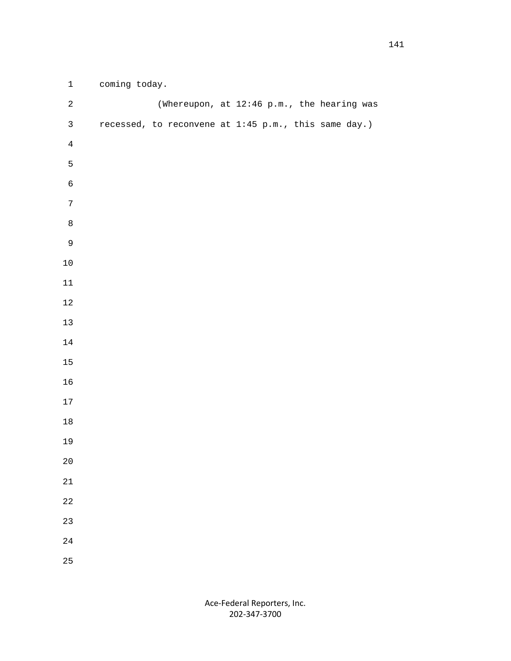| $\mathbf{1}$     | coming today. |  |  |                                                      |  |
|------------------|---------------|--|--|------------------------------------------------------|--|
| $\sqrt{2}$       |               |  |  | (Whereupon, at 12:46 p.m., the hearing was           |  |
| $\mathsf{3}$     |               |  |  | recessed, to reconvene at 1:45 p.m., this same day.) |  |
| $\overline{4}$   |               |  |  |                                                      |  |
| $\mathsf S$      |               |  |  |                                                      |  |
| $\epsilon$       |               |  |  |                                                      |  |
| $\boldsymbol{7}$ |               |  |  |                                                      |  |
| $\,8\,$          |               |  |  |                                                      |  |
| $\mathsf 9$      |               |  |  |                                                      |  |
| $10\,$           |               |  |  |                                                      |  |
| $11\,$           |               |  |  |                                                      |  |
| $12\,$           |               |  |  |                                                      |  |
| $13$             |               |  |  |                                                      |  |
| $1\,4$           |               |  |  |                                                      |  |
| $15\,$           |               |  |  |                                                      |  |
| 16               |               |  |  |                                                      |  |
| $17\,$           |               |  |  |                                                      |  |
| $1\,8$           |               |  |  |                                                      |  |
| 19               |               |  |  |                                                      |  |
| $20\,$           |               |  |  |                                                      |  |
| 21               |               |  |  |                                                      |  |
| 22               |               |  |  |                                                      |  |
| 23               |               |  |  |                                                      |  |
| $2\sqrt{4}$      |               |  |  |                                                      |  |
| 25               |               |  |  |                                                      |  |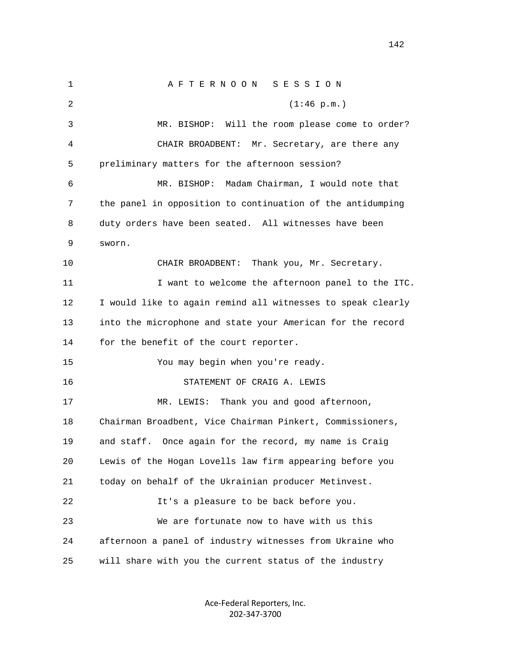1 A F T E R N O O N S E S S I O N 2 (1:46 p.m.) 3 MR. BISHOP: Will the room please come to order? 4 CHAIR BROADBENT: Mr. Secretary, are there any 5 preliminary matters for the afternoon session? 6 MR. BISHOP: Madam Chairman, I would note that 7 the panel in opposition to continuation of the antidumping 8 duty orders have been seated. All witnesses have been 9 sworn. 10 CHAIR BROADBENT: Thank you, Mr. Secretary. 11 I want to welcome the afternoon panel to the ITC. 12 I would like to again remind all witnesses to speak clearly 13 into the microphone and state your American for the record 14 for the benefit of the court reporter. 15 You may begin when you're ready. 16 STATEMENT OF CRAIG A. LEWIS 17 MR. LEWIS: Thank you and good afternoon, 18 Chairman Broadbent, Vice Chairman Pinkert, Commissioners, 19 and staff. Once again for the record, my name is Craig 20 Lewis of the Hogan Lovells law firm appearing before you 21 today on behalf of the Ukrainian producer Metinvest. 22 It's a pleasure to be back before you. 23 We are fortunate now to have with us this 24 afternoon a panel of industry witnesses from Ukraine who 25 will share with you the current status of the industry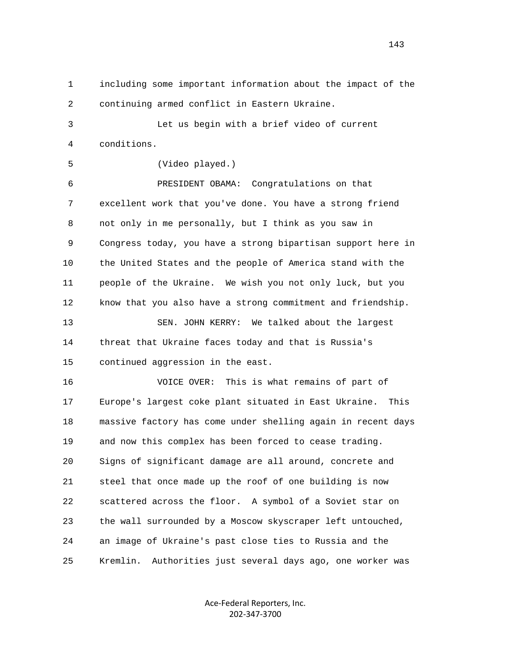1 including some important information about the impact of the 2 continuing armed conflict in Eastern Ukraine. 3 Let us begin with a brief video of current 4 conditions. 5 (Video played.) 6 PRESIDENT OBAMA: Congratulations on that 7 excellent work that you've done. You have a strong friend 8 not only in me personally, but I think as you saw in 9 Congress today, you have a strong bipartisan support here in 10 the United States and the people of America stand with the 11 people of the Ukraine. We wish you not only luck, but you 12 know that you also have a strong commitment and friendship. 13 SEN. JOHN KERRY: We talked about the largest 14 threat that Ukraine faces today and that is Russia's 15 continued aggression in the east. 16 VOICE OVER: This is what remains of part of 17 Europe's largest coke plant situated in East Ukraine. This 18 massive factory has come under shelling again in recent days 19 and now this complex has been forced to cease trading. 20 Signs of significant damage are all around, concrete and 21 steel that once made up the roof of one building is now 22 scattered across the floor. A symbol of a Soviet star on 23 the wall surrounded by a Moscow skyscraper left untouched, 24 an image of Ukraine's past close ties to Russia and the

25 Kremlin. Authorities just several days ago, one worker was

Ace‐Federal Reporters, Inc. 202‐347‐3700

143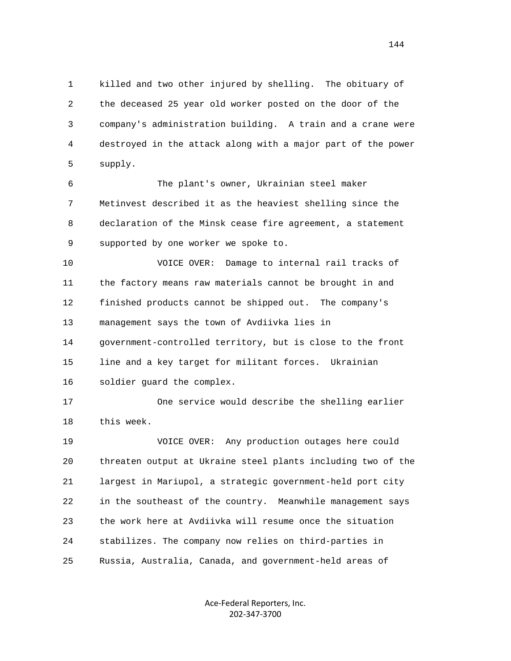1 killed and two other injured by shelling. The obituary of 2 the deceased 25 year old worker posted on the door of the 3 company's administration building. A train and a crane were 4 destroyed in the attack along with a major part of the power 5 supply.

 6 The plant's owner, Ukrainian steel maker 7 Metinvest described it as the heaviest shelling since the 8 declaration of the Minsk cease fire agreement, a statement 9 supported by one worker we spoke to.

 10 VOICE OVER: Damage to internal rail tracks of 11 the factory means raw materials cannot be brought in and 12 finished products cannot be shipped out. The company's 13 management says the town of Avdiivka lies in 14 government-controlled territory, but is close to the front 15 line and a key target for militant forces. Ukrainian 16 soldier guard the complex.

 17 One service would describe the shelling earlier 18 this week.

 19 VOICE OVER: Any production outages here could 20 threaten output at Ukraine steel plants including two of the 21 largest in Mariupol, a strategic government-held port city 22 in the southeast of the country. Meanwhile management says 23 the work here at Avdiivka will resume once the situation 24 stabilizes. The company now relies on third-parties in 25 Russia, Australia, Canada, and government-held areas of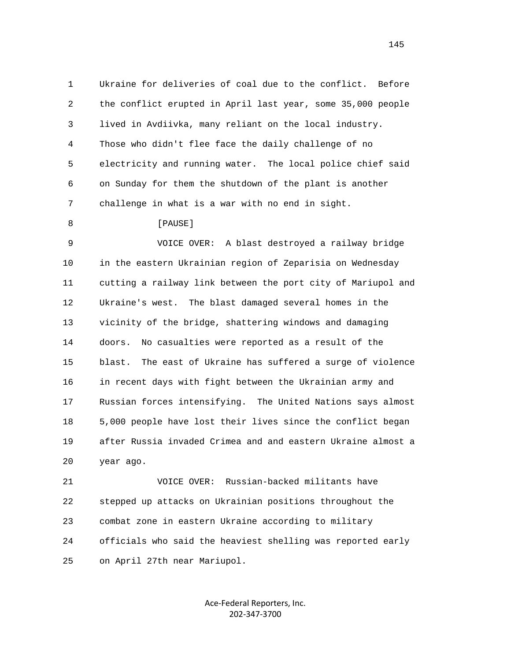1 Ukraine for deliveries of coal due to the conflict. Before 2 the conflict erupted in April last year, some 35,000 people 3 lived in Avdiivka, many reliant on the local industry. 4 Those who didn't flee face the daily challenge of no 5 electricity and running water. The local police chief said 6 on Sunday for them the shutdown of the plant is another 7 challenge in what is a war with no end in sight.

8 **[PAUSE]** 

 9 VOICE OVER: A blast destroyed a railway bridge 10 in the eastern Ukrainian region of Zeparisia on Wednesday 11 cutting a railway link between the port city of Mariupol and 12 Ukraine's west. The blast damaged several homes in the 13 vicinity of the bridge, shattering windows and damaging 14 doors. No casualties were reported as a result of the 15 blast. The east of Ukraine has suffered a surge of violence 16 in recent days with fight between the Ukrainian army and 17 Russian forces intensifying. The United Nations says almost 18 5,000 people have lost their lives since the conflict began 19 after Russia invaded Crimea and and eastern Ukraine almost a 20 year ago.

 21 VOICE OVER: Russian-backed militants have 22 stepped up attacks on Ukrainian positions throughout the 23 combat zone in eastern Ukraine according to military 24 officials who said the heaviest shelling was reported early 25 on April 27th near Mariupol.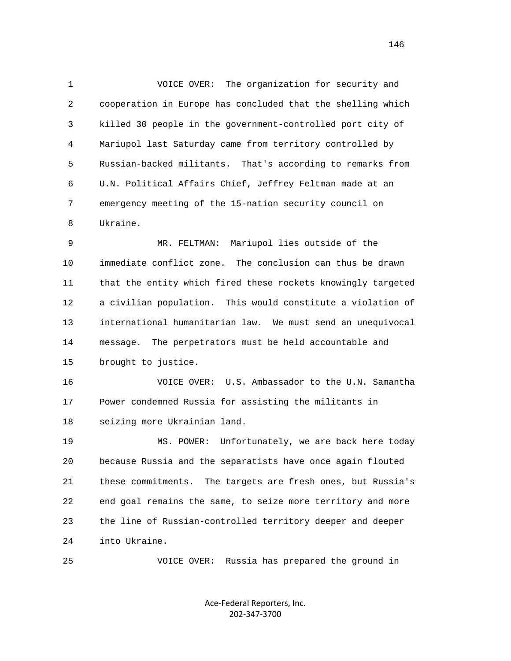1 VOICE OVER: The organization for security and 2 cooperation in Europe has concluded that the shelling which 3 killed 30 people in the government-controlled port city of 4 Mariupol last Saturday came from territory controlled by 5 Russian-backed militants. That's according to remarks from 6 U.N. Political Affairs Chief, Jeffrey Feltman made at an 7 emergency meeting of the 15-nation security council on 8 Ukraine.

 9 MR. FELTMAN: Mariupol lies outside of the 10 immediate conflict zone. The conclusion can thus be drawn 11 that the entity which fired these rockets knowingly targeted 12 a civilian population. This would constitute a violation of 13 international humanitarian law. We must send an unequivocal 14 message. The perpetrators must be held accountable and 15 brought to justice.

 16 VOICE OVER: U.S. Ambassador to the U.N. Samantha 17 Power condemned Russia for assisting the militants in 18 seizing more Ukrainian land.

 19 MS. POWER: Unfortunately, we are back here today 20 because Russia and the separatists have once again flouted 21 these commitments. The targets are fresh ones, but Russia's 22 end goal remains the same, to seize more territory and more 23 the line of Russian-controlled territory deeper and deeper 24 into Ukraine.

25 VOICE OVER: Russia has prepared the ground in

Ace‐Federal Reporters, Inc. 202‐347‐3700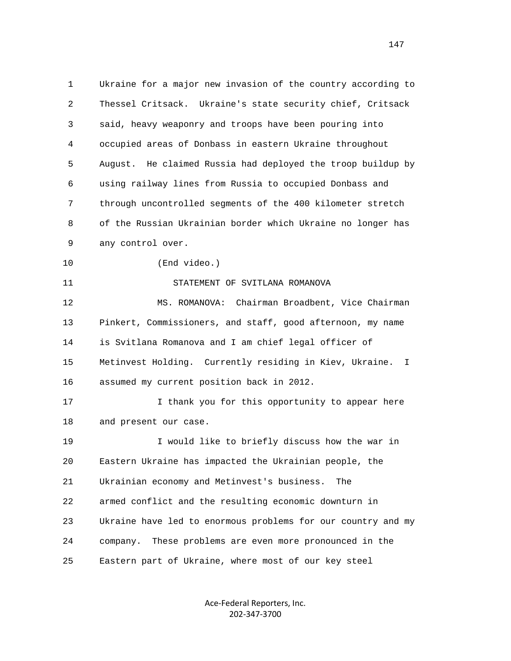1 Ukraine for a major new invasion of the country according to 2 Thessel Critsack. Ukraine's state security chief, Critsack 3 said, heavy weaponry and troops have been pouring into 4 occupied areas of Donbass in eastern Ukraine throughout 5 August. He claimed Russia had deployed the troop buildup by 6 using railway lines from Russia to occupied Donbass and 7 through uncontrolled segments of the 400 kilometer stretch 8 of the Russian Ukrainian border which Ukraine no longer has 9 any control over. 10 (End video.) 11 STATEMENT OF SVITLANA ROMANOVA 12 MS. ROMANOVA: Chairman Broadbent, Vice Chairman 13 Pinkert, Commissioners, and staff, good afternoon, my name 14 is Svitlana Romanova and I am chief legal officer of 15 Metinvest Holding. Currently residing in Kiev, Ukraine. I 16 assumed my current position back in 2012. 17 I thank you for this opportunity to appear here 18 and present our case. 19 I would like to briefly discuss how the war in 20 Eastern Ukraine has impacted the Ukrainian people, the 21 Ukrainian economy and Metinvest's business. The 22 armed conflict and the resulting economic downturn in 23 Ukraine have led to enormous problems for our country and my 24 company. These problems are even more pronounced in the 25 Eastern part of Ukraine, where most of our key steel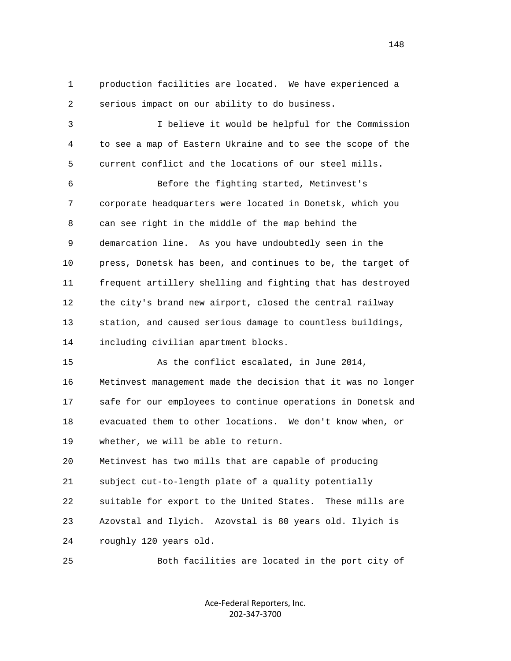1 production facilities are located. We have experienced a 2 serious impact on our ability to do business. 3 I believe it would be helpful for the Commission 4 to see a map of Eastern Ukraine and to see the scope of the 5 current conflict and the locations of our steel mills. 6 Before the fighting started, Metinvest's 7 corporate headquarters were located in Donetsk, which you 8 can see right in the middle of the map behind the 9 demarcation line. As you have undoubtedly seen in the 10 press, Donetsk has been, and continues to be, the target of 11 frequent artillery shelling and fighting that has destroyed 12 the city's brand new airport, closed the central railway 13 station, and caused serious damage to countless buildings, 14 including civilian apartment blocks. 15 As the conflict escalated, in June 2014, 16 Metinvest management made the decision that it was no longer 17 safe for our employees to continue operations in Donetsk and 18 evacuated them to other locations. We don't know when, or 19 whether, we will be able to return. 20 Metinvest has two mills that are capable of producing 21 subject cut-to-length plate of a quality potentially 22 suitable for export to the United States. These mills are 23 Azovstal and Ilyich. Azovstal is 80 years old. Ilyich is 24 roughly 120 years old. 25 Both facilities are located in the port city of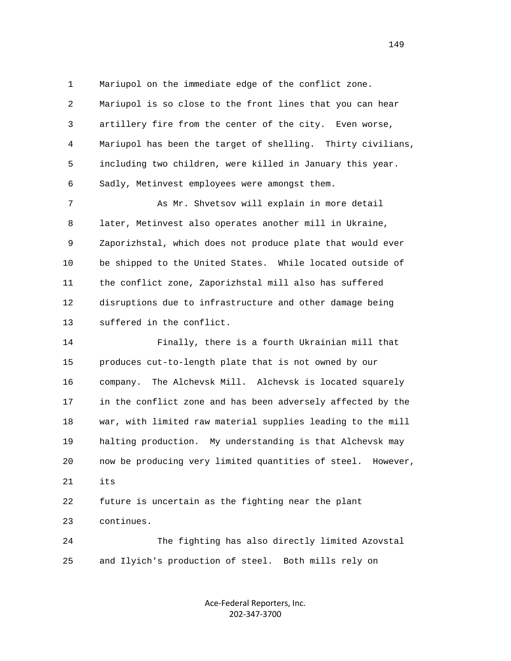1 Mariupol on the immediate edge of the conflict zone.

 2 Mariupol is so close to the front lines that you can hear 3 artillery fire from the center of the city. Even worse, 4 Mariupol has been the target of shelling. Thirty civilians, 5 including two children, were killed in January this year. 6 Sadly, Metinvest employees were amongst them.

7 As Mr. Shvetsov will explain in more detail 8 later, Metinvest also operates another mill in Ukraine, 9 Zaporizhstal, which does not produce plate that would ever 10 be shipped to the United States. While located outside of 11 the conflict zone, Zaporizhstal mill also has suffered 12 disruptions due to infrastructure and other damage being 13 suffered in the conflict.

 14 Finally, there is a fourth Ukrainian mill that 15 produces cut-to-length plate that is not owned by our 16 company. The Alchevsk Mill. Alchevsk is located squarely 17 in the conflict zone and has been adversely affected by the 18 war, with limited raw material supplies leading to the mill 19 halting production. My understanding is that Alchevsk may 20 now be producing very limited quantities of steel. However, 21 its

 22 future is uncertain as the fighting near the plant 23 continues.

 24 The fighting has also directly limited Azovstal 25 and Ilyich's production of steel. Both mills rely on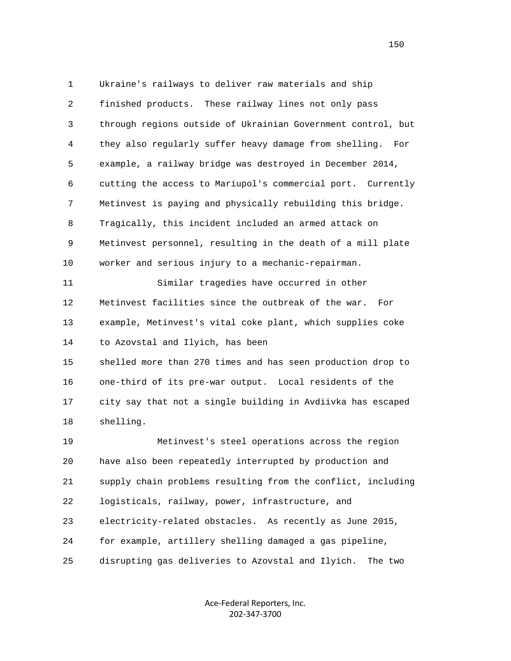1 Ukraine's railways to deliver raw materials and ship 2 finished products. These railway lines not only pass 3 through regions outside of Ukrainian Government control, but 4 they also regularly suffer heavy damage from shelling. For 5 example, a railway bridge was destroyed in December 2014, 6 cutting the access to Mariupol's commercial port. Currently 7 Metinvest is paying and physically rebuilding this bridge. 8 Tragically, this incident included an armed attack on 9 Metinvest personnel, resulting in the death of a mill plate 10 worker and serious injury to a mechanic-repairman. 11 Similar tragedies have occurred in other 12 Metinvest facilities since the outbreak of the war. For 13 example, Metinvest's vital coke plant, which supplies coke 14 to Azovstal and Ilyich, has been 15 shelled more than 270 times and has seen production drop to 16 one-third of its pre-war output. Local residents of the 17 city say that not a single building in Avdiivka has escaped 18 shelling. 19 Metinvest's steel operations across the region 20 have also been repeatedly interrupted by production and 21 supply chain problems resulting from the conflict, including 22 logisticals, railway, power, infrastructure, and 23 electricity-related obstacles. As recently as June 2015,

25 disrupting gas deliveries to Azovstal and Ilyich. The two

24 for example, artillery shelling damaged a gas pipeline,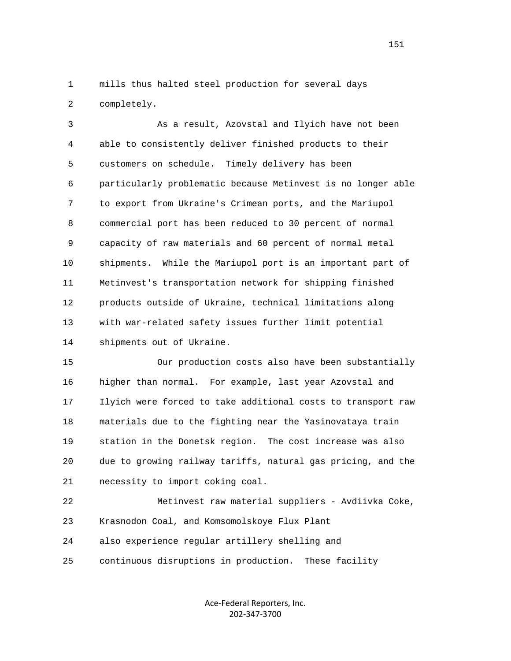1 mills thus halted steel production for several days 2 completely.

 3 As a result, Azovstal and Ilyich have not been 4 able to consistently deliver finished products to their 5 customers on schedule. Timely delivery has been 6 particularly problematic because Metinvest is no longer able 7 to export from Ukraine's Crimean ports, and the Mariupol 8 commercial port has been reduced to 30 percent of normal 9 capacity of raw materials and 60 percent of normal metal 10 shipments. While the Mariupol port is an important part of 11 Metinvest's transportation network for shipping finished 12 products outside of Ukraine, technical limitations along 13 with war-related safety issues further limit potential 14 shipments out of Ukraine.

 15 Our production costs also have been substantially 16 higher than normal. For example, last year Azovstal and 17 Ilyich were forced to take additional costs to transport raw 18 materials due to the fighting near the Yasinovataya train 19 station in the Donetsk region. The cost increase was also 20 due to growing railway tariffs, natural gas pricing, and the 21 necessity to import coking coal.

 22 Metinvest raw material suppliers - Avdiivka Coke, 23 Krasnodon Coal, and Komsomolskoye Flux Plant 24 also experience regular artillery shelling and 25 continuous disruptions in production. These facility

> Ace‐Federal Reporters, Inc. 202‐347‐3700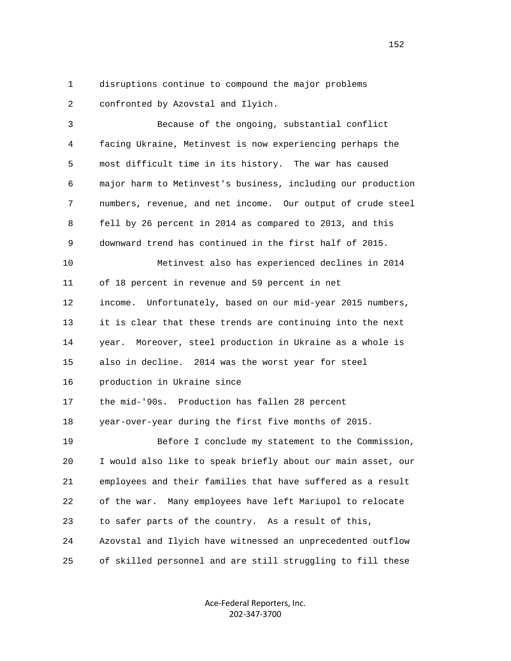1 disruptions continue to compound the major problems 2 confronted by Azovstal and Ilyich.

 3 Because of the ongoing, substantial conflict 4 facing Ukraine, Metinvest is now experiencing perhaps the 5 most difficult time in its history. The war has caused 6 major harm to Metinvest's business, including our production 7 numbers, revenue, and net income. Our output of crude steel 8 fell by 26 percent in 2014 as compared to 2013, and this 9 downward trend has continued in the first half of 2015. 10 Metinvest also has experienced declines in 2014 11 of 18 percent in revenue and 59 percent in net 12 income. Unfortunately, based on our mid-year 2015 numbers, 13 it is clear that these trends are continuing into the next 14 year. Moreover, steel production in Ukraine as a whole is 15 also in decline. 2014 was the worst year for steel 16 production in Ukraine since 17 the mid-'90s. Production has fallen 28 percent 18 year-over-year during the first five months of 2015. 19 Before I conclude my statement to the Commission, 20 I would also like to speak briefly about our main asset, our 21 employees and their families that have suffered as a result 22 of the war. Many employees have left Mariupol to relocate 23 to safer parts of the country. As a result of this, 24 Azovstal and Ilyich have witnessed an unprecedented outflow 25 of skilled personnel and are still struggling to fill these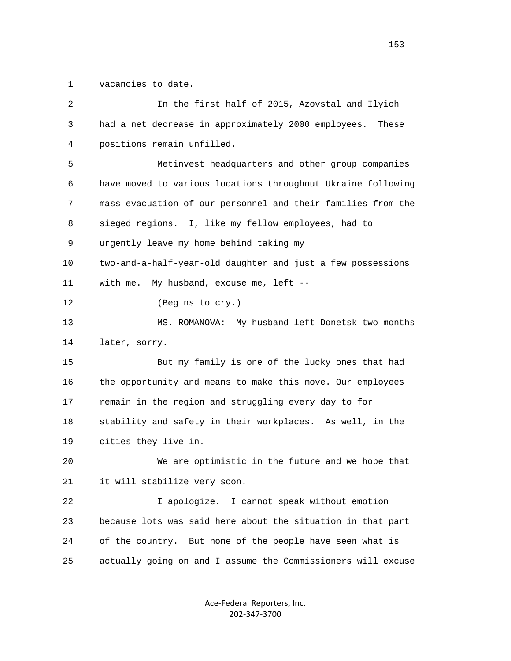1 vacancies to date.

| 2  | In the first half of 2015, Azovstal and Ilyich               |
|----|--------------------------------------------------------------|
| 3  | had a net decrease in approximately 2000 employees. These    |
| 4  | positions remain unfilled.                                   |
| 5  | Metinvest headquarters and other group companies             |
| 6  | have moved to various locations throughout Ukraine following |
| 7  | mass evacuation of our personnel and their families from the |
| 8  | sieged regions. I, like my fellow employees, had to          |
| 9  | urgently leave my home behind taking my                      |
| 10 | two-and-a-half-year-old daughter and just a few possessions  |
| 11 | My husband, excuse me, left --<br>with me.                   |
| 12 | (Begins to cry.)                                             |
| 13 | MS. ROMANOVA: My husband left Donetsk two months             |
| 14 | later, sorry.                                                |
| 15 | But my family is one of the lucky ones that had              |
| 16 | the opportunity and means to make this move. Our employees   |
| 17 | remain in the region and struggling every day to for         |
| 18 | stability and safety in their workplaces. As well, in the    |
| 19 | cities they live in.                                         |
| 20 | We are optimistic in the future and we hope that             |
| 21 | it will stabilize very soon.                                 |
| 22 | I apologize. I cannot speak without emotion                  |
| 23 | because lots was said here about the situation in that part  |
| 24 | of the country. But none of the people have seen what is     |
| 25 | actually going on and I assume the Commissioners will excuse |
|    |                                                              |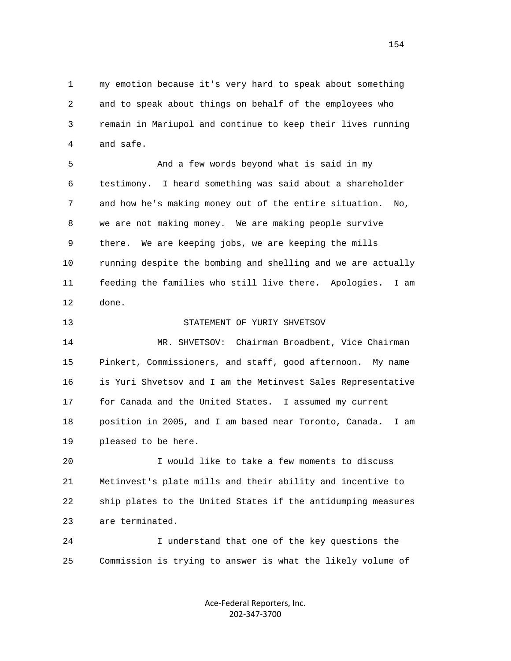1 my emotion because it's very hard to speak about something 2 and to speak about things on behalf of the employees who 3 remain in Mariupol and continue to keep their lives running 4 and safe.

 5 And a few words beyond what is said in my 6 testimony. I heard something was said about a shareholder 7 and how he's making money out of the entire situation. No, 8 we are not making money. We are making people survive 9 there. We are keeping jobs, we are keeping the mills 10 running despite the bombing and shelling and we are actually 11 feeding the families who still live there. Apologies. I am 12 done.

13 STATEMENT OF YURIY SHVETSOV

 14 MR. SHVETSOV: Chairman Broadbent, Vice Chairman 15 Pinkert, Commissioners, and staff, good afternoon. My name 16 is Yuri Shvetsov and I am the Metinvest Sales Representative 17 for Canada and the United States. I assumed my current 18 position in 2005, and I am based near Toronto, Canada. I am 19 pleased to be here.

 20 I would like to take a few moments to discuss 21 Metinvest's plate mills and their ability and incentive to 22 ship plates to the United States if the antidumping measures 23 are terminated.

 24 I understand that one of the key questions the 25 Commission is trying to answer is what the likely volume of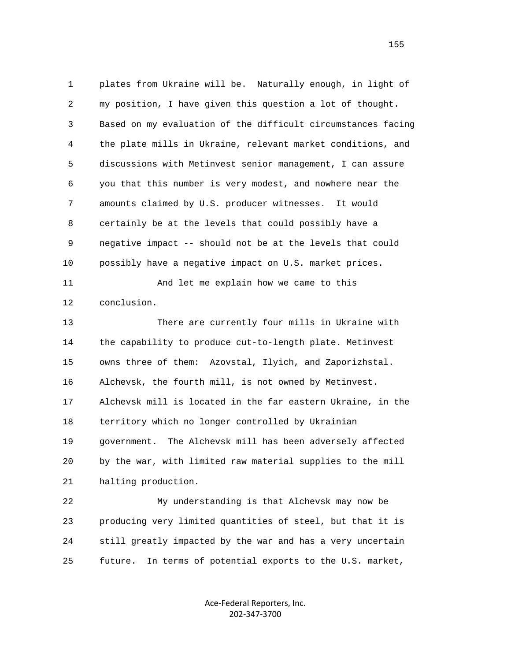1 plates from Ukraine will be. Naturally enough, in light of 2 my position, I have given this question a lot of thought. 3 Based on my evaluation of the difficult circumstances facing 4 the plate mills in Ukraine, relevant market conditions, and 5 discussions with Metinvest senior management, I can assure 6 you that this number is very modest, and nowhere near the 7 amounts claimed by U.S. producer witnesses. It would 8 certainly be at the levels that could possibly have a 9 negative impact -- should not be at the levels that could 10 possibly have a negative impact on U.S. market prices.

 11 And let me explain how we came to this 12 conclusion.

 13 There are currently four mills in Ukraine with 14 the capability to produce cut-to-length plate. Metinvest 15 owns three of them: Azovstal, Ilyich, and Zaporizhstal. 16 Alchevsk, the fourth mill, is not owned by Metinvest. 17 Alchevsk mill is located in the far eastern Ukraine, in the 18 territory which no longer controlled by Ukrainian 19 government. The Alchevsk mill has been adversely affected 20 by the war, with limited raw material supplies to the mill 21 halting production.

 22 My understanding is that Alchevsk may now be 23 producing very limited quantities of steel, but that it is 24 still greatly impacted by the war and has a very uncertain 25 future. In terms of potential exports to the U.S. market,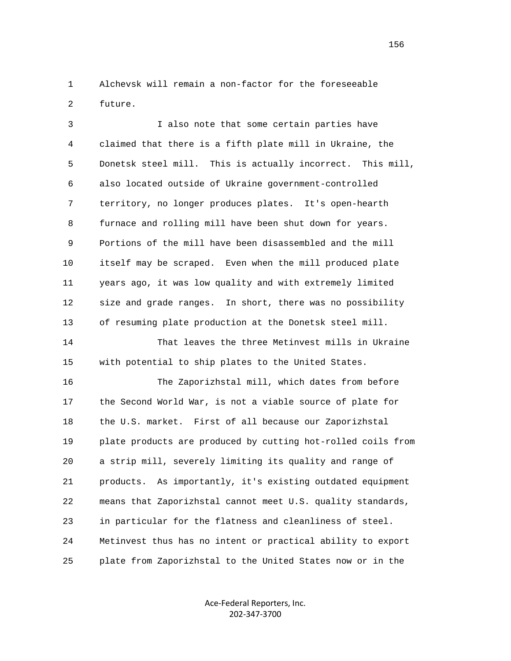1 Alchevsk will remain a non-factor for the foreseeable 2 future.

 3 I also note that some certain parties have 4 claimed that there is a fifth plate mill in Ukraine, the 5 Donetsk steel mill. This is actually incorrect. This mill, 6 also located outside of Ukraine government-controlled 7 territory, no longer produces plates. It's open-hearth 8 furnace and rolling mill have been shut down for years. 9 Portions of the mill have been disassembled and the mill 10 itself may be scraped. Even when the mill produced plate 11 years ago, it was low quality and with extremely limited 12 size and grade ranges. In short, there was no possibility 13 of resuming plate production at the Donetsk steel mill.

 14 That leaves the three Metinvest mills in Ukraine 15 with potential to ship plates to the United States.

 16 The Zaporizhstal mill, which dates from before 17 the Second World War, is not a viable source of plate for 18 the U.S. market. First of all because our Zaporizhstal 19 plate products are produced by cutting hot-rolled coils from 20 a strip mill, severely limiting its quality and range of 21 products. As importantly, it's existing outdated equipment 22 means that Zaporizhstal cannot meet U.S. quality standards, 23 in particular for the flatness and cleanliness of steel. 24 Metinvest thus has no intent or practical ability to export 25 plate from Zaporizhstal to the United States now or in the

> Ace‐Federal Reporters, Inc. 202‐347‐3700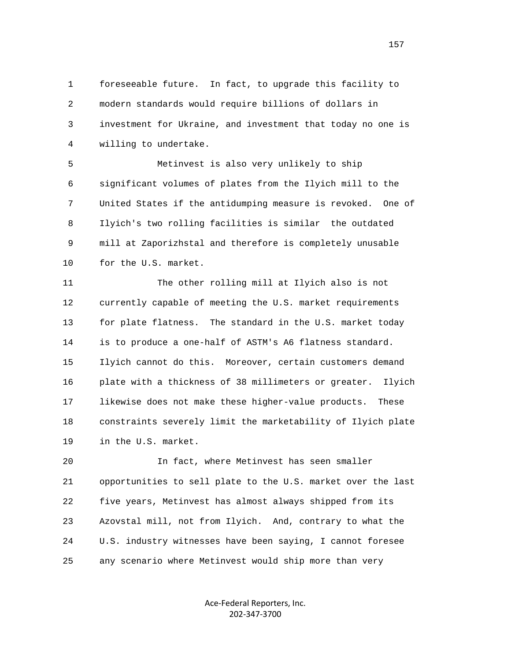1 foreseeable future. In fact, to upgrade this facility to 2 modern standards would require billions of dollars in 3 investment for Ukraine, and investment that today no one is 4 willing to undertake.

 5 Metinvest is also very unlikely to ship 6 significant volumes of plates from the Ilyich mill to the 7 United States if the antidumping measure is revoked. One of 8 Ilyich's two rolling facilities is similar the outdated 9 mill at Zaporizhstal and therefore is completely unusable 10 for the U.S. market.

 11 The other rolling mill at Ilyich also is not 12 currently capable of meeting the U.S. market requirements 13 for plate flatness. The standard in the U.S. market today 14 is to produce a one-half of ASTM's A6 flatness standard. 15 Ilyich cannot do this. Moreover, certain customers demand 16 plate with a thickness of 38 millimeters or greater. Ilyich 17 likewise does not make these higher-value products. These 18 constraints severely limit the marketability of Ilyich plate 19 in the U.S. market.

 20 In fact, where Metinvest has seen smaller 21 opportunities to sell plate to the U.S. market over the last 22 five years, Metinvest has almost always shipped from its 23 Azovstal mill, not from Ilyich. And, contrary to what the 24 U.S. industry witnesses have been saying, I cannot foresee 25 any scenario where Metinvest would ship more than very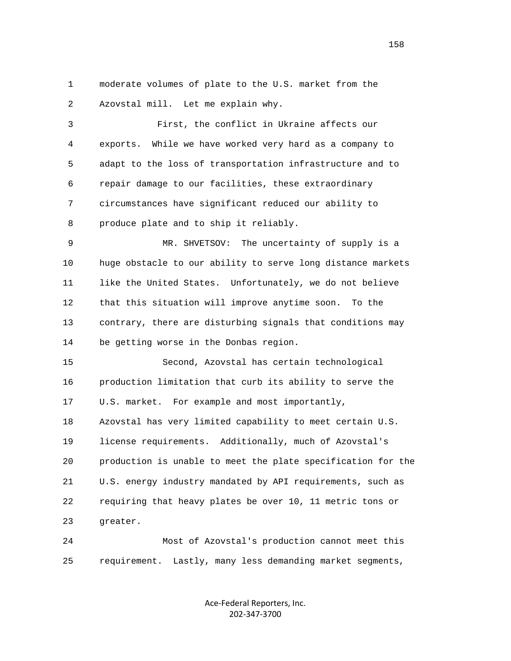1 moderate volumes of plate to the U.S. market from the 2 Azovstal mill. Let me explain why.

 3 First, the conflict in Ukraine affects our 4 exports. While we have worked very hard as a company to 5 adapt to the loss of transportation infrastructure and to 6 repair damage to our facilities, these extraordinary 7 circumstances have significant reduced our ability to 8 produce plate and to ship it reliably.

 9 MR. SHVETSOV: The uncertainty of supply is a 10 huge obstacle to our ability to serve long distance markets 11 like the United States. Unfortunately, we do not believe 12 that this situation will improve anytime soon. To the 13 contrary, there are disturbing signals that conditions may 14 be getting worse in the Donbas region.

 15 Second, Azovstal has certain technological 16 production limitation that curb its ability to serve the 17 U.S. market. For example and most importantly, 18 Azovstal has very limited capability to meet certain U.S. 19 license requirements. Additionally, much of Azovstal's 20 production is unable to meet the plate specification for the 21 U.S. energy industry mandated by API requirements, such as 22 requiring that heavy plates be over 10, 11 metric tons or 23 greater.

 24 Most of Azovstal's production cannot meet this 25 requirement. Lastly, many less demanding market segments,

> Ace‐Federal Reporters, Inc. 202‐347‐3700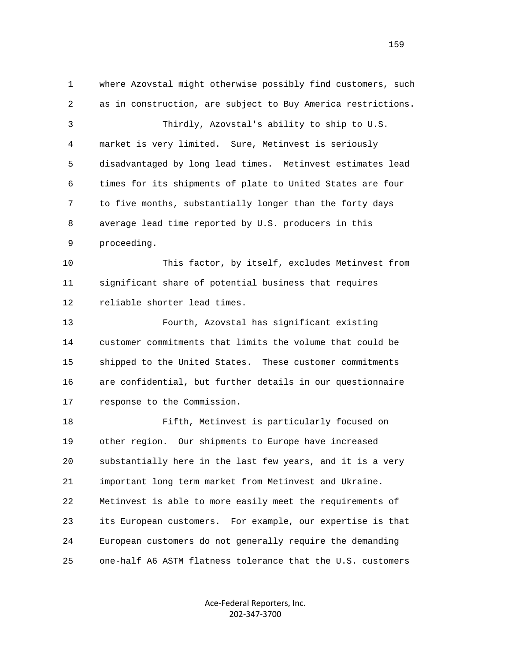1 where Azovstal might otherwise possibly find customers, such 2 as in construction, are subject to Buy America restrictions. 3 Thirdly, Azovstal's ability to ship to U.S. 4 market is very limited. Sure, Metinvest is seriously 5 disadvantaged by long lead times. Metinvest estimates lead 6 times for its shipments of plate to United States are four 7 to five months, substantially longer than the forty days 8 average lead time reported by U.S. producers in this 9 proceeding. 10 This factor, by itself, excludes Metinvest from 11 significant share of potential business that requires 12 reliable shorter lead times. 13 Fourth, Azovstal has significant existing 14 customer commitments that limits the volume that could be 15 shipped to the United States. These customer commitments 16 are confidential, but further details in our questionnaire 17 response to the Commission. 18 Fifth, Metinvest is particularly focused on 19 other region. Our shipments to Europe have increased 20 substantially here in the last few years, and it is a very 21 important long term market from Metinvest and Ukraine. 22 Metinvest is able to more easily meet the requirements of 23 its European customers. For example, our expertise is that 24 European customers do not generally require the demanding 25 one-half A6 ASTM flatness tolerance that the U.S. customers

> Ace‐Federal Reporters, Inc. 202‐347‐3700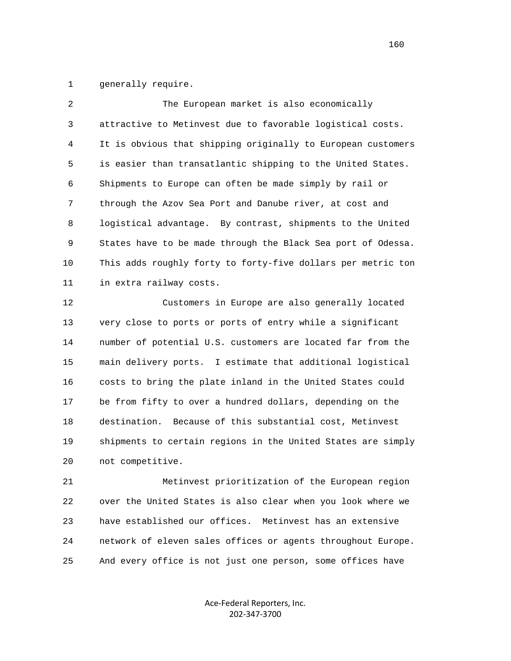1 generally require.

| 2            | The European market is also economically                     |
|--------------|--------------------------------------------------------------|
| $\mathsf{3}$ | attractive to Metinvest due to favorable logistical costs.   |
| 4            | It is obvious that shipping originally to European customers |
| 5            | is easier than transatlantic shipping to the United States.  |
| 6            | Shipments to Europe can often be made simply by rail or      |
| 7            | through the Azov Sea Port and Danube river, at cost and      |
| 8            | logistical advantage. By contrast, shipments to the United   |
| 9            | States have to be made through the Black Sea port of Odessa. |
| 10           | This adds roughly forty to forty-five dollars per metric ton |
| 11           | in extra railway costs.                                      |
| 12           | Customers in Europe are also generally located               |
| 13           | very close to ports or ports of entry while a significant    |
| 14           | number of potential U.S. customers are located far from the  |
| 15           | main delivery ports. I estimate that additional logistical   |
| 16           | costs to bring the plate inland in the United States could   |
| 17           | be from fifty to over a hundred dollars, depending on the    |
| 18           | destination. Because of this substantial cost, Metinvest     |
| 19           | shipments to certain regions in the United States are simply |
| 20           | not competitive.                                             |
| 21           | Metinvest prioritization of the European region              |

 22 over the United States is also clear when you look where we 23 have established our offices. Metinvest has an extensive 24 network of eleven sales offices or agents throughout Europe. 25 And every office is not just one person, some offices have

> Ace‐Federal Reporters, Inc. 202‐347‐3700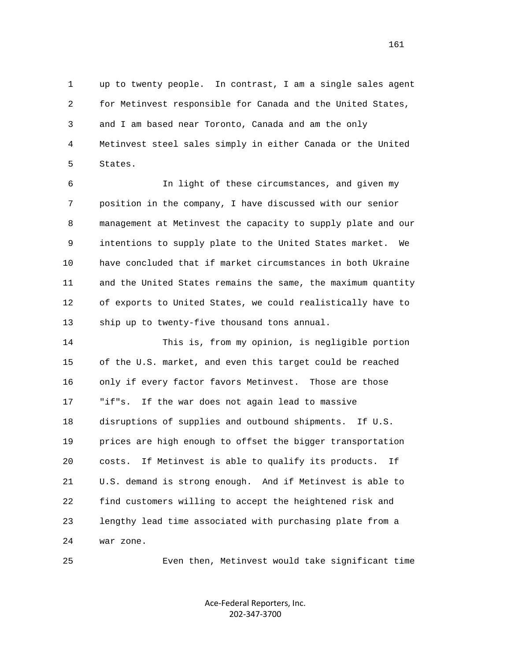1 up to twenty people. In contrast, I am a single sales agent 2 for Metinvest responsible for Canada and the United States, 3 and I am based near Toronto, Canada and am the only 4 Metinvest steel sales simply in either Canada or the United 5 States.

 6 In light of these circumstances, and given my 7 position in the company, I have discussed with our senior 8 management at Metinvest the capacity to supply plate and our 9 intentions to supply plate to the United States market. We 10 have concluded that if market circumstances in both Ukraine 11 and the United States remains the same, the maximum quantity 12 of exports to United States, we could realistically have to 13 ship up to twenty-five thousand tons annual.

 14 This is, from my opinion, is negligible portion 15 of the U.S. market, and even this target could be reached 16 only if every factor favors Metinvest. Those are those 17 "if"s. If the war does not again lead to massive 18 disruptions of supplies and outbound shipments. If U.S. 19 prices are high enough to offset the bigger transportation 20 costs. If Metinvest is able to qualify its products. If 21 U.S. demand is strong enough. And if Metinvest is able to 22 find customers willing to accept the heightened risk and 23 lengthy lead time associated with purchasing plate from a 24 war zone.

25 Even then, Metinvest would take significant time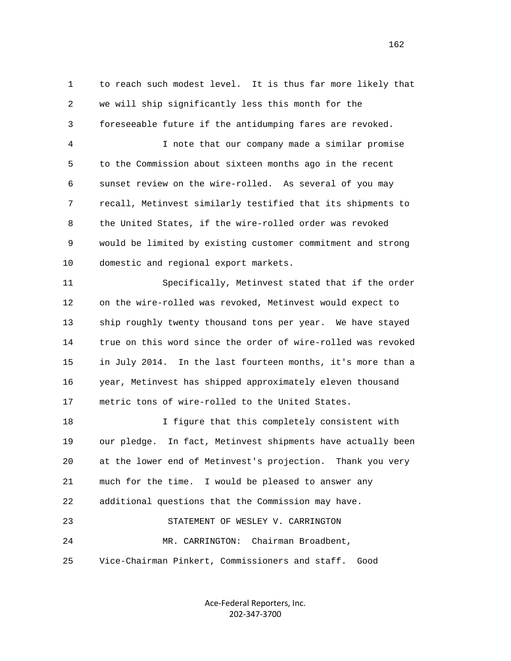1 to reach such modest level. It is thus far more likely that 2 we will ship significantly less this month for the 3 foreseeable future if the antidumping fares are revoked.

 4 I note that our company made a similar promise 5 to the Commission about sixteen months ago in the recent 6 sunset review on the wire-rolled. As several of you may 7 recall, Metinvest similarly testified that its shipments to 8 the United States, if the wire-rolled order was revoked 9 would be limited by existing customer commitment and strong 10 domestic and regional export markets.

 11 Specifically, Metinvest stated that if the order 12 on the wire-rolled was revoked, Metinvest would expect to 13 ship roughly twenty thousand tons per year. We have stayed 14 true on this word since the order of wire-rolled was revoked 15 in July 2014. In the last fourteen months, it's more than a 16 year, Metinvest has shipped approximately eleven thousand 17 metric tons of wire-rolled to the United States.

 18 I figure that this completely consistent with 19 our pledge. In fact, Metinvest shipments have actually been 20 at the lower end of Metinvest's projection. Thank you very 21 much for the time. I would be pleased to answer any 22 additional questions that the Commission may have. 23 STATEMENT OF WESLEY V. CARRINGTON 24 MR. CARRINGTON: Chairman Broadbent,

25 Vice-Chairman Pinkert, Commissioners and staff. Good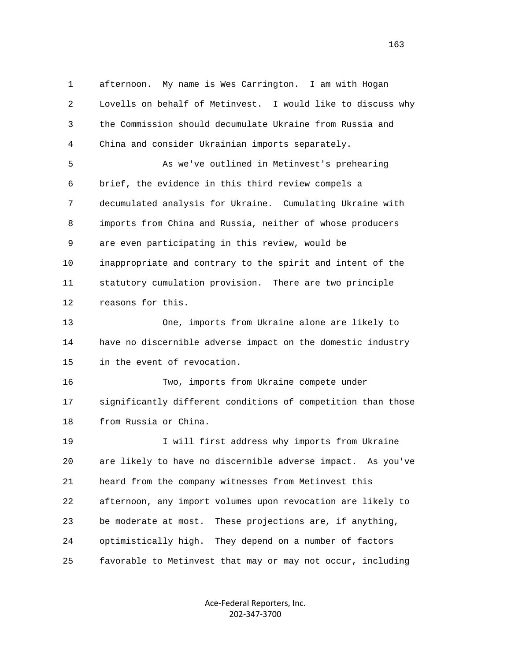1 afternoon. My name is Wes Carrington. I am with Hogan 2 Lovells on behalf of Metinvest. I would like to discuss why 3 the Commission should decumulate Ukraine from Russia and 4 China and consider Ukrainian imports separately. 5 As we've outlined in Metinvest's prehearing 6 brief, the evidence in this third review compels a 7 decumulated analysis for Ukraine. Cumulating Ukraine with 8 imports from China and Russia, neither of whose producers 9 are even participating in this review, would be 10 inappropriate and contrary to the spirit and intent of the 11 statutory cumulation provision. There are two principle 12 reasons for this. 13 One, imports from Ukraine alone are likely to 14 have no discernible adverse impact on the domestic industry 15 in the event of revocation. 16 Two, imports from Ukraine compete under 17 significantly different conditions of competition than those 18 from Russia or China. 19 I will first address why imports from Ukraine 20 are likely to have no discernible adverse impact. As you've 21 heard from the company witnesses from Metinvest this 22 afternoon, any import volumes upon revocation are likely to 23 be moderate at most. These projections are, if anything, 24 optimistically high. They depend on a number of factors 25 favorable to Metinvest that may or may not occur, including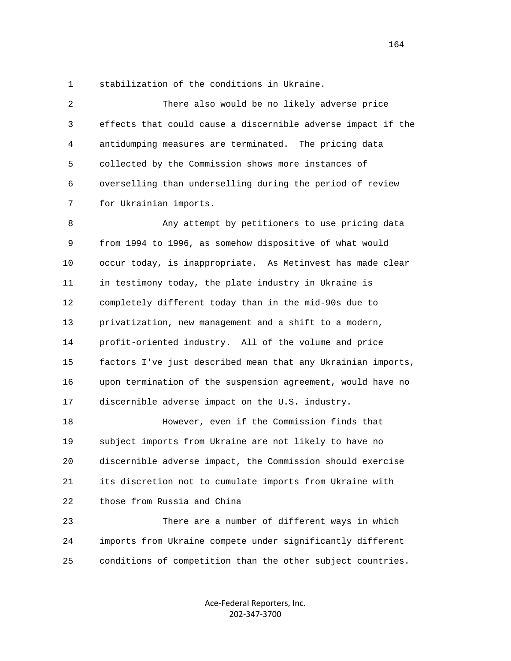1 stabilization of the conditions in Ukraine.

 2 There also would be no likely adverse price 3 effects that could cause a discernible adverse impact if the 4 antidumping measures are terminated. The pricing data 5 collected by the Commission shows more instances of 6 overselling than underselling during the period of review 7 for Ukrainian imports.

 8 Any attempt by petitioners to use pricing data 9 from 1994 to 1996, as somehow dispositive of what would 10 occur today, is inappropriate. As Metinvest has made clear 11 in testimony today, the plate industry in Ukraine is 12 completely different today than in the mid-90s due to 13 privatization, new management and a shift to a modern, 14 profit-oriented industry. All of the volume and price 15 factors I've just described mean that any Ukrainian imports, 16 upon termination of the suspension agreement, would have no 17 discernible adverse impact on the U.S. industry.

 18 However, even if the Commission finds that 19 subject imports from Ukraine are not likely to have no 20 discernible adverse impact, the Commission should exercise 21 its discretion not to cumulate imports from Ukraine with 22 those from Russia and China

 23 There are a number of different ways in which 24 imports from Ukraine compete under significantly different 25 conditions of competition than the other subject countries.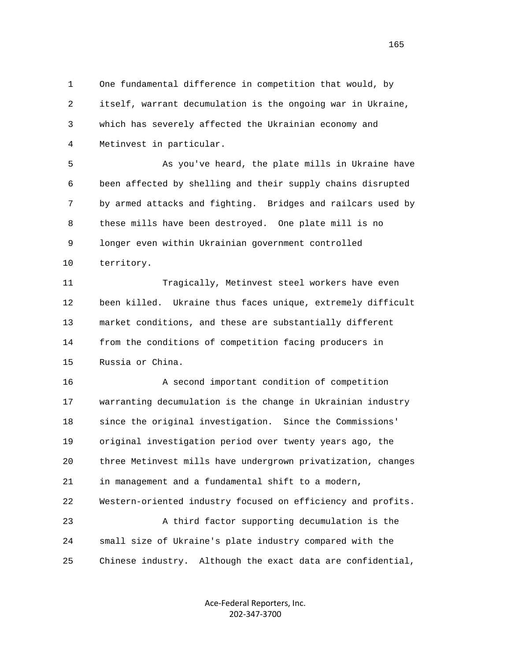1 One fundamental difference in competition that would, by 2 itself, warrant decumulation is the ongoing war in Ukraine, 3 which has severely affected the Ukrainian economy and 4 Metinvest in particular.

 5 As you've heard, the plate mills in Ukraine have 6 been affected by shelling and their supply chains disrupted 7 by armed attacks and fighting. Bridges and railcars used by 8 these mills have been destroyed. One plate mill is no 9 longer even within Ukrainian government controlled 10 territory.

 11 Tragically, Metinvest steel workers have even 12 been killed. Ukraine thus faces unique, extremely difficult 13 market conditions, and these are substantially different 14 from the conditions of competition facing producers in 15 Russia or China.

 16 A second important condition of competition 17 warranting decumulation is the change in Ukrainian industry 18 since the original investigation. Since the Commissions' 19 original investigation period over twenty years ago, the 20 three Metinvest mills have undergrown privatization, changes 21 in management and a fundamental shift to a modern, 22 Western-oriented industry focused on efficiency and profits. 23 A third factor supporting decumulation is the 24 small size of Ukraine's plate industry compared with the 25 Chinese industry. Although the exact data are confidential,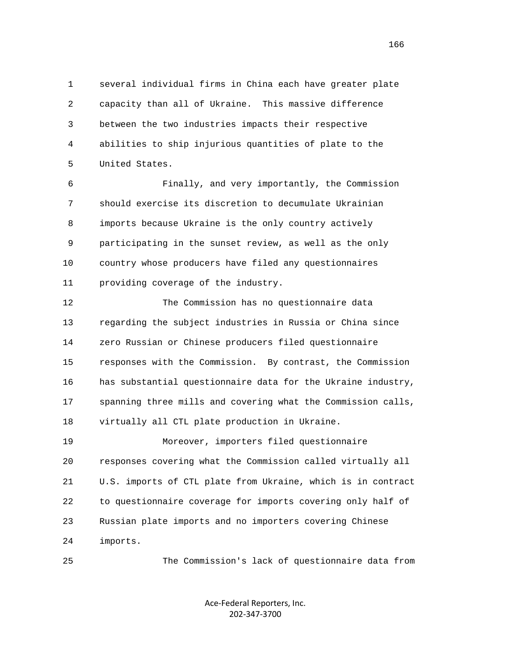1 several individual firms in China each have greater plate 2 capacity than all of Ukraine. This massive difference 3 between the two industries impacts their respective 4 abilities to ship injurious quantities of plate to the 5 United States.

 6 Finally, and very importantly, the Commission 7 should exercise its discretion to decumulate Ukrainian 8 imports because Ukraine is the only country actively 9 participating in the sunset review, as well as the only 10 country whose producers have filed any questionnaires 11 providing coverage of the industry.

 12 The Commission has no questionnaire data 13 regarding the subject industries in Russia or China since 14 zero Russian or Chinese producers filed questionnaire 15 responses with the Commission. By contrast, the Commission 16 has substantial questionnaire data for the Ukraine industry, 17 spanning three mills and covering what the Commission calls, 18 virtually all CTL plate production in Ukraine. 19 Moreover, importers filed questionnaire 20 responses covering what the Commission called virtually all 21 U.S. imports of CTL plate from Ukraine, which is in contract

 22 to questionnaire coverage for imports covering only half of 23 Russian plate imports and no importers covering Chinese 24 imports.

25 The Commission's lack of questionnaire data from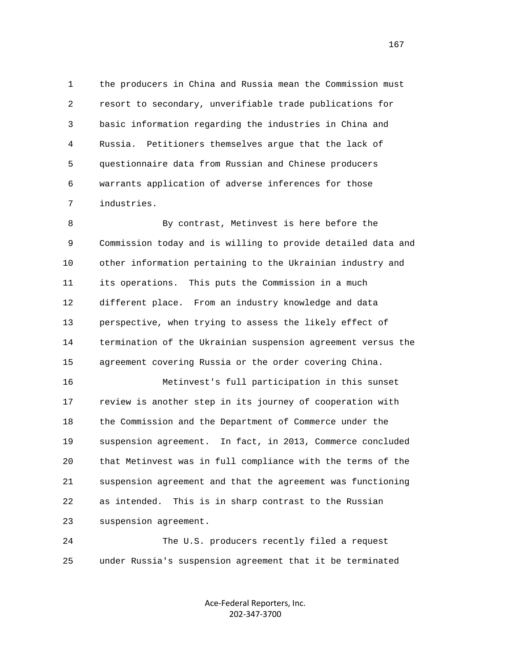1 the producers in China and Russia mean the Commission must 2 resort to secondary, unverifiable trade publications for 3 basic information regarding the industries in China and 4 Russia. Petitioners themselves argue that the lack of 5 questionnaire data from Russian and Chinese producers 6 warrants application of adverse inferences for those 7 industries.

 8 By contrast, Metinvest is here before the 9 Commission today and is willing to provide detailed data and 10 other information pertaining to the Ukrainian industry and 11 its operations. This puts the Commission in a much 12 different place. From an industry knowledge and data 13 perspective, when trying to assess the likely effect of 14 termination of the Ukrainian suspension agreement versus the 15 agreement covering Russia or the order covering China.

 16 Metinvest's full participation in this sunset 17 review is another step in its journey of cooperation with 18 the Commission and the Department of Commerce under the 19 suspension agreement. In fact, in 2013, Commerce concluded 20 that Metinvest was in full compliance with the terms of the 21 suspension agreement and that the agreement was functioning 22 as intended. This is in sharp contrast to the Russian 23 suspension agreement.

 24 The U.S. producers recently filed a request 25 under Russia's suspension agreement that it be terminated

> Ace‐Federal Reporters, Inc. 202‐347‐3700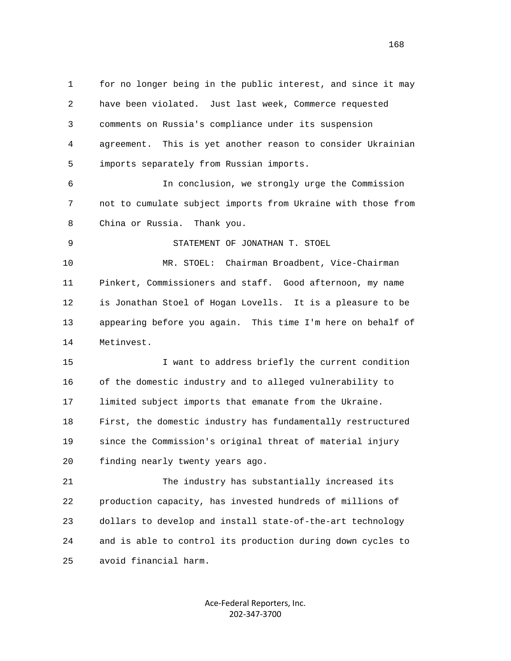1 for no longer being in the public interest, and since it may 2 have been violated. Just last week, Commerce requested 3 comments on Russia's compliance under its suspension 4 agreement. This is yet another reason to consider Ukrainian 5 imports separately from Russian imports. 6 In conclusion, we strongly urge the Commission 7 not to cumulate subject imports from Ukraine with those from 8 China or Russia. Thank you. 9 STATEMENT OF JONATHAN T. STOEL 10 MR. STOEL: Chairman Broadbent, Vice-Chairman 11 Pinkert, Commissioners and staff. Good afternoon, my name 12 is Jonathan Stoel of Hogan Lovells. It is a pleasure to be 13 appearing before you again. This time I'm here on behalf of 14 Metinvest. 15 I want to address briefly the current condition 16 of the domestic industry and to alleged vulnerability to 17 limited subject imports that emanate from the Ukraine. 18 First, the domestic industry has fundamentally restructured 19 since the Commission's original threat of material injury 20 finding nearly twenty years ago. 21 The industry has substantially increased its 22 production capacity, has invested hundreds of millions of 23 dollars to develop and install state-of-the-art technology

 24 and is able to control its production during down cycles to 25 avoid financial harm.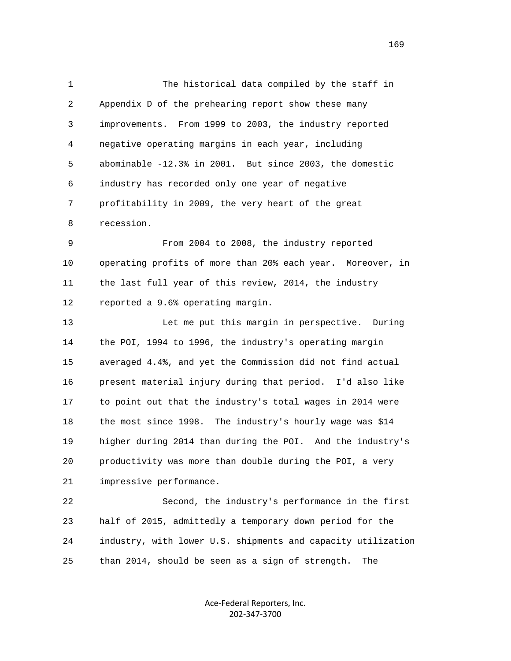1 The historical data compiled by the staff in 2 Appendix D of the prehearing report show these many 3 improvements. From 1999 to 2003, the industry reported 4 negative operating margins in each year, including 5 abominable -12.3% in 2001. But since 2003, the domestic 6 industry has recorded only one year of negative 7 profitability in 2009, the very heart of the great 8 recession.

 9 From 2004 to 2008, the industry reported 10 operating profits of more than 20% each year. Moreover, in 11 the last full year of this review, 2014, the industry 12 reported a 9.6% operating margin.

 13 Let me put this margin in perspective. During 14 the POI, 1994 to 1996, the industry's operating margin 15 averaged 4.4%, and yet the Commission did not find actual 16 present material injury during that period. I'd also like 17 to point out that the industry's total wages in 2014 were 18 the most since 1998. The industry's hourly wage was \$14 19 higher during 2014 than during the POI. And the industry's 20 productivity was more than double during the POI, a very 21 impressive performance.

 22 Second, the industry's performance in the first 23 half of 2015, admittedly a temporary down period for the 24 industry, with lower U.S. shipments and capacity utilization 25 than 2014, should be seen as a sign of strength. The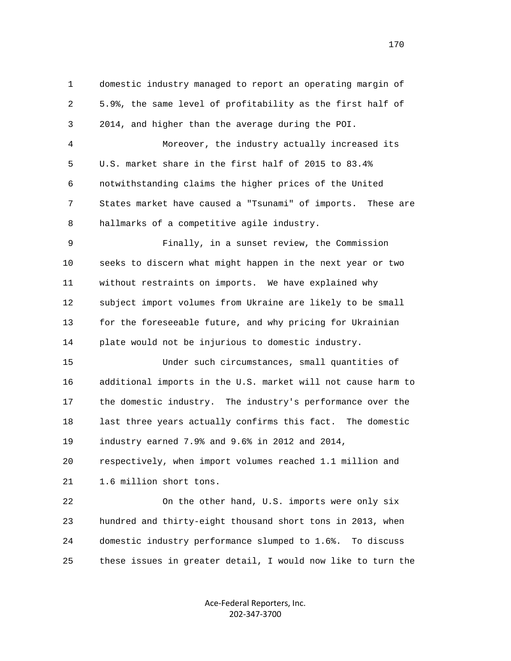1 domestic industry managed to report an operating margin of 2 5.9%, the same level of profitability as the first half of 3 2014, and higher than the average during the POI. 4 Moreover, the industry actually increased its 5 U.S. market share in the first half of 2015 to 83.4% 6 notwithstanding claims the higher prices of the United 7 States market have caused a "Tsunami" of imports. These are 8 hallmarks of a competitive agile industry. 9 Finally, in a sunset review, the Commission 10 seeks to discern what might happen in the next year or two 11 without restraints on imports. We have explained why 12 subject import volumes from Ukraine are likely to be small 13 for the foreseeable future, and why pricing for Ukrainian 14 plate would not be injurious to domestic industry. 15 Under such circumstances, small quantities of 16 additional imports in the U.S. market will not cause harm to 17 the domestic industry. The industry's performance over the 18 last three years actually confirms this fact. The domestic 19 industry earned 7.9% and 9.6% in 2012 and 2014, 20 respectively, when import volumes reached 1.1 million and 21 1.6 million short tons. 22 On the other hand, U.S. imports were only six 23 hundred and thirty-eight thousand short tons in 2013, when 24 domestic industry performance slumped to 1.6%. To discuss 25 these issues in greater detail, I would now like to turn the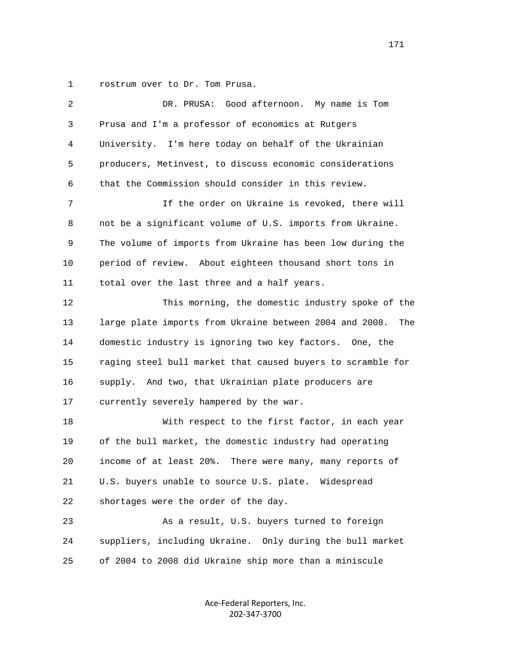1 rostrum over to Dr. Tom Prusa.

| $\overline{2}$ | DR. PRUSA: Good afternoon.<br>My name is Tom                   |
|----------------|----------------------------------------------------------------|
| 3              | Prusa and I'm a professor of economics at Rutgers              |
| 4              | University. I'm here today on behalf of the Ukrainian          |
| 5              | producers, Metinvest, to discuss economic considerations       |
| 6              | that the Commission should consider in this review.            |
| 7              | If the order on Ukraine is revoked, there will                 |
| 8              | not be a significant volume of U.S. imports from Ukraine.      |
| 9              | The volume of imports from Ukraine has been low during the     |
| 10             | period of review. About eighteen thousand short tons in        |
| 11             | total over the last three and a half years.                    |
| 12             | This morning, the domestic industry spoke of the               |
| 13             | large plate imports from Ukraine between 2004 and 2008.<br>The |
| 14             | domestic industry is ignoring two key factors. One, the        |
| 15             | raging steel bull market that caused buyers to scramble for    |
| 16             | supply. And two, that Ukrainian plate producers are            |
| 17             | currently severely hampered by the war.                        |
| 18             | With respect to the first factor, in each year                 |
| 19             | of the bull market, the domestic industry had operating        |
| 20             | income of at least 20%. There were many, many reports of       |
| 21             | U.S. buyers unable to source U.S. plate. Widespread            |
| 22             | shortages were the order of the day.                           |
| 23             | As a result, U.S. buyers turned to foreign                     |
| 24             | suppliers, including Ukraine. Only during the bull market      |
| 25             | of 2004 to 2008 did Ukraine ship more than a miniscule         |
|                |                                                                |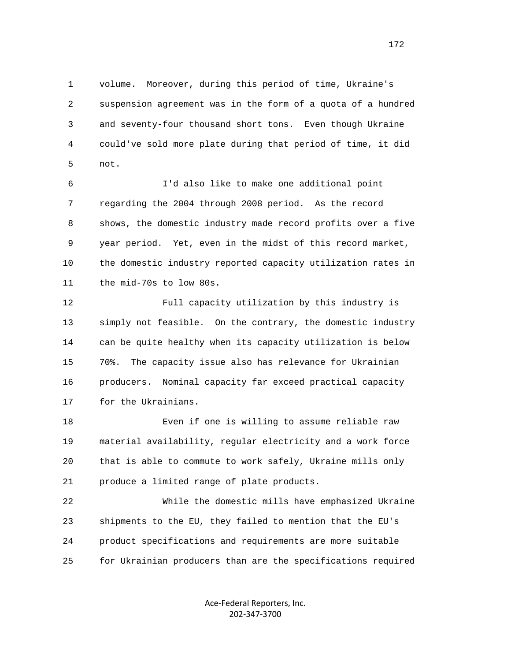1 volume. Moreover, during this period of time, Ukraine's 2 suspension agreement was in the form of a quota of a hundred 3 and seventy-four thousand short tons. Even though Ukraine 4 could've sold more plate during that period of time, it did 5 not.

 6 I'd also like to make one additional point 7 regarding the 2004 through 2008 period. As the record 8 shows, the domestic industry made record profits over a five 9 year period. Yet, even in the midst of this record market, 10 the domestic industry reported capacity utilization rates in 11 the mid-70s to low 80s.

 12 Full capacity utilization by this industry is 13 simply not feasible. On the contrary, the domestic industry 14 can be quite healthy when its capacity utilization is below 15 70%. The capacity issue also has relevance for Ukrainian 16 producers. Nominal capacity far exceed practical capacity 17 for the Ukrainians.

 18 Even if one is willing to assume reliable raw 19 material availability, regular electricity and a work force 20 that is able to commute to work safely, Ukraine mills only 21 produce a limited range of plate products.

 22 While the domestic mills have emphasized Ukraine 23 shipments to the EU, they failed to mention that the EU's 24 product specifications and requirements are more suitable 25 for Ukrainian producers than are the specifications required

> Ace‐Federal Reporters, Inc. 202‐347‐3700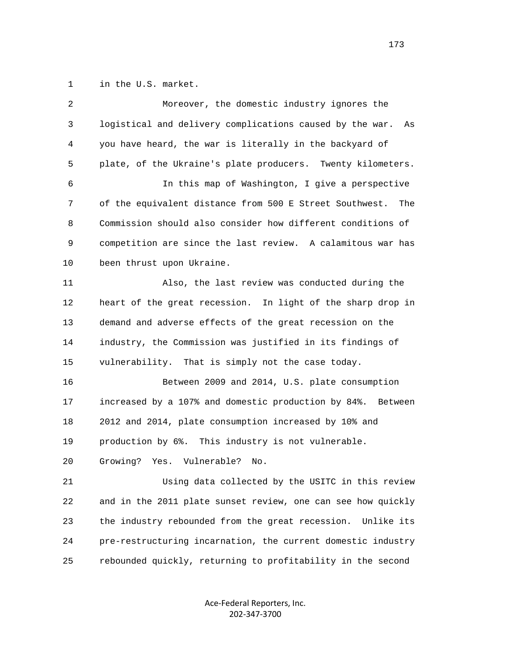1 in the U.S. market.

| 2  | Moreover, the domestic industry ignores the                    |
|----|----------------------------------------------------------------|
| 3  | logistical and delivery complications caused by the war.<br>As |
| 4  | you have heard, the war is literally in the backyard of        |
| 5  | plate, of the Ukraine's plate producers. Twenty kilometers.    |
| 6  | In this map of Washington, I give a perspective                |
| 7  | of the equivalent distance from 500 E Street Southwest.<br>The |
| 8  | Commission should also consider how different conditions of    |
| 9  | competition are since the last review. A calamitous war has    |
| 10 | been thrust upon Ukraine.                                      |
| 11 | Also, the last review was conducted during the                 |
| 12 | heart of the great recession. In light of the sharp drop in    |
| 13 | demand and adverse effects of the great recession on the       |
| 14 | industry, the Commission was justified in its findings of      |
| 15 | vulnerability. That is simply not the case today.              |
| 16 | Between 2009 and 2014, U.S. plate consumption                  |
| 17 | increased by a 107% and domestic production by 84%. Between    |
| 18 | 2012 and 2014, plate consumption increased by 10% and          |
| 19 | production by 6%. This industry is not vulnerable.             |
| 20 | Vulnerable?<br>Growing?<br>Yes.<br>No.                         |
| 21 | Using data collected by the USITC in this review               |
| 22 | and in the 2011 plate sunset review, one can see how quickly   |
| 23 | the industry rebounded from the great recession.<br>Unlike its |
| 24 | pre-restructuring incarnation, the current domestic industry   |
| 25 | rebounded quickly, returning to profitability in the second    |
|    |                                                                |

Ace‐Federal Reporters, Inc. 202‐347‐3700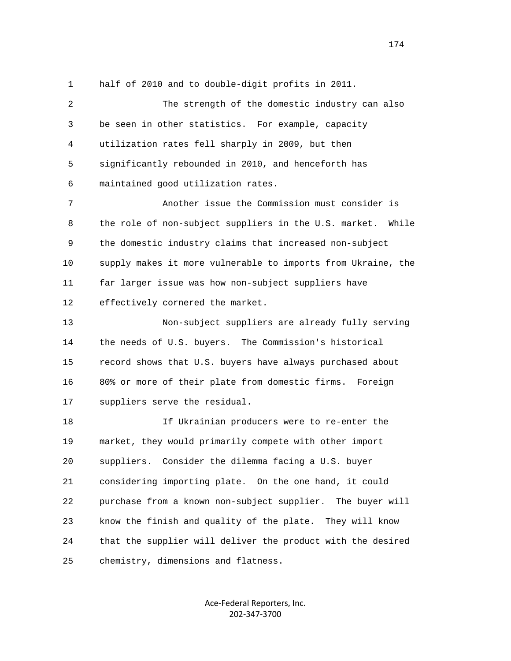1 half of 2010 and to double-digit profits in 2011.

 2 The strength of the domestic industry can also 3 be seen in other statistics. For example, capacity 4 utilization rates fell sharply in 2009, but then 5 significantly rebounded in 2010, and henceforth has 6 maintained good utilization rates. 7 Another issue the Commission must consider is 8 the role of non-subject suppliers in the U.S. market. While 9 the domestic industry claims that increased non-subject 10 supply makes it more vulnerable to imports from Ukraine, the 11 far larger issue was how non-subject suppliers have 12 effectively cornered the market. 13 Non-subject suppliers are already fully serving 14 the needs of U.S. buyers. The Commission's historical 15 record shows that U.S. buyers have always purchased about 16 80% or more of their plate from domestic firms. Foreign 17 suppliers serve the residual. 18 If Ukrainian producers were to re-enter the 19 market, they would primarily compete with other import 20 suppliers. Consider the dilemma facing a U.S. buyer 21 considering importing plate. On the one hand, it could 22 purchase from a known non-subject supplier. The buyer will 23 know the finish and quality of the plate. They will know 24 that the supplier will deliver the product with the desired 25 chemistry, dimensions and flatness.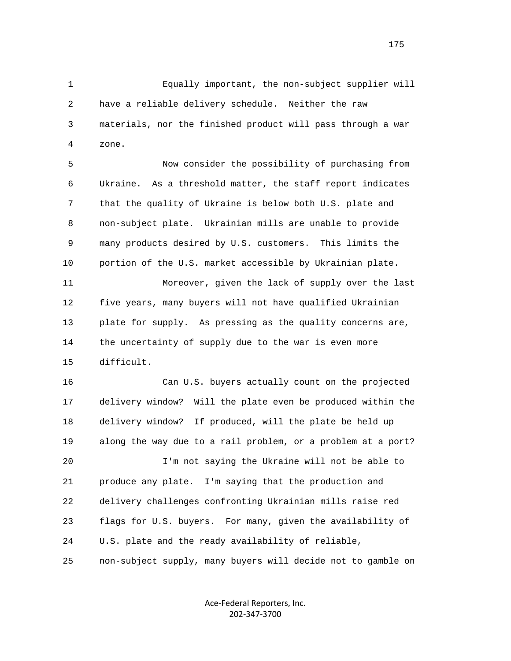1 Equally important, the non-subject supplier will 2 have a reliable delivery schedule. Neither the raw 3 materials, nor the finished product will pass through a war 4 zone.

 5 Now consider the possibility of purchasing from 6 Ukraine. As a threshold matter, the staff report indicates 7 that the quality of Ukraine is below both U.S. plate and 8 non-subject plate. Ukrainian mills are unable to provide 9 many products desired by U.S. customers. This limits the 10 portion of the U.S. market accessible by Ukrainian plate.

 11 Moreover, given the lack of supply over the last 12 five years, many buyers will not have qualified Ukrainian 13 plate for supply. As pressing as the quality concerns are, 14 the uncertainty of supply due to the war is even more 15 difficult.

 16 Can U.S. buyers actually count on the projected 17 delivery window? Will the plate even be produced within the 18 delivery window? If produced, will the plate be held up 19 along the way due to a rail problem, or a problem at a port? 20 I'm not saying the Ukraine will not be able to

 21 produce any plate. I'm saying that the production and 22 delivery challenges confronting Ukrainian mills raise red 23 flags for U.S. buyers. For many, given the availability of 24 U.S. plate and the ready availability of reliable, 25 non-subject supply, many buyers will decide not to gamble on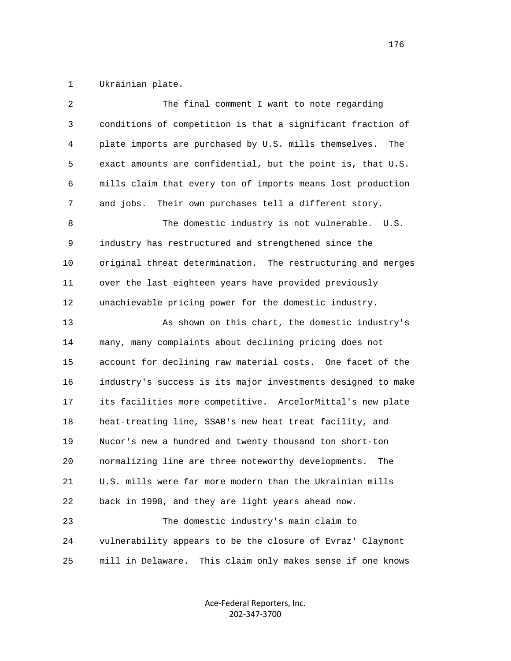1 Ukrainian plate.

| 2  | The final comment I want to note regarding                    |
|----|---------------------------------------------------------------|
| 3  | conditions of competition is that a significant fraction of   |
| 4  | plate imports are purchased by U.S. mills themselves.<br>The  |
| 5  | exact amounts are confidential, but the point is, that U.S.   |
| 6  | mills claim that every ton of imports means lost production   |
| 7  | Their own purchases tell a different story.<br>and jobs.      |
| 8  | The domestic industry is not vulnerable. U.S.                 |
| 9  | industry has restructured and strengthened since the          |
| 10 | original threat determination. The restructuring and merges   |
| 11 | over the last eighteen years have provided previously         |
| 12 | unachievable pricing power for the domestic industry.         |
| 13 | As shown on this chart, the domestic industry's               |
| 14 | many, many complaints about declining pricing does not        |
| 15 | account for declining raw material costs. One facet of the    |
| 16 | industry's success is its major investments designed to make  |
| 17 | its facilities more competitive. ArcelorMittal's new plate    |
| 18 | heat-treating line, SSAB's new heat treat facility, and       |
| 19 | Nucor's new a hundred and twenty thousand ton short-ton       |
| 20 | normalizing line are three noteworthy developments.<br>The    |
| 21 | U.S. mills were far more modern than the Ukrainian mills      |
| 22 | back in 1998, and they are light years ahead now.             |
| 23 | The domestic industry's main claim to                         |
| 24 | vulnerability appears to be the closure of Evraz' Claymont    |
| 25 | mill in Delaware.<br>This claim only makes sense if one knows |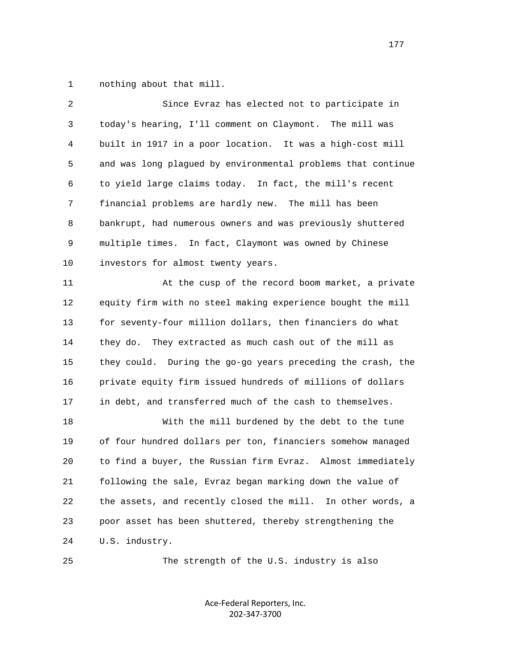1 nothing about that mill.

| 2  | Since Evraz has elected not to participate in                  |
|----|----------------------------------------------------------------|
| 3  | today's hearing, I'll comment on Claymont. The mill was        |
| 4  | built in 1917 in a poor location. It was a high-cost mill      |
| 5  | and was long plagued by environmental problems that continue   |
| 6  | to yield large claims today. In fact, the mill's recent        |
| 7  | financial problems are hardly new. The mill has been           |
| 8  | bankrupt, had numerous owners and was previously shuttered     |
| 9  | multiple times. In fact, Claymont was owned by Chinese         |
| 10 | investors for almost twenty years.                             |
| 11 | At the cusp of the record boom market, a private               |
| 12 | equity firm with no steel making experience bought the mill    |
| 13 | for seventy-four million dollars, then financiers do what      |
| 14 | They extracted as much cash out of the mill as<br>they do.     |
| 15 | they could. During the go-go years preceding the crash, the    |
| 16 | private equity firm issued hundreds of millions of dollars     |
| 17 | in debt, and transferred much of the cash to themselves.       |
| 18 | With the mill burdened by the debt to the tune                 |
| 19 | of four hundred dollars per ton, financiers somehow managed    |
| 20 | to find a buyer, the Russian firm Evraz. Almost immediately    |
| 21 | following the sale, Evraz began marking down the value of      |
| 22 | the assets, and recently closed the mill.<br>In other words, a |
| 23 | poor asset has been shuttered, thereby strengthening the       |
| 24 | U.S. industry.                                                 |
| 25 | The strength of the U.S. industry is also                      |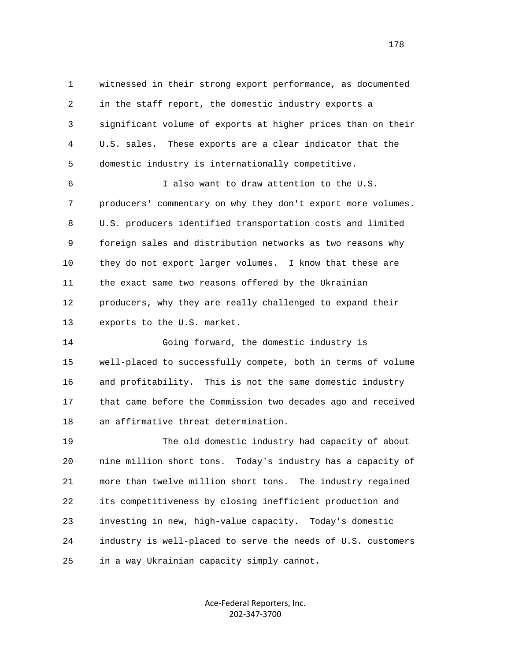1 witnessed in their strong export performance, as documented 2 in the staff report, the domestic industry exports a 3 significant volume of exports at higher prices than on their 4 U.S. sales. These exports are a clear indicator that the 5 domestic industry is internationally competitive.

 6 I also want to draw attention to the U.S. 7 producers' commentary on why they don't export more volumes. 8 U.S. producers identified transportation costs and limited 9 foreign sales and distribution networks as two reasons why 10 they do not export larger volumes. I know that these are 11 the exact same two reasons offered by the Ukrainian 12 producers, why they are really challenged to expand their 13 exports to the U.S. market.

 14 Going forward, the domestic industry is 15 well-placed to successfully compete, both in terms of volume 16 and profitability. This is not the same domestic industry 17 that came before the Commission two decades ago and received 18 an affirmative threat determination.

 19 The old domestic industry had capacity of about 20 nine million short tons. Today's industry has a capacity of 21 more than twelve million short tons. The industry regained 22 its competitiveness by closing inefficient production and 23 investing in new, high-value capacity. Today's domestic 24 industry is well-placed to serve the needs of U.S. customers 25 in a way Ukrainian capacity simply cannot.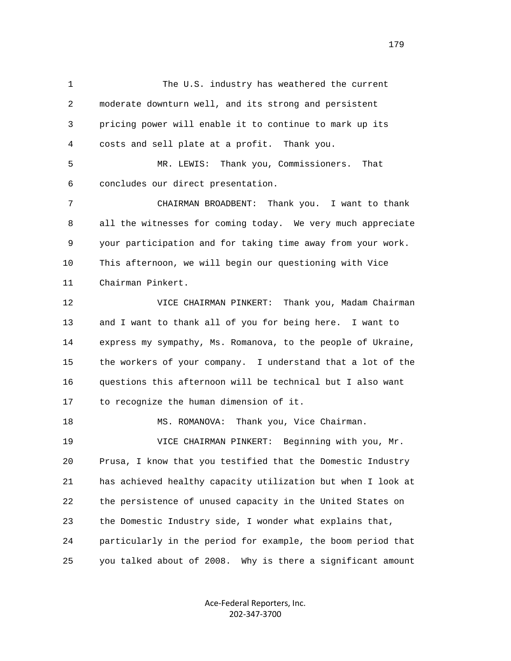1 The U.S. industry has weathered the current 2 moderate downturn well, and its strong and persistent 3 pricing power will enable it to continue to mark up its 4 costs and sell plate at a profit. Thank you.

 5 MR. LEWIS: Thank you, Commissioners. That 6 concludes our direct presentation.

 7 CHAIRMAN BROADBENT: Thank you. I want to thank 8 all the witnesses for coming today. We very much appreciate 9 your participation and for taking time away from your work. 10 This afternoon, we will begin our questioning with Vice 11 Chairman Pinkert.

 12 VICE CHAIRMAN PINKERT: Thank you, Madam Chairman 13 and I want to thank all of you for being here. I want to 14 express my sympathy, Ms. Romanova, to the people of Ukraine, 15 the workers of your company. I understand that a lot of the 16 questions this afternoon will be technical but I also want 17 to recognize the human dimension of it.

 18 MS. ROMANOVA: Thank you, Vice Chairman. 19 VICE CHAIRMAN PINKERT: Beginning with you, Mr. 20 Prusa, I know that you testified that the Domestic Industry 21 has achieved healthy capacity utilization but when I look at 22 the persistence of unused capacity in the United States on 23 the Domestic Industry side, I wonder what explains that, 24 particularly in the period for example, the boom period that 25 you talked about of 2008. Why is there a significant amount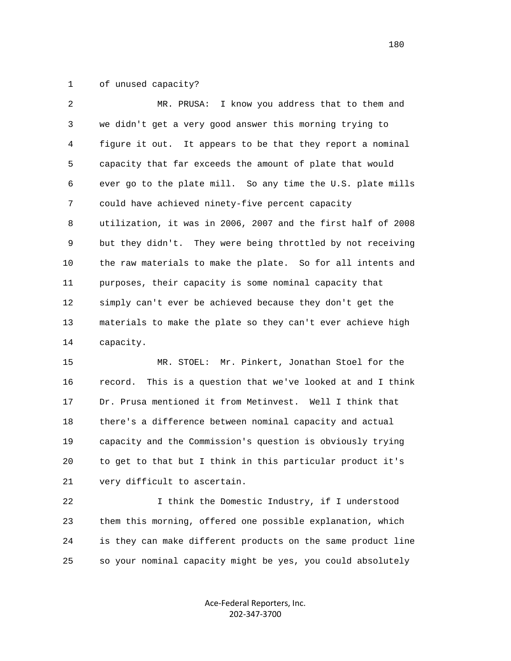1 of unused capacity?

| 2  | MR. PRUSA: I know you address that to them and               |
|----|--------------------------------------------------------------|
| 3  | we didn't get a very good answer this morning trying to      |
| 4  | figure it out. It appears to be that they report a nominal   |
| 5  | capacity that far exceeds the amount of plate that would     |
| 6  | ever go to the plate mill. So any time the U.S. plate mills  |
| 7  | could have achieved ninety-five percent capacity             |
| 8  | utilization, it was in 2006, 2007 and the first half of 2008 |
| 9  | but they didn't. They were being throttled by not receiving  |
| 10 | the raw materials to make the plate. So for all intents and  |
| 11 | purposes, their capacity is some nominal capacity that       |
| 12 | simply can't ever be achieved because they don't get the     |
| 13 | materials to make the plate so they can't ever achieve high  |
| 14 | capacity.                                                    |

 15 MR. STOEL: Mr. Pinkert, Jonathan Stoel for the 16 record. This is a question that we've looked at and I think 17 Dr. Prusa mentioned it from Metinvest. Well I think that 18 there's a difference between nominal capacity and actual 19 capacity and the Commission's question is obviously trying 20 to get to that but I think in this particular product it's 21 very difficult to ascertain.

 22 I think the Domestic Industry, if I understood 23 them this morning, offered one possible explanation, which 24 is they can make different products on the same product line 25 so your nominal capacity might be yes, you could absolutely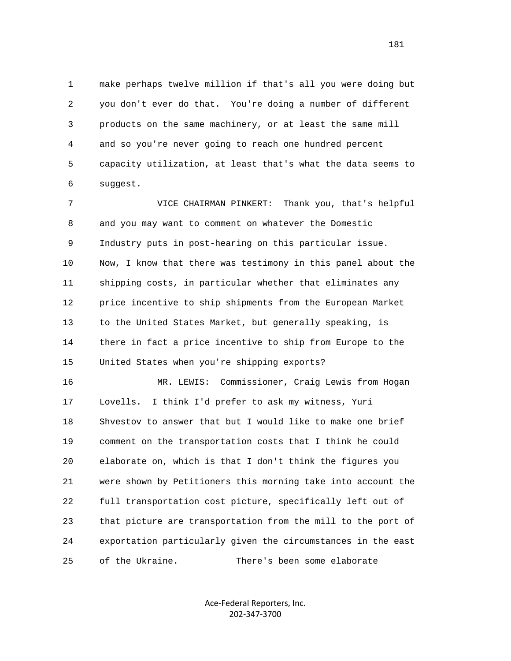1 make perhaps twelve million if that's all you were doing but 2 you don't ever do that. You're doing a number of different 3 products on the same machinery, or at least the same mill 4 and so you're never going to reach one hundred percent 5 capacity utilization, at least that's what the data seems to 6 suggest.

 7 VICE CHAIRMAN PINKERT: Thank you, that's helpful 8 and you may want to comment on whatever the Domestic 9 Industry puts in post-hearing on this particular issue. 10 Now, I know that there was testimony in this panel about the 11 shipping costs, in particular whether that eliminates any 12 price incentive to ship shipments from the European Market 13 to the United States Market, but generally speaking, is 14 there in fact a price incentive to ship from Europe to the 15 United States when you're shipping exports?

 16 MR. LEWIS: Commissioner, Craig Lewis from Hogan 17 Lovells. I think I'd prefer to ask my witness, Yuri 18 Shvestov to answer that but I would like to make one brief 19 comment on the transportation costs that I think he could 20 elaborate on, which is that I don't think the figures you 21 were shown by Petitioners this morning take into account the 22 full transportation cost picture, specifically left out of 23 that picture are transportation from the mill to the port of 24 exportation particularly given the circumstances in the east 25 of the Ukraine. There's been some elaborate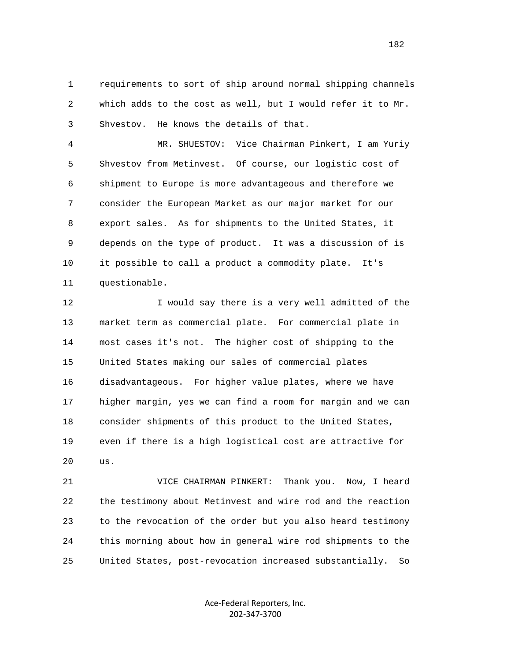1 requirements to sort of ship around normal shipping channels 2 which adds to the cost as well, but I would refer it to Mr. 3 Shvestov. He knows the details of that.

 4 MR. SHUESTOV: Vice Chairman Pinkert, I am Yuriy 5 Shvestov from Metinvest. Of course, our logistic cost of 6 shipment to Europe is more advantageous and therefore we 7 consider the European Market as our major market for our 8 export sales. As for shipments to the United States, it 9 depends on the type of product. It was a discussion of is 10 it possible to call a product a commodity plate. It's 11 questionable.

12 I would say there is a very well admitted of the 13 market term as commercial plate. For commercial plate in 14 most cases it's not. The higher cost of shipping to the 15 United States making our sales of commercial plates 16 disadvantageous. For higher value plates, where we have 17 higher margin, yes we can find a room for margin and we can 18 consider shipments of this product to the United States, 19 even if there is a high logistical cost are attractive for 20 us.

 21 VICE CHAIRMAN PINKERT: Thank you. Now, I heard 22 the testimony about Metinvest and wire rod and the reaction 23 to the revocation of the order but you also heard testimony 24 this morning about how in general wire rod shipments to the 25 United States, post-revocation increased substantially. So

> Ace‐Federal Reporters, Inc. 202‐347‐3700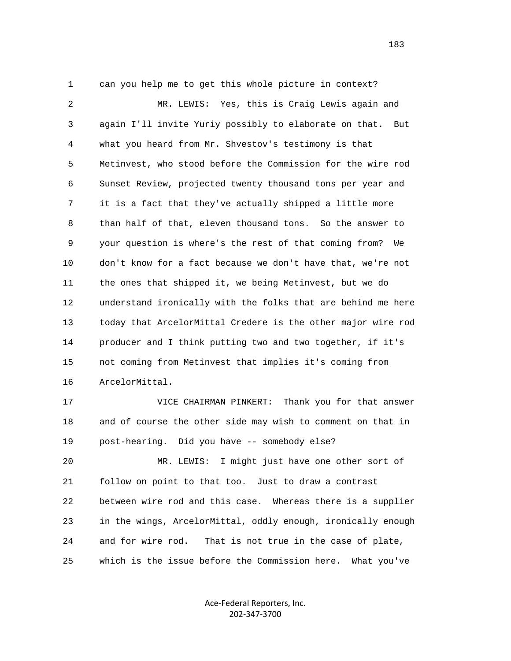1 can you help me to get this whole picture in context? 2 MR. LEWIS: Yes, this is Craig Lewis again and 3 again I'll invite Yuriy possibly to elaborate on that. But 4 what you heard from Mr. Shvestov's testimony is that 5 Metinvest, who stood before the Commission for the wire rod 6 Sunset Review, projected twenty thousand tons per year and 7 it is a fact that they've actually shipped a little more 8 than half of that, eleven thousand tons. So the answer to 9 your question is where's the rest of that coming from? We 10 don't know for a fact because we don't have that, we're not 11 the ones that shipped it, we being Metinvest, but we do 12 understand ironically with the folks that are behind me here 13 today that ArcelorMittal Credere is the other major wire rod 14 producer and I think putting two and two together, if it's 15 not coming from Metinvest that implies it's coming from 16 ArcelorMittal.

 17 VICE CHAIRMAN PINKERT: Thank you for that answer 18 and of course the other side may wish to comment on that in 19 post-hearing. Did you have -- somebody else?

 20 MR. LEWIS: I might just have one other sort of 21 follow on point to that too. Just to draw a contrast 22 between wire rod and this case. Whereas there is a supplier 23 in the wings, ArcelorMittal, oddly enough, ironically enough 24 and for wire rod. That is not true in the case of plate, 25 which is the issue before the Commission here. What you've

> Ace‐Federal Reporters, Inc. 202‐347‐3700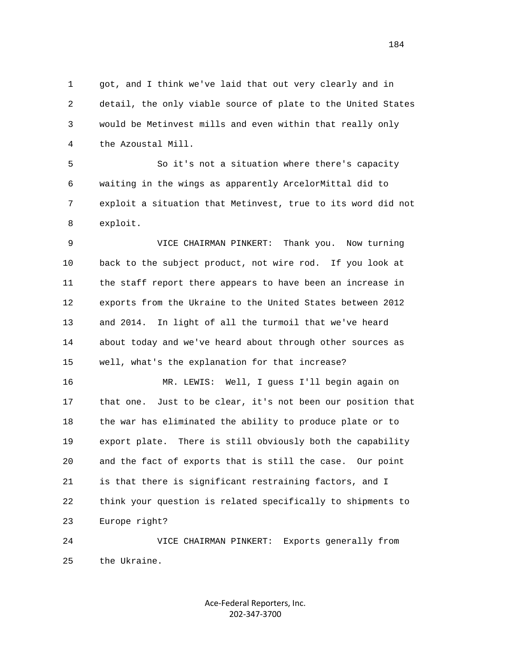1 got, and I think we've laid that out very clearly and in 2 detail, the only viable source of plate to the United States 3 would be Metinvest mills and even within that really only 4 the Azoustal Mill.

 5 So it's not a situation where there's capacity 6 waiting in the wings as apparently ArcelorMittal did to 7 exploit a situation that Metinvest, true to its word did not 8 exploit.

 9 VICE CHAIRMAN PINKERT: Thank you. Now turning 10 back to the subject product, not wire rod. If you look at 11 the staff report there appears to have been an increase in 12 exports from the Ukraine to the United States between 2012 13 and 2014. In light of all the turmoil that we've heard 14 about today and we've heard about through other sources as 15 well, what's the explanation for that increase?

 16 MR. LEWIS: Well, I guess I'll begin again on 17 that one. Just to be clear, it's not been our position that 18 the war has eliminated the ability to produce plate or to 19 export plate. There is still obviously both the capability 20 and the fact of exports that is still the case. Our point 21 is that there is significant restraining factors, and I 22 think your question is related specifically to shipments to 23 Europe right?

 24 VICE CHAIRMAN PINKERT: Exports generally from 25 the Ukraine.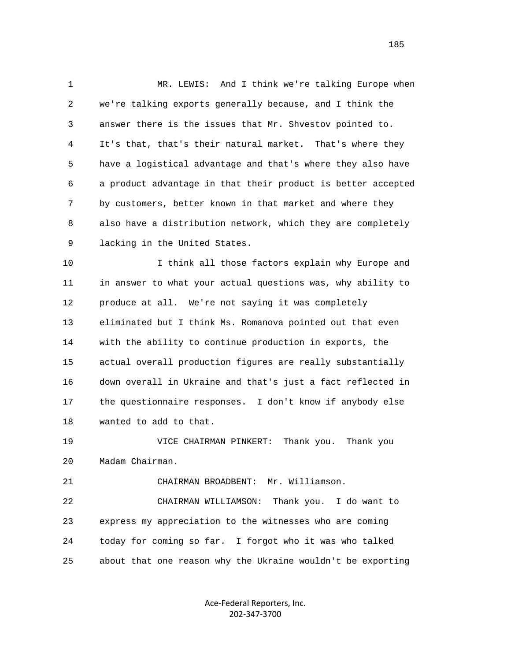1 MR. LEWIS: And I think we're talking Europe when 2 we're talking exports generally because, and I think the 3 answer there is the issues that Mr. Shvestov pointed to. 4 It's that, that's their natural market. That's where they 5 have a logistical advantage and that's where they also have 6 a product advantage in that their product is better accepted 7 by customers, better known in that market and where they 8 also have a distribution network, which they are completely 9 lacking in the United States.

 10 I think all those factors explain why Europe and 11 in answer to what your actual questions was, why ability to 12 produce at all. We're not saying it was completely 13 eliminated but I think Ms. Romanova pointed out that even 14 with the ability to continue production in exports, the 15 actual overall production figures are really substantially 16 down overall in Ukraine and that's just a fact reflected in 17 the questionnaire responses. I don't know if anybody else 18 wanted to add to that.

 19 VICE CHAIRMAN PINKERT: Thank you. Thank you 20 Madam Chairman.

21 CHAIRMAN BROADBENT: Mr. Williamson.

 22 CHAIRMAN WILLIAMSON: Thank you. I do want to 23 express my appreciation to the witnesses who are coming 24 today for coming so far. I forgot who it was who talked 25 about that one reason why the Ukraine wouldn't be exporting

> Ace‐Federal Reporters, Inc. 202‐347‐3700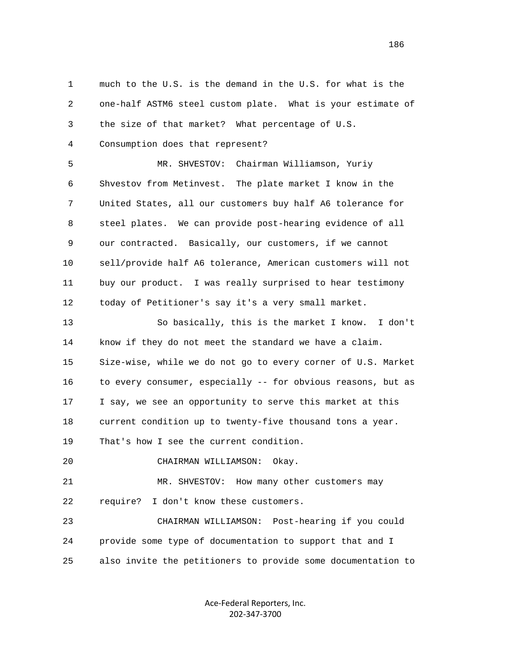1 much to the U.S. is the demand in the U.S. for what is the 2 one-half ASTM6 steel custom plate. What is your estimate of 3 the size of that market? What percentage of U.S. 4 Consumption does that represent? 5 MR. SHVESTOV: Chairman Williamson, Yuriy 6 Shvestov from Metinvest. The plate market I know in the 7 United States, all our customers buy half A6 tolerance for 8 steel plates. We can provide post-hearing evidence of all 9 our contracted. Basically, our customers, if we cannot 10 sell/provide half A6 tolerance, American customers will not 11 buy our product. I was really surprised to hear testimony 12 today of Petitioner's say it's a very small market. 13 So basically, this is the market I know. I don't 14 know if they do not meet the standard we have a claim. 15 Size-wise, while we do not go to every corner of U.S. Market 16 to every consumer, especially -- for obvious reasons, but as 17 I say, we see an opportunity to serve this market at this 18 current condition up to twenty-five thousand tons a year. 19 That's how I see the current condition. 20 CHAIRMAN WILLIAMSON: Okay. 21 MR. SHVESTOV: How many other customers may 22 require? I don't know these customers. 23 CHAIRMAN WILLIAMSON: Post-hearing if you could 24 provide some type of documentation to support that and I 25 also invite the petitioners to provide some documentation to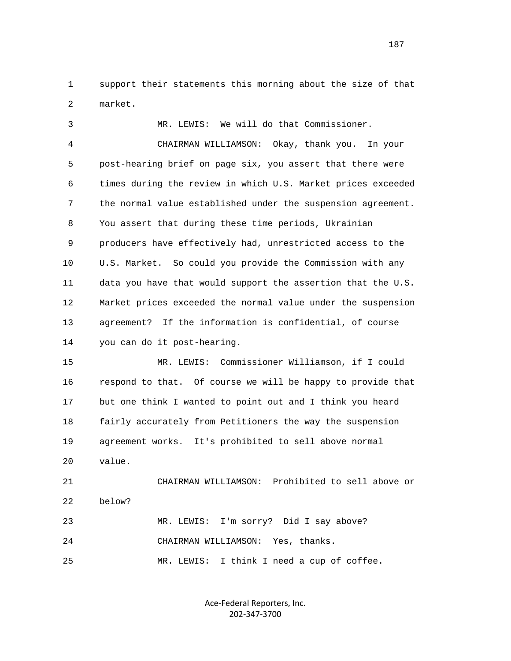1 support their statements this morning about the size of that 2 market.

 3 MR. LEWIS: We will do that Commissioner. 4 CHAIRMAN WILLIAMSON: Okay, thank you. In your 5 post-hearing brief on page six, you assert that there were 6 times during the review in which U.S. Market prices exceeded 7 the normal value established under the suspension agreement. 8 You assert that during these time periods, Ukrainian 9 producers have effectively had, unrestricted access to the 10 U.S. Market. So could you provide the Commission with any 11 data you have that would support the assertion that the U.S. 12 Market prices exceeded the normal value under the suspension 13 agreement? If the information is confidential, of course 14 you can do it post-hearing.

 15 MR. LEWIS: Commissioner Williamson, if I could 16 respond to that. Of course we will be happy to provide that 17 but one think I wanted to point out and I think you heard 18 fairly accurately from Petitioners the way the suspension 19 agreement works. It's prohibited to sell above normal 20 value.

 21 CHAIRMAN WILLIAMSON: Prohibited to sell above or 22 below? 23 MR. LEWIS: I'm sorry? Did I say above? 24 CHAIRMAN WILLIAMSON: Yes, thanks.

25 MR. LEWIS: I think I need a cup of coffee.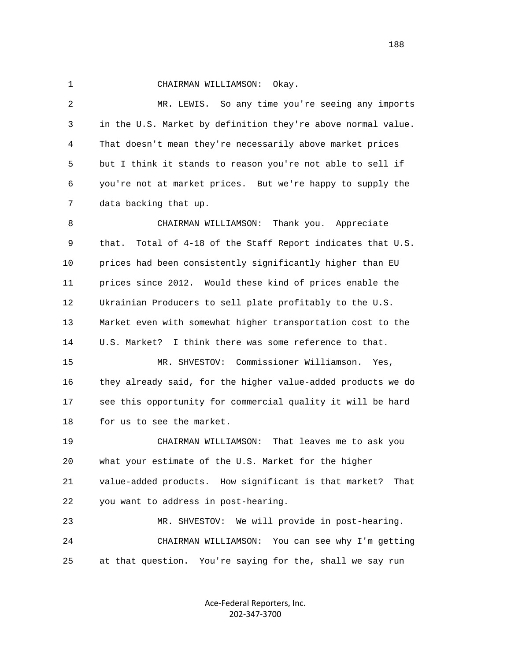1 CHAIRMAN WILLIAMSON: Okay.

 2 MR. LEWIS. So any time you're seeing any imports 3 in the U.S. Market by definition they're above normal value. 4 That doesn't mean they're necessarily above market prices 5 but I think it stands to reason you're not able to sell if 6 you're not at market prices. But we're happy to supply the 7 data backing that up.

 8 CHAIRMAN WILLIAMSON: Thank you. Appreciate 9 that. Total of 4-18 of the Staff Report indicates that U.S. 10 prices had been consistently significantly higher than EU 11 prices since 2012. Would these kind of prices enable the 12 Ukrainian Producers to sell plate profitably to the U.S. 13 Market even with somewhat higher transportation cost to the 14 U.S. Market? I think there was some reference to that. 15 MR. SHVESTOV: Commissioner Williamson. Yes,

 16 they already said, for the higher value-added products we do 17 see this opportunity for commercial quality it will be hard 18 for us to see the market.

 19 CHAIRMAN WILLIAMSON: That leaves me to ask you 20 what your estimate of the U.S. Market for the higher 21 value-added products. How significant is that market? That 22 you want to address in post-hearing.

 23 MR. SHVESTOV: We will provide in post-hearing. 24 CHAIRMAN WILLIAMSON: You can see why I'm getting 25 at that question. You're saying for the, shall we say run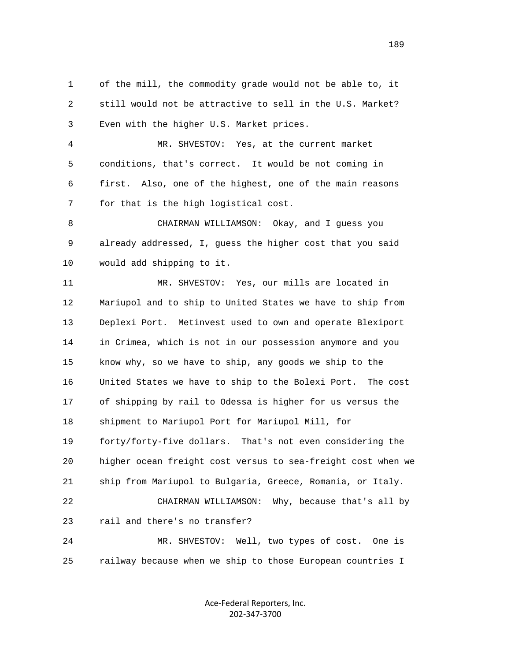1 of the mill, the commodity grade would not be able to, it 2 still would not be attractive to sell in the U.S. Market? 3 Even with the higher U.S. Market prices.

 4 MR. SHVESTOV: Yes, at the current market 5 conditions, that's correct. It would be not coming in 6 first. Also, one of the highest, one of the main reasons 7 for that is the high logistical cost.

 8 CHAIRMAN WILLIAMSON: Okay, and I guess you 9 already addressed, I, guess the higher cost that you said 10 would add shipping to it.

 11 MR. SHVESTOV: Yes, our mills are located in 12 Mariupol and to ship to United States we have to ship from 13 Deplexi Port. Metinvest used to own and operate Blexiport 14 in Crimea, which is not in our possession anymore and you 15 know why, so we have to ship, any goods we ship to the 16 United States we have to ship to the Bolexi Port. The cost 17 of shipping by rail to Odessa is higher for us versus the 18 shipment to Mariupol Port for Mariupol Mill, for 19 forty/forty-five dollars. That's not even considering the 20 higher ocean freight cost versus to sea-freight cost when we 21 ship from Mariupol to Bulgaria, Greece, Romania, or Italy. 22 CHAIRMAN WILLIAMSON: Why, because that's all by 23 rail and there's no transfer? 24 MR. SHVESTOV: Well, two types of cost. One is

25 railway because when we ship to those European countries I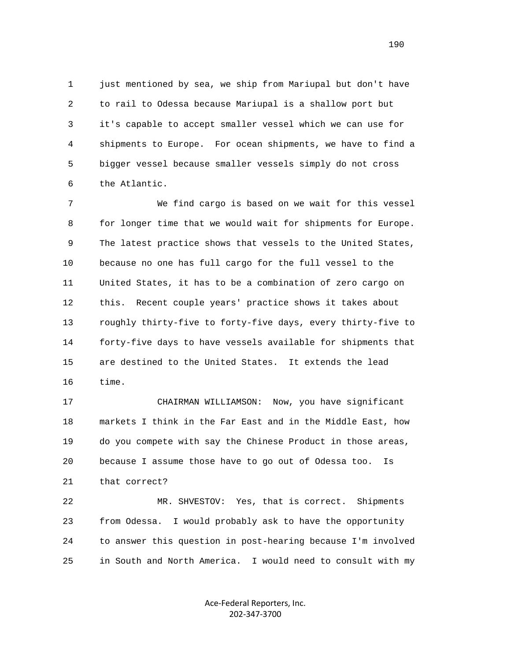1 just mentioned by sea, we ship from Mariupal but don't have 2 to rail to Odessa because Mariupal is a shallow port but 3 it's capable to accept smaller vessel which we can use for 4 shipments to Europe. For ocean shipments, we have to find a 5 bigger vessel because smaller vessels simply do not cross 6 the Atlantic.

 7 We find cargo is based on we wait for this vessel 8 for longer time that we would wait for shipments for Europe. 9 The latest practice shows that vessels to the United States, 10 because no one has full cargo for the full vessel to the 11 United States, it has to be a combination of zero cargo on 12 this. Recent couple years' practice shows it takes about 13 roughly thirty-five to forty-five days, every thirty-five to 14 forty-five days to have vessels available for shipments that 15 are destined to the United States. It extends the lead 16 time.

 17 CHAIRMAN WILLIAMSON: Now, you have significant 18 markets I think in the Far East and in the Middle East, how 19 do you compete with say the Chinese Product in those areas, 20 because I assume those have to go out of Odessa too. Is 21 that correct?

 22 MR. SHVESTOV: Yes, that is correct. Shipments 23 from Odessa. I would probably ask to have the opportunity 24 to answer this question in post-hearing because I'm involved 25 in South and North America. I would need to consult with my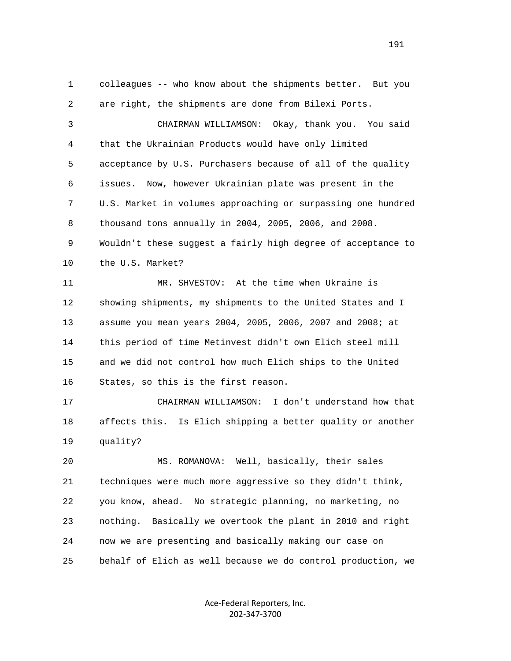1 colleagues -- who know about the shipments better. But you 2 are right, the shipments are done from Bilexi Ports. 3 CHAIRMAN WILLIAMSON: Okay, thank you. You said 4 that the Ukrainian Products would have only limited 5 acceptance by U.S. Purchasers because of all of the quality 6 issues. Now, however Ukrainian plate was present in the 7 U.S. Market in volumes approaching or surpassing one hundred 8 thousand tons annually in 2004, 2005, 2006, and 2008. 9 Wouldn't these suggest a fairly high degree of acceptance to 10 the U.S. Market? 11 MR. SHVESTOV: At the time when Ukraine is 12 showing shipments, my shipments to the United States and I 13 assume you mean years 2004, 2005, 2006, 2007 and 2008; at 14 this period of time Metinvest didn't own Elich steel mill 15 and we did not control how much Elich ships to the United 16 States, so this is the first reason. 17 CHAIRMAN WILLIAMSON: I don't understand how that 18 affects this. Is Elich shipping a better quality or another 19 quality? 20 MS. ROMANOVA: Well, basically, their sales 21 techniques were much more aggressive so they didn't think, 22 you know, ahead. No strategic planning, no marketing, no 23 nothing. Basically we overtook the plant in 2010 and right 24 now we are presenting and basically making our case on 25 behalf of Elich as well because we do control production, we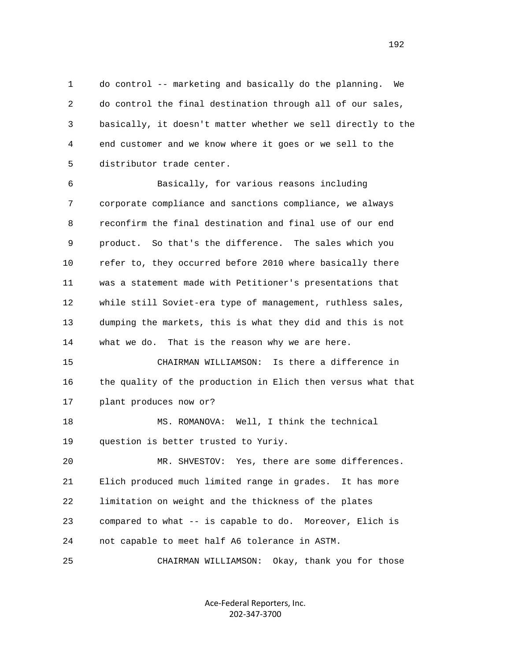1 do control -- marketing and basically do the planning. We 2 do control the final destination through all of our sales, 3 basically, it doesn't matter whether we sell directly to the 4 end customer and we know where it goes or we sell to the 5 distributor trade center.

 6 Basically, for various reasons including 7 corporate compliance and sanctions compliance, we always 8 reconfirm the final destination and final use of our end 9 product. So that's the difference. The sales which you 10 refer to, they occurred before 2010 where basically there 11 was a statement made with Petitioner's presentations that 12 while still Soviet-era type of management, ruthless sales, 13 dumping the markets, this is what they did and this is not 14 what we do. That is the reason why we are here.

 15 CHAIRMAN WILLIAMSON: Is there a difference in 16 the quality of the production in Elich then versus what that 17 plant produces now or?

 18 MS. ROMANOVA: Well, I think the technical 19 question is better trusted to Yuriy.

 20 MR. SHVESTOV: Yes, there are some differences. 21 Elich produced much limited range in grades. It has more 22 limitation on weight and the thickness of the plates 23 compared to what -- is capable to do. Moreover, Elich is 24 not capable to meet half A6 tolerance in ASTM.

25 CHAIRMAN WILLIAMSON: Okay, thank you for those

Ace‐Federal Reporters, Inc. 202‐347‐3700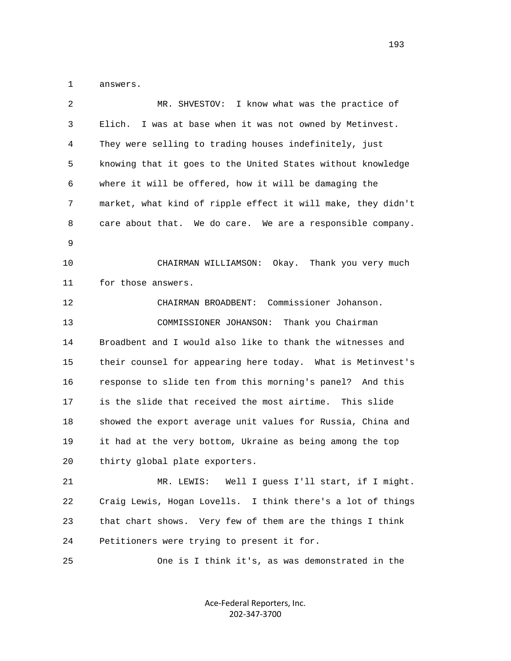1 answers.

| $\overline{2}$ | MR. SHVESTOV: I know what was the practice of                |
|----------------|--------------------------------------------------------------|
| 3              | I was at base when it was not owned by Metinvest.<br>Elich.  |
| 4              | They were selling to trading houses indefinitely, just       |
| 5              | knowing that it goes to the United States without knowledge  |
| 6              | where it will be offered, how it will be damaging the        |
| 7              | market, what kind of ripple effect it will make, they didn't |
| 8              | care about that. We do care. We are a responsible company.   |
| 9              |                                                              |
| 10             | CHAIRMAN WILLIAMSON: Okay. Thank you very much               |
| 11             | for those answers.                                           |
| 12             | CHAIRMAN BROADBENT: Commissioner Johanson.                   |
| 13             | Thank you Chairman<br>COMMISSIONER JOHANSON:                 |
| 14             | Broadbent and I would also like to thank the witnesses and   |
| 15             | their counsel for appearing here today. What is Metinvest's  |
| 16             | response to slide ten from this morning's panel? And this    |
| 17             | is the slide that received the most airtime. This slide      |
| 18             | showed the export average unit values for Russia, China and  |
| 19             | it had at the very bottom, Ukraine as being among the top    |
| 20             | thirty global plate exporters.                               |
| 21             | MR. LEWIS: Well I guess I'll start, if I might.              |
| 22             | Craig Lewis, Hogan Lovells. I think there's a lot of things  |
| 23             | that chart shows. Very few of them are the things I think    |
| 24             | Petitioners were trying to present it for.                   |
| 25             | One is I think it's, as was demonstrated in the              |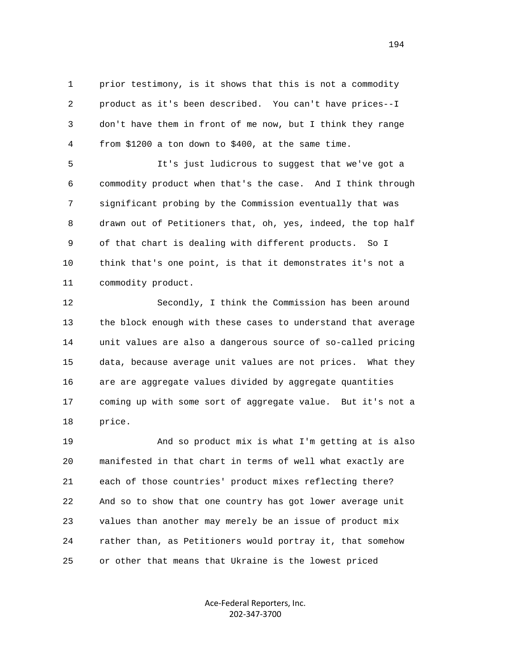1 prior testimony, is it shows that this is not a commodity 2 product as it's been described. You can't have prices--I 3 don't have them in front of me now, but I think they range 4 from \$1200 a ton down to \$400, at the same time.

 5 It's just ludicrous to suggest that we've got a 6 commodity product when that's the case. And I think through 7 significant probing by the Commission eventually that was 8 drawn out of Petitioners that, oh, yes, indeed, the top half 9 of that chart is dealing with different products. So I 10 think that's one point, is that it demonstrates it's not a 11 commodity product.

 12 Secondly, I think the Commission has been around 13 the block enough with these cases to understand that average 14 unit values are also a dangerous source of so-called pricing 15 data, because average unit values are not prices. What they 16 are are aggregate values divided by aggregate quantities 17 coming up with some sort of aggregate value. But it's not a 18 price.

 19 And so product mix is what I'm getting at is also 20 manifested in that chart in terms of well what exactly are 21 each of those countries' product mixes reflecting there? 22 And so to show that one country has got lower average unit 23 values than another may merely be an issue of product mix 24 rather than, as Petitioners would portray it, that somehow 25 or other that means that Ukraine is the lowest priced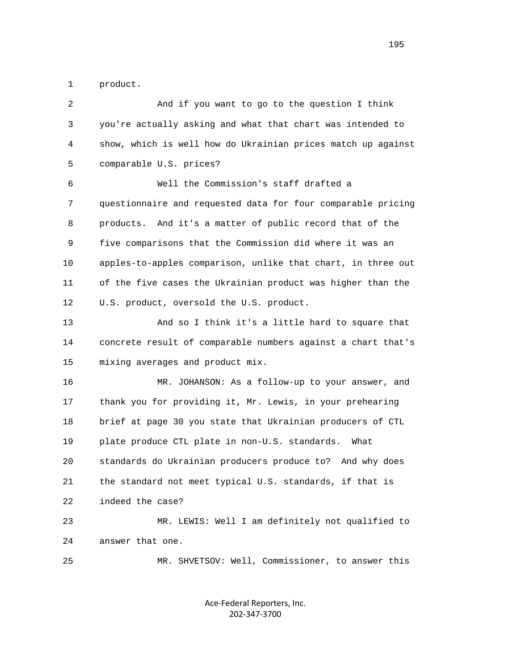1 product.

| $\overline{2}$ | And if you want to go to the question I think                |
|----------------|--------------------------------------------------------------|
| 3              | you're actually asking and what that chart was intended to   |
| 4              | show, which is well how do Ukrainian prices match up against |
| 5              | comparable U.S. prices?                                      |
| 6              | Well the Commission's staff drafted a                        |
| 7              | questionnaire and requested data for four comparable pricing |
| 8              | products. And it's a matter of public record that of the     |
| 9              | five comparisons that the Commission did where it was an     |
| 10             | apples-to-apples comparison, unlike that chart, in three out |
| 11             | of the five cases the Ukrainian product was higher than the  |
| 12             | U.S. product, oversold the U.S. product.                     |
| 13             | And so I think it's a little hard to square that             |
| 14             | concrete result of comparable numbers against a chart that's |
| 15             | mixing averages and product mix.                             |
| 16             | MR. JOHANSON: As a follow-up to your answer, and             |
| 17             | thank you for providing it, Mr. Lewis, in your prehearing    |
| 18             | brief at page 30 you state that Ukrainian producers of CTL   |
| 19             | plate produce CTL plate in non-U.S. standards.<br>What       |
| 20             | standards do Ukrainian producers produce to? And why does    |
| 21             | the standard not meet typical U.S. standards, if that is     |
| 22             | indeed the case?                                             |
| 23             | MR. LEWIS: Well I am definitely not qualified to             |
| 24             | answer that one.                                             |
| 25             | MR. SHVETSOV: Well, Commissioner, to answer this             |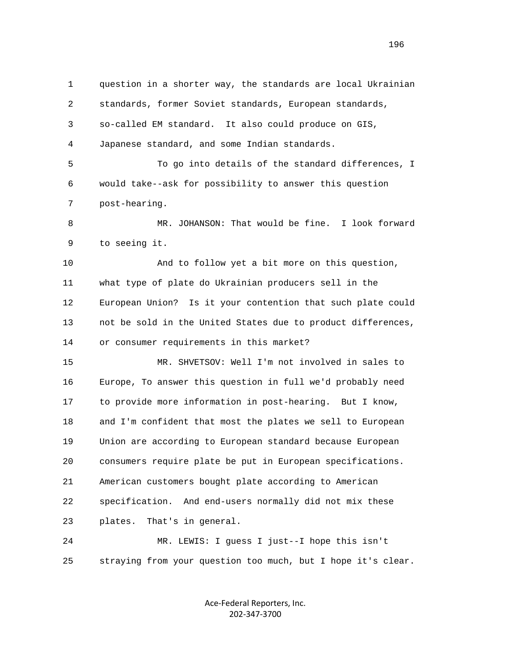1 question in a shorter way, the standards are local Ukrainian 2 standards, former Soviet standards, European standards, 3 so-called EM standard. It also could produce on GIS, 4 Japanese standard, and some Indian standards. 5 To go into details of the standard differences, I 6 would take--ask for possibility to answer this question 7 post-hearing. 8 MR. JOHANSON: That would be fine. I look forward 9 to seeing it. 10 And to follow yet a bit more on this question, 11 what type of plate do Ukrainian producers sell in the 12 European Union? Is it your contention that such plate could 13 not be sold in the United States due to product differences, 14 or consumer requirements in this market? 15 MR. SHVETSOV: Well I'm not involved in sales to 16 Europe, To answer this question in full we'd probably need 17 to provide more information in post-hearing. But I know, 18 and I'm confident that most the plates we sell to European 19 Union are according to European standard because European 20 consumers require plate be put in European specifications. 21 American customers bought plate according to American 22 specification. And end-users normally did not mix these 23 plates. That's in general. 24 MR. LEWIS: I guess I just--I hope this isn't 25 straying from your question too much, but I hope it's clear.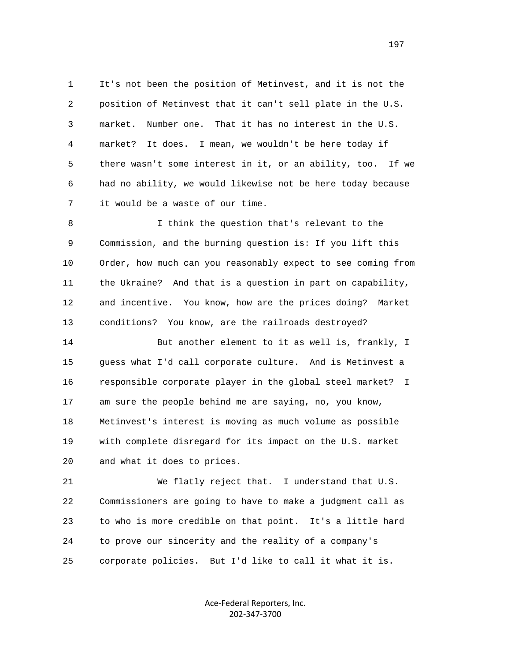1 It's not been the position of Metinvest, and it is not the 2 position of Metinvest that it can't sell plate in the U.S. 3 market. Number one. That it has no interest in the U.S. 4 market? It does. I mean, we wouldn't be here today if 5 there wasn't some interest in it, or an ability, too. If we 6 had no ability, we would likewise not be here today because 7 it would be a waste of our time.

 8 I think the question that's relevant to the 9 Commission, and the burning question is: If you lift this 10 Order, how much can you reasonably expect to see coming from 11 the Ukraine? And that is a question in part on capability, 12 and incentive. You know, how are the prices doing? Market 13 conditions? You know, are the railroads destroyed?

 14 But another element to it as well is, frankly, I 15 guess what I'd call corporate culture. And is Metinvest a 16 responsible corporate player in the global steel market? I 17 am sure the people behind me are saying, no, you know, 18 Metinvest's interest is moving as much volume as possible 19 with complete disregard for its impact on the U.S. market 20 and what it does to prices.

 21 We flatly reject that. I understand that U.S. 22 Commissioners are going to have to make a judgment call as 23 to who is more credible on that point. It's a little hard 24 to prove our sincerity and the reality of a company's 25 corporate policies. But I'd like to call it what it is.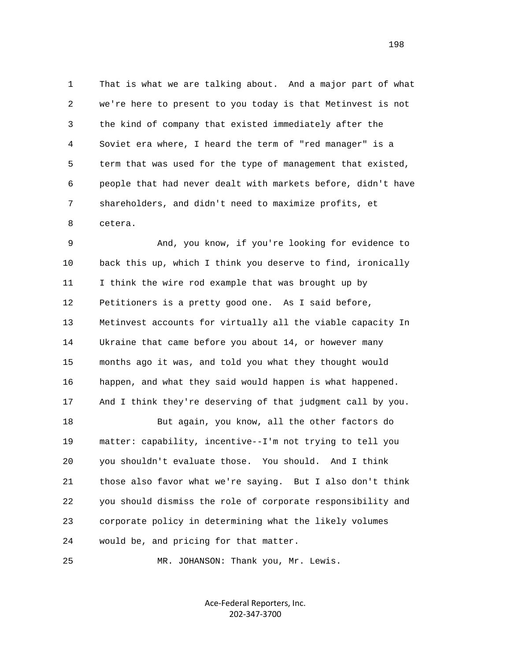1 That is what we are talking about. And a major part of what 2 we're here to present to you today is that Metinvest is not 3 the kind of company that existed immediately after the 4 Soviet era where, I heard the term of "red manager" is a 5 term that was used for the type of management that existed, 6 people that had never dealt with markets before, didn't have 7 shareholders, and didn't need to maximize profits, et 8 cetera.

 9 And, you know, if you're looking for evidence to 10 back this up, which I think you deserve to find, ironically 11 I think the wire rod example that was brought up by 12 Petitioners is a pretty good one. As I said before, 13 Metinvest accounts for virtually all the viable capacity In 14 Ukraine that came before you about 14, or however many 15 months ago it was, and told you what they thought would 16 happen, and what they said would happen is what happened. 17 And I think they're deserving of that judgment call by you. 18 But again, you know, all the other factors do 19 matter: capability, incentive--I'm not trying to tell you 20 you shouldn't evaluate those. You should. And I think 21 those also favor what we're saying. But I also don't think 22 you should dismiss the role of corporate responsibility and 23 corporate policy in determining what the likely volumes 24 would be, and pricing for that matter.

25 MR. JOHANSON: Thank you, Mr. Lewis.

Ace‐Federal Reporters, Inc. 202‐347‐3700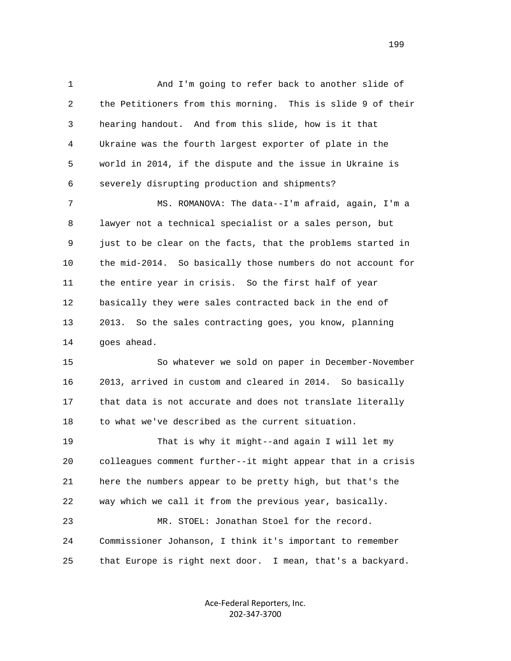1 And I'm going to refer back to another slide of 2 the Petitioners from this morning. This is slide 9 of their 3 hearing handout. And from this slide, how is it that 4 Ukraine was the fourth largest exporter of plate in the 5 world in 2014, if the dispute and the issue in Ukraine is 6 severely disrupting production and shipments?

 7 MS. ROMANOVA: The data--I'm afraid, again, I'm a 8 lawyer not a technical specialist or a sales person, but 9 just to be clear on the facts, that the problems started in 10 the mid-2014. So basically those numbers do not account for 11 the entire year in crisis. So the first half of year 12 basically they were sales contracted back in the end of 13 2013. So the sales contracting goes, you know, planning 14 goes ahead.

 15 So whatever we sold on paper in December-November 16 2013, arrived in custom and cleared in 2014. So basically 17 that data is not accurate and does not translate literally 18 to what we've described as the current situation.

 19 That is why it might--and again I will let my 20 colleagues comment further--it might appear that in a crisis 21 here the numbers appear to be pretty high, but that's the 22 way which we call it from the previous year, basically.

 23 MR. STOEL: Jonathan Stoel for the record. 24 Commissioner Johanson, I think it's important to remember 25 that Europe is right next door. I mean, that's a backyard.

> Ace‐Federal Reporters, Inc. 202‐347‐3700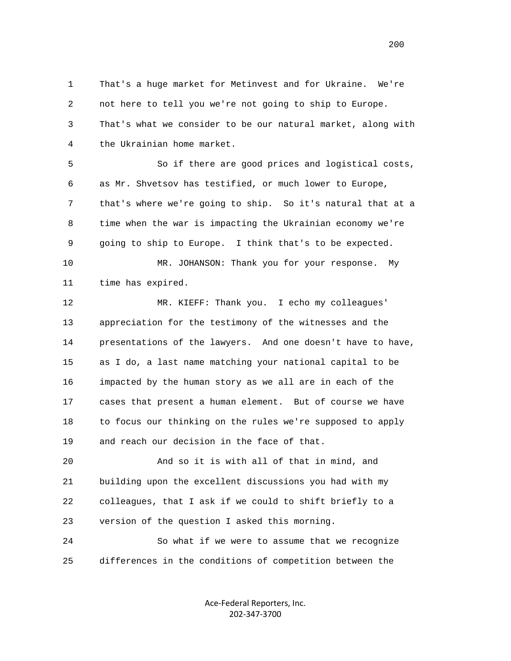1 That's a huge market for Metinvest and for Ukraine. We're 2 not here to tell you we're not going to ship to Europe. 3 That's what we consider to be our natural market, along with 4 the Ukrainian home market.

 5 So if there are good prices and logistical costs, 6 as Mr. Shvetsov has testified, or much lower to Europe, 7 that's where we're going to ship. So it's natural that at a 8 time when the war is impacting the Ukrainian economy we're 9 going to ship to Europe. I think that's to be expected.

 10 MR. JOHANSON: Thank you for your response. My 11 time has expired.

 12 MR. KIEFF: Thank you. I echo my colleagues' 13 appreciation for the testimony of the witnesses and the 14 presentations of the lawyers. And one doesn't have to have, 15 as I do, a last name matching your national capital to be 16 impacted by the human story as we all are in each of the 17 cases that present a human element. But of course we have 18 to focus our thinking on the rules we're supposed to apply 19 and reach our decision in the face of that.

 20 And so it is with all of that in mind, and 21 building upon the excellent discussions you had with my 22 colleagues, that I ask if we could to shift briefly to a 23 version of the question I asked this morning.

 24 So what if we were to assume that we recognize 25 differences in the conditions of competition between the

> Ace‐Federal Reporters, Inc. 202‐347‐3700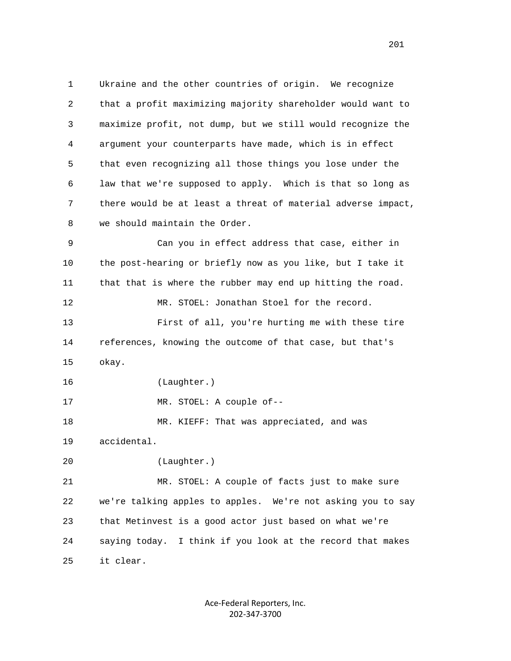1 Ukraine and the other countries of origin. We recognize 2 that a profit maximizing majority shareholder would want to 3 maximize profit, not dump, but we still would recognize the 4 argument your counterparts have made, which is in effect 5 that even recognizing all those things you lose under the 6 law that we're supposed to apply. Which is that so long as 7 there would be at least a threat of material adverse impact, 8 we should maintain the Order.

 9 Can you in effect address that case, either in 10 the post-hearing or briefly now as you like, but I take it 11 that that is where the rubber may end up hitting the road. 12 MR. STOEL: Jonathan Stoel for the record. 13 First of all, you're hurting me with these tire 14 references, knowing the outcome of that case, but that's 15 okay.

16 (Laughter.)

17 MR. STOEL: A couple of--

 18 MR. KIEFF: That was appreciated, and was 19 accidental.

```
 20 (Laughter.)
```
 21 MR. STOEL: A couple of facts just to make sure 22 we're talking apples to apples. We're not asking you to say 23 that Metinvest is a good actor just based on what we're 24 saying today. I think if you look at the record that makes 25 it clear.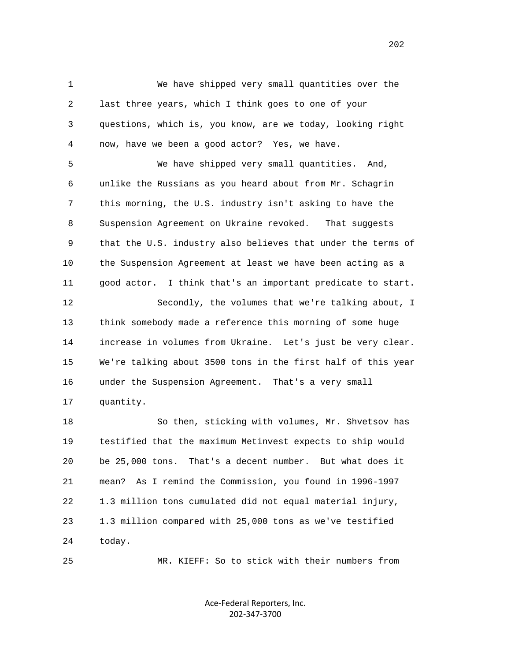1 We have shipped very small quantities over the 2 last three years, which I think goes to one of your 3 questions, which is, you know, are we today, looking right 4 now, have we been a good actor? Yes, we have.

 5 We have shipped very small quantities. And, 6 unlike the Russians as you heard about from Mr. Schagrin 7 this morning, the U.S. industry isn't asking to have the 8 Suspension Agreement on Ukraine revoked. That suggests 9 that the U.S. industry also believes that under the terms of 10 the Suspension Agreement at least we have been acting as a 11 good actor. I think that's an important predicate to start.

 12 Secondly, the volumes that we're talking about, I 13 think somebody made a reference this morning of some huge 14 increase in volumes from Ukraine. Let's just be very clear. 15 We're talking about 3500 tons in the first half of this year 16 under the Suspension Agreement. That's a very small 17 quantity.

 18 So then, sticking with volumes, Mr. Shvetsov has 19 testified that the maximum Metinvest expects to ship would 20 be 25,000 tons. That's a decent number. But what does it 21 mean? As I remind the Commission, you found in 1996-1997 22 1.3 million tons cumulated did not equal material injury, 23 1.3 million compared with 25,000 tons as we've testified 24 today.

25 MR. KIEFF: So to stick with their numbers from

Ace‐Federal Reporters, Inc. 202‐347‐3700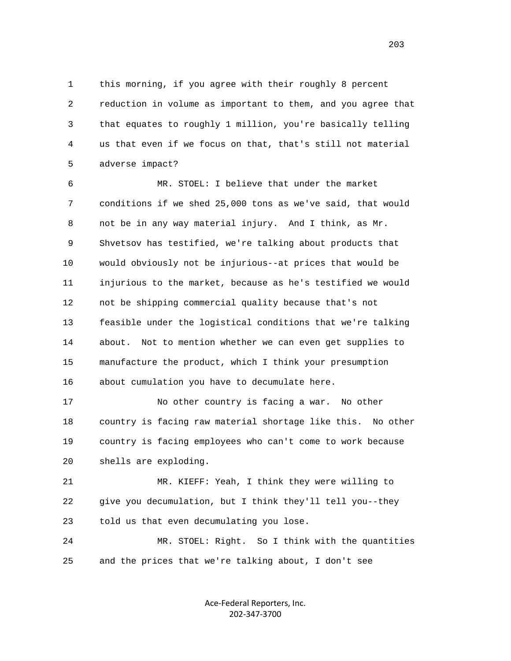1 this morning, if you agree with their roughly 8 percent 2 reduction in volume as important to them, and you agree that 3 that equates to roughly 1 million, you're basically telling 4 us that even if we focus on that, that's still not material 5 adverse impact?

 6 MR. STOEL: I believe that under the market 7 conditions if we shed 25,000 tons as we've said, that would 8 not be in any way material injury. And I think, as Mr. 9 Shvetsov has testified, we're talking about products that 10 would obviously not be injurious--at prices that would be 11 injurious to the market, because as he's testified we would 12 not be shipping commercial quality because that's not 13 feasible under the logistical conditions that we're talking 14 about. Not to mention whether we can even get supplies to 15 manufacture the product, which I think your presumption 16 about cumulation you have to decumulate here.

 17 No other country is facing a war. No other 18 country is facing raw material shortage like this. No other 19 country is facing employees who can't come to work because 20 shells are exploding.

 21 MR. KIEFF: Yeah, I think they were willing to 22 give you decumulation, but I think they'll tell you--they 23 told us that even decumulating you lose.

 24 MR. STOEL: Right. So I think with the quantities 25 and the prices that we're talking about, I don't see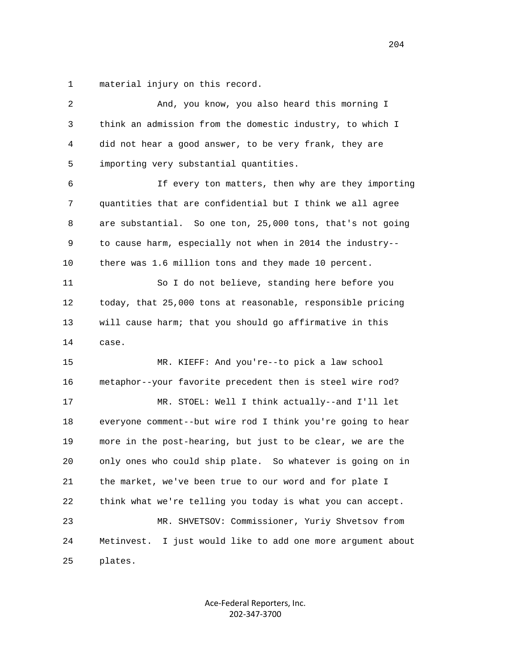1 material injury on this record.

| $\sqrt{2}$ | And, you know, you also heard this morning I                   |
|------------|----------------------------------------------------------------|
| 3          | think an admission from the domestic industry, to which I      |
| 4          | did not hear a good answer, to be very frank, they are         |
| 5          | importing very substantial quantities.                         |
| 6          | If every ton matters, then why are they importing              |
| 7          | quantities that are confidential but I think we all agree      |
| 8          | are substantial. So one ton, 25,000 tons, that's not going     |
| 9          | to cause harm, especially not when in 2014 the industry--      |
| 10         | there was 1.6 million tons and they made 10 percent.           |
| 11         | So I do not believe, standing here before you                  |
| 12         | today, that 25,000 tons at reasonable, responsible pricing     |
| 13         | will cause harm; that you should go affirmative in this        |
| 14         | case.                                                          |
| 15         | MR. KIEFF: And you're--to pick a law school                    |
| 16         | metaphor--your favorite precedent then is steel wire rod?      |
| 17         | MR. STOEL: Well I think actually--and I'll let                 |
| 18         | everyone comment--but wire rod I think you're going to hear    |
| 19         | more in the post-hearing, but just to be clear, we are the     |
| 20         | only ones who could ship plate. So whatever is going on in     |
| 21         | the market, we've been true to our word and for plate I        |
| 22         | think what we're telling you today is what you can accept.     |
| 23         | MR. SHVETSOV: Commissioner, Yuriy Shvetsov from                |
|            | I just would like to add one more argument about<br>Metinvest. |
| 24         |                                                                |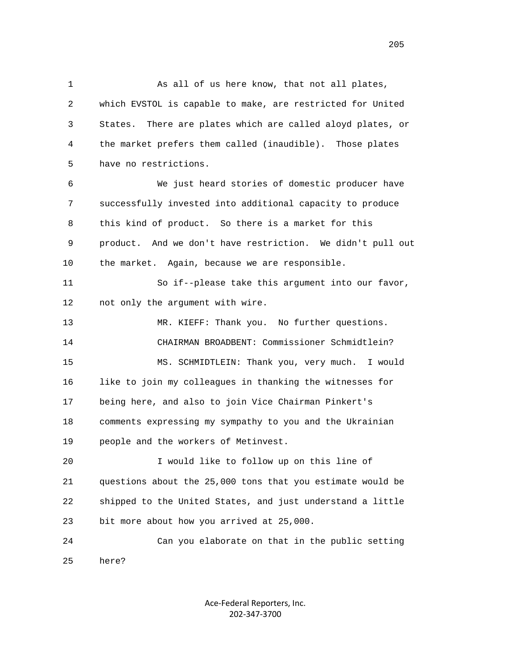1 As all of us here know, that not all plates, 2 which EVSTOL is capable to make, are restricted for United 3 States. There are plates which are called aloyd plates, or 4 the market prefers them called (inaudible). Those plates 5 have no restrictions.

 6 We just heard stories of domestic producer have 7 successfully invested into additional capacity to produce 8 this kind of product. So there is a market for this 9 product. And we don't have restriction. We didn't pull out 10 the market. Again, because we are responsible.

 11 So if--please take this argument into our favor, 12 not only the argument with wire.

 13 MR. KIEFF: Thank you. No further questions. 14 CHAIRMAN BROADBENT: Commissioner Schmidtlein? 15 MS. SCHMIDTLEIN: Thank you, very much. I would 16 like to join my colleagues in thanking the witnesses for 17 being here, and also to join Vice Chairman Pinkert's 18 comments expressing my sympathy to you and the Ukrainian 19 people and the workers of Metinvest.

 20 I would like to follow up on this line of 21 questions about the 25,000 tons that you estimate would be 22 shipped to the United States, and just understand a little 23 bit more about how you arrived at 25,000.

 24 Can you elaborate on that in the public setting 25 here?

> Ace‐Federal Reporters, Inc. 202‐347‐3700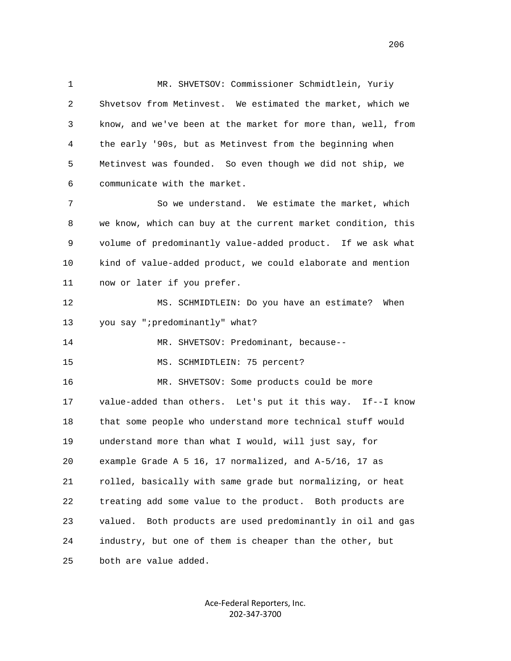1 MR. SHVETSOV: Commissioner Schmidtlein, Yuriy 2 Shvetsov from Metinvest. We estimated the market, which we 3 know, and we've been at the market for more than, well, from 4 the early '90s, but as Metinvest from the beginning when 5 Metinvest was founded. So even though we did not ship, we 6 communicate with the market.

 7 So we understand. We estimate the market, which 8 we know, which can buy at the current market condition, this 9 volume of predominantly value-added product. If we ask what 10 kind of value-added product, we could elaborate and mention 11 now or later if you prefer.

 12 MS. SCHMIDTLEIN: Do you have an estimate? When 13 you say ";predominantly" what?

14 MR. SHVETSOV: Predominant, because--

15 MS. SCHMIDTLEIN: 75 percent?

 16 MR. SHVETSOV: Some products could be more 17 value-added than others. Let's put it this way. If--I know 18 that some people who understand more technical stuff would 19 understand more than what I would, will just say, for 20 example Grade A 5 16, 17 normalized, and A-5/16, 17 as 21 rolled, basically with same grade but normalizing, or heat 22 treating add some value to the product. Both products are 23 valued. Both products are used predominantly in oil and gas 24 industry, but one of them is cheaper than the other, but 25 both are value added.

> Ace‐Federal Reporters, Inc. 202‐347‐3700

<u>206</u>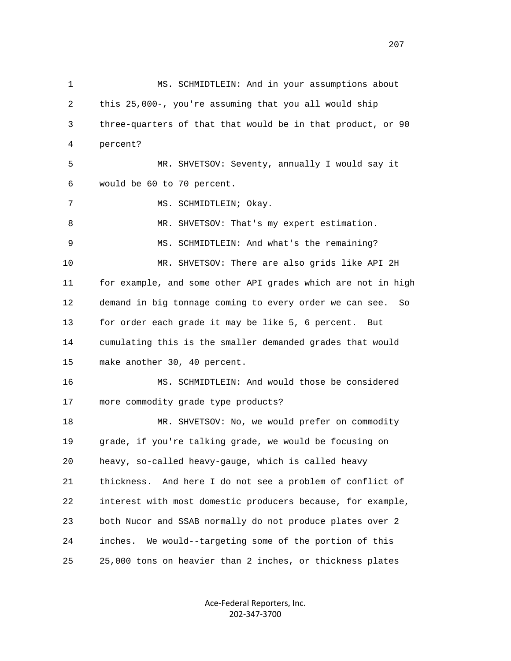1 MS. SCHMIDTLEIN: And in your assumptions about 2 this 25,000-, you're assuming that you all would ship 3 three-quarters of that that would be in that product, or 90 4 percent? 5 MR. SHVETSOV: Seventy, annually I would say it 6 would be 60 to 70 percent. 7 MS. SCHMIDTLEIN; Okay. 8 MR. SHVETSOV: That's my expert estimation. 9 MS. SCHMIDTLEIN: And what's the remaining? 10 MR. SHVETSOV: There are also grids like API 2H 11 for example, and some other API grades which are not in high 12 demand in big tonnage coming to every order we can see. So 13 for order each grade it may be like 5, 6 percent. But 14 cumulating this is the smaller demanded grades that would 15 make another 30, 40 percent. 16 MS. SCHMIDTLEIN: And would those be considered 17 more commodity grade type products? 18 MR. SHVETSOV: No, we would prefer on commodity 19 grade, if you're talking grade, we would be focusing on 20 heavy, so-called heavy-gauge, which is called heavy 21 thickness. And here I do not see a problem of conflict of 22 interest with most domestic producers because, for example, 23 both Nucor and SSAB normally do not produce plates over 2 24 inches. We would--targeting some of the portion of this 25 25,000 tons on heavier than 2 inches, or thickness plates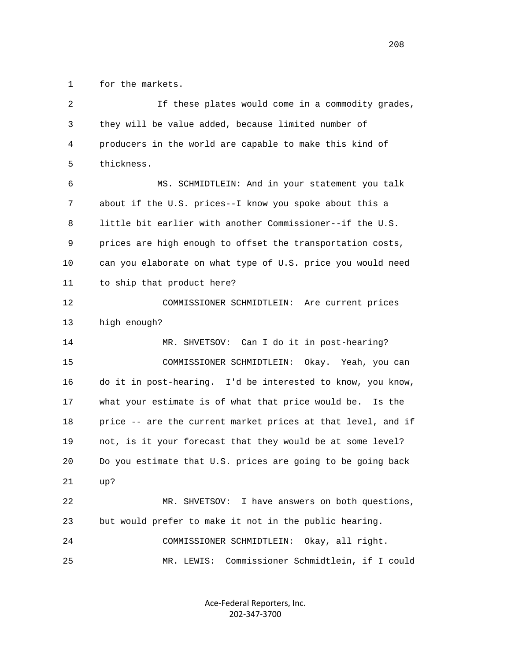1 for the markets.

| 2  | If these plates would come in a commodity grades,            |
|----|--------------------------------------------------------------|
| 3  | they will be value added, because limited number of          |
| 4  | producers in the world are capable to make this kind of      |
| 5  | thickness.                                                   |
| 6  | MS. SCHMIDTLEIN: And in your statement you talk              |
| 7  | about if the U.S. prices--I know you spoke about this a      |
| 8  | little bit earlier with another Commissioner--if the U.S.    |
| 9  | prices are high enough to offset the transportation costs,   |
| 10 | can you elaborate on what type of U.S. price you would need  |
| 11 | to ship that product here?                                   |
| 12 | COMMISSIONER SCHMIDTLEIN:<br>Are current prices              |
| 13 | high enough?                                                 |
| 14 | MR. SHVETSOV: Can I do it in post-hearing?                   |
| 15 | COMMISSIONER SCHMIDTLEIN: Okay. Yeah, you can                |
| 16 | do it in post-hearing. I'd be interested to know, you know,  |
| 17 | what your estimate is of what that price would be. Is the    |
| 18 | price -- are the current market prices at that level, and if |
| 19 | not, is it your forecast that they would be at some level?   |
| 20 | Do you estimate that U.S. prices are going to be going back  |
| 21 | up?                                                          |
| 22 | I have answers on both questions,<br>MR. SHVETSOV:           |
| 23 | but would prefer to make it not in the public hearing.       |
| 24 | Okay, all right.<br>COMMISSIONER SCHMIDTLEIN:                |
| 25 | Commissioner Schmidtlein, if I could<br>MR. LEWIS:           |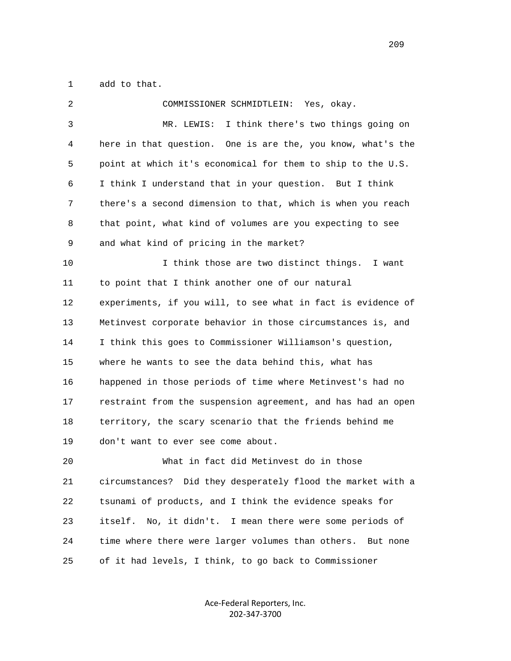1 add to that.

| 2            | COMMISSIONER SCHMIDTLEIN:<br>Yes, okay.                       |
|--------------|---------------------------------------------------------------|
| $\mathsf{3}$ | I think there's two things going on<br>MR. LEWIS:             |
| 4            | here in that question. One is are the, you know, what's the   |
| 5            | point at which it's economical for them to ship to the U.S.   |
| 6            | I think I understand that in your question. But I think       |
| 7            | there's a second dimension to that, which is when you reach   |
| 8            | that point, what kind of volumes are you expecting to see     |
| 9            | and what kind of pricing in the market?                       |
| 10           | I think those are two distinct things.<br>I want              |
| 11           | to point that I think another one of our natural              |
| 12           | experiments, if you will, to see what in fact is evidence of  |
| 13           | Metinvest corporate behavior in those circumstances is, and   |
| 14           | I think this goes to Commissioner Williamson's question,      |
| 15           | where he wants to see the data behind this, what has          |
| 16           | happened in those periods of time where Metinvest's had no    |
| 17           | restraint from the suspension agreement, and has had an open  |
| 18           | territory, the scary scenario that the friends behind me      |
| 19           | don't want to ever see come about.                            |
| 20           | What in fact did Metinvest do in those                        |
| 21           | circumstances? Did they desperately flood the market with a   |
| 22           | tsunami of products, and I think the evidence speaks for      |
| 23           | No, it didn't. I mean there were some periods of<br>itself.   |
| 24           | time where there were larger volumes than others.<br>But none |
| 25           | of it had levels, I think, to go back to Commissioner         |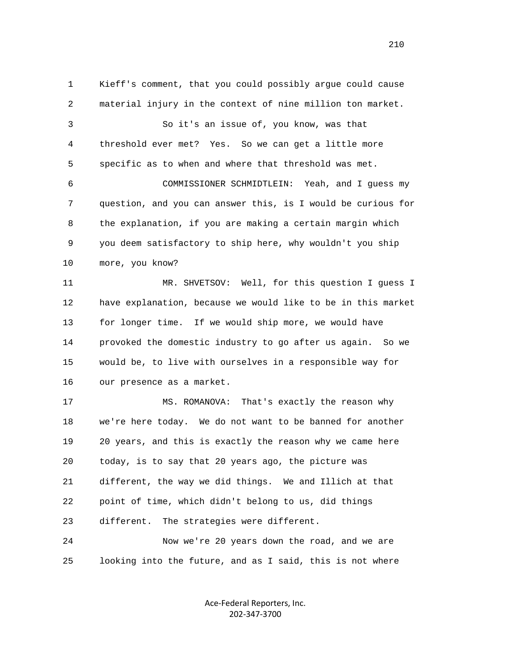1 Kieff's comment, that you could possibly argue could cause 2 material injury in the context of nine million ton market. 3 So it's an issue of, you know, was that 4 threshold ever met? Yes. So we can get a little more 5 specific as to when and where that threshold was met. 6 COMMISSIONER SCHMIDTLEIN: Yeah, and I guess my 7 question, and you can answer this, is I would be curious for 8 the explanation, if you are making a certain margin which 9 you deem satisfactory to ship here, why wouldn't you ship 10 more, you know? 11 MR. SHVETSOV: Well, for this question I guess I 12 have explanation, because we would like to be in this market 13 for longer time. If we would ship more, we would have 14 provoked the domestic industry to go after us again. So we 15 would be, to live with ourselves in a responsible way for 16 our presence as a market.

 17 MS. ROMANOVA: That's exactly the reason why 18 we're here today. We do not want to be banned for another 19 20 years, and this is exactly the reason why we came here 20 today, is to say that 20 years ago, the picture was 21 different, the way we did things. We and Illich at that 22 point of time, which didn't belong to us, did things 23 different. The strategies were different.

 24 Now we're 20 years down the road, and we are 25 looking into the future, and as I said, this is not where

> Ace‐Federal Reporters, Inc. 202‐347‐3700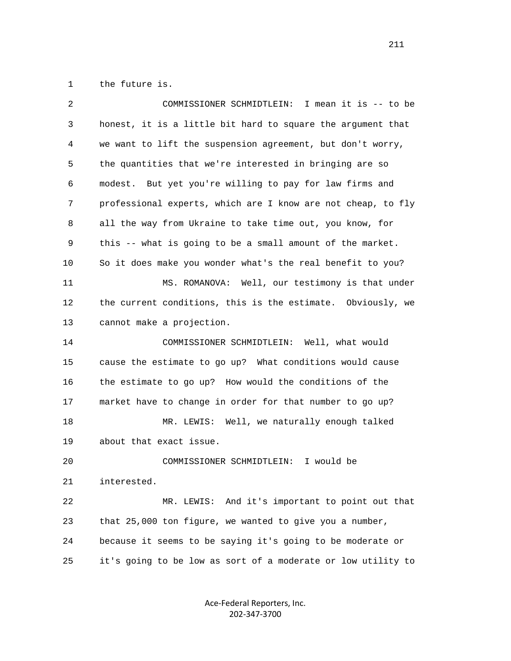1 the future is.

| 2  | I mean it is -- to be<br>COMMISSIONER SCHMIDTLEIN:           |
|----|--------------------------------------------------------------|
| 3  | honest, it is a little bit hard to square the argument that  |
| 4  | we want to lift the suspension agreement, but don't worry,   |
| 5  | the quantities that we're interested in bringing are so      |
| 6  | modest. But yet you're willing to pay for law firms and      |
| 7  | professional experts, which are I know are not cheap, to fly |
| 8  | all the way from Ukraine to take time out, you know, for     |
| 9  | this -- what is going to be a small amount of the market.    |
| 10 | So it does make you wonder what's the real benefit to you?   |
| 11 | MS. ROMANOVA: Well, our testimony is that under              |
| 12 | the current conditions, this is the estimate. Obviously, we  |
| 13 | cannot make a projection.                                    |
| 14 | COMMISSIONER SCHMIDTLEIN: Well, what would                   |
| 15 | cause the estimate to go up? What conditions would cause     |
| 16 | the estimate to go up? How would the conditions of the       |
| 17 | market have to change in order for that number to go up?     |
| 18 | MR. LEWIS: Well, we naturally enough talked                  |
| 19 | about that exact issue.                                      |
| 20 | COMMISSIONER SCHMIDTLEIN:<br>I would be                      |
| 21 | interested.                                                  |
| 22 | MR. LEWIS: And it's important to point out that              |
| 23 | that 25,000 ton figure, we wanted to give you a number,      |
| 24 | because it seems to be saying it's going to be moderate or   |
| 25 | it's going to be low as sort of a moderate or low utility to |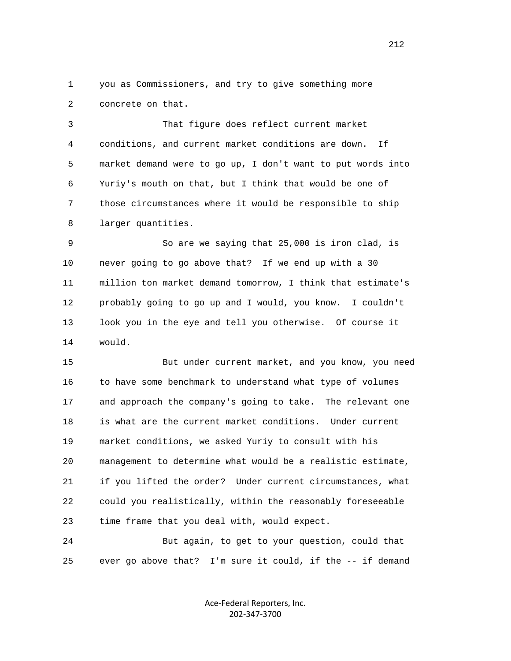1 you as Commissioners, and try to give something more 2 concrete on that.

 3 That figure does reflect current market 4 conditions, and current market conditions are down. If 5 market demand were to go up, I don't want to put words into 6 Yuriy's mouth on that, but I think that would be one of 7 those circumstances where it would be responsible to ship 8 larger quantities.

 9 So are we saying that 25,000 is iron clad, is 10 never going to go above that? If we end up with a 30 11 million ton market demand tomorrow, I think that estimate's 12 probably going to go up and I would, you know. I couldn't 13 look you in the eye and tell you otherwise. Of course it 14 would.

 15 But under current market, and you know, you need 16 to have some benchmark to understand what type of volumes 17 and approach the company's going to take. The relevant one 18 is what are the current market conditions. Under current 19 market conditions, we asked Yuriy to consult with his 20 management to determine what would be a realistic estimate, 21 if you lifted the order? Under current circumstances, what 22 could you realistically, within the reasonably foreseeable 23 time frame that you deal with, would expect.

 24 But again, to get to your question, could that 25 ever go above that? I'm sure it could, if the -- if demand

> Ace‐Federal Reporters, Inc. 202‐347‐3700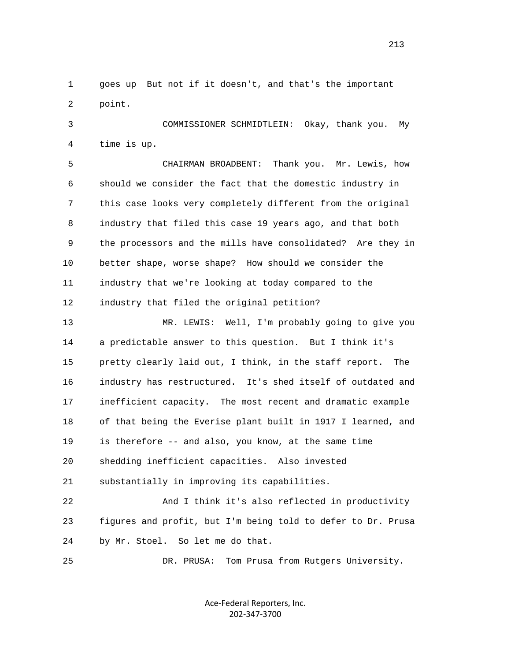1 goes up But not if it doesn't, and that's the important 2 point.

 3 COMMISSIONER SCHMIDTLEIN: Okay, thank you. My 4 time is up.

 5 CHAIRMAN BROADBENT: Thank you. Mr. Lewis, how 6 should we consider the fact that the domestic industry in 7 this case looks very completely different from the original 8 industry that filed this case 19 years ago, and that both 9 the processors and the mills have consolidated? Are they in 10 better shape, worse shape? How should we consider the 11 industry that we're looking at today compared to the 12 industry that filed the original petition?

 13 MR. LEWIS: Well, I'm probably going to give you 14 a predictable answer to this question. But I think it's 15 pretty clearly laid out, I think, in the staff report. The 16 industry has restructured. It's shed itself of outdated and 17 inefficient capacity. The most recent and dramatic example 18 of that being the Everise plant built in 1917 I learned, and 19 is therefore -- and also, you know, at the same time 20 shedding inefficient capacities. Also invested 21 substantially in improving its capabilities.

 22 And I think it's also reflected in productivity 23 figures and profit, but I'm being told to defer to Dr. Prusa 24 by Mr. Stoel. So let me do that.

25 DR. PRUSA: Tom Prusa from Rutgers University.

Ace‐Federal Reporters, Inc. 202‐347‐3700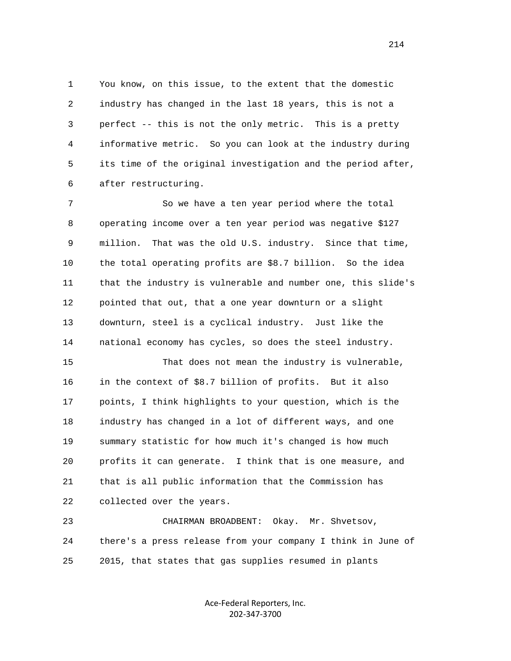1 You know, on this issue, to the extent that the domestic 2 industry has changed in the last 18 years, this is not a 3 perfect -- this is not the only metric. This is a pretty 4 informative metric. So you can look at the industry during 5 its time of the original investigation and the period after, 6 after restructuring.

 7 So we have a ten year period where the total 8 operating income over a ten year period was negative \$127 9 million. That was the old U.S. industry. Since that time, 10 the total operating profits are \$8.7 billion. So the idea 11 that the industry is vulnerable and number one, this slide's 12 pointed that out, that a one year downturn or a slight 13 downturn, steel is a cyclical industry. Just like the 14 national economy has cycles, so does the steel industry.

 15 That does not mean the industry is vulnerable, 16 in the context of \$8.7 billion of profits. But it also 17 points, I think highlights to your question, which is the 18 industry has changed in a lot of different ways, and one 19 summary statistic for how much it's changed is how much 20 profits it can generate. I think that is one measure, and 21 that is all public information that the Commission has 22 collected over the years.

 23 CHAIRMAN BROADBENT: Okay. Mr. Shvetsov, 24 there's a press release from your company I think in June of 25 2015, that states that gas supplies resumed in plants

> Ace‐Federal Reporters, Inc. 202‐347‐3700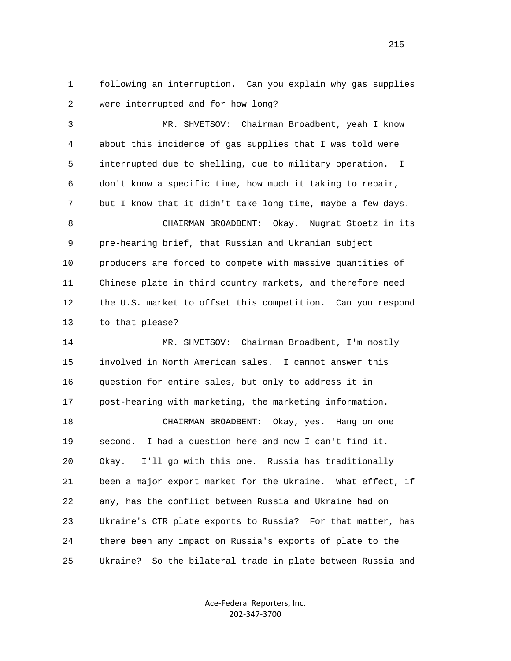1 following an interruption. Can you explain why gas supplies 2 were interrupted and for how long?

 3 MR. SHVETSOV: Chairman Broadbent, yeah I know 4 about this incidence of gas supplies that I was told were 5 interrupted due to shelling, due to military operation. I 6 don't know a specific time, how much it taking to repair, 7 but I know that it didn't take long time, maybe a few days. 8 CHAIRMAN BROADBENT: Okay. Nugrat Stoetz in its 9 pre-hearing brief, that Russian and Ukranian subject 10 producers are forced to compete with massive quantities of 11 Chinese plate in third country markets, and therefore need 12 the U.S. market to offset this competition. Can you respond 13 to that please? 14 MR. SHVETSOV: Chairman Broadbent, I'm mostly

 15 involved in North American sales. I cannot answer this 16 question for entire sales, but only to address it in 17 post-hearing with marketing, the marketing information. 18 CHAIRMAN BROADBENT: Okay, yes. Hang on one 19 second. I had a question here and now I can't find it. 20 Okay. I'll go with this one. Russia has traditionally 21 been a major export market for the Ukraine. What effect, if 22 any, has the conflict between Russia and Ukraine had on 23 Ukraine's CTR plate exports to Russia? For that matter, has 24 there been any impact on Russia's exports of plate to the 25 Ukraine? So the bilateral trade in plate between Russia and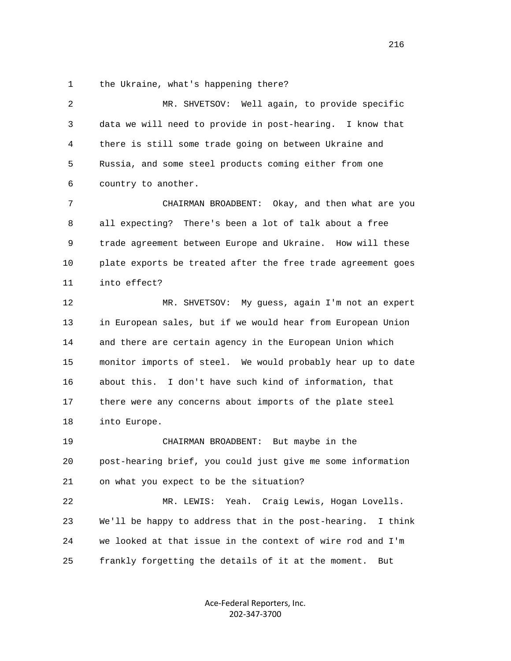1 the Ukraine, what's happening there?

 2 MR. SHVETSOV: Well again, to provide specific 3 data we will need to provide in post-hearing. I know that 4 there is still some trade going on between Ukraine and 5 Russia, and some steel products coming either from one 6 country to another. 7 CHAIRMAN BROADBENT: Okay, and then what are you 8 all expecting? There's been a lot of talk about a free 9 trade agreement between Europe and Ukraine. How will these 10 plate exports be treated after the free trade agreement goes 11 into effect? 12 MR. SHVETSOV: My guess, again I'm not an expert 13 in European sales, but if we would hear from European Union 14 and there are certain agency in the European Union which 15 monitor imports of steel. We would probably hear up to date 16 about this. I don't have such kind of information, that 17 there were any concerns about imports of the plate steel 18 into Europe. 19 CHAIRMAN BROADBENT: But maybe in the 20 post-hearing brief, you could just give me some information 21 on what you expect to be the situation? 22 MR. LEWIS: Yeah. Craig Lewis, Hogan Lovells. 23 We'll be happy to address that in the post-hearing. I think 24 we looked at that issue in the context of wire rod and I'm 25 frankly forgetting the details of it at the moment. But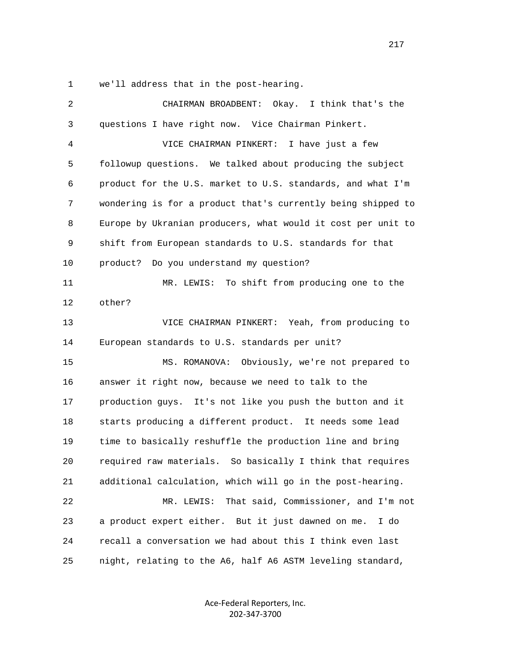1 we'll address that in the post-hearing.

| 2  | CHAIRMAN BROADBENT: Okay. I think that's the                 |
|----|--------------------------------------------------------------|
| 3  | questions I have right now. Vice Chairman Pinkert.           |
| 4  | VICE CHAIRMAN PINKERT: I have just a few                     |
| 5  | followup questions. We talked about producing the subject    |
| 6  | product for the U.S. market to U.S. standards, and what I'm  |
| 7  | wondering is for a product that's currently being shipped to |
| 8  | Europe by Ukranian producers, what would it cost per unit to |
| 9  | shift from European standards to U.S. standards for that     |
| 10 | Do you understand my question?<br>product?                   |
| 11 | MR. LEWIS: To shift from producing one to the                |
| 12 | other?                                                       |
| 13 | VICE CHAIRMAN PINKERT: Yeah, from producing to               |
| 14 | European standards to U.S. standards per unit?               |
| 15 | MS. ROMANOVA: Obviously, we're not prepared to               |
| 16 | answer it right now, because we need to talk to the          |
| 17 | production guys. It's not like you push the button and it    |
| 18 | starts producing a different product. It needs some lead     |
| 19 | time to basically reshuffle the production line and bring    |
| 20 | required raw materials. So basically I think that requires   |
| 21 | additional calculation, which will go in the post-hearing.   |
| 22 | That said, Commissioner, and I'm not<br>MR. LEWIS:           |
| 23 | a product expert either. But it just dawned on me.<br>I do   |
| 24 | recall a conversation we had about this I think even last    |
| 25 | night, relating to the A6, half A6 ASTM leveling standard,   |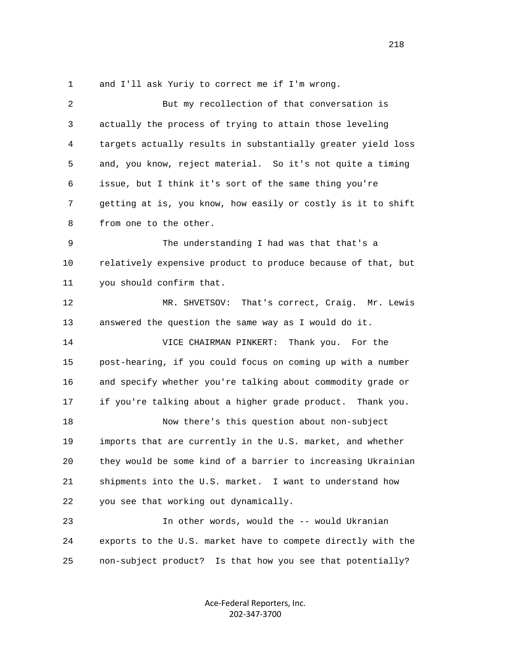1 and I'll ask Yuriy to correct me if I'm wrong.

| 2  | But my recollection of that conversation is                  |
|----|--------------------------------------------------------------|
| 3  | actually the process of trying to attain those leveling      |
| 4  | targets actually results in substantially greater yield loss |
| 5  | and, you know, reject material. So it's not quite a timing   |
| 6  | issue, but I think it's sort of the same thing you're        |
| 7  | getting at is, you know, how easily or costly is it to shift |
| 8  | from one to the other.                                       |
| 9  | The understanding I had was that that's a                    |
| 10 | relatively expensive product to produce because of that, but |
| 11 | you should confirm that.                                     |
| 12 | MR. SHVETSOV:<br>That's correct, Craig. Mr. Lewis            |
| 13 | answered the question the same way as I would do it.         |
| 14 | Thank you. For the<br>VICE CHAIRMAN PINKERT:                 |
| 15 | post-hearing, if you could focus on coming up with a number  |
| 16 | and specify whether you're talking about commodity grade or  |
| 17 | if you're talking about a higher grade product. Thank you.   |
| 18 | Now there's this question about non-subject                  |
| 19 | imports that are currently in the U.S. market, and whether   |
| 20 | they would be some kind of a barrier to increasing Ukrainian |
| 21 | shipments into the U.S. market. I want to understand how     |
| 22 | you see that working out dynamically.                        |
| 23 | In other words, would the -- would Ukranian                  |
| 24 | exports to the U.S. market have to compete directly with the |
| 25 | non-subject product? Is that how you see that potentially?   |

Ace‐Federal Reporters, Inc. 202‐347‐3700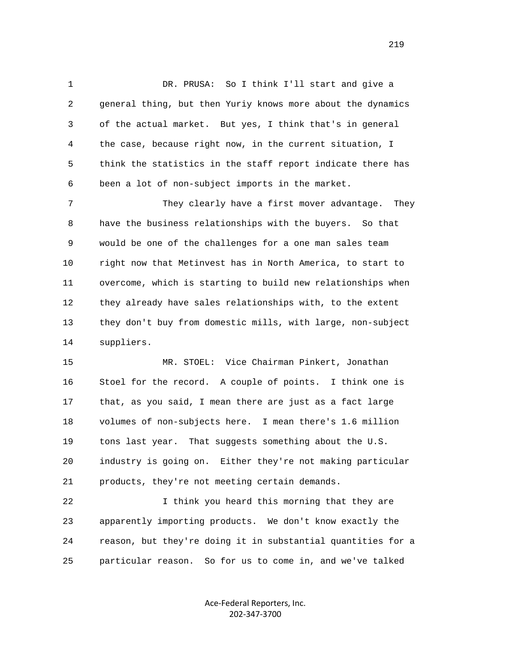1 DR. PRUSA: So I think I'll start and give a 2 general thing, but then Yuriy knows more about the dynamics 3 of the actual market. But yes, I think that's in general 4 the case, because right now, in the current situation, I 5 think the statistics in the staff report indicate there has 6 been a lot of non-subject imports in the market.

 7 They clearly have a first mover advantage. They 8 have the business relationships with the buyers. So that 9 would be one of the challenges for a one man sales team 10 right now that Metinvest has in North America, to start to 11 overcome, which is starting to build new relationships when 12 they already have sales relationships with, to the extent 13 they don't buy from domestic mills, with large, non-subject 14 suppliers.

 15 MR. STOEL: Vice Chairman Pinkert, Jonathan 16 Stoel for the record. A couple of points. I think one is 17 that, as you said, I mean there are just as a fact large 18 volumes of non-subjects here. I mean there's 1.6 million 19 tons last year. That suggests something about the U.S. 20 industry is going on. Either they're not making particular 21 products, they're not meeting certain demands.

 22 I think you heard this morning that they are 23 apparently importing products. We don't know exactly the 24 reason, but they're doing it in substantial quantities for a 25 particular reason. So for us to come in, and we've talked

> Ace‐Federal Reporters, Inc. 202‐347‐3700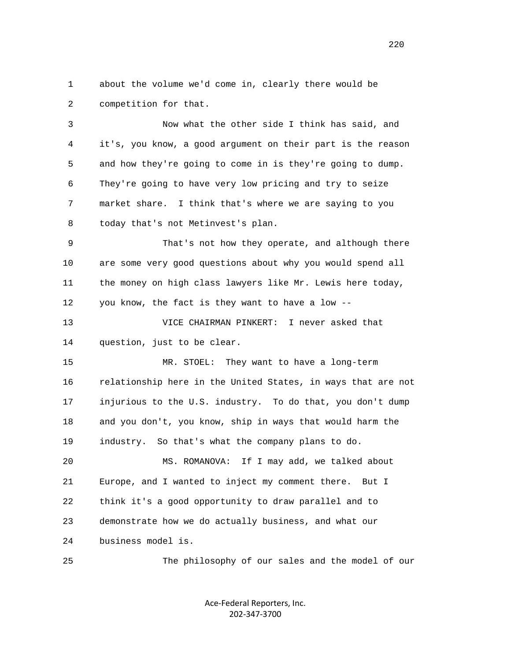1 about the volume we'd come in, clearly there would be 2 competition for that.

 3 Now what the other side I think has said, and 4 it's, you know, a good argument on their part is the reason 5 and how they're going to come in is they're going to dump. 6 They're going to have very low pricing and try to seize 7 market share. I think that's where we are saying to you 8 today that's not Metinvest's plan.

 9 That's not how they operate, and although there 10 are some very good questions about why you would spend all 11 the money on high class lawyers like Mr. Lewis here today, 12 you know, the fact is they want to have a low --

 13 VICE CHAIRMAN PINKERT: I never asked that 14 question, just to be clear.

 15 MR. STOEL: They want to have a long-term 16 relationship here in the United States, in ways that are not 17 injurious to the U.S. industry. To do that, you don't dump 18 and you don't, you know, ship in ways that would harm the 19 industry. So that's what the company plans to do.

 20 MS. ROMANOVA: If I may add, we talked about 21 Europe, and I wanted to inject my comment there. But I 22 think it's a good opportunity to draw parallel and to 23 demonstrate how we do actually business, and what our 24 business model is.

25 The philosophy of our sales and the model of our

Ace‐Federal Reporters, Inc. 202‐347‐3700

<u>220</u>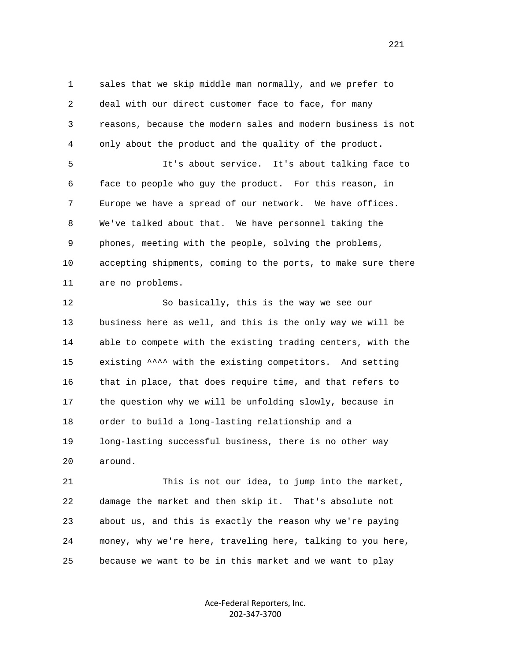1 sales that we skip middle man normally, and we prefer to 2 deal with our direct customer face to face, for many 3 reasons, because the modern sales and modern business is not 4 only about the product and the quality of the product.

 5 It's about service. It's about talking face to 6 face to people who guy the product. For this reason, in 7 Europe we have a spread of our network. We have offices. 8 We've talked about that. We have personnel taking the 9 phones, meeting with the people, solving the problems, 10 accepting shipments, coming to the ports, to make sure there 11 are no problems.

 12 So basically, this is the way we see our 13 business here as well, and this is the only way we will be 14 able to compete with the existing trading centers, with the 15 existing ^^^^ with the existing competitors. And setting 16 that in place, that does require time, and that refers to 17 the question why we will be unfolding slowly, because in 18 order to build a long-lasting relationship and a 19 long-lasting successful business, there is no other way 20 around.

 21 This is not our idea, to jump into the market, 22 damage the market and then skip it. That's absolute not 23 about us, and this is exactly the reason why we're paying 24 money, why we're here, traveling here, talking to you here, 25 because we want to be in this market and we want to play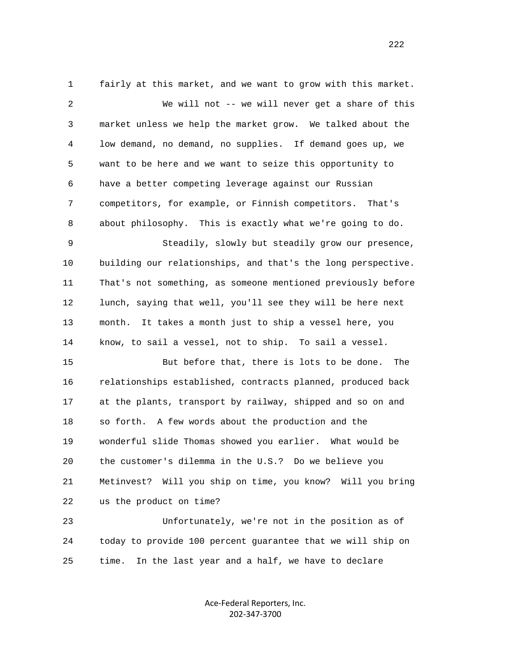1 fairly at this market, and we want to grow with this market. 2 We will not -- we will never get a share of this 3 market unless we help the market grow. We talked about the 4 low demand, no demand, no supplies. If demand goes up, we 5 want to be here and we want to seize this opportunity to 6 have a better competing leverage against our Russian 7 competitors, for example, or Finnish competitors. That's 8 about philosophy. This is exactly what we're going to do. 9 Steadily, slowly but steadily grow our presence, 10 building our relationships, and that's the long perspective. 11 That's not something, as someone mentioned previously before 12 lunch, saying that well, you'll see they will be here next 13 month. It takes a month just to ship a vessel here, you 14 know, to sail a vessel, not to ship. To sail a vessel. 15 But before that, there is lots to be done. The 16 relationships established, contracts planned, produced back 17 at the plants, transport by railway, shipped and so on and 18 so forth. A few words about the production and the 19 wonderful slide Thomas showed you earlier. What would be 20 the customer's dilemma in the U.S.? Do we believe you 21 Metinvest? Will you ship on time, you know? Will you bring 22 us the product on time? 23 Unfortunately, we're not in the position as of

 24 today to provide 100 percent guarantee that we will ship on 25 time. In the last year and a half, we have to declare

> Ace‐Federal Reporters, Inc. 202‐347‐3700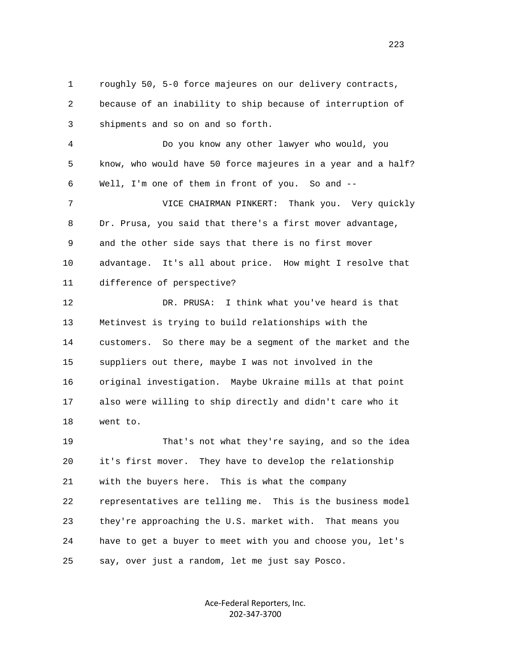1 roughly 50, 5-0 force majeures on our delivery contracts, 2 because of an inability to ship because of interruption of 3 shipments and so on and so forth. 4 Do you know any other lawyer who would, you 5 know, who would have 50 force majeures in a year and a half? 6 Well, I'm one of them in front of you. So and -- 7 VICE CHAIRMAN PINKERT: Thank you. Very quickly 8 Dr. Prusa, you said that there's a first mover advantage, 9 and the other side says that there is no first mover 10 advantage. It's all about price. How might I resolve that 11 difference of perspective? 12 DR. PRUSA: I think what you've heard is that 13 Metinvest is trying to build relationships with the 14 customers. So there may be a segment of the market and the 15 suppliers out there, maybe I was not involved in the 16 original investigation. Maybe Ukraine mills at that point 17 also were willing to ship directly and didn't care who it 18 went to. 19 That's not what they're saying, and so the idea 20 it's first mover. They have to develop the relationship 21 with the buyers here. This is what the company

 22 representatives are telling me. This is the business model 23 they're approaching the U.S. market with. That means you 24 have to get a buyer to meet with you and choose you, let's 25 say, over just a random, let me just say Posco.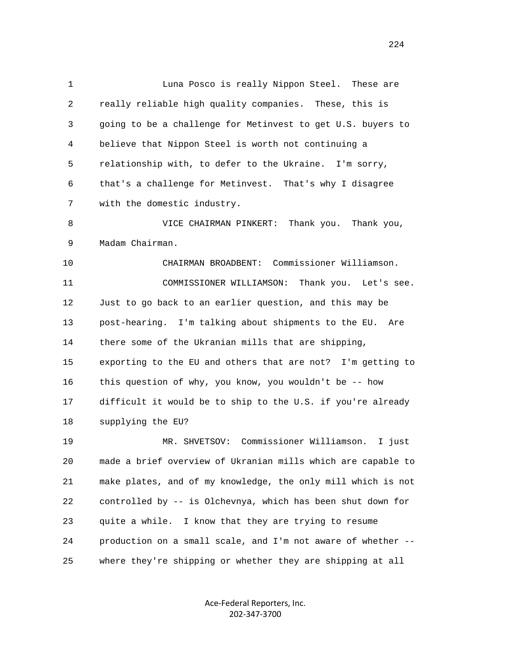1 Luna Posco is really Nippon Steel. These are 2 really reliable high quality companies. These, this is 3 going to be a challenge for Metinvest to get U.S. buyers to 4 believe that Nippon Steel is worth not continuing a 5 relationship with, to defer to the Ukraine. I'm sorry, 6 that's a challenge for Metinvest. That's why I disagree 7 with the domestic industry.

 8 VICE CHAIRMAN PINKERT: Thank you. Thank you, 9 Madam Chairman.

 10 CHAIRMAN BROADBENT: Commissioner Williamson. 11 COMMISSIONER WILLIAMSON: Thank you. Let's see. 12 Just to go back to an earlier question, and this may be 13 post-hearing. I'm talking about shipments to the EU. Are 14 there some of the Ukranian mills that are shipping, 15 exporting to the EU and others that are not? I'm getting to 16 this question of why, you know, you wouldn't be -- how 17 difficult it would be to ship to the U.S. if you're already 18 supplying the EU?

 19 MR. SHVETSOV: Commissioner Williamson. I just 20 made a brief overview of Ukranian mills which are capable to 21 make plates, and of my knowledge, the only mill which is not 22 controlled by -- is Olchevnya, which has been shut down for 23 quite a while. I know that they are trying to resume 24 production on a small scale, and I'm not aware of whether -- 25 where they're shipping or whether they are shipping at all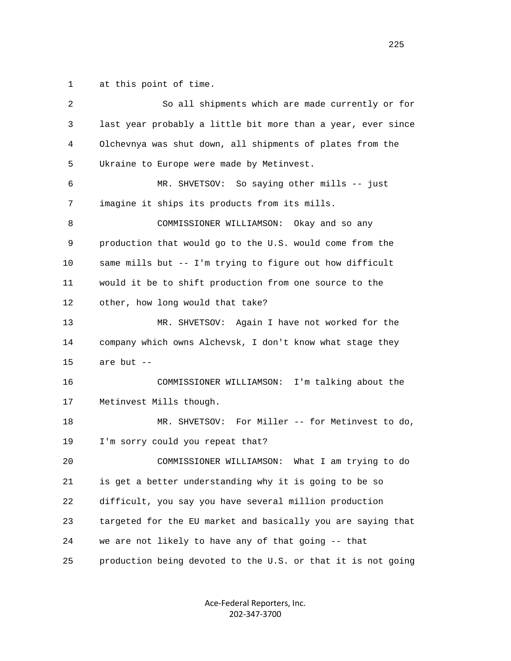1 at this point of time.

| 2  | So all shipments which are made currently or for             |
|----|--------------------------------------------------------------|
| 3  | last year probably a little bit more than a year, ever since |
| 4  | Olchevnya was shut down, all shipments of plates from the    |
| 5  | Ukraine to Europe were made by Metinvest.                    |
| 6  | MR. SHVETSOV: So saying other mills -- just                  |
| 7  | imagine it ships its products from its mills.                |
| 8  | COMMISSIONER WILLIAMSON: Okay and so any                     |
| 9  | production that would go to the U.S. would come from the     |
| 10 | same mills but -- I'm trying to figure out how difficult     |
| 11 | would it be to shift production from one source to the       |
| 12 | other, how long would that take?                             |
| 13 | MR. SHVETSOV: Again I have not worked for the                |
| 14 | company which owns Alchevsk, I don't know what stage they    |
| 15 | are but --                                                   |
| 16 | COMMISSIONER WILLIAMSON:<br>I'm talking about the            |
| 17 | Metinvest Mills though.                                      |
| 18 | MR. SHVETSOV: For Miller -- for Metinvest to do,             |
| 19 | I'm sorry could you repeat that?                             |
| 20 | COMMISSIONER WILLIAMSON:<br>What I am trying to do           |
| 21 | is get a better understanding why it is going to be so       |
| 22 | difficult, you say you have several million production       |
| 23 | targeted for the EU market and basically you are saying that |
| 24 | we are not likely to have any of that going -- that          |
| 25 | production being devoted to the U.S. or that it is not going |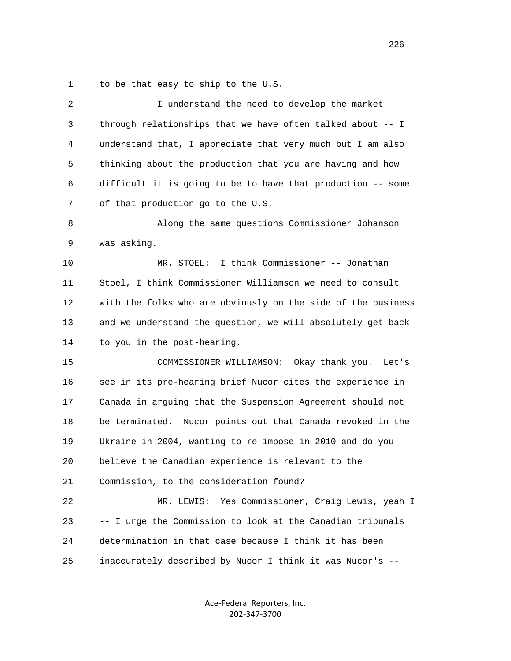1 to be that easy to ship to the U.S.

| 2            | I understand the need to develop the market                  |
|--------------|--------------------------------------------------------------|
| $\mathsf{3}$ | through relationships that we have often talked about -- I   |
| 4            | understand that, I appreciate that very much but I am also   |
| 5            | thinking about the production that you are having and how    |
| 6            | difficult it is going to be to have that production -- some  |
| 7            | of that production go to the U.S.                            |
| 8            | Along the same questions Commissioner Johanson               |
| 9            | was asking.                                                  |
| 10           | I think Commissioner -- Jonathan<br>MR. STOEL:               |
| 11           | Stoel, I think Commissioner Williamson we need to consult    |
| 12           | with the folks who are obviously on the side of the business |
| 13           | and we understand the question, we will absolutely get back  |
| 14           | to you in the post-hearing.                                  |
| 15           | COMMISSIONER WILLIAMSON:<br>Okay thank you.<br>Let's         |
| 16           | see in its pre-hearing brief Nucor cites the experience in   |
| 17           | Canada in arguing that the Suspension Agreement should not   |
| 18           | be terminated. Nucor points out that Canada revoked in the   |
| 19           | Ukraine in 2004, wanting to re-impose in 2010 and do you     |
| 20           | believe the Canadian experience is relevant to the           |
| 21           | Commission, to the consideration found?                      |
| 22           | Yes Commissioner, Craig Lewis, yeah I<br>MR. LEWIS:          |
| 23           | -- I urge the Commission to look at the Canadian tribunals   |
| 24           | determination in that case because I think it has been       |
| 25           | inaccurately described by Nucor I think it was Nucor's --    |
|              |                                                              |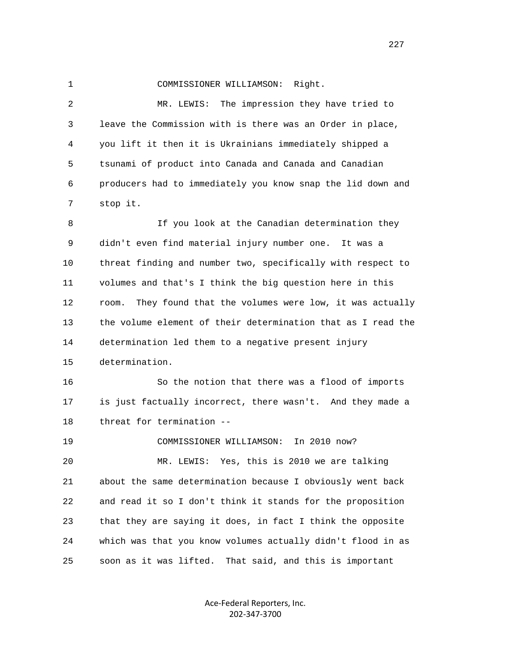## 1 COMMISSIONER WILLIAMSON: Right.

 2 MR. LEWIS: The impression they have tried to 3 leave the Commission with is there was an Order in place, 4 you lift it then it is Ukrainians immediately shipped a 5 tsunami of product into Canada and Canada and Canadian 6 producers had to immediately you know snap the lid down and 7 stop it.

 8 If you look at the Canadian determination they 9 didn't even find material injury number one. It was a 10 threat finding and number two, specifically with respect to 11 volumes and that's I think the big question here in this 12 room. They found that the volumes were low, it was actually 13 the volume element of their determination that as I read the 14 determination led them to a negative present injury 15 determination.

 16 So the notion that there was a flood of imports 17 is just factually incorrect, there wasn't. And they made a 18 threat for termination --

 19 COMMISSIONER WILLIAMSON: In 2010 now? 20 MR. LEWIS: Yes, this is 2010 we are talking 21 about the same determination because I obviously went back 22 and read it so I don't think it stands for the proposition 23 that they are saying it does, in fact I think the opposite 24 which was that you know volumes actually didn't flood in as 25 soon as it was lifted. That said, and this is important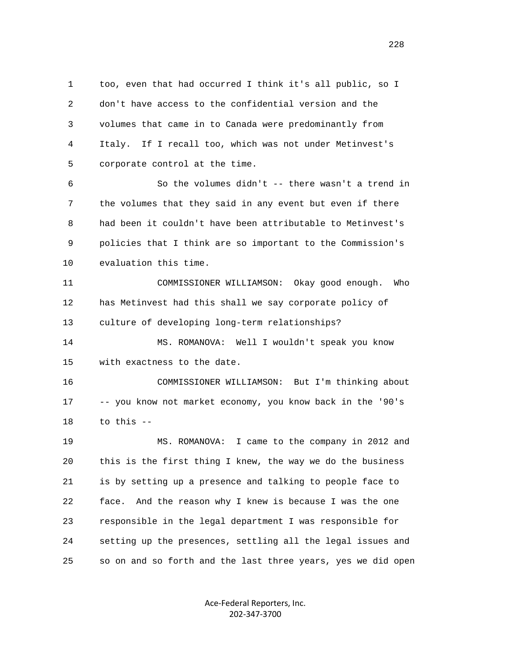1 too, even that had occurred I think it's all public, so I 2 don't have access to the confidential version and the 3 volumes that came in to Canada were predominantly from 4 Italy. If I recall too, which was not under Metinvest's 5 corporate control at the time.

 6 So the volumes didn't -- there wasn't a trend in 7 the volumes that they said in any event but even if there 8 had been it couldn't have been attributable to Metinvest's 9 policies that I think are so important to the Commission's 10 evaluation this time.

 11 COMMISSIONER WILLIAMSON: Okay good enough. Who 12 has Metinvest had this shall we say corporate policy of 13 culture of developing long-term relationships?

 14 MS. ROMANOVA: Well I wouldn't speak you know 15 with exactness to the date.

 16 COMMISSIONER WILLIAMSON: But I'm thinking about 17 -- you know not market economy, you know back in the '90's 18 to this --

 19 MS. ROMANOVA: I came to the company in 2012 and 20 this is the first thing I knew, the way we do the business 21 is by setting up a presence and talking to people face to 22 face. And the reason why I knew is because I was the one 23 responsible in the legal department I was responsible for 24 setting up the presences, settling all the legal issues and 25 so on and so forth and the last three years, yes we did open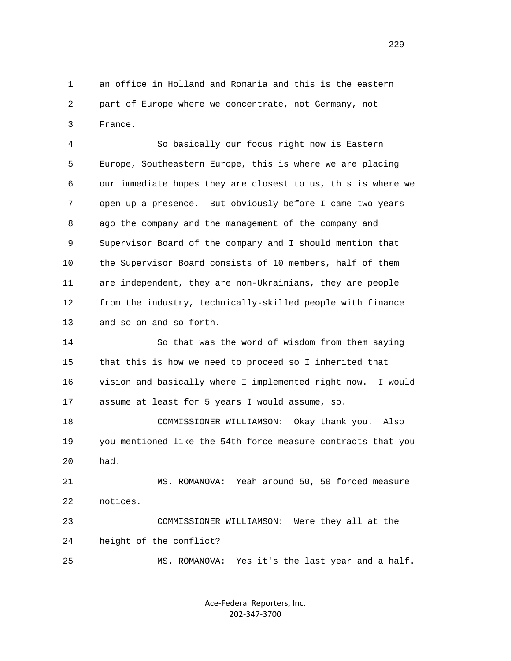1 an office in Holland and Romania and this is the eastern 2 part of Europe where we concentrate, not Germany, not 3 France.

 4 So basically our focus right now is Eastern 5 Europe, Southeastern Europe, this is where we are placing 6 our immediate hopes they are closest to us, this is where we 7 open up a presence. But obviously before I came two years 8 ago the company and the management of the company and 9 Supervisor Board of the company and I should mention that 10 the Supervisor Board consists of 10 members, half of them 11 are independent, they are non-Ukrainians, they are people 12 from the industry, technically-skilled people with finance 13 and so on and so forth.

 14 So that was the word of wisdom from them saying 15 that this is how we need to proceed so I inherited that 16 vision and basically where I implemented right now. I would 17 assume at least for 5 years I would assume, so.

 18 COMMISSIONER WILLIAMSON: Okay thank you. Also 19 you mentioned like the 54th force measure contracts that you 20 had.

 21 MS. ROMANOVA: Yeah around 50, 50 forced measure 22 notices.

 23 COMMISSIONER WILLIAMSON: Were they all at the 24 height of the conflict? 25 MS. ROMANOVA: Yes it's the last year and a half.

> Ace‐Federal Reporters, Inc. 202‐347‐3700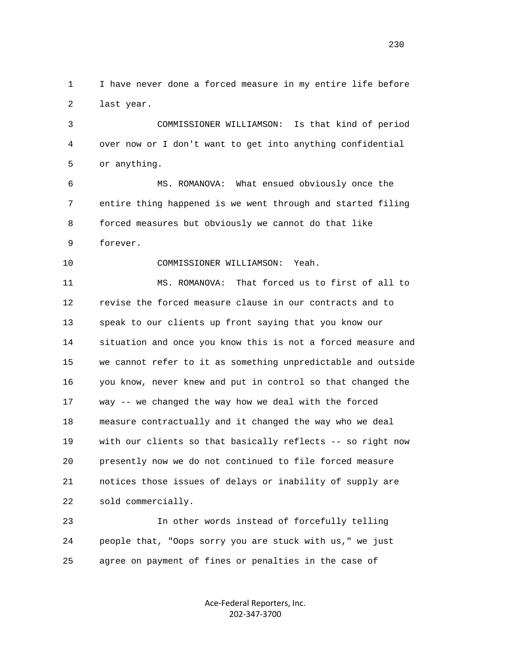1 I have never done a forced measure in my entire life before 2 last year.

 3 COMMISSIONER WILLIAMSON: Is that kind of period 4 over now or I don't want to get into anything confidential 5 or anything.

 6 MS. ROMANOVA: What ensued obviously once the 7 entire thing happened is we went through and started filing 8 forced measures but obviously we cannot do that like 9 forever.

10 COMMISSIONER WILLIAMSON: Yeah.

 11 MS. ROMANOVA: That forced us to first of all to 12 revise the forced measure clause in our contracts and to 13 speak to our clients up front saying that you know our 14 situation and once you know this is not a forced measure and 15 we cannot refer to it as something unpredictable and outside 16 you know, never knew and put in control so that changed the 17 way -- we changed the way how we deal with the forced 18 measure contractually and it changed the way who we deal 19 with our clients so that basically reflects -- so right now 20 presently now we do not continued to file forced measure 21 notices those issues of delays or inability of supply are 22 sold commercially.

 23 In other words instead of forcefully telling 24 people that, "Oops sorry you are stuck with us," we just 25 agree on payment of fines or penalties in the case of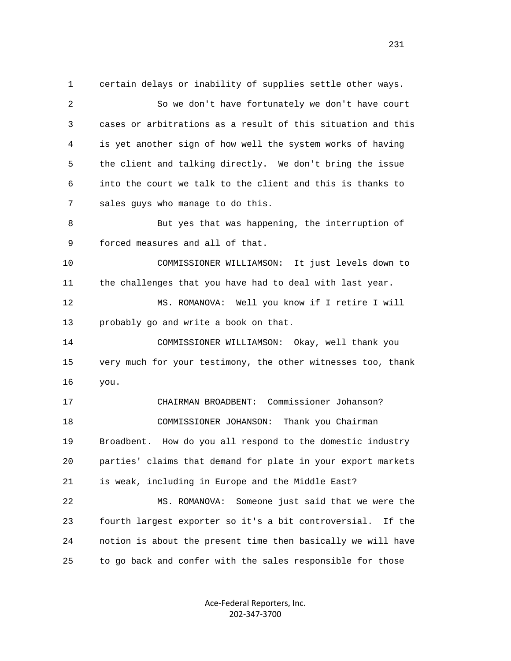1 certain delays or inability of supplies settle other ways. 2 So we don't have fortunately we don't have court 3 cases or arbitrations as a result of this situation and this 4 is yet another sign of how well the system works of having 5 the client and talking directly. We don't bring the issue 6 into the court we talk to the client and this is thanks to 7 sales guys who manage to do this. 8 But yes that was happening, the interruption of 9 forced measures and all of that. 10 COMMISSIONER WILLIAMSON: It just levels down to 11 the challenges that you have had to deal with last year. 12 MS. ROMANOVA: Well you know if I retire I will 13 probably go and write a book on that. 14 COMMISSIONER WILLIAMSON: Okay, well thank you 15 very much for your testimony, the other witnesses too, thank 16 you. 17 CHAIRMAN BROADBENT: Commissioner Johanson? 18 COMMISSIONER JOHANSON: Thank you Chairman 19 Broadbent. How do you all respond to the domestic industry 20 parties' claims that demand for plate in your export markets 21 is weak, including in Europe and the Middle East? 22 MS. ROMANOVA: Someone just said that we were the 23 fourth largest exporter so it's a bit controversial. If the 24 notion is about the present time then basically we will have 25 to go back and confer with the sales responsible for those

> Ace‐Federal Reporters, Inc. 202‐347‐3700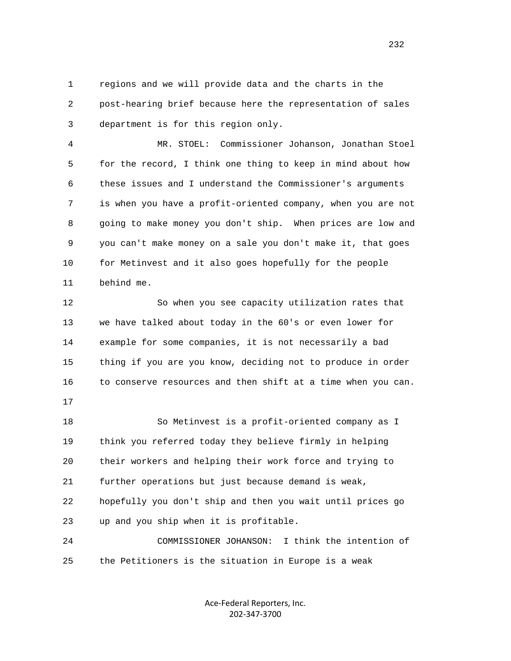1 regions and we will provide data and the charts in the 2 post-hearing brief because here the representation of sales 3 department is for this region only.

 4 MR. STOEL: Commissioner Johanson, Jonathan Stoel 5 for the record, I think one thing to keep in mind about how 6 these issues and I understand the Commissioner's arguments 7 is when you have a profit-oriented company, when you are not 8 going to make money you don't ship. When prices are low and 9 you can't make money on a sale you don't make it, that goes 10 for Metinvest and it also goes hopefully for the people 11 behind me.

 12 So when you see capacity utilization rates that 13 we have talked about today in the 60's or even lower for 14 example for some companies, it is not necessarily a bad 15 thing if you are you know, deciding not to produce in order 16 to conserve resources and then shift at a time when you can.

17

 18 So Metinvest is a profit-oriented company as I 19 think you referred today they believe firmly in helping 20 their workers and helping their work force and trying to 21 further operations but just because demand is weak, 22 hopefully you don't ship and then you wait until prices go 23 up and you ship when it is profitable.

 24 COMMISSIONER JOHANSON: I think the intention of 25 the Petitioners is the situation in Europe is a weak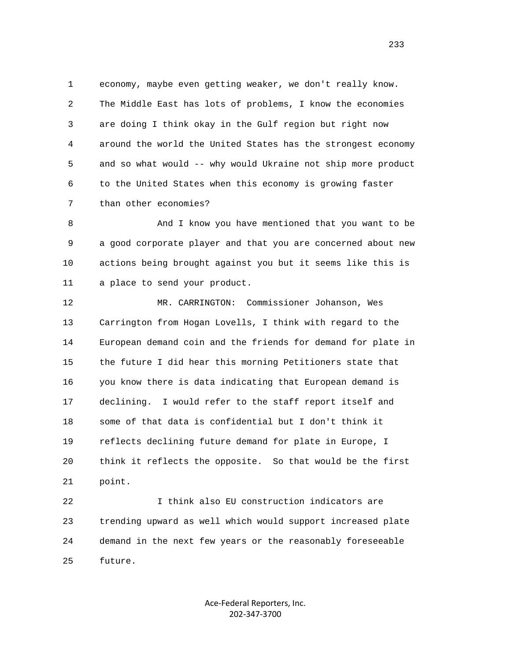1 economy, maybe even getting weaker, we don't really know. 2 The Middle East has lots of problems, I know the economies 3 are doing I think okay in the Gulf region but right now 4 around the world the United States has the strongest economy 5 and so what would -- why would Ukraine not ship more product 6 to the United States when this economy is growing faster 7 than other economies?

8 And I know you have mentioned that you want to be 9 a good corporate player and that you are concerned about new 10 actions being brought against you but it seems like this is 11 a place to send your product.

 12 MR. CARRINGTON: Commissioner Johanson, Wes 13 Carrington from Hogan Lovells, I think with regard to the 14 European demand coin and the friends for demand for plate in 15 the future I did hear this morning Petitioners state that 16 you know there is data indicating that European demand is 17 declining. I would refer to the staff report itself and 18 some of that data is confidential but I don't think it 19 reflects declining future demand for plate in Europe, I 20 think it reflects the opposite. So that would be the first 21 point.

 22 I think also EU construction indicators are 23 trending upward as well which would support increased plate 24 demand in the next few years or the reasonably foreseeable 25 future.

> Ace‐Federal Reporters, Inc. 202‐347‐3700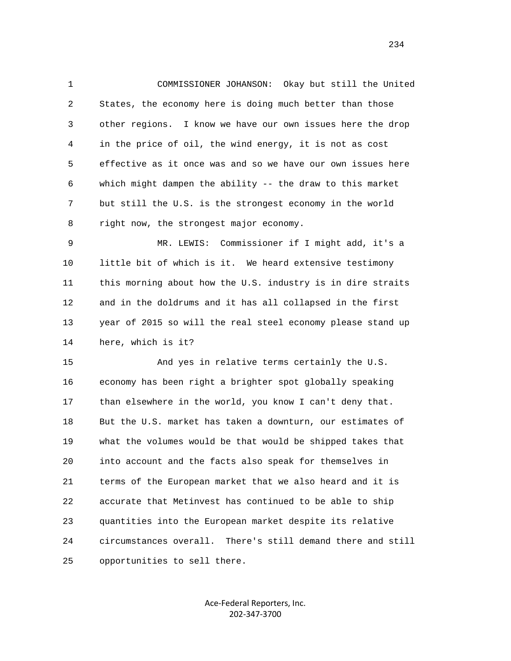1 COMMISSIONER JOHANSON: Okay but still the United 2 States, the economy here is doing much better than those 3 other regions. I know we have our own issues here the drop 4 in the price of oil, the wind energy, it is not as cost 5 effective as it once was and so we have our own issues here 6 which might dampen the ability -- the draw to this market 7 but still the U.S. is the strongest economy in the world 8 right now, the strongest major economy.

 9 MR. LEWIS: Commissioner if I might add, it's a 10 little bit of which is it. We heard extensive testimony 11 this morning about how the U.S. industry is in dire straits 12 and in the doldrums and it has all collapsed in the first 13 year of 2015 so will the real steel economy please stand up 14 here, which is it?

 15 And yes in relative terms certainly the U.S. 16 economy has been right a brighter spot globally speaking 17 than elsewhere in the world, you know I can't deny that. 18 But the U.S. market has taken a downturn, our estimates of 19 what the volumes would be that would be shipped takes that 20 into account and the facts also speak for themselves in 21 terms of the European market that we also heard and it is 22 accurate that Metinvest has continued to be able to ship 23 quantities into the European market despite its relative 24 circumstances overall. There's still demand there and still 25 opportunities to sell there.

> Ace‐Federal Reporters, Inc. 202‐347‐3700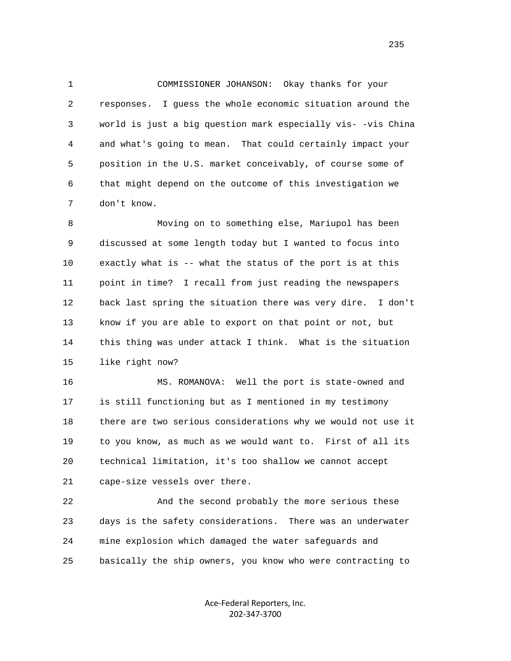1 COMMISSIONER JOHANSON: Okay thanks for your 2 responses. I guess the whole economic situation around the 3 world is just a big question mark especially vis- -vis China 4 and what's going to mean. That could certainly impact your 5 position in the U.S. market conceivably, of course some of 6 that might depend on the outcome of this investigation we 7 don't know.

 8 Moving on to something else, Mariupol has been 9 discussed at some length today but I wanted to focus into 10 exactly what is -- what the status of the port is at this 11 point in time? I recall from just reading the newspapers 12 back last spring the situation there was very dire. I don't 13 know if you are able to export on that point or not, but 14 this thing was under attack I think. What is the situation 15 like right now?

 16 MS. ROMANOVA: Well the port is state-owned and 17 is still functioning but as I mentioned in my testimony 18 there are two serious considerations why we would not use it 19 to you know, as much as we would want to. First of all its 20 technical limitation, it's too shallow we cannot accept 21 cape-size vessels over there.

 22 And the second probably the more serious these 23 days is the safety considerations. There was an underwater 24 mine explosion which damaged the water safeguards and 25 basically the ship owners, you know who were contracting to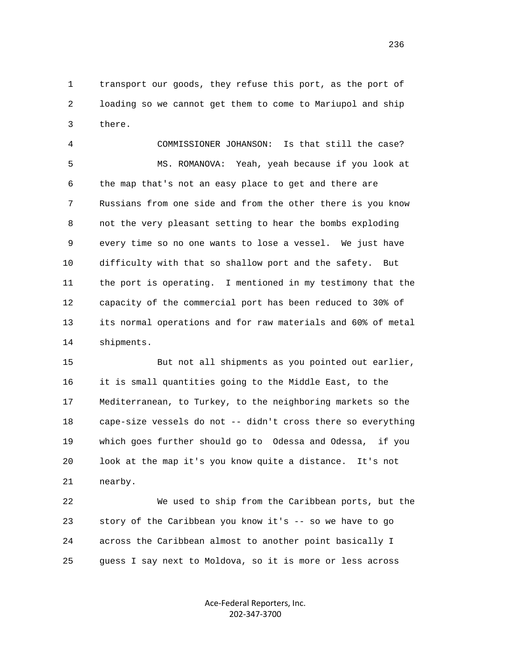1 transport our goods, they refuse this port, as the port of 2 loading so we cannot get them to come to Mariupol and ship 3 there.

 4 COMMISSIONER JOHANSON: Is that still the case? 5 MS. ROMANOVA: Yeah, yeah because if you look at 6 the map that's not an easy place to get and there are 7 Russians from one side and from the other there is you know 8 not the very pleasant setting to hear the bombs exploding 9 every time so no one wants to lose a vessel. We just have 10 difficulty with that so shallow port and the safety. But 11 the port is operating. I mentioned in my testimony that the 12 capacity of the commercial port has been reduced to 30% of 13 its normal operations and for raw materials and 60% of metal 14 shipments.

 15 But not all shipments as you pointed out earlier, 16 it is small quantities going to the Middle East, to the 17 Mediterranean, to Turkey, to the neighboring markets so the 18 cape-size vessels do not -- didn't cross there so everything 19 which goes further should go to Odessa and Odessa, if you 20 look at the map it's you know quite a distance. It's not 21 nearby.

 22 We used to ship from the Caribbean ports, but the 23 story of the Caribbean you know it's -- so we have to go 24 across the Caribbean almost to another point basically I 25 guess I say next to Moldova, so it is more or less across

> Ace‐Federal Reporters, Inc. 202‐347‐3700

<u>236</u>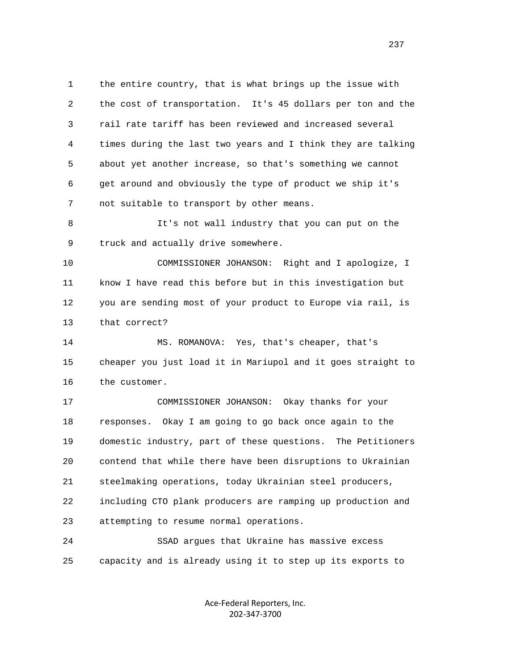1 the entire country, that is what brings up the issue with 2 the cost of transportation. It's 45 dollars per ton and the 3 rail rate tariff has been reviewed and increased several 4 times during the last two years and I think they are talking 5 about yet another increase, so that's something we cannot 6 get around and obviously the type of product we ship it's 7 not suitable to transport by other means.

 8 It's not wall industry that you can put on the 9 truck and actually drive somewhere.

 10 COMMISSIONER JOHANSON: Right and I apologize, I 11 know I have read this before but in this investigation but 12 you are sending most of your product to Europe via rail, is 13 that correct?

 14 MS. ROMANOVA: Yes, that's cheaper, that's 15 cheaper you just load it in Mariupol and it goes straight to 16 the customer.

 17 COMMISSIONER JOHANSON: Okay thanks for your 18 responses. Okay I am going to go back once again to the 19 domestic industry, part of these questions. The Petitioners 20 contend that while there have been disruptions to Ukrainian 21 steelmaking operations, today Ukrainian steel producers, 22 including CTO plank producers are ramping up production and 23 attempting to resume normal operations.

 24 SSAD argues that Ukraine has massive excess 25 capacity and is already using it to step up its exports to

> Ace‐Federal Reporters, Inc. 202‐347‐3700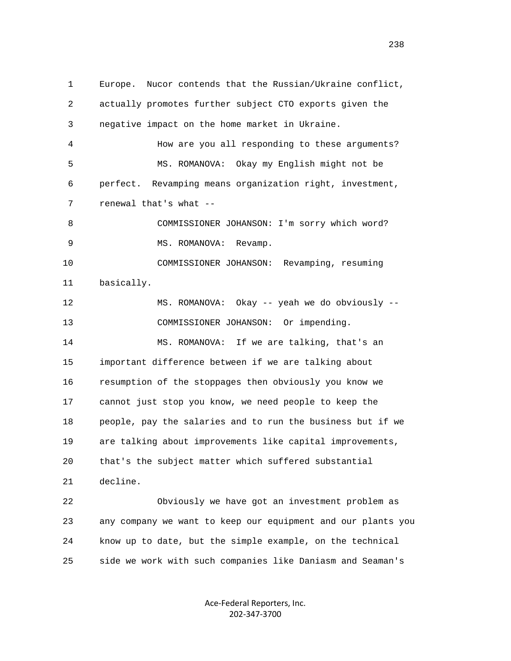1 Europe. Nucor contends that the Russian/Ukraine conflict, 2 actually promotes further subject CTO exports given the 3 negative impact on the home market in Ukraine. 4 How are you all responding to these arguments? 5 MS. ROMANOVA: Okay my English might not be 6 perfect. Revamping means organization right, investment, 7 renewal that's what -- 8 COMMISSIONER JOHANSON: I'm sorry which word? 9 MS. ROMANOVA: Revamp. 10 COMMISSIONER JOHANSON: Revamping, resuming 11 basically. 12 MS. ROMANOVA: Okay -- yeah we do obviously -- 13 COMMISSIONER JOHANSON: Or impending. 14 MS. ROMANOVA: If we are talking, that's an 15 important difference between if we are talking about 16 resumption of the stoppages then obviously you know we 17 cannot just stop you know, we need people to keep the 18 people, pay the salaries and to run the business but if we 19 are talking about improvements like capital improvements, 20 that's the subject matter which suffered substantial 21 decline. 22 Obviously we have got an investment problem as 23 any company we want to keep our equipment and our plants you 24 know up to date, but the simple example, on the technical 25 side we work with such companies like Daniasm and Seaman's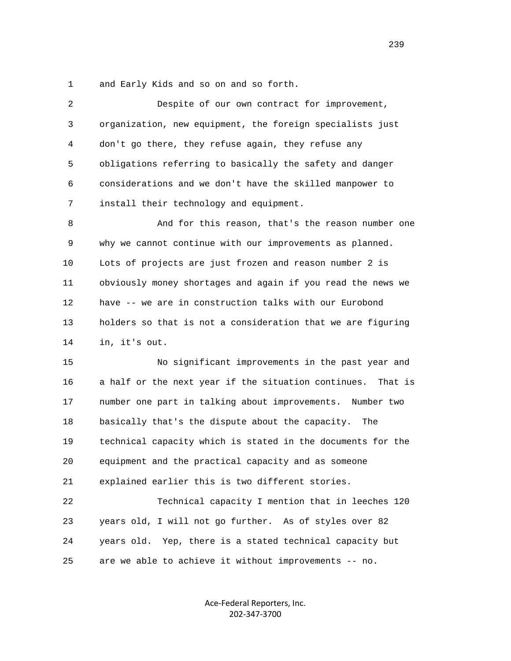1 and Early Kids and so on and so forth.

| 2  | Despite of our own contract for improvement,                |
|----|-------------------------------------------------------------|
| 3  | organization, new equipment, the foreign specialists just   |
| 4  | don't go there, they refuse again, they refuse any          |
| 5  | obligations referring to basically the safety and danger    |
| 6  | considerations and we don't have the skilled manpower to    |
| 7  | install their technology and equipment.                     |
| 8  | And for this reason, that's the reason number one           |
| 9  | why we cannot continue with our improvements as planned.    |
| 10 | Lots of projects are just frozen and reason number 2 is     |
| 11 | obviously money shortages and again if you read the news we |
| 12 | have -- we are in construction talks with our Eurobond      |
| 13 | holders so that is not a consideration that we are figuring |
| 14 | in, it's out.                                               |
| 15 | No significant improvements in the past year and            |
| 16 | a half or the next year if the situation continues. That is |
| 17 | number one part in talking about improvements. Number two   |
| 18 | basically that's the dispute about the capacity.<br>The     |
| 19 | technical capacity which is stated in the documents for the |
| 20 | equipment and the practical capacity and as someone         |
| 21 | explained earlier this is two different stories.            |
| 22 | Technical capacity I mention that in leeches 120            |
| 23 | years old, I will not go further. As of styles over 82      |
| 24 | years old. Yep, there is a stated technical capacity but    |
| 25 | are we able to achieve it without improvements -- no.       |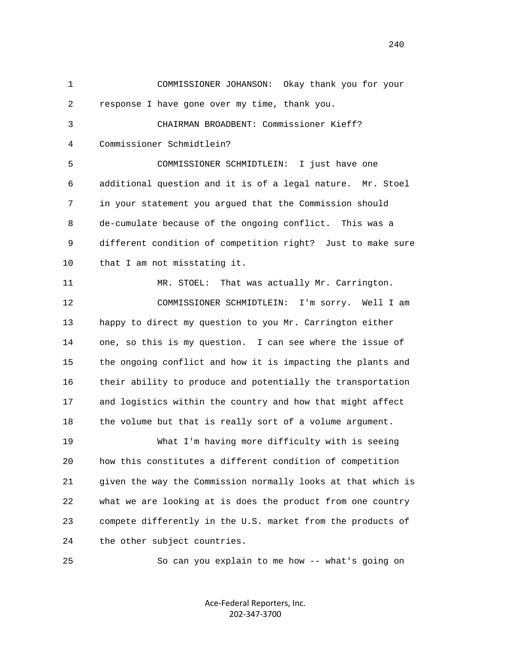1 COMMISSIONER JOHANSON: Okay thank you for your 2 response I have gone over my time, thank you. 3 CHAIRMAN BROADBENT: Commissioner Kieff? 4 Commissioner Schmidtlein? 5 COMMISSIONER SCHMIDTLEIN: I just have one 6 additional question and it is of a legal nature. Mr. Stoel 7 in your statement you argued that the Commission should 8 de-cumulate because of the ongoing conflict. This was a 9 different condition of competition right? Just to make sure 10 that I am not misstating it. 11 MR. STOEL: That was actually Mr. Carrington. 12 COMMISSIONER SCHMIDTLEIN: I'm sorry. Well I am 13 happy to direct my question to you Mr. Carrington either 14 one, so this is my question. I can see where the issue of 15 the ongoing conflict and how it is impacting the plants and 16 their ability to produce and potentially the transportation 17 and logistics within the country and how that might affect 18 the volume but that is really sort of a volume argument. 19 What I'm having more difficulty with is seeing 20 how this constitutes a different condition of competition 21 given the way the Commission normally looks at that which is 22 what we are looking at is does the product from one country 23 compete differently in the U.S. market from the products of 24 the other subject countries. 25 So can you explain to me how -- what's going on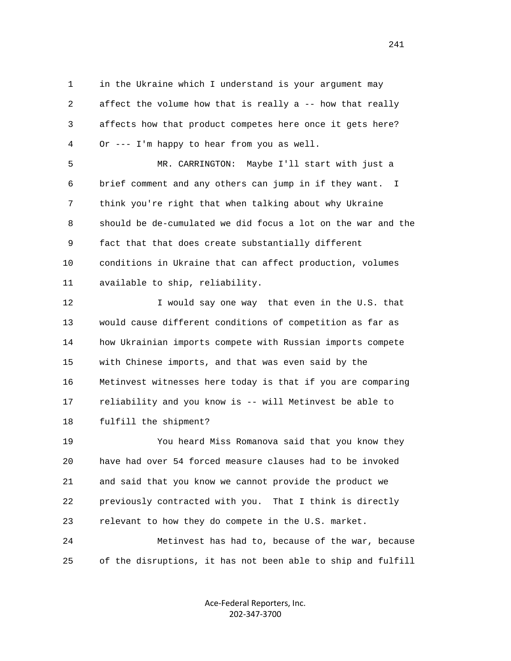1 in the Ukraine which I understand is your argument may 2 affect the volume how that is really a -- how that really 3 affects how that product competes here once it gets here? 4 Or --- I'm happy to hear from you as well.

 5 MR. CARRINGTON: Maybe I'll start with just a 6 brief comment and any others can jump in if they want. I 7 think you're right that when talking about why Ukraine 8 should be de-cumulated we did focus a lot on the war and the 9 fact that that does create substantially different 10 conditions in Ukraine that can affect production, volumes 11 available to ship, reliability.

12 I would say one way that even in the U.S. that 13 would cause different conditions of competition as far as 14 how Ukrainian imports compete with Russian imports compete 15 with Chinese imports, and that was even said by the 16 Metinvest witnesses here today is that if you are comparing 17 reliability and you know is -- will Metinvest be able to 18 fulfill the shipment?

 19 You heard Miss Romanova said that you know they 20 have had over 54 forced measure clauses had to be invoked 21 and said that you know we cannot provide the product we 22 previously contracted with you. That I think is directly 23 relevant to how they do compete in the U.S. market.

 24 Metinvest has had to, because of the war, because 25 of the disruptions, it has not been able to ship and fulfill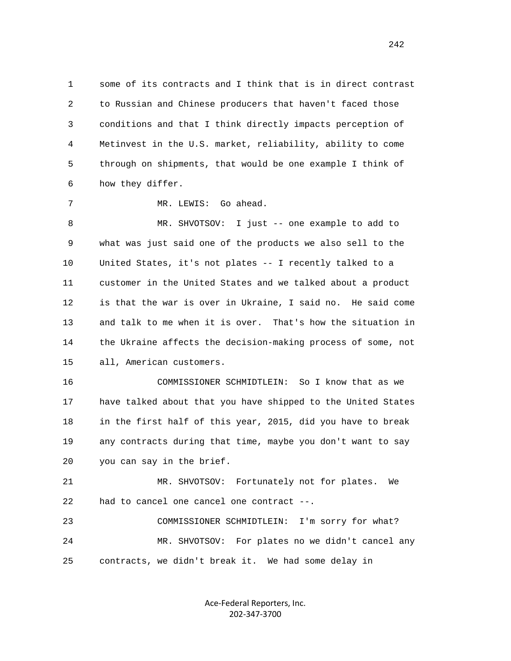1 some of its contracts and I think that is in direct contrast 2 to Russian and Chinese producers that haven't faced those 3 conditions and that I think directly impacts perception of 4 Metinvest in the U.S. market, reliability, ability to come 5 through on shipments, that would be one example I think of 6 how they differ.

7 MR. LEWIS: Go ahead.

 8 MR. SHVOTSOV: I just -- one example to add to 9 what was just said one of the products we also sell to the 10 United States, it's not plates -- I recently talked to a 11 customer in the United States and we talked about a product 12 is that the war is over in Ukraine, I said no. He said come 13 and talk to me when it is over. That's how the situation in 14 the Ukraine affects the decision-making process of some, not 15 all, American customers.

 16 COMMISSIONER SCHMIDTLEIN: So I know that as we 17 have talked about that you have shipped to the United States 18 in the first half of this year, 2015, did you have to break 19 any contracts during that time, maybe you don't want to say 20 you can say in the brief.

 21 MR. SHVOTSOV: Fortunately not for plates. We 22 had to cancel one cancel one contract --.

 23 COMMISSIONER SCHMIDTLEIN: I'm sorry for what? 24 MR. SHVOTSOV: For plates no we didn't cancel any 25 contracts, we didn't break it. We had some delay in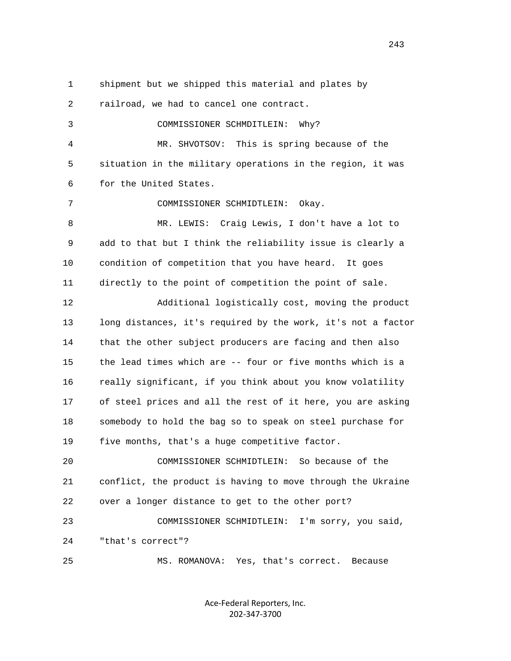1 shipment but we shipped this material and plates by 2 railroad, we had to cancel one contract. 3 COMMISSIONER SCHMDITLEIN: Why? 4 MR. SHVOTSOV: This is spring because of the 5 situation in the military operations in the region, it was 6 for the United States. 7 COMMISSIONER SCHMIDTLEIN: Okay. 8 MR. LEWIS: Craig Lewis, I don't have a lot to 9 add to that but I think the reliability issue is clearly a 10 condition of competition that you have heard. It goes 11 directly to the point of competition the point of sale. 12 Additional logistically cost, moving the product 13 long distances, it's required by the work, it's not a factor 14 that the other subject producers are facing and then also 15 the lead times which are -- four or five months which is a 16 really significant, if you think about you know volatility 17 of steel prices and all the rest of it here, you are asking 18 somebody to hold the bag so to speak on steel purchase for 19 five months, that's a huge competitive factor. 20 COMMISSIONER SCHMIDTLEIN: So because of the 21 conflict, the product is having to move through the Ukraine 22 over a longer distance to get to the other port? 23 COMMISSIONER SCHMIDTLEIN: I'm sorry, you said, 24 "that's correct"? 25 MS. ROMANOVA: Yes, that's correct. Because

> Ace‐Federal Reporters, Inc. 202‐347‐3700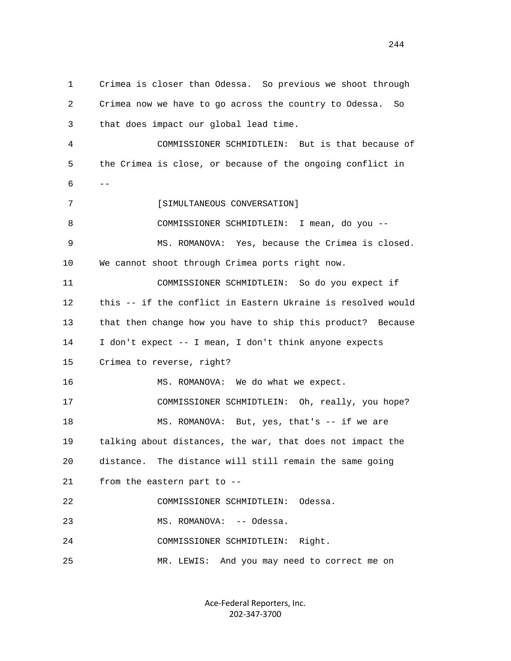1 Crimea is closer than Odessa. So previous we shoot through 2 Crimea now we have to go across the country to Odessa. So 3 that does impact our global lead time. 4 COMMISSIONER SCHMIDTLEIN: But is that because of 5 the Crimea is close, or because of the ongoing conflict in  $6$  --7 [SIMULTANEOUS CONVERSATION] 8 COMMISSIONER SCHMIDTLEIN: I mean, do you -- 9 MS. ROMANOVA: Yes, because the Crimea is closed. 10 We cannot shoot through Crimea ports right now. 11 COMMISSIONER SCHMIDTLEIN: So do you expect if 12 this -- if the conflict in Eastern Ukraine is resolved would 13 that then change how you have to ship this product? Because 14 I don't expect -- I mean, I don't think anyone expects 15 Crimea to reverse, right? 16 MS. ROMANOVA: We do what we expect. 17 COMMISSIONER SCHMIDTLEIN: Oh, really, you hope? 18 MS. ROMANOVA: But, yes, that's -- if we are 19 talking about distances, the war, that does not impact the 20 distance. The distance will still remain the same going 21 from the eastern part to -- 22 COMMISSIONER SCHMIDTLEIN: Odessa. 23 MS. ROMANOVA: -- Odessa. 24 COMMISSIONER SCHMIDTLEIN: Right. 25 MR. LEWIS: And you may need to correct me on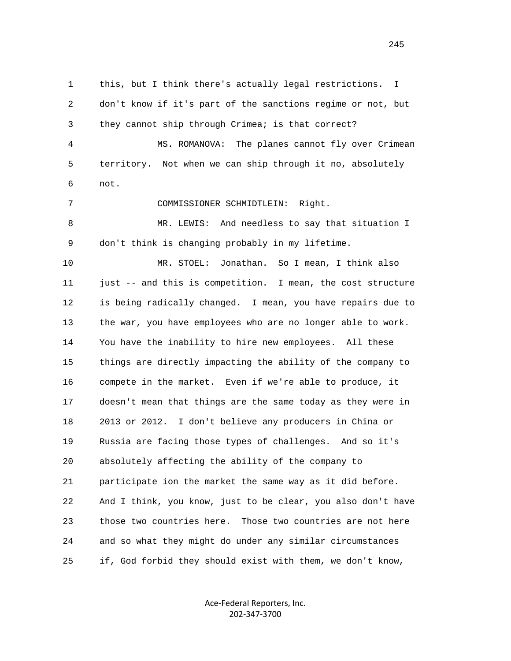1 this, but I think there's actually legal restrictions. I 2 don't know if it's part of the sanctions regime or not, but 3 they cannot ship through Crimea; is that correct? 4 MS. ROMANOVA: The planes cannot fly over Crimean 5 territory. Not when we can ship through it no, absolutely 6 not. 7 COMMISSIONER SCHMIDTLEIN: Right. 8 MR. LEWIS: And needless to say that situation I 9 don't think is changing probably in my lifetime. 10 MR. STOEL: Jonathan. So I mean, I think also 11 just -- and this is competition. I mean, the cost structure 12 is being radically changed. I mean, you have repairs due to 13 the war, you have employees who are no longer able to work. 14 You have the inability to hire new employees. All these 15 things are directly impacting the ability of the company to 16 compete in the market. Even if we're able to produce, it 17 doesn't mean that things are the same today as they were in 18 2013 or 2012. I don't believe any producers in China or 19 Russia are facing those types of challenges. And so it's 20 absolutely affecting the ability of the company to 21 participate ion the market the same way as it did before. 22 And I think, you know, just to be clear, you also don't have 23 those two countries here. Those two countries are not here 24 and so what they might do under any similar circumstances 25 if, God forbid they should exist with them, we don't know,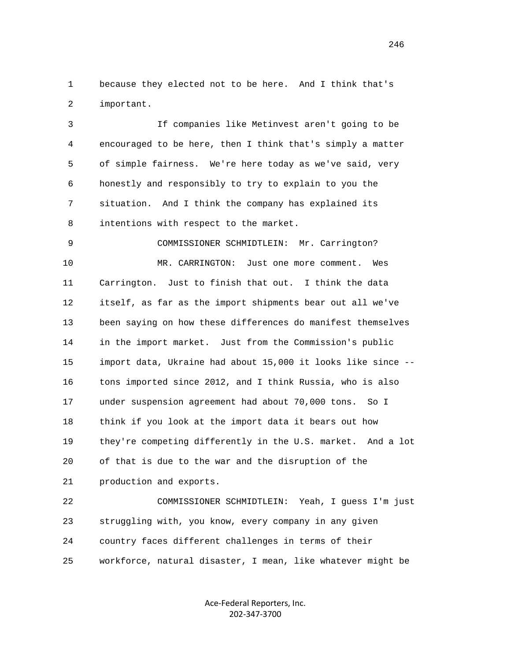1 because they elected not to be here. And I think that's 2 important.

 3 If companies like Metinvest aren't going to be 4 encouraged to be here, then I think that's simply a matter 5 of simple fairness. We're here today as we've said, very 6 honestly and responsibly to try to explain to you the 7 situation. And I think the company has explained its 8 intentions with respect to the market.

 9 COMMISSIONER SCHMIDTLEIN: Mr. Carrington? 10 MR. CARRINGTON: Just one more comment. Wes 11 Carrington. Just to finish that out. I think the data 12 itself, as far as the import shipments bear out all we've 13 been saying on how these differences do manifest themselves 14 in the import market. Just from the Commission's public 15 import data, Ukraine had about 15,000 it looks like since -- 16 tons imported since 2012, and I think Russia, who is also 17 under suspension agreement had about 70,000 tons. So I 18 think if you look at the import data it bears out how 19 they're competing differently in the U.S. market. And a lot 20 of that is due to the war and the disruption of the 21 production and exports.

 22 COMMISSIONER SCHMIDTLEIN: Yeah, I guess I'm just 23 struggling with, you know, every company in any given 24 country faces different challenges in terms of their 25 workforce, natural disaster, I mean, like whatever might be

> Ace‐Federal Reporters, Inc. 202‐347‐3700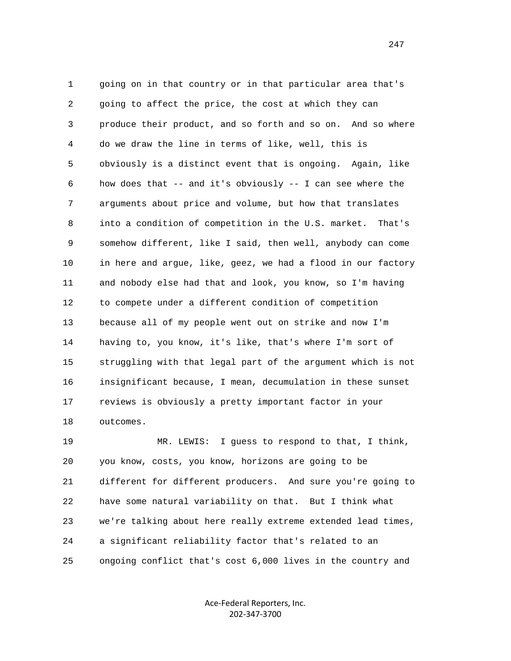1 going on in that country or in that particular area that's 2 going to affect the price, the cost at which they can 3 produce their product, and so forth and so on. And so where 4 do we draw the line in terms of like, well, this is 5 obviously is a distinct event that is ongoing. Again, like 6 how does that -- and it's obviously -- I can see where the 7 arguments about price and volume, but how that translates 8 into a condition of competition in the U.S. market. That's 9 somehow different, like I said, then well, anybody can come 10 in here and argue, like, geez, we had a flood in our factory 11 and nobody else had that and look, you know, so I'm having 12 to compete under a different condition of competition 13 because all of my people went out on strike and now I'm 14 having to, you know, it's like, that's where I'm sort of 15 struggling with that legal part of the argument which is not 16 insignificant because, I mean, decumulation in these sunset 17 reviews is obviously a pretty important factor in your 18 outcomes.

 19 MR. LEWIS: I guess to respond to that, I think, 20 you know, costs, you know, horizons are going to be 21 different for different producers. And sure you're going to 22 have some natural variability on that. But I think what 23 we're talking about here really extreme extended lead times, 24 a significant reliability factor that's related to an 25 ongoing conflict that's cost 6,000 lives in the country and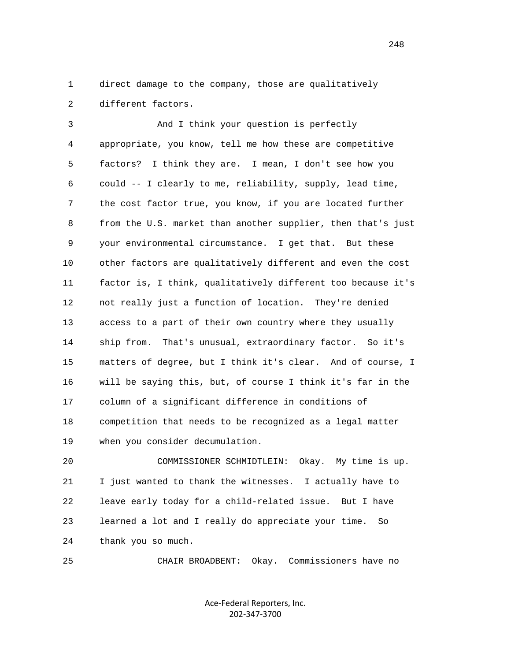1 direct damage to the company, those are qualitatively 2 different factors.

 3 And I think your question is perfectly 4 appropriate, you know, tell me how these are competitive 5 factors? I think they are. I mean, I don't see how you 6 could -- I clearly to me, reliability, supply, lead time, 7 the cost factor true, you know, if you are located further 8 from the U.S. market than another supplier, then that's just 9 your environmental circumstance. I get that. But these 10 other factors are qualitatively different and even the cost 11 factor is, I think, qualitatively different too because it's 12 not really just a function of location. They're denied 13 access to a part of their own country where they usually 14 ship from. That's unusual, extraordinary factor. So it's 15 matters of degree, but I think it's clear. And of course, I 16 will be saying this, but, of course I think it's far in the 17 column of a significant difference in conditions of 18 competition that needs to be recognized as a legal matter 19 when you consider decumulation.

 20 COMMISSIONER SCHMIDTLEIN: Okay. My time is up. 21 I just wanted to thank the witnesses. I actually have to 22 leave early today for a child-related issue. But I have 23 learned a lot and I really do appreciate your time. So 24 thank you so much.

25 CHAIR BROADBENT: Okay. Commissioners have no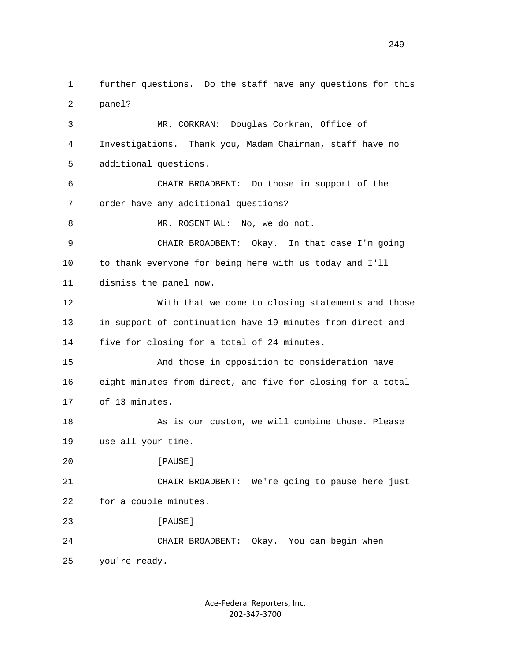1 further questions. Do the staff have any questions for this 2 panel? 3 MR. CORKRAN: Douglas Corkran, Office of 4 Investigations. Thank you, Madam Chairman, staff have no 5 additional questions. 6 CHAIR BROADBENT: Do those in support of the 7 order have any additional questions? 8 MR. ROSENTHAL: No, we do not. 9 CHAIR BROADBENT: Okay. In that case I'm going 10 to thank everyone for being here with us today and I'll 11 dismiss the panel now. 12 With that we come to closing statements and those 13 in support of continuation have 19 minutes from direct and 14 five for closing for a total of 24 minutes. 15 And those in opposition to consideration have 16 eight minutes from direct, and five for closing for a total 17 of 13 minutes. 18 As is our custom, we will combine those. Please 19 use all your time. 20 [PAUSE] 21 CHAIR BROADBENT: We're going to pause here just 22 for a couple minutes. 23 **[PAUSE]**  24 CHAIR BROADBENT: Okay. You can begin when 25 you're ready.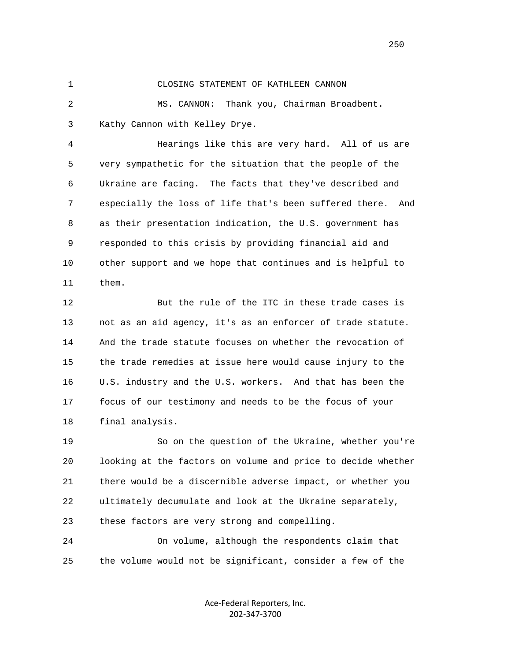## 1 CLOSING STATEMENT OF KATHLEEN CANNON

 2 MS. CANNON: Thank you, Chairman Broadbent. 3 Kathy Cannon with Kelley Drye.

 4 Hearings like this are very hard. All of us are 5 very sympathetic for the situation that the people of the 6 Ukraine are facing. The facts that they've described and 7 especially the loss of life that's been suffered there. And 8 as their presentation indication, the U.S. government has 9 responded to this crisis by providing financial aid and 10 other support and we hope that continues and is helpful to 11 them.

 12 But the rule of the ITC in these trade cases is 13 not as an aid agency, it's as an enforcer of trade statute. 14 And the trade statute focuses on whether the revocation of 15 the trade remedies at issue here would cause injury to the 16 U.S. industry and the U.S. workers. And that has been the 17 focus of our testimony and needs to be the focus of your 18 final analysis.

 19 So on the question of the Ukraine, whether you're 20 looking at the factors on volume and price to decide whether 21 there would be a discernible adverse impact, or whether you 22 ultimately decumulate and look at the Ukraine separately, 23 these factors are very strong and compelling.

 24 On volume, although the respondents claim that 25 the volume would not be significant, consider a few of the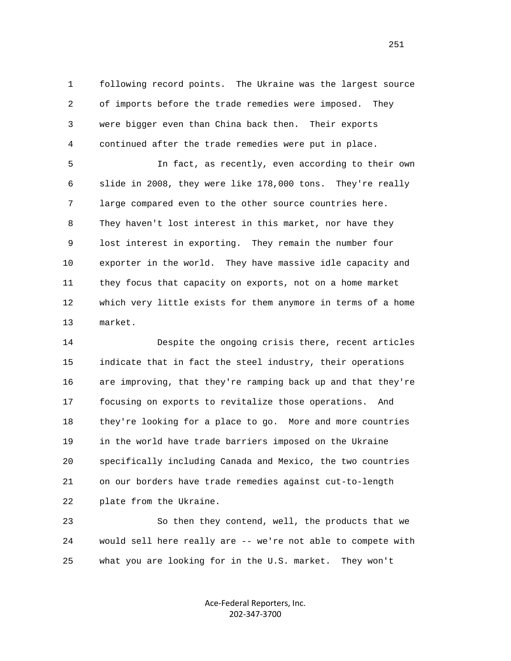1 following record points. The Ukraine was the largest source 2 of imports before the trade remedies were imposed. They 3 were bigger even than China back then. Their exports 4 continued after the trade remedies were put in place.

 5 In fact, as recently, even according to their own 6 slide in 2008, they were like 178,000 tons. They're really 7 large compared even to the other source countries here. 8 They haven't lost interest in this market, nor have they 9 lost interest in exporting. They remain the number four 10 exporter in the world. They have massive idle capacity and 11 they focus that capacity on exports, not on a home market 12 which very little exists for them anymore in terms of a home 13 market.

 14 Despite the ongoing crisis there, recent articles 15 indicate that in fact the steel industry, their operations 16 are improving, that they're ramping back up and that they're 17 focusing on exports to revitalize those operations. And 18 they're looking for a place to go. More and more countries 19 in the world have trade barriers imposed on the Ukraine 20 specifically including Canada and Mexico, the two countries 21 on our borders have trade remedies against cut-to-length 22 plate from the Ukraine.

 23 So then they contend, well, the products that we 24 would sell here really are -- we're not able to compete with 25 what you are looking for in the U.S. market. They won't

> Ace‐Federal Reporters, Inc. 202‐347‐3700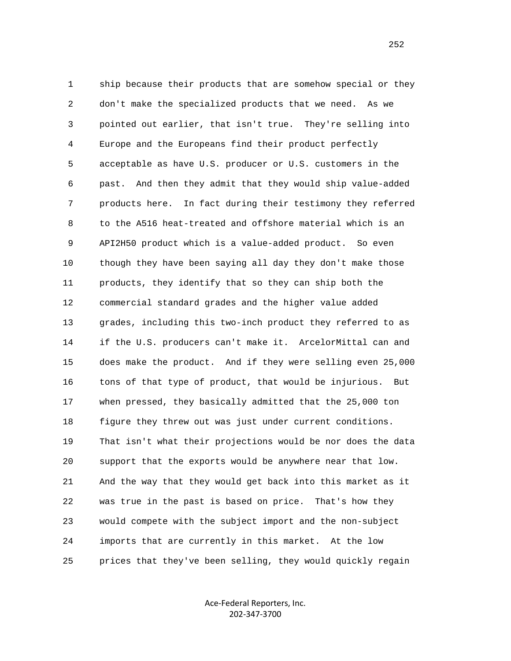1 ship because their products that are somehow special or they 2 don't make the specialized products that we need. As we 3 pointed out earlier, that isn't true. They're selling into 4 Europe and the Europeans find their product perfectly 5 acceptable as have U.S. producer or U.S. customers in the 6 past. And then they admit that they would ship value-added 7 products here. In fact during their testimony they referred 8 to the A516 heat-treated and offshore material which is an 9 API2H50 product which is a value-added product. So even 10 though they have been saying all day they don't make those 11 products, they identify that so they can ship both the 12 commercial standard grades and the higher value added 13 grades, including this two-inch product they referred to as 14 if the U.S. producers can't make it. ArcelorMittal can and 15 does make the product. And if they were selling even 25,000 16 tons of that type of product, that would be injurious. But 17 when pressed, they basically admitted that the 25,000 ton 18 figure they threw out was just under current conditions. 19 That isn't what their projections would be nor does the data 20 support that the exports would be anywhere near that low. 21 And the way that they would get back into this market as it 22 was true in the past is based on price. That's how they 23 would compete with the subject import and the non-subject 24 imports that are currently in this market. At the low 25 prices that they've been selling, they would quickly regain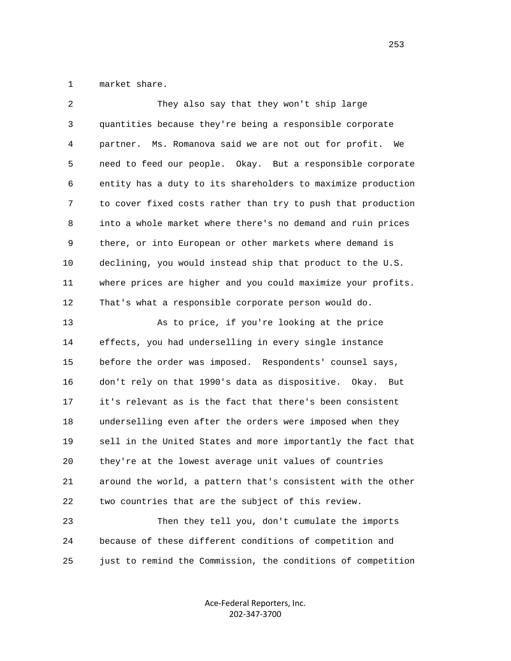1 market share.

| 2  | They also say that they won't ship large                     |
|----|--------------------------------------------------------------|
| 3  | quantities because they're being a responsible corporate     |
| 4  | partner. Ms. Romanova said we are not out for profit. We     |
| 5  | need to feed our people. Okay. But a responsible corporate   |
| 6  | entity has a duty to its shareholders to maximize production |
| 7  | to cover fixed costs rather than try to push that production |
| 8  | into a whole market where there's no demand and ruin prices  |
| 9  | there, or into European or other markets where demand is     |
| 10 | declining, you would instead ship that product to the U.S.   |
| 11 | where prices are higher and you could maximize your profits. |
| 12 | That's what a responsible corporate person would do.         |
| 13 | As to price, if you're looking at the price                  |
| 14 | effects, you had underselling in every single instance       |
| 15 | before the order was imposed. Respondents' counsel says,     |
| 16 | don't rely on that 1990's data as dispositive. Okay.<br>But  |
| 17 | it's relevant as is the fact that there's been consistent    |
| 18 | underselling even after the orders were imposed when they    |
| 19 | sell in the United States and more importantly the fact that |
| 20 | they're at the lowest average unit values of countries       |
| 21 | around the world, a pattern that's consistent with the other |
| 22 | two countries that are the subject of this review.           |
| 23 | Then they tell you, don't cumulate the imports               |
| 24 | because of these different conditions of competition and     |
| 25 | just to remind the Commission, the conditions of competition |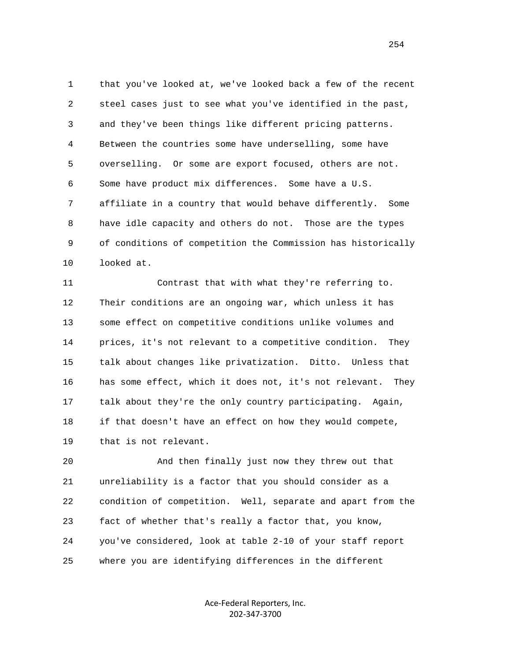1 that you've looked at, we've looked back a few of the recent 2 steel cases just to see what you've identified in the past, 3 and they've been things like different pricing patterns. 4 Between the countries some have underselling, some have 5 overselling. Or some are export focused, others are not. 6 Some have product mix differences. Some have a U.S. 7 affiliate in a country that would behave differently. Some 8 have idle capacity and others do not. Those are the types 9 of conditions of competition the Commission has historically 10 looked at.

 11 Contrast that with what they're referring to. 12 Their conditions are an ongoing war, which unless it has 13 some effect on competitive conditions unlike volumes and 14 prices, it's not relevant to a competitive condition. They 15 talk about changes like privatization. Ditto. Unless that 16 has some effect, which it does not, it's not relevant. They 17 talk about they're the only country participating. Again, 18 if that doesn't have an effect on how they would compete, 19 that is not relevant.

 20 And then finally just now they threw out that 21 unreliability is a factor that you should consider as a 22 condition of competition. Well, separate and apart from the 23 fact of whether that's really a factor that, you know, 24 you've considered, look at table 2-10 of your staff report 25 where you are identifying differences in the different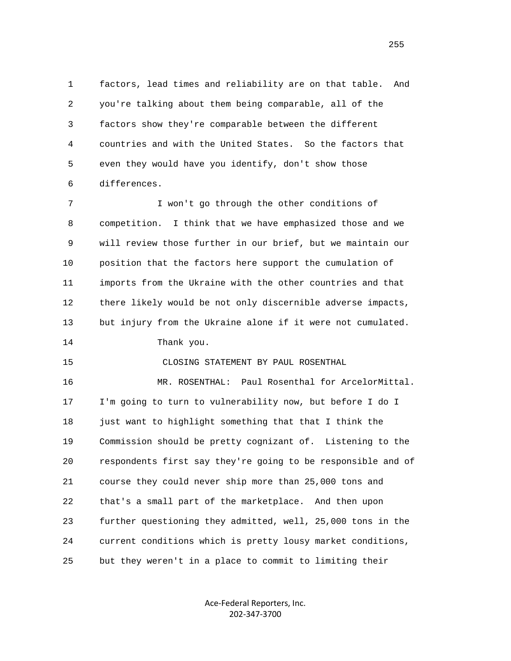1 factors, lead times and reliability are on that table. And 2 you're talking about them being comparable, all of the 3 factors show they're comparable between the different 4 countries and with the United States. So the factors that 5 even they would have you identify, don't show those 6 differences.

 7 I won't go through the other conditions of 8 competition. I think that we have emphasized those and we 9 will review those further in our brief, but we maintain our 10 position that the factors here support the cumulation of 11 imports from the Ukraine with the other countries and that 12 there likely would be not only discernible adverse impacts, 13 but injury from the Ukraine alone if it were not cumulated.

14 Thank you.

15 CLOSING STATEMENT BY PAUL ROSENTHAL

 16 MR. ROSENTHAL: Paul Rosenthal for ArcelorMittal. 17 I'm going to turn to vulnerability now, but before I do I 18 just want to highlight something that that I think the 19 Commission should be pretty cognizant of. Listening to the 20 respondents first say they're going to be responsible and of 21 course they could never ship more than 25,000 tons and 22 that's a small part of the marketplace. And then upon 23 further questioning they admitted, well, 25,000 tons in the 24 current conditions which is pretty lousy market conditions, 25 but they weren't in a place to commit to limiting their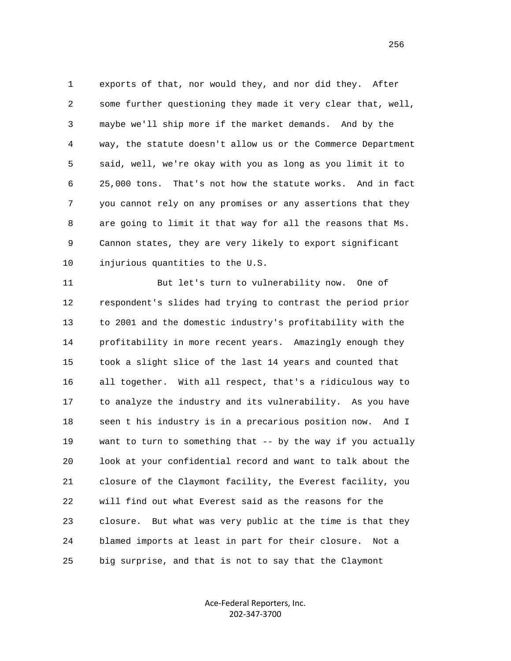1 exports of that, nor would they, and nor did they. After 2 some further questioning they made it very clear that, well, 3 maybe we'll ship more if the market demands. And by the 4 way, the statute doesn't allow us or the Commerce Department 5 said, well, we're okay with you as long as you limit it to 6 25,000 tons. That's not how the statute works. And in fact 7 you cannot rely on any promises or any assertions that they 8 are going to limit it that way for all the reasons that Ms. 9 Cannon states, they are very likely to export significant 10 injurious quantities to the U.S.

 11 But let's turn to vulnerability now. One of 12 respondent's slides had trying to contrast the period prior 13 to 2001 and the domestic industry's profitability with the 14 profitability in more recent years. Amazingly enough they 15 took a slight slice of the last 14 years and counted that 16 all together. With all respect, that's a ridiculous way to 17 to analyze the industry and its vulnerability. As you have 18 seen t his industry is in a precarious position now. And I 19 want to turn to something that -- by the way if you actually 20 look at your confidential record and want to talk about the 21 closure of the Claymont facility, the Everest facility, you 22 will find out what Everest said as the reasons for the 23 closure. But what was very public at the time is that they 24 blamed imports at least in part for their closure. Not a 25 big surprise, and that is not to say that the Claymont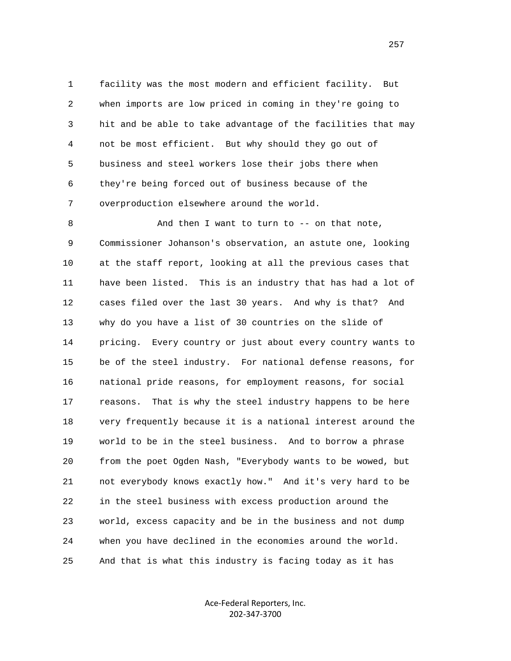1 facility was the most modern and efficient facility. But 2 when imports are low priced in coming in they're going to 3 hit and be able to take advantage of the facilities that may 4 not be most efficient. But why should they go out of 5 business and steel workers lose their jobs there when 6 they're being forced out of business because of the 7 overproduction elsewhere around the world.

8 And then I want to turn to -- on that note, 9 Commissioner Johanson's observation, an astute one, looking 10 at the staff report, looking at all the previous cases that 11 have been listed. This is an industry that has had a lot of 12 cases filed over the last 30 years. And why is that? And 13 why do you have a list of 30 countries on the slide of 14 pricing. Every country or just about every country wants to 15 be of the steel industry. For national defense reasons, for 16 national pride reasons, for employment reasons, for social 17 reasons. That is why the steel industry happens to be here 18 very frequently because it is a national interest around the 19 world to be in the steel business. And to borrow a phrase 20 from the poet Ogden Nash, "Everybody wants to be wowed, but 21 not everybody knows exactly how." And it's very hard to be 22 in the steel business with excess production around the 23 world, excess capacity and be in the business and not dump 24 when you have declined in the economies around the world. 25 And that is what this industry is facing today as it has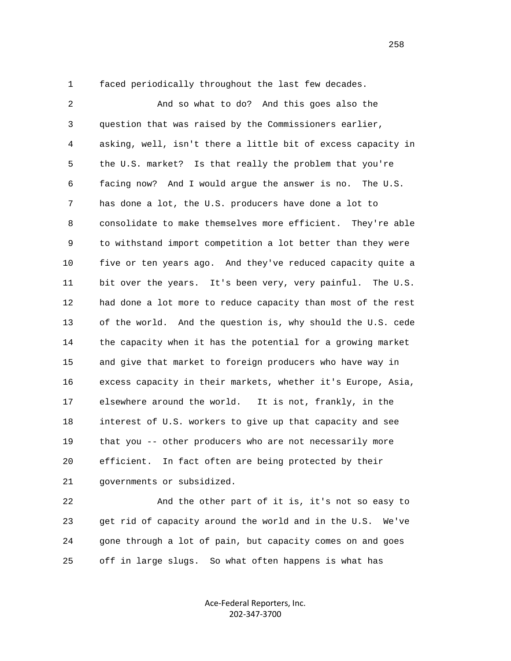1 faced periodically throughout the last few decades.

 2 And so what to do? And this goes also the 3 question that was raised by the Commissioners earlier, 4 asking, well, isn't there a little bit of excess capacity in 5 the U.S. market? Is that really the problem that you're 6 facing now? And I would argue the answer is no. The U.S. 7 has done a lot, the U.S. producers have done a lot to 8 consolidate to make themselves more efficient. They're able 9 to withstand import competition a lot better than they were 10 five or ten years ago. And they've reduced capacity quite a 11 bit over the years. It's been very, very painful. The U.S. 12 had done a lot more to reduce capacity than most of the rest 13 of the world. And the question is, why should the U.S. cede 14 the capacity when it has the potential for a growing market 15 and give that market to foreign producers who have way in 16 excess capacity in their markets, whether it's Europe, Asia, 17 elsewhere around the world. It is not, frankly, in the 18 interest of U.S. workers to give up that capacity and see 19 that you -- other producers who are not necessarily more 20 efficient. In fact often are being protected by their 21 governments or subsidized.

 22 And the other part of it is, it's not so easy to 23 get rid of capacity around the world and in the U.S. We've 24 gone through a lot of pain, but capacity comes on and goes 25 off in large slugs. So what often happens is what has

> Ace‐Federal Reporters, Inc. 202‐347‐3700

<u>258</u>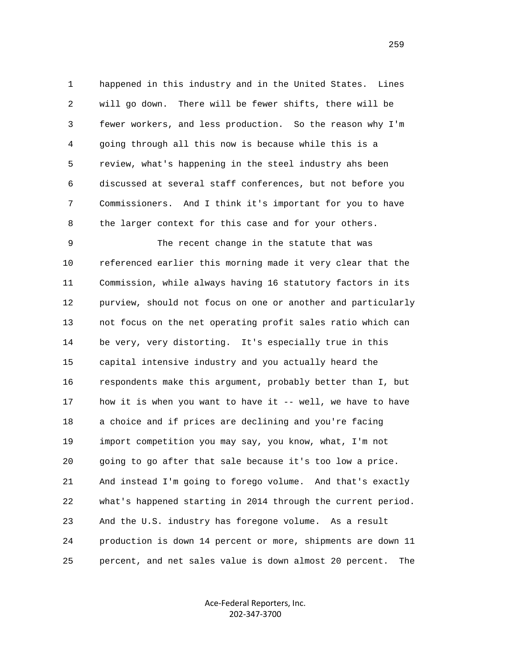1 happened in this industry and in the United States. Lines 2 will go down. There will be fewer shifts, there will be 3 fewer workers, and less production. So the reason why I'm 4 going through all this now is because while this is a 5 review, what's happening in the steel industry ahs been 6 discussed at several staff conferences, but not before you 7 Commissioners. And I think it's important for you to have 8 the larger context for this case and for your others.

 9 The recent change in the statute that was 10 referenced earlier this morning made it very clear that the 11 Commission, while always having 16 statutory factors in its 12 purview, should not focus on one or another and particularly 13 not focus on the net operating profit sales ratio which can 14 be very, very distorting. It's especially true in this 15 capital intensive industry and you actually heard the 16 respondents make this argument, probably better than I, but 17 how it is when you want to have it -- well, we have to have 18 a choice and if prices are declining and you're facing 19 import competition you may say, you know, what, I'm not 20 going to go after that sale because it's too low a price. 21 And instead I'm going to forego volume. And that's exactly 22 what's happened starting in 2014 through the current period. 23 And the U.S. industry has foregone volume. As a result 24 production is down 14 percent or more, shipments are down 11 25 percent, and net sales value is down almost 20 percent. The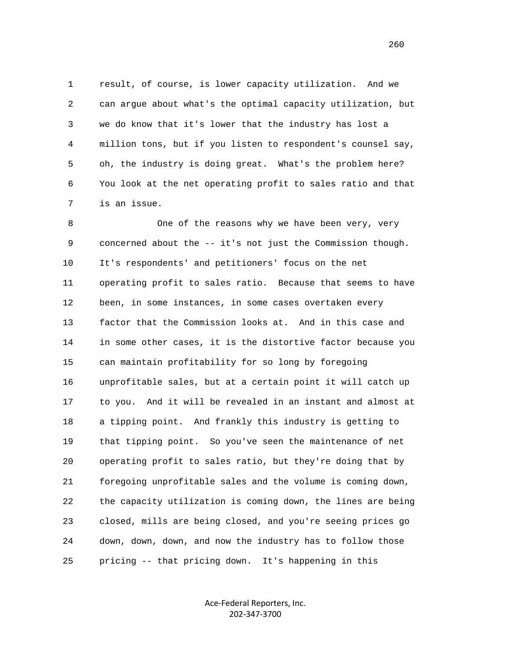1 result, of course, is lower capacity utilization. And we 2 can argue about what's the optimal capacity utilization, but 3 we do know that it's lower that the industry has lost a 4 million tons, but if you listen to respondent's counsel say, 5 oh, the industry is doing great. What's the problem here? 6 You look at the net operating profit to sales ratio and that 7 is an issue.

8 One of the reasons why we have been very, very 9 concerned about the -- it's not just the Commission though. 10 It's respondents' and petitioners' focus on the net 11 operating profit to sales ratio. Because that seems to have 12 been, in some instances, in some cases overtaken every 13 factor that the Commission looks at. And in this case and 14 in some other cases, it is the distortive factor because you 15 can maintain profitability for so long by foregoing 16 unprofitable sales, but at a certain point it will catch up 17 to you. And it will be revealed in an instant and almost at 18 a tipping point. And frankly this industry is getting to 19 that tipping point. So you've seen the maintenance of net 20 operating profit to sales ratio, but they're doing that by 21 foregoing unprofitable sales and the volume is coming down, 22 the capacity utilization is coming down, the lines are being 23 closed, mills are being closed, and you're seeing prices go 24 down, down, down, and now the industry has to follow those 25 pricing -- that pricing down. It's happening in this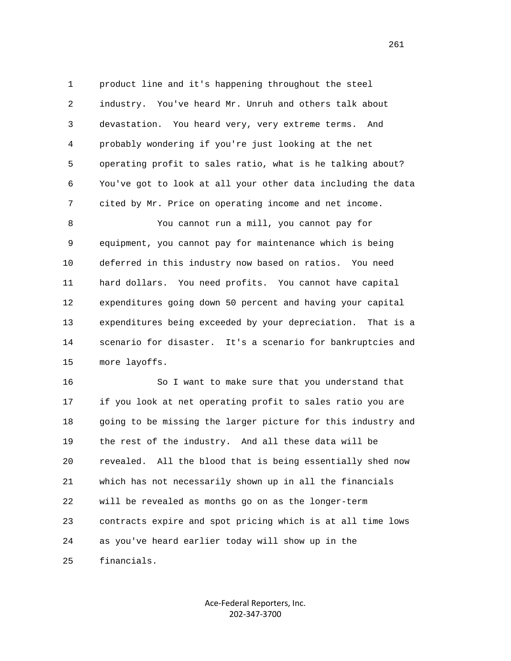1 product line and it's happening throughout the steel 2 industry. You've heard Mr. Unruh and others talk about 3 devastation. You heard very, very extreme terms. And 4 probably wondering if you're just looking at the net 5 operating profit to sales ratio, what is he talking about? 6 You've got to look at all your other data including the data 7 cited by Mr. Price on operating income and net income.

 8 You cannot run a mill, you cannot pay for 9 equipment, you cannot pay for maintenance which is being 10 deferred in this industry now based on ratios. You need 11 hard dollars. You need profits. You cannot have capital 12 expenditures going down 50 percent and having your capital 13 expenditures being exceeded by your depreciation. That is a 14 scenario for disaster. It's a scenario for bankruptcies and 15 more layoffs.

 16 So I want to make sure that you understand that 17 if you look at net operating profit to sales ratio you are 18 going to be missing the larger picture for this industry and 19 the rest of the industry. And all these data will be 20 revealed. All the blood that is being essentially shed now 21 which has not necessarily shown up in all the financials 22 will be revealed as months go on as the longer-term 23 contracts expire and spot pricing which is at all time lows 24 as you've heard earlier today will show up in the 25 financials.

> Ace‐Federal Reporters, Inc. 202‐347‐3700

261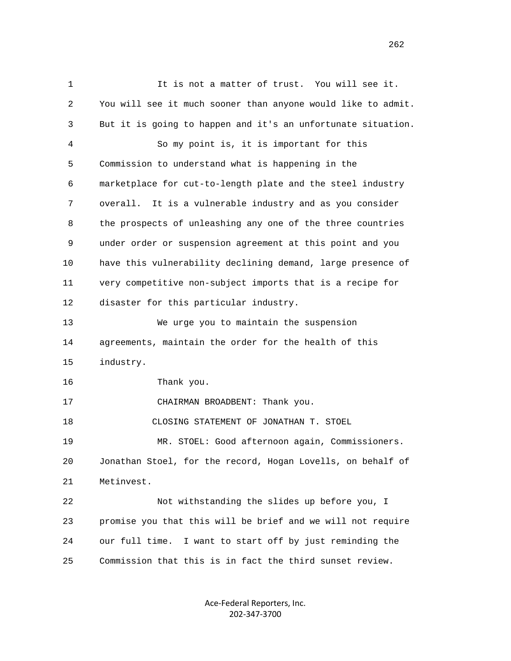1 It is not a matter of trust. You will see it. 2 You will see it much sooner than anyone would like to admit. 3 But it is going to happen and it's an unfortunate situation. 4 So my point is, it is important for this 5 Commission to understand what is happening in the 6 marketplace for cut-to-length plate and the steel industry 7 overall. It is a vulnerable industry and as you consider 8 the prospects of unleashing any one of the three countries 9 under order or suspension agreement at this point and you 10 have this vulnerability declining demand, large presence of 11 very competitive non-subject imports that is a recipe for 12 disaster for this particular industry. 13 We urge you to maintain the suspension 14 agreements, maintain the order for the health of this 15 industry. 16 Thank you. 17 CHAIRMAN BROADBENT: Thank you. 18 CLOSING STATEMENT OF JONATHAN T. STOEL 19 MR. STOEL: Good afternoon again, Commissioners. 20 Jonathan Stoel, for the record, Hogan Lovells, on behalf of 21 Metinvest. 22 Not withstanding the slides up before you, I 23 promise you that this will be brief and we will not require 24 our full time. I want to start off by just reminding the 25 Commission that this is in fact the third sunset review.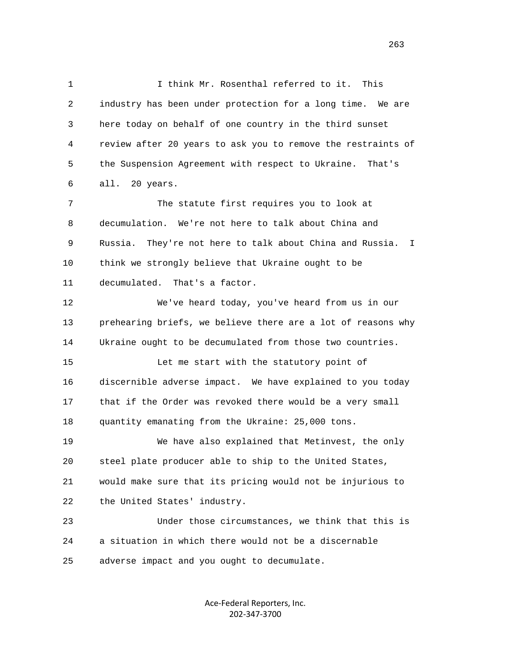1 I think Mr. Rosenthal referred to it. This 2 industry has been under protection for a long time. We are 3 here today on behalf of one country in the third sunset 4 review after 20 years to ask you to remove the restraints of 5 the Suspension Agreement with respect to Ukraine. That's 6 all. 20 years. 7 The statute first requires you to look at 8 decumulation. We're not here to talk about China and 9 Russia. They're not here to talk about China and Russia. I 10 think we strongly believe that Ukraine ought to be 11 decumulated. That's a factor. 12 We've heard today, you've heard from us in our 13 prehearing briefs, we believe there are a lot of reasons why 14 Ukraine ought to be decumulated from those two countries. 15 Let me start with the statutory point of 16 discernible adverse impact. We have explained to you today 17 that if the Order was revoked there would be a very small 18 quantity emanating from the Ukraine: 25,000 tons. 19 We have also explained that Metinvest, the only 20 steel plate producer able to ship to the United States, 21 would make sure that its pricing would not be injurious to 22 the United States' industry. 23 Under those circumstances, we think that this is 24 a situation in which there would not be a discernable

25 adverse impact and you ought to decumulate.

Ace‐Federal Reporters, Inc. 202‐347‐3700

<u>263</u>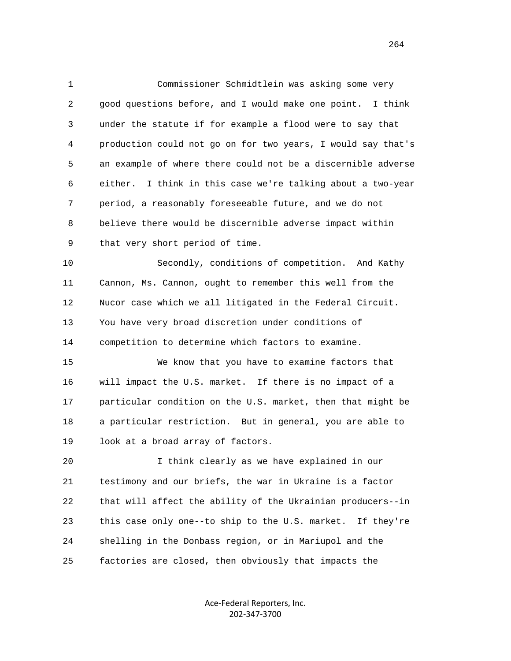1 Commissioner Schmidtlein was asking some very 2 good questions before, and I would make one point. I think 3 under the statute if for example a flood were to say that 4 production could not go on for two years, I would say that's 5 an example of where there could not be a discernible adverse 6 either. I think in this case we're talking about a two-year 7 period, a reasonably foreseeable future, and we do not 8 believe there would be discernible adverse impact within 9 that very short period of time.

 10 Secondly, conditions of competition. And Kathy 11 Cannon, Ms. Cannon, ought to remember this well from the 12 Nucor case which we all litigated in the Federal Circuit. 13 You have very broad discretion under conditions of 14 competition to determine which factors to examine.

 15 We know that you have to examine factors that 16 will impact the U.S. market. If there is no impact of a 17 particular condition on the U.S. market, then that might be 18 a particular restriction. But in general, you are able to 19 look at a broad array of factors.

 20 I think clearly as we have explained in our 21 testimony and our briefs, the war in Ukraine is a factor 22 that will affect the ability of the Ukrainian producers--in 23 this case only one--to ship to the U.S. market. If they're 24 shelling in the Donbass region, or in Mariupol and the 25 factories are closed, then obviously that impacts the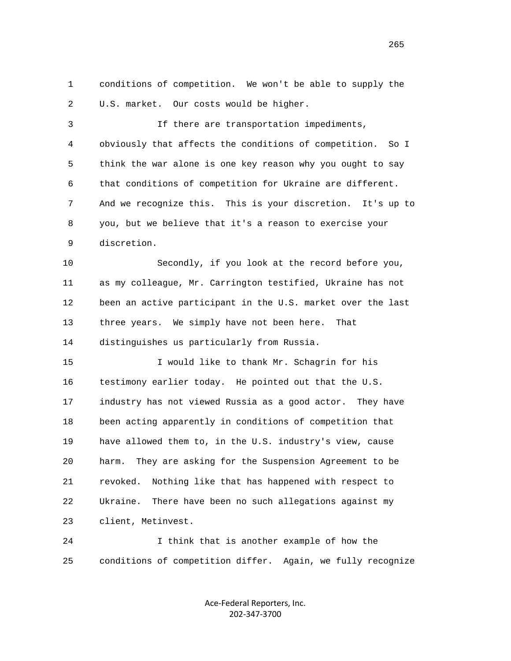1 conditions of competition. We won't be able to supply the 2 U.S. market. Our costs would be higher.

 3 If there are transportation impediments, 4 obviously that affects the conditions of competition. So I 5 think the war alone is one key reason why you ought to say 6 that conditions of competition for Ukraine are different. 7 And we recognize this. This is your discretion. It's up to 8 you, but we believe that it's a reason to exercise your 9 discretion.

 10 Secondly, if you look at the record before you, 11 as my colleague, Mr. Carrington testified, Ukraine has not 12 been an active participant in the U.S. market over the last 13 three years. We simply have not been here. That 14 distinguishes us particularly from Russia.

 15 I would like to thank Mr. Schagrin for his 16 testimony earlier today. He pointed out that the U.S. 17 industry has not viewed Russia as a good actor. They have 18 been acting apparently in conditions of competition that 19 have allowed them to, in the U.S. industry's view, cause 20 harm. They are asking for the Suspension Agreement to be 21 revoked. Nothing like that has happened with respect to 22 Ukraine. There have been no such allegations against my 23 client, Metinvest.

 24 I think that is another example of how the 25 conditions of competition differ. Again, we fully recognize

> Ace‐Federal Reporters, Inc. 202‐347‐3700

<u>265</u>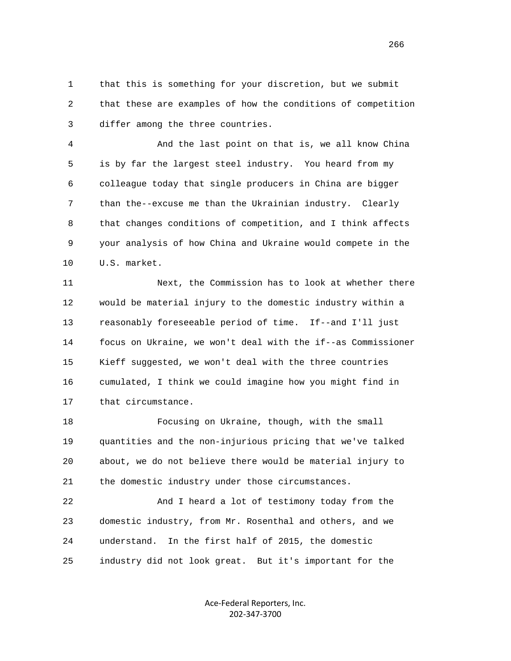1 that this is something for your discretion, but we submit 2 that these are examples of how the conditions of competition 3 differ among the three countries.

 4 And the last point on that is, we all know China 5 is by far the largest steel industry. You heard from my 6 colleague today that single producers in China are bigger 7 than the--excuse me than the Ukrainian industry. Clearly 8 that changes conditions of competition, and I think affects 9 your analysis of how China and Ukraine would compete in the 10 U.S. market.

 11 Next, the Commission has to look at whether there 12 would be material injury to the domestic industry within a 13 reasonably foreseeable period of time. If--and I'll just 14 focus on Ukraine, we won't deal with the if--as Commissioner 15 Kieff suggested, we won't deal with the three countries 16 cumulated, I think we could imagine how you might find in 17 that circumstance.

 18 Focusing on Ukraine, though, with the small 19 quantities and the non-injurious pricing that we've talked 20 about, we do not believe there would be material injury to 21 the domestic industry under those circumstances.

 22 And I heard a lot of testimony today from the 23 domestic industry, from Mr. Rosenthal and others, and we 24 understand. In the first half of 2015, the domestic 25 industry did not look great. But it's important for the

> Ace‐Federal Reporters, Inc. 202‐347‐3700

 $266$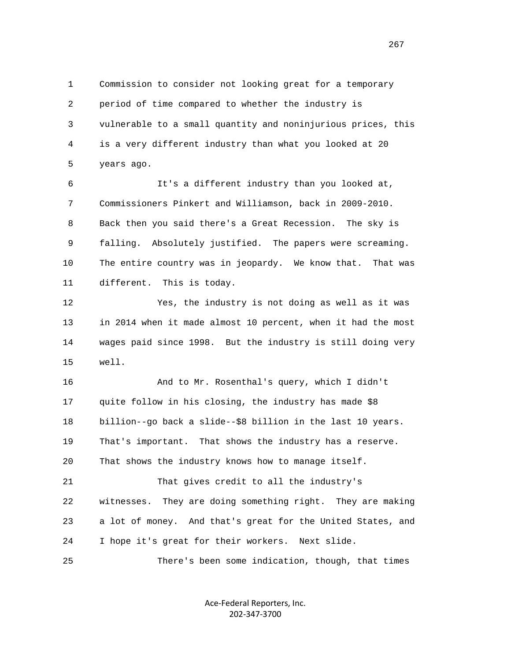1 Commission to consider not looking great for a temporary 2 period of time compared to whether the industry is 3 vulnerable to a small quantity and noninjurious prices, this 4 is a very different industry than what you looked at 20 5 years ago.

 6 It's a different industry than you looked at, 7 Commissioners Pinkert and Williamson, back in 2009-2010. 8 Back then you said there's a Great Recession. The sky is 9 falling. Absolutely justified. The papers were screaming. 10 The entire country was in jeopardy. We know that. That was 11 different. This is today.

 12 Yes, the industry is not doing as well as it was 13 in 2014 when it made almost 10 percent, when it had the most 14 wages paid since 1998. But the industry is still doing very 15 well.

 16 And to Mr. Rosenthal's query, which I didn't 17 quite follow in his closing, the industry has made \$8 18 billion--go back a slide--\$8 billion in the last 10 years. 19 That's important. That shows the industry has a reserve. 20 That shows the industry knows how to manage itself.

 21 That gives credit to all the industry's 22 witnesses. They are doing something right. They are making 23 a lot of money. And that's great for the United States, and 24 I hope it's great for their workers. Next slide.

25 There's been some indication, though, that times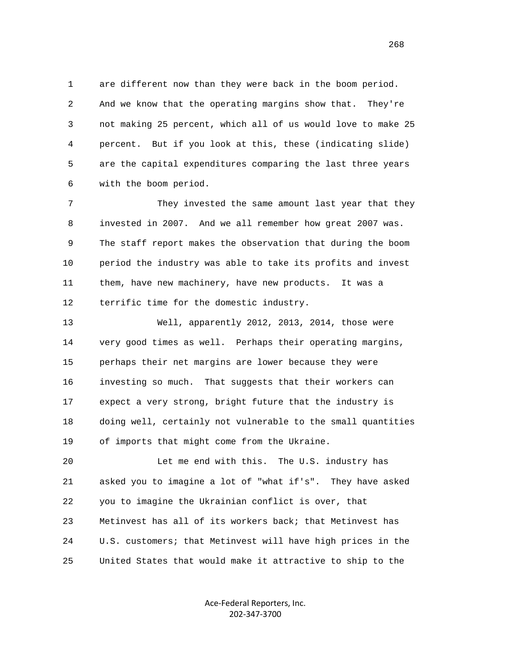1 are different now than they were back in the boom period. 2 And we know that the operating margins show that. They're 3 not making 25 percent, which all of us would love to make 25 4 percent. But if you look at this, these (indicating slide) 5 are the capital expenditures comparing the last three years 6 with the boom period.

 7 They invested the same amount last year that they 8 invested in 2007. And we all remember how great 2007 was. 9 The staff report makes the observation that during the boom 10 period the industry was able to take its profits and invest 11 them, have new machinery, have new products. It was a 12 terrific time for the domestic industry.

 13 Well, apparently 2012, 2013, 2014, those were 14 very good times as well. Perhaps their operating margins, 15 perhaps their net margins are lower because they were 16 investing so much. That suggests that their workers can 17 expect a very strong, bright future that the industry is 18 doing well, certainly not vulnerable to the small quantities 19 of imports that might come from the Ukraine.

 20 Let me end with this. The U.S. industry has 21 asked you to imagine a lot of "what if's". They have asked 22 you to imagine the Ukrainian conflict is over, that 23 Metinvest has all of its workers back; that Metinvest has 24 U.S. customers; that Metinvest will have high prices in the 25 United States that would make it attractive to ship to the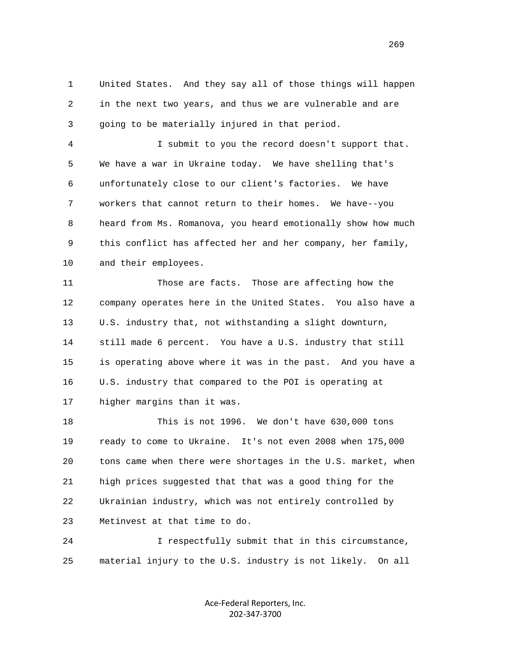1 United States. And they say all of those things will happen 2 in the next two years, and thus we are vulnerable and are 3 going to be materially injured in that period.

 4 I submit to you the record doesn't support that. 5 We have a war in Ukraine today. We have shelling that's 6 unfortunately close to our client's factories. We have 7 workers that cannot return to their homes. We have--you 8 heard from Ms. Romanova, you heard emotionally show how much 9 this conflict has affected her and her company, her family, 10 and their employees.

 11 Those are facts. Those are affecting how the 12 company operates here in the United States. You also have a 13 U.S. industry that, not withstanding a slight downturn, 14 still made 6 percent. You have a U.S. industry that still 15 is operating above where it was in the past. And you have a 16 U.S. industry that compared to the POI is operating at 17 higher margins than it was.

 18 This is not 1996. We don't have 630,000 tons 19 ready to come to Ukraine. It's not even 2008 when 175,000 20 tons came when there were shortages in the U.S. market, when 21 high prices suggested that that was a good thing for the 22 Ukrainian industry, which was not entirely controlled by 23 Metinvest at that time to do.

 24 I respectfully submit that in this circumstance, 25 material injury to the U.S. industry is not likely. On all

> Ace‐Federal Reporters, Inc. 202‐347‐3700

269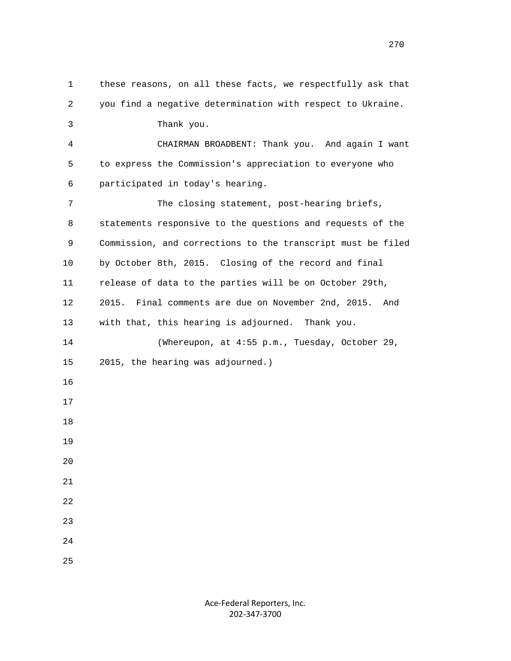1 these reasons, on all these facts, we respectfully ask that 2 you find a negative determination with respect to Ukraine. 3 Thank you. 4 CHAIRMAN BROADBENT: Thank you. And again I want 5 to express the Commission's appreciation to everyone who 6 participated in today's hearing. 7 The closing statement, post-hearing briefs, 8 statements responsive to the questions and requests of the 9 Commission, and corrections to the transcript must be filed 10 by October 8th, 2015. Closing of the record and final 11 release of data to the parties will be on October 29th, 12 2015. Final comments are due on November 2nd, 2015. And 13 with that, this hearing is adjourned. Thank you. 14 (Whereupon, at 4:55 p.m., Tuesday, October 29, 15 2015, the hearing was adjourned.) 16 17 18 19 20 21 22 23 24 25